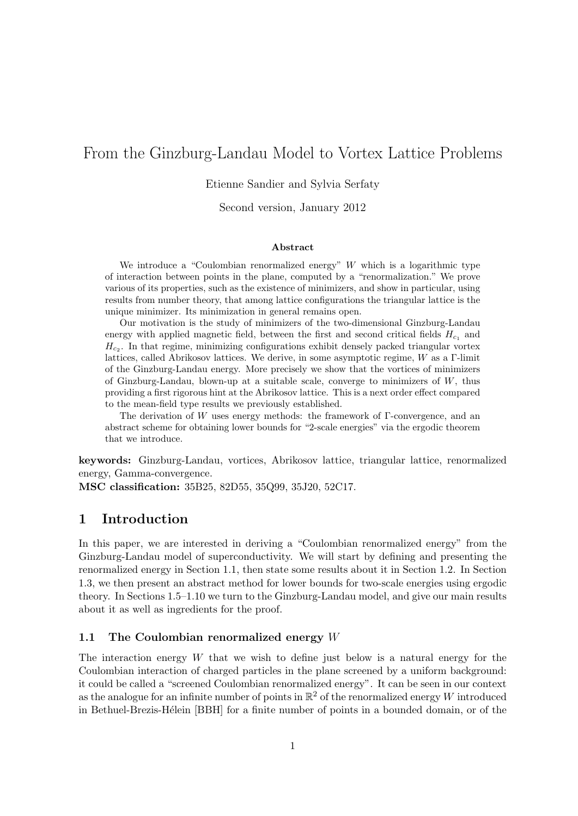# From the Ginzburg-Landau Model to Vortex Lattice Problems

Etienne Sandier and Sylvia Serfaty

Second version, January 2012

#### Abstract

We introduce a "Coulombian renormalized energy"  $W$  which is a logarithmic type of interaction between points in the plane, computed by a "renormalization." We prove various of its properties, such as the existence of minimizers, and show in particular, using results from number theory, that among lattice configurations the triangular lattice is the unique minimizer. Its minimization in general remains open.

Our motivation is the study of minimizers of the two-dimensional Ginzburg-Landau energy with applied magnetic field, between the first and second critical fields  $H_{c1}$  and  $H_{c<sub>2</sub>}$ . In that regime, minimizing configurations exhibit densely packed triangular vortex lattices, called Abrikosov lattices. We derive, in some asymptotic regime, W as a Γ-limit of the Ginzburg-Landau energy. More precisely we show that the vortices of minimizers of Ginzburg-Landau, blown-up at a suitable scale, converge to minimizers of W, thus providing a first rigorous hint at the Abrikosov lattice. This is a next order effect compared to the mean-field type results we previously established.

The derivation of W uses energy methods: the framework of Γ-convergence, and an abstract scheme for obtaining lower bounds for "2-scale energies" via the ergodic theorem that we introduce.

keywords: Ginzburg-Landau, vortices, Abrikosov lattice, triangular lattice, renormalized energy, Gamma-convergence.

MSC classification: 35B25, 82D55, 35Q99, 35J20, 52C17.

# 1 Introduction

In this paper, we are interested in deriving a "Coulombian renormalized energy" from the Ginzburg-Landau model of superconductivity. We will start by defining and presenting the renormalized energy in Section 1.1, then state some results about it in Section 1.2. In Section 1.3, we then present an abstract method for lower bounds for two-scale energies using ergodic theory. In Sections 1.5–1.10 we turn to the Ginzburg-Landau model, and give our main results about it as well as ingredients for the proof.

# 1.1 The Coulombian renormalized energy  $W$

The interaction energy  $W$  that we wish to define just below is a natural energy for the Coulombian interaction of charged particles in the plane screened by a uniform background: it could be called a "screened Coulombian renormalized energy". It can be seen in our context as the analogue for an infinite number of points in  $\mathbb{R}^2$  of the renormalized energy W introduced in Bethuel-Brezis-Hélein [BBH] for a finite number of points in a bounded domain, or of the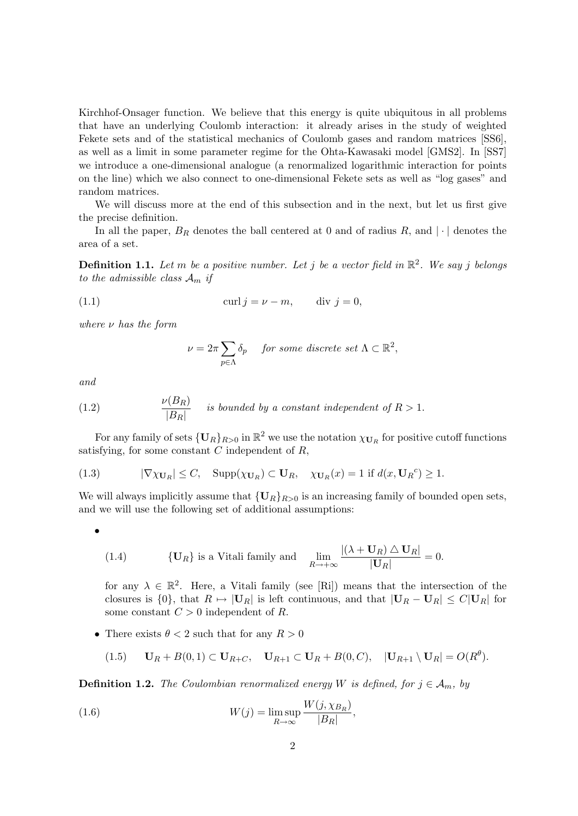Kirchhof-Onsager function. We believe that this energy is quite ubiquitous in all problems that have an underlying Coulomb interaction: it already arises in the study of weighted Fekete sets and of the statistical mechanics of Coulomb gases and random matrices [SS6], as well as a limit in some parameter regime for the Ohta-Kawasaki model [GMS2]. In [SS7] we introduce a one-dimensional analogue (a renormalized logarithmic interaction for points on the line) which we also connect to one-dimensional Fekete sets as well as "log gases" and random matrices.

We will discuss more at the end of this subsection and in the next, but let us first give the precise definition.

In all the paper,  $B_R$  denotes the ball centered at 0 and of radius R, and  $|\cdot|$  denotes the area of a set.

**Definition 1.1.** Let m be a positive number. Let j be a vector field in  $\mathbb{R}^2$ . We say j belongs to the admissible class  $A_m$  if

(1.1) 
$$
\operatorname{curl} j = \nu - m, \qquad \operatorname{div} j = 0,
$$

where  $\nu$  has the form

$$
\nu = 2\pi \sum_{p \in \Lambda} \delta_p \quad \text{ for some discrete set } \Lambda \subset \mathbb{R}^2,
$$

and

(1.2) 
$$
\frac{\nu(B_R)}{|B_R|} \quad \text{ is bounded by a constant independent of } R > 1.
$$

For any family of sets  $\{U_R\}_{R>0}$  in  $\mathbb{R}^2$  we use the notation  $\chi_{U_R}$  for positive cutoff functions satisfying, for some constant  $C$  independent of  $R$ ,

(1.3) 
$$
|\nabla \chi_{\mathbf{U}_R}| \leq C, \quad \text{Supp}(\chi_{\mathbf{U}_R}) \subset \mathbf{U}_R, \quad \chi_{\mathbf{U}_R}(x) = 1 \text{ if } d(x, \mathbf{U}_R^c) \geq 1.
$$

We will always implicitly assume that  ${U_R}_{R>0}$  is an increasing family of bounded open sets, and we will use the following set of additional assumptions:

$$
\bullet
$$

(1.4) 
$$
\{ \mathbf{U}_R \} \text{ is a Vitali family and } \lim_{R \to +\infty} \frac{|(\lambda + \mathbf{U}_R) \triangle \mathbf{U}_R|}{|\mathbf{U}_R|} = 0.
$$

for any  $\lambda \in \mathbb{R}^2$ . Here, a Vitali family (see [Ri]) means that the intersection of the closures is  $\{0\}$ , that  $R \mapsto |\mathbf{U}_R|$  is left continuous, and that  $|\mathbf{U}_R - \mathbf{U}_R| \leq C|\mathbf{U}_R|$  for some constant  $C > 0$  independent of R.

• There exists  $\theta < 2$  such that for any  $R > 0$ 

$$
(1.5) \qquad \mathbf{U}_R + B(0,1) \subset \mathbf{U}_{R+C}, \quad \mathbf{U}_{R+1} \subset \mathbf{U}_R + B(0,C), \quad |\mathbf{U}_{R+1} \setminus \mathbf{U}_R| = O(R^{\theta}).
$$

**Definition 1.2.** The Coulombian renormalized energy W is defined, for  $j \in A_m$ , by

(1.6) 
$$
W(j) = \limsup_{R \to \infty} \frac{W(j, \chi_{B_R})}{|B_R|},
$$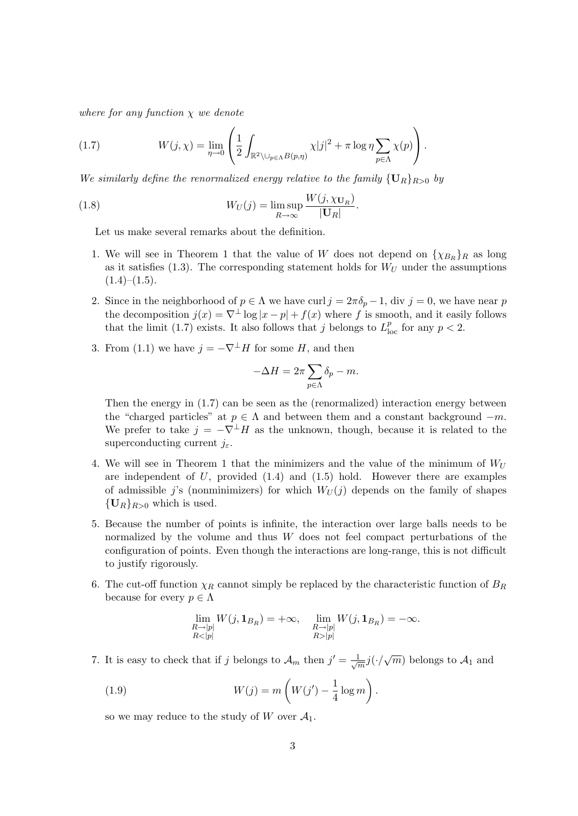where for any function  $\chi$  we denote

(1.7) 
$$
W(j,\chi) = \lim_{\eta \to 0} \left( \frac{1}{2} \int_{\mathbb{R}^2 \setminus \bigcup_{p \in \Lambda} B(p,\eta)} \chi |j|^2 + \pi \log \eta \sum_{p \in \Lambda} \chi(p) \right).
$$

We similarly define the renormalized energy relative to the family  ${U_R}_{R>0}$  by

(1.8) 
$$
W_U(j) = \limsup_{R \to \infty} \frac{W(j, \chi_{\mathbf{U}_R})}{|\mathbf{U}_R|}.
$$

Let us make several remarks about the definition.

- 1. We will see in Theorem 1 that the value of W does not depend on  $\{\chi_{B_R}\}_R$  as long as it satisfies  $(1.3)$ . The corresponding statement holds for  $W_U$  under the assumptions  $(1.4)–(1.5).$
- 2. Since in the neighborhood of  $p \in \Lambda$  we have curl  $j = 2\pi \delta_p 1$ , div  $j = 0$ , we have near p the decomposition  $j(x) = \nabla^{\perp} \log |x - p| + f(x)$  where f is smooth, and it easily follows that the limit (1.7) exists. It also follows that j belongs to  $L_{\text{loc}}^p$  for any  $p < 2$ .
- 3. From (1.1) we have  $j = -\nabla^{\perp} H$  for some H, and then

$$
-\Delta H = 2\pi \sum_{p \in \Lambda} \delta_p - m.
$$

Then the energy in (1.7) can be seen as the (renormalized) interaction energy between the "charged particles" at  $p \in \Lambda$  and between them and a constant background  $-m$ . We prefer to take  $j = -\nabla^{\perp}H$  as the unknown, though, because it is related to the superconducting current  $j_{\varepsilon}$ .

- 4. We will see in Theorem 1 that the minimizers and the value of the minimum of  $W_U$ are independent of  $U$ , provided  $(1.4)$  and  $(1.5)$  hold. However there are examples of admissible j's (nonminimizers) for which  $W_U(j)$  depends on the family of shapes  ${\bf \{U}_R\}_{R>0}$  which is used.
- 5. Because the number of points is infinite, the interaction over large balls needs to be normalized by the volume and thus  $W$  does not feel compact perturbations of the configuration of points. Even though the interactions are long-range, this is not difficult to justify rigorously.
- 6. The cut-off function  $\chi_R$  cannot simply be replaced by the characteristic function of  $B_R$ because for every  $p \in \Lambda$

$$
\lim_{\substack{R\to |p|\\R<|p|}} W(j,\mathbf{1}_{B_R})=+\infty, \quad \lim_{\substack{R\to |p|\\R>|p|}} W(j,\mathbf{1}_{B_R})=-\infty.
$$

7. It is easy to check that if j belongs to  $\mathcal{A}_m$  then  $j' = \frac{1}{\sqrt{j}}$  $\frac{1}{m}j(\cdot/\sqrt{m})$  belongs to  $\mathcal{A}_1$  and

(1.9) 
$$
W(j) = m\left(W(j') - \frac{1}{4}\log m\right).
$$

so we may reduce to the study of W over  $\mathcal{A}_1$ .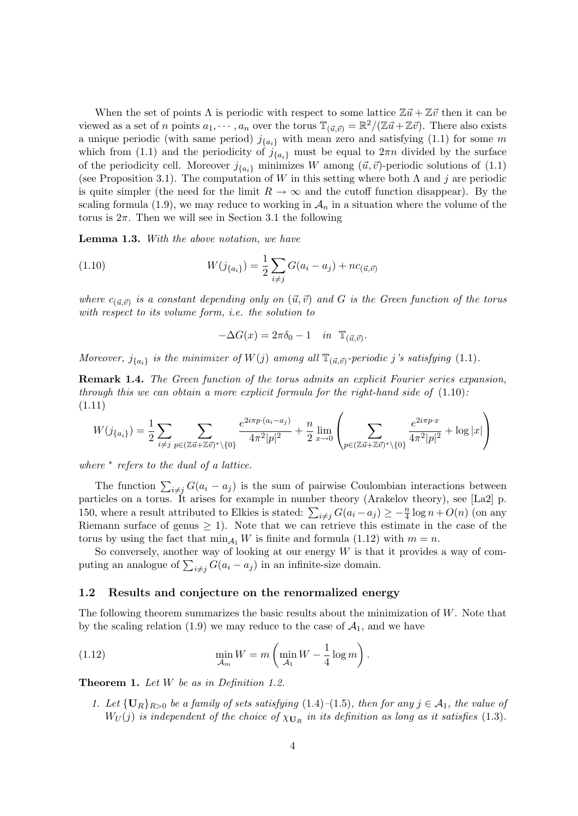When the set of points  $\Lambda$  is periodic with respect to some lattice  $\mathbb{Z}t + \mathbb{Z}t$  then it can be viewed as a set of n points  $a_1, \dots, a_n$  over the torus  $\mathbb{T}_{(\vec{u}, \vec{v})} = \mathbb{R}^2/(\mathbb{Z}\vec{u} + \mathbb{Z}\vec{v})$ . There also exists a unique periodic (with same period)  $j_{\{a_i\}}$  with mean zero and satisfying (1.1) for some m which from (1.1) and the periodicity of  $j_{\{a_i\}}$  must be equal to  $2\pi n$  divided by the surface of the periodicity cell. Moreover  $j_{\{a_i\}}$  minimizes W among  $(\vec{u}, \vec{v})$ -periodic solutions of (1.1) (see Proposition 3.1). The computation of W in this setting where both  $\Lambda$  and j are periodic is quite simpler (the need for the limit  $R \to \infty$  and the cutoff function disappear). By the scaling formula (1.9), we may reduce to working in  $\mathcal{A}_n$  in a situation where the volume of the torus is  $2\pi$ . Then we will see in Section 3.1 the following

Lemma 1.3. With the above notation, we have

(1.10) 
$$
W(j_{\{a_i\}}) = \frac{1}{2} \sum_{i \neq j} G(a_i - a_j) + nc_{(\vec{a},\vec{v})}
$$

where  $c_{(\vec{u},\vec{v})}$  is a constant depending only on  $(\vec{u},\vec{v})$  and G is the Green function of the torus with respect to its volume form, i.e. the solution to

$$
-\Delta G(x) = 2\pi \delta_0 - 1 \quad in \quad \mathbb{T}_{(\vec{u},\vec{v})}.
$$

Moreover,  $j_{\{a_i\}}$  is the minimizer of  $W(j)$  among all  $\mathbb{T}_{(\vec{u},\vec{v})}$ -periodic j's satisfying (1.1).

Remark 1.4. The Green function of the torus admits an explicit Fourier series expansion, through this we can obtain a more explicit formula for the right-hand side of  $(1.10)$ : (1.11)

$$
W(j_{\{a_i\}}) = \frac{1}{2} \sum_{i \neq j} \sum_{p \in (\mathbb{Z} \vec{u} + \mathbb{Z} \vec{v})^* \setminus \{0\}} \frac{e^{2i\pi p \cdot (a_i - a_j)}}{4\pi^2 |p|^2} + \frac{n}{2} \lim_{x \to 0} \left( \sum_{p \in (\mathbb{Z} \vec{u} + \mathbb{Z} \vec{v})^* \setminus \{0\}} \frac{e^{2i\pi p \cdot x}}{4\pi^2 |p|^2} + \log |x| \right)
$$

where  $*$  refers to the dual of a lattice.

The function  $\sum_{i \neq j} G(a_i - a_j)$  is the sum of pairwise Coulombian interactions between particles on a torus. It arises for example in number theory (Arakelov theory), see [La2] p. 150, where a result attributed to Elkies is stated:  $\sum_{i \neq j} G(a_i - a_j) \geq -\frac{n}{4} \log n + O(n)$  (on any Riemann surface of genus  $\geq$  1). Note that we can retrieve this estimate in the case of the torus by using the fact that  $\min_{A_1} W$  is finite and formula (1.12) with  $m = n$ .

So conversely, another way of looking at our energy  $W$  is that it provides a way of computing an analogue of  $\sum_{i \neq j} G(a_i - a_j)$  in an infinite-size domain.

# 1.2 Results and conjecture on the renormalized energy

The following theorem summarizes the basic results about the minimization of  $W$ . Note that by the scaling relation (1.9) we may reduce to the case of  $A_1$ , and we have

(1.12) 
$$
\min_{\mathcal{A}_m} W = m \left( \min_{\mathcal{A}_1} W - \frac{1}{4} \log m \right).
$$

Theorem 1. Let W be as in Definition 1.2.

1. Let  $\{U_R\}_{R>0}$  be a family of sets satisfying  $(1.4)-(1.5)$ , then for any  $j \in \mathcal{A}_1$ , the value of  $W_U(j)$  is independent of the choice of  $\chi_{\mathbf{U}_R}$  in its definition as long as it satisfies (1.3).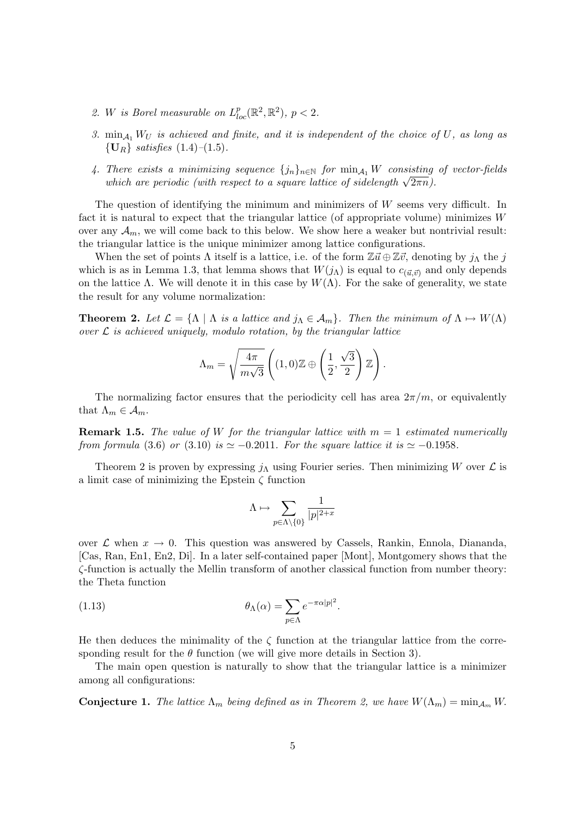- 2. W is Borel measurable on  $L_{loc}^p(\mathbb{R}^2, \mathbb{R}^2)$ ,  $p < 2$ .
- 3.  $\min_{A_1} W_U$  is achieved and finite, and it is independent of the choice of U, as long as  ${U_R}$  satisfies  $(1.4)$ - $(1.5)$ .
- 4. There exists a minimizing sequence  ${j_n}_{n\in\mathbb{N}}$  for  $\min_{\mathcal{A}_1} W$  consisting of vector-fields There exists a minimizing sequence  $\{f_n\}_{n \in \mathbb{N}}$  for  $\min_{A_1} w$  consisting which are periodic (with respect to a square lattice of sidelength  $\sqrt{2\pi n}$ ).

The question of identifying the minimum and minimizers of W seems very difficult. In fact it is natural to expect that the triangular lattice (of appropriate volume) minimizes  $W$ over any  $\mathcal{A}_m$ , we will come back to this below. We show here a weaker but nontrivial result: the triangular lattice is the unique minimizer among lattice configurations.

When the set of points  $\Lambda$  itself is a lattice, i.e. of the form  $\mathbb{Z} \vec{u} \oplus \mathbb{Z} \vec{v}$ , denoting by  $j_{\Lambda}$  the j which is as in Lemma 1.3, that lemma shows that  $W(j_\Lambda)$  is equal to  $c_{(\vec{u},\vec{v})}$  and only depends on the lattice  $\Lambda$ . We will denote it in this case by  $W(\Lambda)$ . For the sake of generality, we state the result for any volume normalization:

**Theorem 2.** Let  $\mathcal{L} = {\Lambda | \Lambda}$  is a lattice and  $j_{\Lambda} \in \mathcal{A}_m$ . Then the minimum of  $\Lambda \mapsto W(\Lambda)$ over  $\mathcal L$  is achieved uniquely, modulo rotation, by the triangular lattice

$$
\Lambda_m = \sqrt{\frac{4\pi}{m\sqrt{3}}} \left( (1,0)\mathbb{Z} \oplus \left( \frac{1}{2}, \frac{\sqrt{3}}{2} \right) \mathbb{Z} \right).
$$

The normalizing factor ensures that the periodicity cell has area  $2\pi/m$ , or equivalently that  $\Lambda_m \in \mathcal{A}_m$ .

**Remark 1.5.** The value of W for the triangular lattice with  $m = 1$  estimated numerically from formula (3.6) or (3.10) is  $\simeq -0.2011$ . For the square lattice it is  $\simeq -0.1958$ .

Theorem 2 is proven by expressing  $j_{\Lambda}$  using Fourier series. Then minimizing W over  $\mathcal L$  is a limit case of minimizing the Epstein  $\zeta$  function

$$
\Lambda \mapsto \sum_{p \in \Lambda \backslash \{0\}} \frac{1}{|p|^{2+x}}
$$

over  $\mathcal L$  when  $x \to 0$ . This question was answered by Cassels, Rankin, Ennola, Diananda, [Cas, Ran, En1, En2, Di]. In a later self-contained paper [Mont], Montgomery shows that the ζ-function is actually the Mellin transform of another classical function from number theory: the Theta function

(1.13) 
$$
\theta_{\Lambda}(\alpha) = \sum_{p \in \Lambda} e^{-\pi \alpha |p|^2}.
$$

He then deduces the minimality of the  $\zeta$  function at the triangular lattice from the corresponding result for the  $\theta$  function (we will give more details in Section 3).

The main open question is naturally to show that the triangular lattice is a minimizer among all configurations:

**Conjecture 1.** The lattice  $\Lambda_m$  being defined as in Theorem 2, we have  $W(\Lambda_m) = \min_{\mathcal{A}_m} W$ .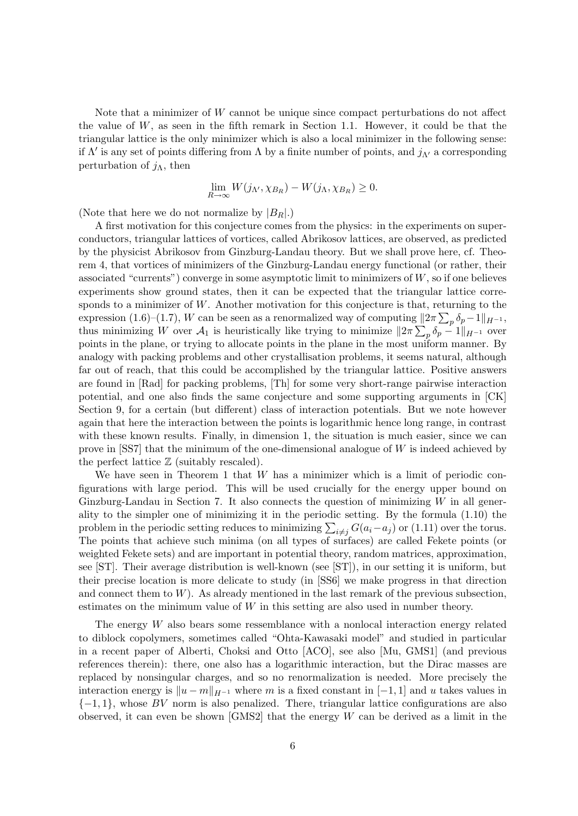Note that a minimizer of W cannot be unique since compact perturbations do not affect the value of  $W$ , as seen in the fifth remark in Section 1.1. However, it could be that the triangular lattice is the only minimizer which is also a local minimizer in the following sense: if  $\Lambda'$  is any set of points differing from  $\Lambda$  by a finite number of points, and  $j_{\Lambda'}$  a corresponding perturbation of  $j_\Lambda$ , then

$$
\lim_{R \to \infty} W(j_{\Lambda'}, \chi_{B_R}) - W(j_{\Lambda}, \chi_{B_R}) \ge 0.
$$

(Note that here we do not normalize by  $|B_R|$ .)

A first motivation for this conjecture comes from the physics: in the experiments on superconductors, triangular lattices of vortices, called Abrikosov lattices, are observed, as predicted by the physicist Abrikosov from Ginzburg-Landau theory. But we shall prove here, cf. Theorem 4, that vortices of minimizers of the Ginzburg-Landau energy functional (or rather, their associated "currents") converge in some asymptotic limit to minimizers of  $W$ , so if one believes experiments show ground states, then it can be expected that the triangular lattice corresponds to a minimizer of  $W$ . Another motivation for this conjecture is that, returning to the expression (1.6)–(1.7), W can be seen as a renormalized way of computing  $||2\pi \sum_{p} \delta_p - 1||_{H^{-1}}$ , thus minimizing W over  $\mathcal{A}_1$  is heuristically like trying to minimize  $||2\pi \sum_p \delta_p - 1||_{H^{-1}}$  over points in the plane, or trying to allocate points in the plane in the most uniform manner. By analogy with packing problems and other crystallisation problems, it seems natural, although far out of reach, that this could be accomplished by the triangular lattice. Positive answers are found in [Rad] for packing problems, [Th] for some very short-range pairwise interaction potential, and one also finds the same conjecture and some supporting arguments in [CK] Section 9, for a certain (but different) class of interaction potentials. But we note however again that here the interaction between the points is logarithmic hence long range, in contrast with these known results. Finally, in dimension 1, the situation is much easier, since we can prove in [SS7] that the minimum of the one-dimensional analogue of  $W$  is indeed achieved by the perfect lattice  $\mathbb Z$  (suitably rescaled).

We have seen in Theorem 1 that  $W$  has a minimizer which is a limit of periodic configurations with large period. This will be used crucially for the energy upper bound on Ginzburg-Landau in Section 7. It also connects the question of minimizing  $W$  in all generality to the simpler one of minimizing it in the periodic setting. By the formula (1.10) the problem in the periodic setting reduces to minimizing  $\sum_{i \neq j} G(a_i - a_j)$  or (1.11) over the torus. The points that achieve such minima (on all types of surfaces) are called Fekete points (or weighted Fekete sets) and are important in potential theory, random matrices, approximation, see [ST]. Their average distribution is well-known (see [ST]), in our setting it is uniform, but their precise location is more delicate to study (in [SS6] we make progress in that direction and connect them to  $W$ ). As already mentioned in the last remark of the previous subsection, estimates on the minimum value of  $W$  in this setting are also used in number theory.

The energy W also bears some ressemblance with a nonlocal interaction energy related to diblock copolymers, sometimes called "Ohta-Kawasaki model" and studied in particular in a recent paper of Alberti, Choksi and Otto [ACO], see also [Mu, GMS1] (and previous references therein): there, one also has a logarithmic interaction, but the Dirac masses are replaced by nonsingular charges, and so no renormalization is needed. More precisely the interaction energy is  $||u - m||_{H^{-1}}$  where m is a fixed constant in [−1, 1] and u takes values in  $\{-1, 1\}$ , whose BV norm is also penalized. There, triangular lattice configurations are also observed, it can even be shown  $[GMS2]$  that the energy W can be derived as a limit in the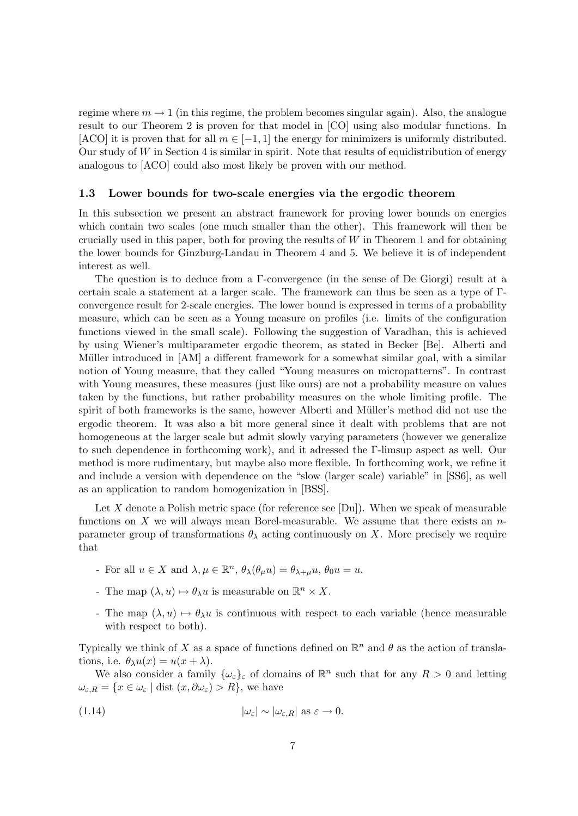regime where  $m \to 1$  (in this regime, the problem becomes singular again). Also, the analogue result to our Theorem 2 is proven for that model in [CO] using also modular functions. In [ACO] it is proven that for all  $m \in [-1, 1]$  the energy for minimizers is uniformly distributed. Our study of  $W$  in Section 4 is similar in spirit. Note that results of equidistribution of energy analogous to [ACO] could also most likely be proven with our method.

#### 1.3 Lower bounds for two-scale energies via the ergodic theorem

In this subsection we present an abstract framework for proving lower bounds on energies which contain two scales (one much smaller than the other). This framework will then be crucially used in this paper, both for proving the results of  $W$  in Theorem 1 and for obtaining the lower bounds for Ginzburg-Landau in Theorem 4 and 5. We believe it is of independent interest as well.

The question is to deduce from a Γ-convergence (in the sense of De Giorgi) result at a certain scale a statement at a larger scale. The framework can thus be seen as a type of Γconvergence result for 2-scale energies. The lower bound is expressed in terms of a probability measure, which can be seen as a Young measure on profiles (i.e. limits of the configuration functions viewed in the small scale). Following the suggestion of Varadhan, this is achieved by using Wiener's multiparameter ergodic theorem, as stated in Becker [Be]. Alberti and Müller introduced in [AM] a different framework for a somewhat similar goal, with a similar notion of Young measure, that they called "Young measures on micropatterns". In contrast with Young measures, these measures (just like ours) are not a probability measure on values taken by the functions, but rather probability measures on the whole limiting profile. The spirit of both frameworks is the same, however Alberti and Müller's method did not use the ergodic theorem. It was also a bit more general since it dealt with problems that are not homogeneous at the larger scale but admit slowly varying parameters (however we generalize to such dependence in forthcoming work), and it adressed the Γ-limsup aspect as well. Our method is more rudimentary, but maybe also more flexible. In forthcoming work, we refine it and include a version with dependence on the "slow (larger scale) variable" in [SS6], as well as an application to random homogenization in [BSS].

Let X denote a Polish metric space (for reference see [Du]). When we speak of measurable functions on X we will always mean Borel-measurable. We assume that there exists an  $n$ parameter group of transformations  $\theta_{\lambda}$  acting continuously on X. More precisely we require that

- For all  $u \in X$  and  $\lambda, \mu \in \mathbb{R}^n$ ,  $\theta_{\lambda}(\theta_{\mu}u) = \theta_{\lambda+\mu}u$ ,  $\theta_0u = u$ .
- The map  $(\lambda, u) \mapsto \theta_{\lambda} u$  is measurable on  $\mathbb{R}^n \times X$ .
- The map  $(\lambda, u) \mapsto \theta_{\lambda}u$  is continuous with respect to each variable (hence measurable with respect to both).

Typically we think of X as a space of functions defined on  $\mathbb{R}^n$  and  $\theta$  as the action of translations, i.e.  $\theta_{\lambda}u(x) = u(x + \lambda)$ .

We also consider a family  $\{\omega_{\varepsilon}\}_\varepsilon$  of domains of  $\mathbb{R}^n$  such that for any  $R > 0$  and letting  $\omega_{\varepsilon,R} = \{x \in \omega_{\varepsilon} \mid \text{dist}(x,\partial \omega_{\varepsilon}) > R\},\$ we have

(1.14) 
$$
|\omega_{\varepsilon}| \sim |\omega_{\varepsilon,R}| \text{ as } \varepsilon \to 0.
$$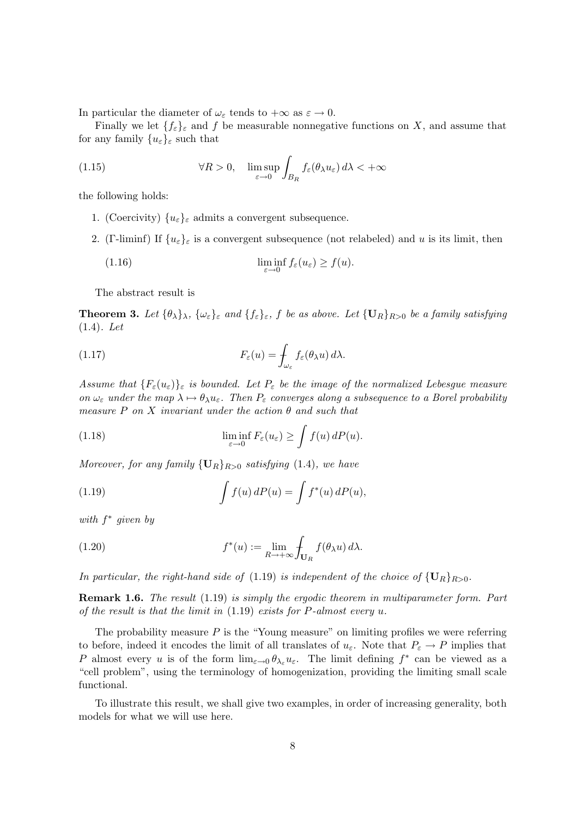In particular the diameter of  $\omega_{\varepsilon}$  tends to  $+\infty$  as  $\varepsilon \to 0$ .

Finally we let  $\{f_{\varepsilon}\}_{\varepsilon}$  and f be measurable nonnegative functions on X, and assume that for any family  $\{u_{\varepsilon}\}_{\varepsilon}$  such that

(1.15) 
$$
\forall R > 0, \quad \limsup_{\varepsilon \to 0} \int_{B_R} f_{\varepsilon}(\theta_{\lambda} u_{\varepsilon}) d\lambda < +\infty
$$

the following holds:

- 1. (Coercivity)  $\{u_{\varepsilon}\}_{\varepsilon}$  admits a convergent subsequence.
- 2. (Γ-liminf) If  $\{u_{\varepsilon}\}_{\varepsilon}$  is a convergent subsequence (not relabeled) and u is its limit, then

(1.16) 
$$
\liminf_{\varepsilon \to 0} f_{\varepsilon}(u_{\varepsilon}) \ge f(u).
$$

The abstract result is

**Theorem 3.** Let  $\{\theta_\lambda\}_\lambda$ ,  $\{\omega_\varepsilon\}_\varepsilon$  and  $\{f_\varepsilon\}_\varepsilon$ , f be as above. Let  $\{\mathbf{U}_R\}_{R>0}$  be a family satisfying (1.4). Let

(1.17) 
$$
F_{\varepsilon}(u) = \int_{\omega_{\varepsilon}} f_{\varepsilon}(\theta_{\lambda} u) d\lambda.
$$

Assume that  ${F_{\varepsilon}(u_{\varepsilon})}_{\varepsilon}$  is bounded. Let  $P_{\varepsilon}$  be the image of the normalized Lebesgue measure on  $\omega_{\varepsilon}$  under the map  $\lambda \mapsto \theta_{\lambda} u_{\varepsilon}$ . Then  $P_{\varepsilon}$  converges along a subsequence to a Borel probability measure P on X invariant under the action  $\theta$  and such that

(1.18) 
$$
\liminf_{\varepsilon \to 0} F_{\varepsilon}(u_{\varepsilon}) \ge \int f(u) dP(u).
$$

Moreover, for any family  ${U_R}_{R>0}$  satisfying (1.4), we have

(1.19) 
$$
\int f(u) dP(u) = \int f^*(u) dP(u),
$$

with  $f^*$  given by

(1.20) 
$$
f^*(u) := \lim_{R \to +\infty} \int_{\mathbf{U}_R} f(\theta_\lambda u) d\lambda.
$$

In particular, the right-hand side of (1.19) is independent of the choice of  $\{U_R\}_{R>0}$ .

**Remark 1.6.** The result (1.19) is simply the ergodic theorem in multiparameter form. Part of the result is that the limit in  $(1.19)$  exists for P-almost every u.

The probability measure  $P$  is the "Young measure" on limiting profiles we were referring to before, indeed it encodes the limit of all translates of  $u_{\varepsilon}$ . Note that  $P_{\varepsilon} \to P$  implies that P almost every u is of the form  $\lim_{\varepsilon\to 0} \theta_{\lambda_{\varepsilon}} u_{\varepsilon}$ . The limit defining  $f^*$  can be viewed as a "cell problem", using the terminology of homogenization, providing the limiting small scale functional.

To illustrate this result, we shall give two examples, in order of increasing generality, both models for what we will use here.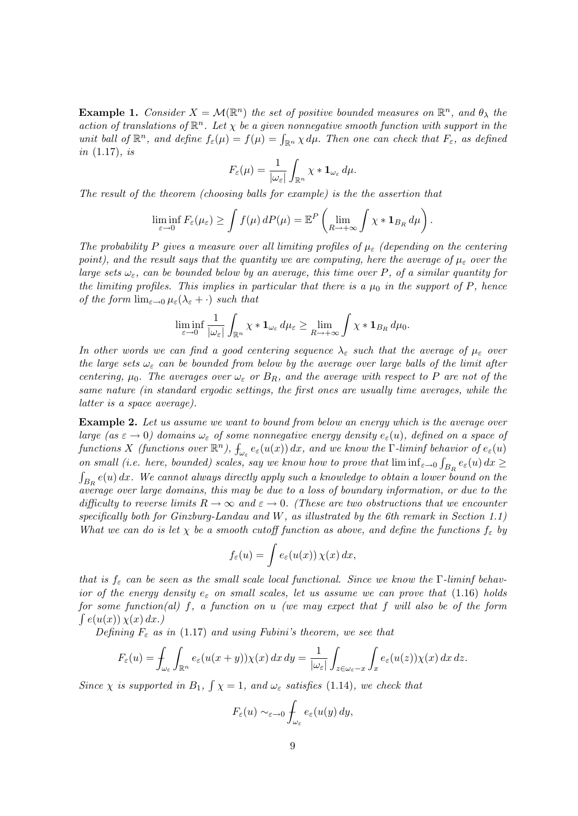**Example 1.** Consider  $X = \mathcal{M}(\mathbb{R}^n)$  the set of positive bounded measures on  $\mathbb{R}^n$ , and  $\theta_{\lambda}$  the action of translations of  $\mathbb{R}^n$ . Let  $\chi$  be a given nonnegative smooth function with support in the unit ball of  $\mathbb{R}^n$ , and define  $f_{\varepsilon}(\mu) = f(\mu) = \int_{\mathbb{R}^n} \chi d\mu$ . Then one can check that  $F_{\varepsilon}$ , as defined in  $(1.17)$ , is

$$
F_{\varepsilon}(\mu) = \frac{1}{|\omega_{\varepsilon}|} \int_{\mathbb{R}^n} \chi * \mathbf{1}_{\omega_{\varepsilon}} d\mu.
$$

The result of the theorem (choosing balls for example) is the the assertion that

$$
\liminf_{\varepsilon \to 0} F_{\varepsilon}(\mu_{\varepsilon}) \ge \int f(\mu) dP(\mu) = \mathbb{E}^{P}\left(\lim_{R \to +\infty} \int \chi * \mathbf{1}_{B_R} d\mu\right).
$$

The probability P gives a measure over all limiting profiles of  $\mu_{\varepsilon}$  (depending on the centering point), and the result says that the quantity we are computing, here the average of  $\mu_{\varepsilon}$  over the large sets  $\omega_{\varepsilon}$ , can be bounded below by an average, this time over P, of a similar quantity for the limiting profiles. This implies in particular that there is a  $\mu_0$  in the support of P, hence of the form  $\lim_{\varepsilon\to 0}\mu_{\varepsilon}(\lambda_{\varepsilon}+\cdot)$  such that

$$
\liminf_{\varepsilon\to 0}\frac{1}{|\omega_{\varepsilon}|}\int_{\mathbb{R}^n}\chi*\mathbf{1}_{\omega_{\varepsilon}}d\mu_{\varepsilon}\geq \lim_{R\to+\infty}\int\chi*\mathbf{1}_{B_R}d\mu_0.
$$

In other words we can find a good centering sequence  $\lambda_{\varepsilon}$  such that the average of  $\mu_{\varepsilon}$  over the large sets  $\omega_{\varepsilon}$  can be bounded from below by the average over large balls of the limit after centering,  $\mu_0$ . The averages over  $\omega_{\varepsilon}$  or  $B_R$ , and the average with respect to P are not of the same nature (in standard ergodic settings, the first ones are usually time averages, while the latter is a space average).

Example 2. Let us assume we want to bound from below an energy which is the average over large (as  $\varepsilon \to 0$ ) domains  $\omega_{\varepsilon}$  of some nonnegative energy density  $e_{\varepsilon}(u)$ , defined on a space of functions X (functions over  $\mathbb{R}^n$ ),  $\int_{\omega_{\varepsilon}} e_{\varepsilon}(u(x)) dx$ , and we know the  $\Gamma$ -liminf behavior of  $e_{\varepsilon}(u)$ on small (i.e. here, bounded) scales, say we know how to prove that  $\liminf_{\varepsilon\to 0} \int_{B_R} e_{\varepsilon}(u) dx \ge$  $\int_{B_R} e(u) dx$ . We cannot always directly apply such a knowledge to obtain a lower bound on the average over large domains, this may be due to a loss of boundary information, or due to the difficulty to reverse limits  $R \to \infty$  and  $\varepsilon \to 0$ . (These are two obstructions that we encounter specifically both for Ginzburg-Landau and W, as illustrated by the 6th remark in Section 1.1) What we can do is let  $\chi$  be a smooth cutoff function as above, and define the functions  $f_{\varepsilon}$  by

$$
f_{\varepsilon}(u) = \int e_{\varepsilon}(u(x)) \,\chi(x) \,dx,
$$

that is  $f_{\varepsilon}$  can be seen as the small scale local functional. Since we know the  $\Gamma$ -liminf behavior of the energy density  $e_{\varepsilon}$  on small scales, let us assume we can prove that (1.16) holds for some function(al) f, a function on u (we may expect that f will also be of the form  $\int e(u(x)) \chi(x) dx.$ 

Defining  $F_{\varepsilon}$  as in (1.17) and using Fubini's theorem, we see that

$$
F_{\varepsilon}(u) = \int_{\omega_{\varepsilon}} \int_{\mathbb{R}^n} e_{\varepsilon}(u(x+y)) \chi(x) \, dx \, dy = \frac{1}{|\omega_{\varepsilon}|} \int_{z \in \omega_{\varepsilon}-x} \int_{x} e_{\varepsilon}(u(z)) \chi(x) \, dx \, dz.
$$

Since  $\chi$  is supported in B<sub>1</sub>,  $\int \chi = 1$ , and  $\omega_{\varepsilon}$  satisfies (1.14), we check that

$$
F_{\varepsilon}(u) \sim_{\varepsilon \to 0} \int_{\omega_{\varepsilon}} e_{\varepsilon}(u(y) \, dy,
$$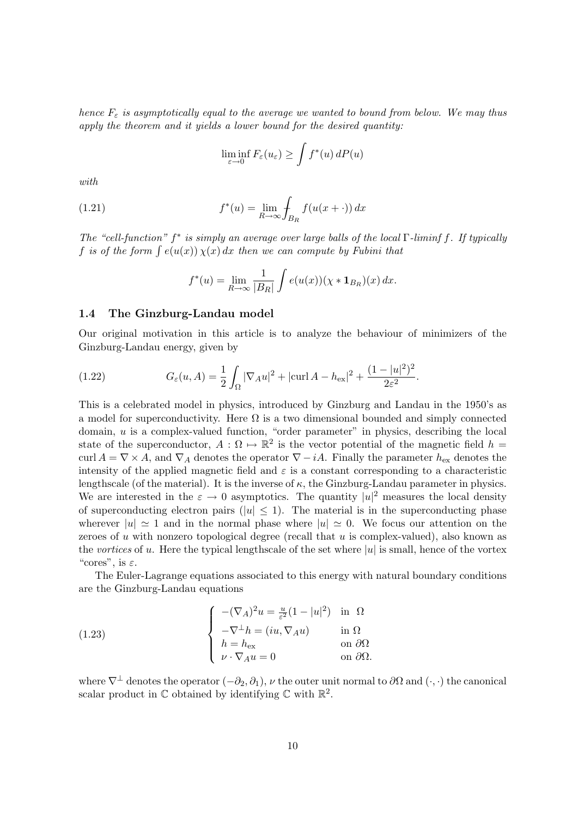hence  $F_{\varepsilon}$  is asymptotically equal to the average we wanted to bound from below. We may thus apply the theorem and it yields a lower bound for the desired quantity:

$$
\liminf_{\varepsilon \to 0} F_{\varepsilon}(u_{\varepsilon}) \ge \int f^*(u) \, dP(u)
$$

with

(1.21) 
$$
f^*(u) = \lim_{R \to \infty} \int_{B_R} f(u(x + \cdot)) dx
$$

The "cell-function"  $f^*$  is simply an average over large balls of the local  $\Gamma$ -liminf f. If typically f is of the form  $\int e(u(x)) \chi(x) dx$  then we can compute by Fubini that

$$
f^*(u) = \lim_{R \to \infty} \frac{1}{|B_R|} \int e(u(x)) (\chi * \mathbf{1}_{B_R})(x) dx.
$$

#### 1.4 The Ginzburg-Landau model

Our original motivation in this article is to analyze the behaviour of minimizers of the Ginzburg-Landau energy, given by

(1.22) 
$$
G_{\varepsilon}(u, A) = \frac{1}{2} \int_{\Omega} |\nabla_A u|^2 + |\text{curl } A - h_{\text{ex}}|^2 + \frac{(1 - |u|^2)^2}{2\varepsilon^2}.
$$

This is a celebrated model in physics, introduced by Ginzburg and Landau in the 1950's as a model for superconductivity. Here  $\Omega$  is a two dimensional bounded and simply connected domain,  $u$  is a complex-valued function, "order parameter" in physics, describing the local state of the superconductor,  $A: \Omega \mapsto \mathbb{R}^2$  is the vector potential of the magnetic field  $h =$ curl  $A = \nabla \times A$ , and  $\nabla_A$  denotes the operator  $\nabla - iA$ . Finally the parameter  $h_{\text{ex}}$  denotes the intensity of the applied magnetic field and  $\varepsilon$  is a constant corresponding to a characteristic lengthscale (of the material). It is the inverse of  $\kappa$ , the Ginzburg-Landau parameter in physics. We are interested in the  $\varepsilon \to 0$  asymptotics. The quantity  $|u|^2$  measures the local density of superconducting electron pairs ( $|u| \leq 1$ ). The material is in the superconducting phase wherever  $|u| \approx 1$  and in the normal phase where  $|u| \approx 0$ . We focus our attention on the zeroes of u with nonzero topological degree (recall that  $u$  is complex-valued), also known as the vortices of u. Here the typical lengthscale of the set where  $|u|$  is small, hence of the vortex "cores", is  $\varepsilon$ .

The Euler-Lagrange equations associated to this energy with natural boundary conditions are the Ginzburg-Landau equations

(1.23) 
$$
\begin{cases}\n-(\nabla_A)^2 u = \frac{u}{\varepsilon^2} (1 - |u|^2) & \text{in } \Omega \\
-\nabla^{\perp} h = (iu, \nabla_A u) & \text{in } \Omega \\
h = h_{\text{ex}} & \text{on } \partial\Omega \\
\nu \cdot \nabla_A u = 0 & \text{on } \partial\Omega.\n\end{cases}
$$

where  $\nabla^{\perp}$  denotes the operator  $(-\partial_2, \partial_1)$ ,  $\nu$  the outer unit normal to  $\partial\Omega$  and  $(\cdot, \cdot)$  the canonical scalar product in  $\mathbb C$  obtained by identifying  $\mathbb C$  with  $\mathbb R^2$ .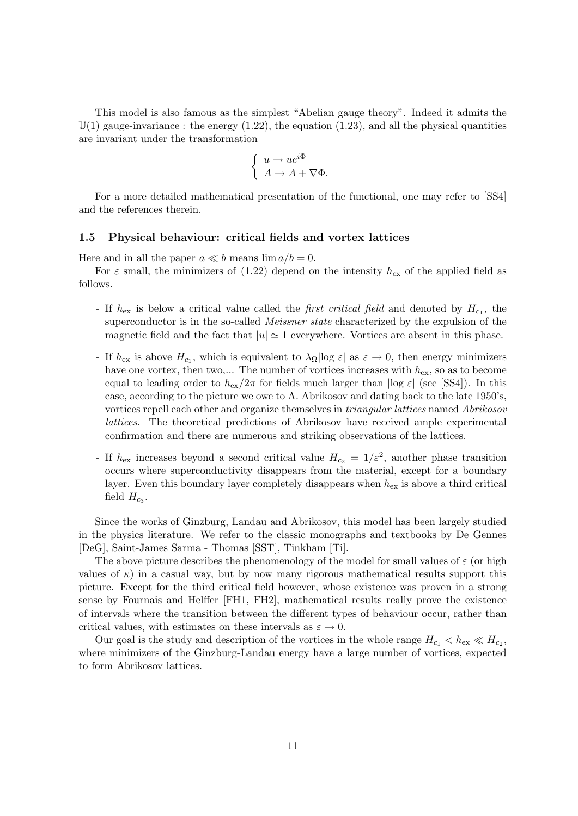This model is also famous as the simplest "Abelian gauge theory". Indeed it admits the  $\mathbb{U}(1)$  gauge-invariance: the energy  $(1.22)$ , the equation  $(1.23)$ , and all the physical quantities are invariant under the transformation

$$
\begin{cases}\n u \to u e^{i\Phi} \\
 A \to A + \nabla \Phi.\n\end{cases}
$$

For a more detailed mathematical presentation of the functional, one may refer to [SS4] and the references therein.

# 1.5 Physical behaviour: critical fields and vortex lattices

Here and in all the paper  $a \ll b$  means  $\lim a/b = 0$ .

For  $\varepsilon$  small, the minimizers of (1.22) depend on the intensity  $h_{\text{ex}}$  of the applied field as follows.

- If  $h_{\text{ex}}$  is below a critical value called the *first critical field* and denoted by  $H_{c_1}$ , the superconductor is in the so-called *Meissner state* characterized by the expulsion of the magnetic field and the fact that  $|u| \approx 1$  everywhere. Vortices are absent in this phase.
- If  $h_{\text{ex}}$  is above  $H_{c_1}$ , which is equivalent to  $\lambda_{\Omega}$  |log  $\varepsilon$ | as  $\varepsilon \to 0$ , then energy minimizers have one vortex, then two,... The number of vortices increases with  $h_{\rm ex}$ , so as to become equal to leading order to  $h_{ex}/2\pi$  for fields much larger than  $|\log \varepsilon|$  (see [SS4]). In this case, according to the picture we owe to A. Abrikosov and dating back to the late 1950's, vortices repell each other and organize themselves in *triangular lattices* named *Abrikosov* lattices. The theoretical predictions of Abrikosov have received ample experimental confirmation and there are numerous and striking observations of the lattices.
- If  $h_{\text{ex}}$  increases beyond a second critical value  $H_{c_2} = 1/\varepsilon^2$ , another phase transition occurs where superconductivity disappears from the material, except for a boundary layer. Even this boundary layer completely disappears when  $h_{\text{ex}}$  is above a third critical field  $H_{c_3}$ .

Since the works of Ginzburg, Landau and Abrikosov, this model has been largely studied in the physics literature. We refer to the classic monographs and textbooks by De Gennes [DeG], Saint-James Sarma - Thomas [SST], Tinkham [Ti].

The above picture describes the phenomenology of the model for small values of  $\varepsilon$  (or high values of  $\kappa$ ) in a casual way, but by now many rigorous mathematical results support this picture. Except for the third critical field however, whose existence was proven in a strong sense by Fournais and Helffer [FH1, FH2], mathematical results really prove the existence of intervals where the transition between the different types of behaviour occur, rather than critical values, with estimates on these intervals as  $\varepsilon \to 0$ .

Our goal is the study and description of the vortices in the whole range  $H_{c_1} < h_{ex} \ll H_{c_2}$ , where minimizers of the Ginzburg-Landau energy have a large number of vortices, expected to form Abrikosov lattices.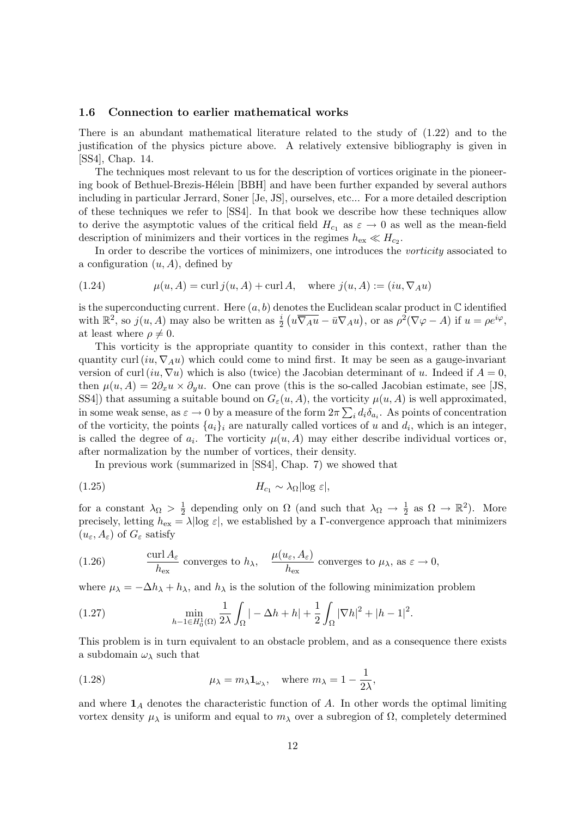## 1.6 Connection to earlier mathematical works

There is an abundant mathematical literature related to the study of (1.22) and to the justification of the physics picture above. A relatively extensive bibliography is given in [SS4], Chap. 14.

The techniques most relevant to us for the description of vortices originate in the pioneering book of Bethuel-Brezis-Hélein [BBH] and have been further expanded by several authors including in particular Jerrard, Soner [Je, JS], ourselves, etc... For a more detailed description of these techniques we refer to [SS4]. In that book we describe how these techniques allow to derive the asymptotic values of the critical field  $H_{c_1}$  as  $\varepsilon \to 0$  as well as the mean-field description of minimizers and their vortices in the regimes  $h_{\text{ex}} \ll H_{c_2}$ .

In order to describe the vortices of minimizers, one introduces the vorticity associated to a configuration  $(u, A)$ , defined by

(1.24) 
$$
\mu(u, A) = \text{curl } j(u, A) + \text{curl } A, \text{ where } j(u, A) := (iu, \nabla_A u)
$$

is the superconducting current. Here  $(a, b)$  denotes the Euclidean scalar product in  $\mathbb C$  identified with  $\mathbb{R}^2$ , so  $j(u, A)$  may also be written as  $\frac{i}{2} (u \overline{\nabla_A u} - \bar{u} \nabla_A u)$ , or as  $\rho^2 (\nabla \varphi - A)$  if  $u = \rho e^{i\varphi}$ , at least where  $\rho \neq 0$ .

This vorticity is the appropriate quantity to consider in this context, rather than the quantity curl  $(iu, \nabla_A u)$  which could come to mind first. It may be seen as a gauge-invariant version of curl (iu,  $\nabla u$ ) which is also (twice) the Jacobian determinant of u. Indeed if  $A = 0$ , then  $\mu(u, A) = 2\partial_x u \times \partial_y u$ . One can prove (this is the so-called Jacobian estimate, see [JS, SS4]) that assuming a suitable bound on  $G_{\varepsilon}(u, A)$ , the vorticity  $\mu(u, A)$  is well approximated, in some weak sense, as  $\varepsilon \to 0$  by a measure of the form  $2\pi \sum_i d_i \delta_{a_i}$ . As points of concentration of the vorticity, the points  $\{a_i\}_i$  are naturally called vortices of u and  $d_i$ , which is an integer, is called the degree of  $a_i$ . The vorticity  $\mu(u, A)$  may either describe individual vortices or, after normalization by the number of vortices, their density.

In previous work (summarized in [SS4], Chap. 7) we showed that

$$
(1.25) \t\t\t H_{c_1} \sim \lambda_{\Omega} |\log \varepsilon|,
$$

for a constant  $\lambda_{\Omega} > \frac{1}{2}$  $\frac{1}{2}$  depending only on  $\Omega$  (and such that  $\lambda_{\Omega} \to \frac{1}{2}$  as  $\Omega \to \mathbb{R}^2$ ). More precisely, letting  $h_{\text{ex}} = \lambda |\log \varepsilon|$ , we established by a Γ-convergence approach that minimizers  $(u_{\varepsilon}, A_{\varepsilon})$  of  $G_{\varepsilon}$  satisfy

(1.26) 
$$
\frac{\text{curl } A_{\varepsilon}}{h_{\text{ex}}}
$$
 converges to  $h_{\lambda}$ , 
$$
\frac{\mu(u_{\varepsilon}, A_{\varepsilon})}{h_{\text{ex}}}
$$
 converges to  $\mu_{\lambda}$ , as  $\varepsilon \to 0$ ,

where  $\mu_{\lambda} = -\Delta h_{\lambda} + h_{\lambda}$ , and  $h_{\lambda}$  is the solution of the following minimization problem

(1.27) 
$$
\min_{h-1 \in H_0^1(\Omega)} \frac{1}{2\lambda} \int_{\Omega} | -\Delta h + h | + \frac{1}{2} \int_{\Omega} |\nabla h|^2 + |h-1|^2.
$$

This problem is in turn equivalent to an obstacle problem, and as a consequence there exists a subdomain  $\omega_{\lambda}$  such that

(1.28) 
$$
\mu_{\lambda} = m_{\lambda} \mathbf{1}_{\omega_{\lambda}}, \text{ where } m_{\lambda} = 1 - \frac{1}{2\lambda},
$$

and where  $\mathbf{1}_A$  denotes the characteristic function of A. In other words the optimal limiting vortex density  $\mu_{\lambda}$  is uniform and equal to  $m_{\lambda}$  over a subregion of Ω, completely determined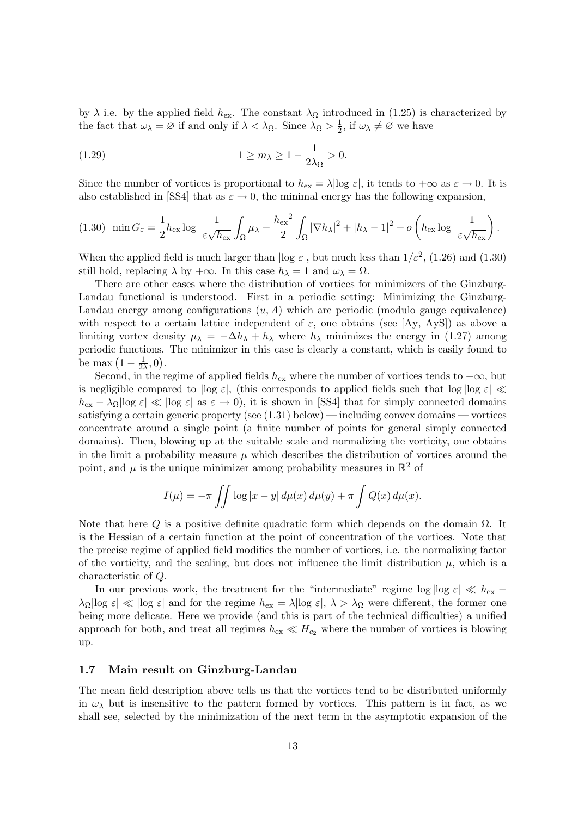by  $\lambda$  i.e. by the applied field  $h_{\text{ex}}$ . The constant  $\lambda_{\Omega}$  introduced in (1.25) is characterized by the fact that  $\omega_{\lambda} = \varnothing$  if and only if  $\lambda < \lambda_{\Omega}$ . Since  $\lambda_{\Omega} > \frac{1}{2}$  $\frac{1}{2}$ , if  $\omega_{\lambda} \neq \emptyset$  we have

(1.29) 
$$
1 \ge m_{\lambda} \ge 1 - \frac{1}{2\lambda_{\Omega}} > 0.
$$

Since the number of vortices is proportional to  $h_{\text{ex}} = \lambda |\log \varepsilon|$ , it tends to  $+\infty$  as  $\varepsilon \to 0$ . It is also established in [SS4] that as  $\varepsilon \to 0$ , the minimal energy has the following expansion,

$$
(1.30) \quad \min G_{\varepsilon} = \frac{1}{2} h_{\text{ex}} \log \frac{1}{\varepsilon \sqrt{h_{\text{ex}}}} \int_{\Omega} \mu_{\lambda} + \frac{h_{\text{ex}}^2}{2} \int_{\Omega} |\nabla h_{\lambda}|^2 + |h_{\lambda} - 1|^2 + o\left(h_{\text{ex}} \log \frac{1}{\varepsilon \sqrt{h_{\text{ex}}}}\right).
$$

When the applied field is much larger than  $|\log \varepsilon|$ , but much less than  $1/\varepsilon^2$ , (1.26) and (1.30) still hold, replacing  $\lambda$  by  $+\infty$ . In this case  $h_{\lambda} = 1$  and  $\omega_{\lambda} = \Omega$ .

There are other cases where the distribution of vortices for minimizers of the Ginzburg-Landau functional is understood. First in a periodic setting: Minimizing the Ginzburg-Landau energy among configurations  $(u, A)$  which are periodic (modulo gauge equivalence) with respect to a certain lattice independent of  $\varepsilon$ , one obtains (see [Ay, AyS]) as above a limiting vortex density  $\mu_{\lambda} = -\Delta h_{\lambda} + h_{\lambda}$  where  $h_{\lambda}$  minimizes the energy in (1.27) among periodic functions. The minimizer in this case is clearly a constant, which is easily found to be max  $\left(1-\frac{1}{2}\right)$  $\frac{1}{2\lambda}, 0$ .

Second, in the regime of applied fields  $h_{\text{ex}}$  where the number of vortices tends to  $+\infty$ , but is negligible compared to  $|\log \varepsilon|$ , (this corresponds to applied fields such that  $\log |\log \varepsilon|$ )  $h_{\text{ex}} - \lambda_{\Omega} |\log \varepsilon| \ll |\log \varepsilon|$  as  $\varepsilon \to 0$ , it is shown in [SS4] that for simply connected domains satisfying a certain generic property (see  $(1.31)$  below) — including convex domains — vortices concentrate around a single point (a finite number of points for general simply connected domains). Then, blowing up at the suitable scale and normalizing the vorticity, one obtains in the limit a probability measure  $\mu$  which describes the distribution of vortices around the point, and  $\mu$  is the unique minimizer among probability measures in  $\mathbb{R}^2$  of

$$
I(\mu) = -\pi \iint \log |x - y| d\mu(x) d\mu(y) + \pi \int Q(x) d\mu(x).
$$

Note that here Q is a positive definite quadratic form which depends on the domain  $\Omega$ . It is the Hessian of a certain function at the point of concentration of the vortices. Note that the precise regime of applied field modifies the number of vortices, i.e. the normalizing factor of the vorticity, and the scaling, but does not influence the limit distribution  $\mu$ , which is a characteristic of Q.

In our previous work, the treatment for the "intermediate" regime  $\log |\log \varepsilon| \ll h_{\text{ex}} \lambda_{\Omega}$ log  $\varepsilon \ll |\log \varepsilon|$  and for the regime  $h_{\text{ex}} = \lambda |\log \varepsilon|$ ,  $\lambda > \lambda_{\Omega}$  were different, the former one being more delicate. Here we provide (and this is part of the technical difficulties) a unified approach for both, and treat all regimes  $h_{\text{ex}} \ll H_{c_2}$  where the number of vortices is blowing up.

## 1.7 Main result on Ginzburg-Landau

The mean field description above tells us that the vortices tend to be distributed uniformly in  $\omega_{\lambda}$  but is insensitive to the pattern formed by vortices. This pattern is in fact, as we shall see, selected by the minimization of the next term in the asymptotic expansion of the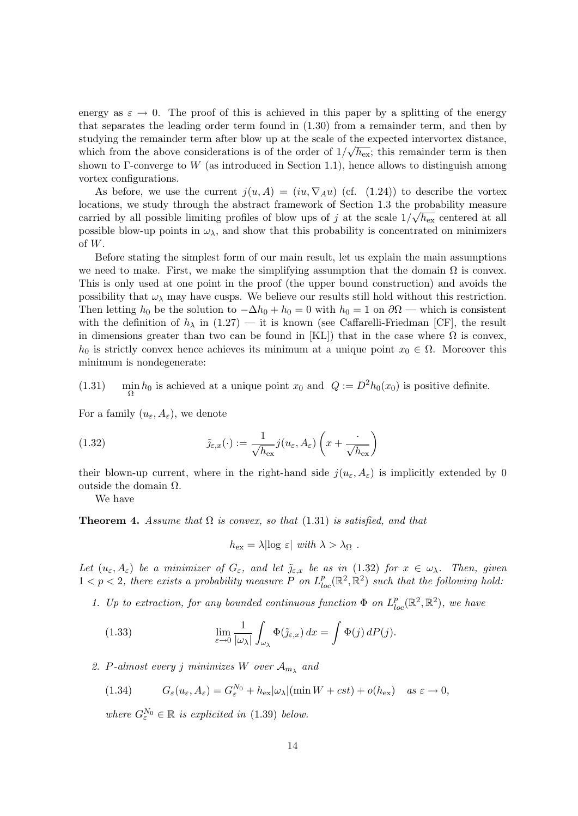energy as  $\varepsilon \to 0$ . The proof of this is achieved in this paper by a splitting of the energy that separates the leading order term found in (1.30) from a remainder term, and then by studying the remainder term after blow up at the scale of the expected intervortex distance, which from the above considerations is of the order of  $1/\sqrt{h_{\text{ex}}};$  this remainder term is then shown to Γ-converge to W (as introduced in Section 1.1), hence allows to distinguish among vortex configurations.

As before, we use the current  $j(u, A) = (iu, \nabla_A u)$  (cf. (1.24)) to describe the vortex locations, we study through the abstract framework of Section 1.3 the probability measure carried by all possible limiting profiles of blow ups of j at the scale  $1/\sqrt{h_{\rm ex}}$  centered at all possible blow-up points in  $\omega_{\lambda}$ , and show that this probability is concentrated on minimizers of W.

Before stating the simplest form of our main result, let us explain the main assumptions we need to make. First, we make the simplifying assumption that the domain  $\Omega$  is convex. This is only used at one point in the proof (the upper bound construction) and avoids the possibility that  $\omega_{\lambda}$  may have cusps. We believe our results still hold without this restriction. Then letting  $h_0$  be the solution to  $-\Delta h_0 + h_0 = 0$  with  $h_0 = 1$  on  $\partial\Omega$  — which is consistent with the definition of  $h_{\lambda}$  in (1.27) — it is known (see Caffarelli-Friedman [CF], the result in dimensions greater than two can be found in [KL]) that in the case where  $\Omega$  is convex,  $h_0$  is strictly convex hence achieves its minimum at a unique point  $x_0 \in \Omega$ . Moreover this minimum is nondegenerate:

 $(1.31)$  $\min_{\Omega} h_0$  is achieved at a unique point  $x_0$  and  $Q := D^2 h_0(x_0)$  is positive definite.

For a family  $(u_{\varepsilon}, A_{\varepsilon})$ , we denote

(1.32) 
$$
\tilde{\jmath}_{\varepsilon,x}(\cdot) := \frac{1}{\sqrt{h_{\text{ex}}}} j(u_{\varepsilon}, A_{\varepsilon}) \left(x + \frac{\cdot}{\sqrt{h_{\text{ex}}}}\right)
$$

their blown-up current, where in the right-hand side  $j(u_{\varepsilon}, A_{\varepsilon})$  is implicitly extended by 0 outside the domain Ω.

We have

**Theorem 4.** Assume that  $\Omega$  is convex, so that (1.31) is satisfied, and that

$$
h_{\text{ex}} = \lambda |\log \varepsilon| \text{ with } \lambda > \lambda_{\Omega} .
$$

Let  $(u_{\varepsilon}, A_{\varepsilon})$  be a minimizer of  $G_{\varepsilon}$ , and let  $\tilde{\jmath}_{\varepsilon,x}$  be as in (1.32) for  $x \in \omega_{\lambda}$ . Then, given  $1 < p < 2$ , there exists a probability measure P on  $L_{loc}^p(\mathbb{R}^2, \mathbb{R}^2)$  such that the following hold:

1. Up to extraction, for any bounded continuous function  $\Phi$  on  $L_{loc}^p(\mathbb{R}^2, \mathbb{R}^2)$ , we have

(1.33) 
$$
\lim_{\varepsilon \to 0} \frac{1}{|\omega_{\lambda}|} \int_{\omega_{\lambda}} \Phi(\tilde{\jmath}_{\varepsilon,x}) dx = \int \Phi(j) dP(j).
$$

2. P-almost every j minimizes W over  $\mathcal{A}_{m_{\lambda}}$  and

(1.34) 
$$
G_{\varepsilon}(u_{\varepsilon}, A_{\varepsilon}) = G_{\varepsilon}^{N_0} + h_{\text{ex}} |\omega_{\lambda}| (\min W + cst) + o(h_{\text{ex}}) \quad as \varepsilon \to 0,
$$

where  $G_{\varepsilon}^{N_0} \in \mathbb{R}$  is explicited in (1.39) below.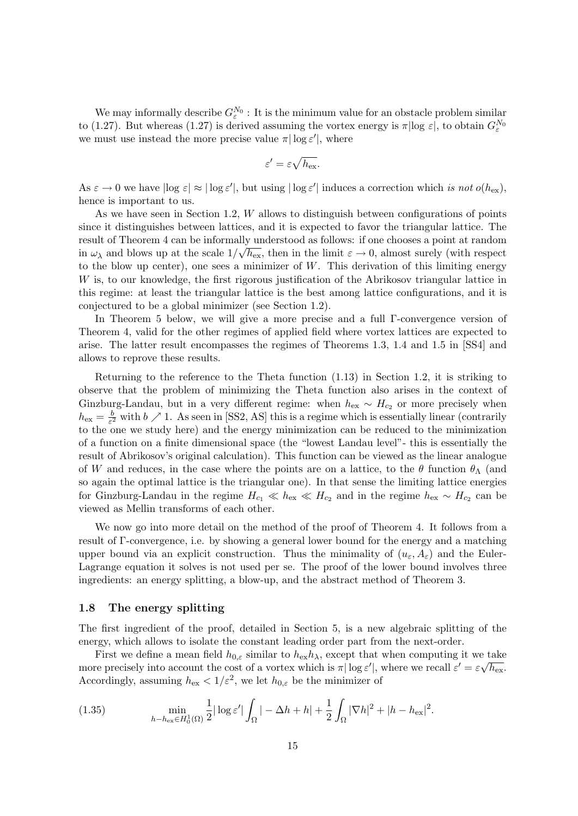We may informally describe  $G_{\varepsilon}^{N_0}$ : It is the minimum value for an obstacle problem similar to (1.27). But whereas (1.27) is derived assuming the vortex energy is  $\pi$ |log  $\varepsilon$ |, to obtain  $G_{\varepsilon}^{N_0}$ we must use instead the more precise value  $\pi |\log \varepsilon'|$ , where

$$
\varepsilon' = \varepsilon \sqrt{h_{\mathrm{ex}}}.
$$

As  $\varepsilon \to 0$  we have  $|\log \varepsilon| \approx |\log \varepsilon'|$ , but using  $|\log \varepsilon'|$  induces a correction which is not  $o(h_{\rm ex})$ , hence is important to us.

As we have seen in Section 1.2,  $W$  allows to distinguish between configurations of points since it distinguishes between lattices, and it is expected to favor the triangular lattice. The result of Theorem 4 can be informally understood as follows: if one chooses a point at random in  $\omega_{\lambda}$  and blows up at the scale  $1/\sqrt{h_{\rm ex}}$ , then in the limit  $\varepsilon \to 0$ , almost surely (with respect to the blow up center), one sees a minimizer of  $W$ . This derivation of this limiting energy W is, to our knowledge, the first rigorous justification of the Abrikosov triangular lattice in this regime: at least the triangular lattice is the best among lattice configurations, and it is conjectured to be a global minimizer (see Section 1.2).

In Theorem 5 below, we will give a more precise and a full Γ-convergence version of Theorem 4, valid for the other regimes of applied field where vortex lattices are expected to arise. The latter result encompasses the regimes of Theorems 1.3, 1.4 and 1.5 in [SS4] and allows to reprove these results.

Returning to the reference to the Theta function (1.13) in Section 1.2, it is striking to observe that the problem of minimizing the Theta function also arises in the context of Ginzburg-Landau, but in a very different regime: when  $h_{\text{ex}} \sim H_{c_2}$  or more precisely when  $h_{\text{ex}} = \frac{b}{\varepsilon^2}$  $\frac{b}{\varepsilon^2}$  with  $b \nearrow 1$ . As seen in [SS2, AS] this is a regime which is essentially linear (contrarily to the one we study here) and the energy minimization can be reduced to the minimization of a function on a finite dimensional space (the "lowest Landau level"- this is essentially the result of Abrikosov's original calculation). This function can be viewed as the linear analogue of W and reduces, in the case where the points are on a lattice, to the  $\theta$  function  $\theta_{\Lambda}$  (and so again the optimal lattice is the triangular one). In that sense the limiting lattice energies for Ginzburg-Landau in the regime  $H_{c_1} \ll h_{ex} \ll H_{c_2}$  and in the regime  $h_{ex} \sim H_{c_2}$  can be viewed as Mellin transforms of each other.

We now go into more detail on the method of the proof of Theorem 4. It follows from a result of Γ-convergence, i.e. by showing a general lower bound for the energy and a matching upper bound via an explicit construction. Thus the minimality of  $(u_{\varepsilon}, A_{\varepsilon})$  and the Euler-Lagrange equation it solves is not used per se. The proof of the lower bound involves three ingredients: an energy splitting, a blow-up, and the abstract method of Theorem 3.

## 1.8 The energy splitting

The first ingredient of the proof, detailed in Section 5, is a new algebraic splitting of the energy, which allows to isolate the constant leading order part from the next-order.

First we define a mean field  $h_{0,\varepsilon}$  similar to  $h_{\text{ex}}h_{\lambda}$ , except that when computing it we take more precisely into account the cost of a vortex which is  $\pi |\log \varepsilon'|$ , where we recall  $\varepsilon' = \varepsilon \sqrt{h_{\rm ex}}$ . Accordingly, assuming  $h_{\text{ex}} < 1/\varepsilon^2$ , we let  $h_{0,\varepsilon}$  be the minimizer of

(1.35) 
$$
\min_{h-h_{\text{ex}} \in H_0^1(\Omega)} \frac{1}{2} |\log \varepsilon'| \int_{\Omega} |-\Delta h + h| + \frac{1}{2} \int_{\Omega} |\nabla h|^2 + |h - h_{\text{ex}}|^2.
$$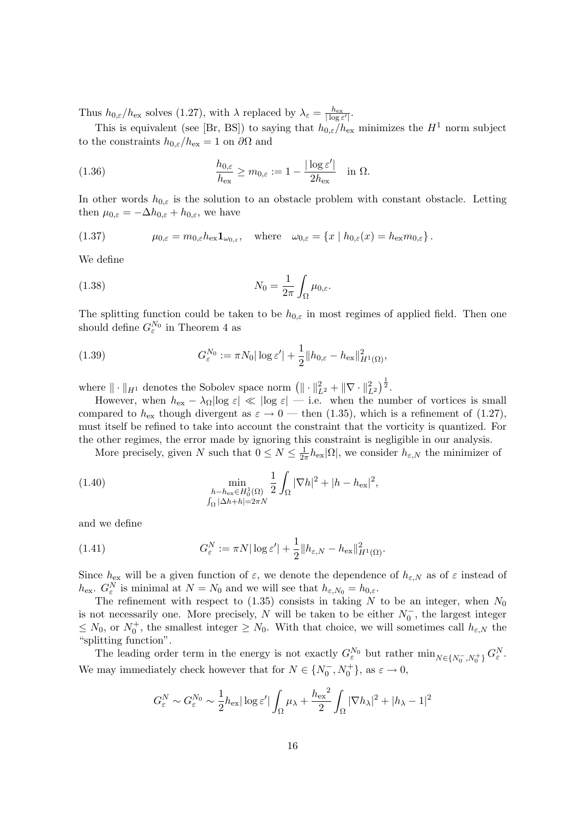Thus  $h_{0,\varepsilon}/h_{\text{ex}}$  solves (1.27), with  $\lambda$  replaced by  $\lambda_{\varepsilon} = \frac{h_{\text{ex}}}{|\log \varepsilon'|}.$ 

This is equivalent (see [Br, BS]) to saying that  $h_{0,\varepsilon}/h_{\text{ex}}$  minimizes the  $H^1$  norm subject to the constraints  $h_{0,\varepsilon}/h_{\text{ex}} = 1$  on  $\partial\Omega$  and

(1.36) 
$$
\frac{h_{0,\varepsilon}}{h_{\text{ex}}} \ge m_{0,\varepsilon} := 1 - \frac{|\log \varepsilon'|}{2h_{\text{ex}}} \quad \text{in } \Omega.
$$

In other words  $h_{0,\varepsilon}$  is the solution to an obstacle problem with constant obstacle. Letting then  $\mu_{0,\varepsilon} = -\Delta h_{0,\varepsilon} + h_{0,\varepsilon}$ , we have

(1.37) 
$$
\mu_{0,\varepsilon} = m_{0,\varepsilon} h_{\text{ex}} \mathbf{1}_{\omega_{0,\varepsilon}}, \quad \text{where} \quad \omega_{0,\varepsilon} = \{x \mid h_{0,\varepsilon}(x) = h_{\text{ex}} m_{0,\varepsilon}\}.
$$

We define

(1.38) 
$$
N_0 = \frac{1}{2\pi} \int_{\Omega} \mu_{0,\varepsilon}.
$$

The splitting function could be taken to be  $h_{0,\varepsilon}$  in most regimes of applied field. Then one should define  $G_{\varepsilon}^{N_0}$  in Theorem 4 as

(1.39) 
$$
G_{\varepsilon}^{N_0} := \pi N_0 |\log \varepsilon'| + \frac{1}{2} ||h_{0,\varepsilon} - h_{\text{ex}}||_{H^1(\Omega)}^2,
$$

where  $\|\cdot\|_{H^1}$  denotes the Sobolev space norm  $(\|\cdot\|_{L^2}^2 + \|\nabla \cdot \|_{L^2}^2)^{\frac{1}{2}}$ .

However, when  $h_{\text{ex}} - \lambda_{\Omega} |\log \varepsilon| \ll |\log \varepsilon| - \text{i.e.}$  when the number of vortices is small compared to  $h_{\text{ex}}$  though divergent as  $\varepsilon \to 0$  — then (1.35), which is a refinement of (1.27), must itself be refined to take into account the constraint that the vorticity is quantized. For the other regimes, the error made by ignoring this constraint is negligible in our analysis.

More precisely, given N such that  $0 \leq N \leq \frac{1}{2}$  $\frac{1}{2\pi}h_{\text{ex}}|\Omega|$ , we consider  $h_{\varepsilon,N}$  the minimizer of

(1.40) 
$$
\min_{\substack{h-h_{\text{ex}} \in H_0^1(\Omega) \\ \int_{\Omega} |\Delta h + h| = 2\pi N}} \frac{1}{2} \int_{\Omega} |\nabla h|^2 + |h - h_{\text{ex}}|^2,
$$

and we define

(1.41) 
$$
G_{\varepsilon}^N := \pi N |\log \varepsilon'| + \frac{1}{2} ||h_{\varepsilon,N} - h_{\text{ex}}||_{H^1(\Omega)}^2.
$$

Since  $h_{\text{ex}}$  will be a given function of  $\varepsilon$ , we denote the dependence of  $h_{\varepsilon,N}$  as of  $\varepsilon$  instead of  $h_{\text{ex}}$ .  $G_{\varepsilon}^N$  is minimal at  $N = N_0$  and we will see that  $h_{\varepsilon,N_0} = h_{0,\varepsilon}$ .

The refinement with respect to  $(1.35)$  consists in taking N to be an integer, when  $N_0$ is not necessarily one. More precisely, N will be taken to be either  $N_0^-$ , the largest integer  $\leq N_0$ , or  $N_0^+$ , the smallest integer  $\geq N_0$ . With that choice, we will sometimes call  $h_{\varepsilon,N}$  the "splitting function".

The leading order term in the energy is not exactly  $G_{\varepsilon}^{N_0}$  but rather  $\min_{N \in \{N_0^-, N_0^+\}} G_{\varepsilon}^N$ . We may immediately check however that for  $N \in \{N_0^-, N_0^+\}$ , as  $\varepsilon \to 0$ ,

$$
G_{\varepsilon}^{N} \sim G_{\varepsilon}^{N_0} \sim \frac{1}{2} h_{\text{ex}} |\log \varepsilon'| \int_{\Omega} \mu_{\lambda} + \frac{h_{\text{ex}}^{2}}{2} \int_{\Omega} |\nabla h_{\lambda}|^{2} + |h_{\lambda} - 1|^{2}
$$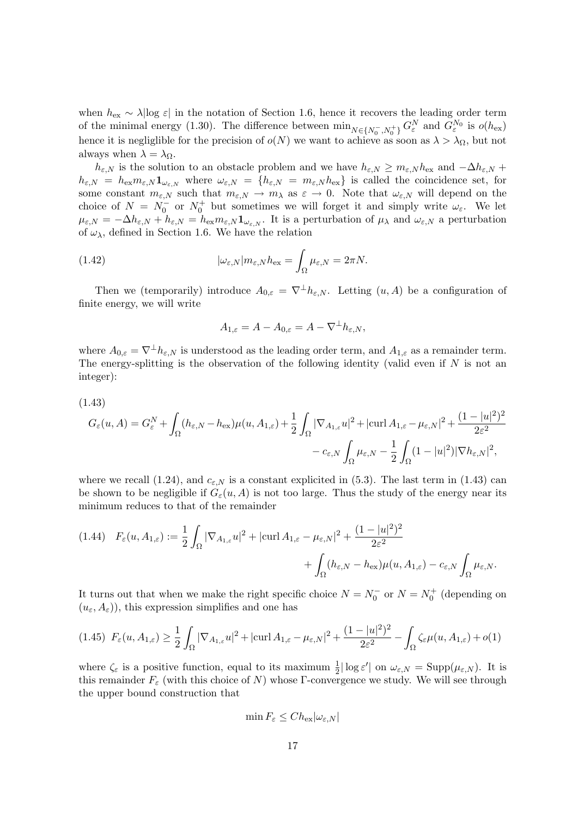when  $h_{\text{ex}} \sim \lambda |\log \varepsilon|$  in the notation of Section 1.6, hence it recovers the leading order term of the minimal energy (1.30). The difference between  $\min_{N \in \{N_0^-, N_0^+\}} G_{\varepsilon}^N$  and  $G_{\varepsilon}^{N_0}$  is  $o(h_{\text{ex}})$ hence it is negliglible for the precision of  $o(N)$  we want to achieve as soon as  $\lambda > \lambda_{\Omega}$ , but not always when  $\lambda = \lambda_{\Omega}$ .

 $h_{\varepsilon,N}$  is the solution to an obstacle problem and we have  $h_{\varepsilon,N} \ge m_{\varepsilon,N} h_{\text{ex}}$  and  $-\Delta h_{\varepsilon,N}$  +  $h_{\varepsilon,N} = h_{\text{ex}} m_{\varepsilon,N} \mathbf{1}_{\omega_{\varepsilon,N}}$  where  $\omega_{\varepsilon,N} = \{h_{\varepsilon,N} = m_{\varepsilon,N} h_{\text{ex}}\}\$ is called the coincidence set, for some constant  $m_{\varepsilon,N}$  such that  $m_{\varepsilon,N} \to m_\lambda$  as  $\varepsilon \to 0$ . Note that  $\omega_{\varepsilon,N}$  will depend on the choice of  $N = N_0^-$  or  $N_0^+$  but sometimes we will forget it and simply write  $\omega_{\varepsilon}$ . We let  $\mu_{\varepsilon,N} = -\Delta h_{\varepsilon,N} + h_{\varepsilon,N} = h_{\text{ex}} m_{\varepsilon,N} \mathbf{1}_{\omega_{\varepsilon,N}}$ . It is a perturbation of  $\mu_{\lambda}$  and  $\omega_{\varepsilon,N}$  a perturbation of  $\omega_{\lambda}$ , defined in Section 1.6. We have the relation

(1.42) 
$$
|\omega_{\varepsilon,N}|m_{\varepsilon,N}h_{\text{ex}} = \int_{\Omega} \mu_{\varepsilon,N} = 2\pi N.
$$

Then we (temporarily) introduce  $A_{0,\varepsilon} = \nabla^{\perp} h_{\varepsilon,N}$ . Letting  $(u, A)$  be a configuration of finite energy, we will write

$$
A_{1,\varepsilon} = A - A_{0,\varepsilon} = A - \nabla^{\perp} h_{\varepsilon,N},
$$

where  $A_{0,\varepsilon} = \nabla^{\perp} h_{\varepsilon,N}$  is understood as the leading order term, and  $A_{1,\varepsilon}$  as a remainder term. The energy-splitting is the observation of the following identity (valid even if  $N$  is not an integer):

(1.43)

$$
G_{\varepsilon}(u, A) = G_{\varepsilon}^{N} + \int_{\Omega} (h_{\varepsilon, N} - h_{\text{ex}}) \mu(u, A_{1, \varepsilon}) + \frac{1}{2} \int_{\Omega} |\nabla_{A_{1, \varepsilon}} u|^{2} + |\text{curl } A_{1, \varepsilon} - \mu_{\varepsilon, N}|^{2} + \frac{(1 - |u|^{2})^{2}}{2\varepsilon^{2}} - c_{\varepsilon, N} \int_{\Omega} \mu_{\varepsilon, N} - \frac{1}{2} \int_{\Omega} (1 - |u|^{2}) |\nabla h_{\varepsilon, N}|^{2},
$$

where we recall (1.24), and  $c_{\varepsilon,N}$  is a constant explicited in (5.3). The last term in (1.43) can be shown to be negligible if  $G_{\varepsilon}(u, A)$  is not too large. Thus the study of the energy near its minimum reduces to that of the remainder

$$
(1.44) \quad F_{\varepsilon}(u, A_{1,\varepsilon}) := \frac{1}{2} \int_{\Omega} |\nabla_{A_{1,\varepsilon}} u|^2 + |\text{curl}\, A_{1,\varepsilon} - \mu_{\varepsilon,N}|^2 + \frac{(1 - |u|^2)^2}{2\varepsilon^2} + \int_{\Omega} (h_{\varepsilon,N} - h_{\text{ex}}) \mu(u, A_{1,\varepsilon}) - c_{\varepsilon,N} \int_{\Omega} \mu_{\varepsilon,N}.
$$

It turns out that when we make the right specific choice  $N = N_0^-$  or  $N = N_0^+$  (depending on  $(u_{\varepsilon}, A_{\varepsilon})$ , this expression simplifies and one has

$$
(1.45)\ \ F_{\varepsilon}(u, A_{1,\varepsilon}) \ge \frac{1}{2} \int_{\Omega} |\nabla_{A_{1,\varepsilon}} u|^2 + |\text{curl}\, A_{1,\varepsilon} - \mu_{\varepsilon,N}|^2 + \frac{(1-|u|^2)^2}{2\varepsilon^2} - \int_{\Omega} \zeta_{\varepsilon} \mu(u, A_{1,\varepsilon}) + o(1)
$$

where  $\zeta_{\varepsilon}$  is a positive function, equal to its maximum  $\frac{1}{2}|\log \varepsilon'|$  on  $\omega_{\varepsilon,N} = \text{Supp}(\mu_{\varepsilon,N})$ . It is this remainder  $F_{\varepsilon}$  (with this choice of N) whose Γ-convergence we study. We will see through the upper bound construction that

$$
\min F_{\varepsilon} \leq Ch_{\text{ex}}|\omega_{\varepsilon,N}|
$$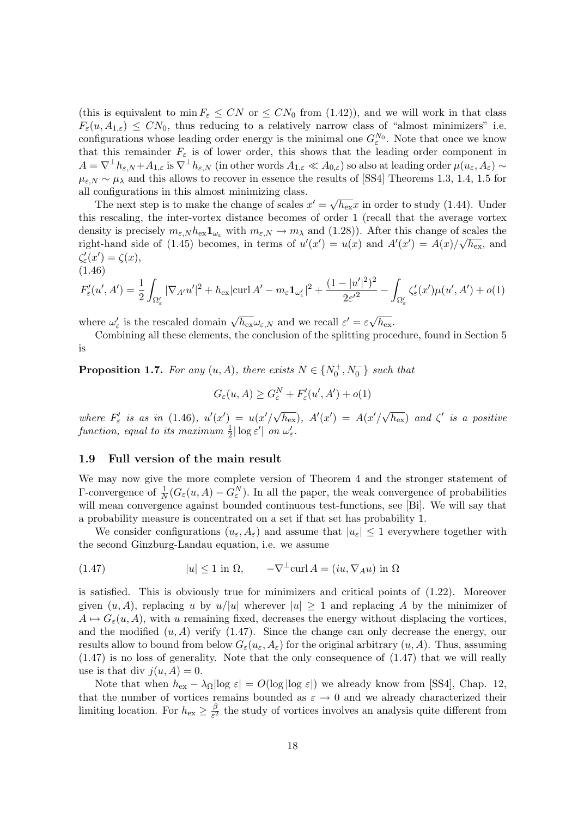(this is equivalent to  $\min F_{\varepsilon} \leq CN$  or  $\leq CN_0$  from (1.42)), and we will work in that class  $F_{\varepsilon}(u, A_{1,\varepsilon}) \leq C N_0$ , thus reducing to a relatively narrow class of "almost minimizers" i.e. configurations whose leading order energy is the minimal one  $G_{\varepsilon}^{N_0}$ . Note that once we know that this remainder  $F_{\varepsilon}$  is of lower order, this shows that the leading order component in  $A = \nabla^{\perp} h_{\varepsilon,N} + A_{1,\varepsilon}$  is  $\nabla^{\perp} h_{\varepsilon,N}$  (in other words  $A_{1,\varepsilon} \ll A_{0,\varepsilon}$ ) so also at leading order  $\mu(u_{\varepsilon}, A_{\varepsilon}) \sim$  $\mu_{\varepsilon,N} \sim \mu_{\lambda}$  and this allows to recover in essence the results of [SS4] Theorems 1.3, 1.4, 1.5 for all configurations in this almost minimizing class.

comigurations in this almost minimizing class.<br>The next step is to make the change of scales  $x' = \sqrt{ }$  $h_{\text{ex}}x$  in order to study (1.44). Under this rescaling, the inter-vortex distance becomes of order 1 (recall that the average vortex density is precisely  $m_{\varepsilon, N} h_{\varepsilon} \mathbf{1}_{\omega_{\varepsilon}}$  with  $m_{\varepsilon, N} \to m_{\lambda}$  and (1.28)). After this change of scales the right-hand side of (1.45) becomes, in terms of  $u'(x') = u(x)$  and  $A'(x') = A(x)/\sqrt{h_{\text{ex}}},$  and  $\zeta'_{\varepsilon}(x') = \zeta(x),$ (1.46)

$$
F'_{\varepsilon}(u',A') = \frac{1}{2} \int_{\Omega'_{\varepsilon}} |\nabla_{A'} u'|^2 + h_{\text{ex}} |\text{curl } A' - m_{\varepsilon} \mathbf{1}_{\omega'_{\varepsilon}}|^2 + \frac{(1 - |u'|^2)^2}{2\varepsilon'^2} - \int_{\Omega'_{\varepsilon}} \zeta'_{\varepsilon}(x') \mu(u',A') + o(1)
$$

where  $\omega_{\varepsilon}'$  is the rescaled domain  $\sqrt{h_{\mathrm{ex}}}\omega_{\varepsilon,N}$  and we recall  $\varepsilon' = \varepsilon \sqrt{N}$  $h_{\mathrm{ex}}$ .

Combining all these elements, the conclusion of the splitting procedure, found in Section 5 is

**Proposition 1.7.** For any  $(u, A)$ , there exists  $N \in \{N_0^+, N_0^-\}$  such that

$$
G_{\varepsilon}(u, A) \ge G_{\varepsilon}^{N} + F_{\varepsilon}'(u', A') + o(1)
$$

where  $F'_{\varepsilon}$  is as in (1.46),  $u'(x') = u(x'/\sqrt{h_{\varepsilon x}})$ ,  $A'(x') = A(x'/\sqrt{h_{\varepsilon x}})$  $\overline{h_{\rm ex}}$ ) and  $\zeta'$  is a positive function, equal to its maximum  $\frac{1}{2}|\log \varepsilon'|$  on  $\omega_{\varepsilon}'$ .

# 1.9 Full version of the main result

We may now give the more complete version of Theorem 4 and the stronger statement of Γ-convergence of  $\frac{1}{N}(G_{\varepsilon}(u, A) - G_{\varepsilon}^{N})$ . In all the paper, the weak convergence of probabilities will mean convergence against bounded continuous test-functions, see [Bi]. We will say that a probability measure is concentrated on a set if that set has probability 1.

We consider configurations  $(u_{\varepsilon}, A_{\varepsilon})$  and assume that  $|u_{\varepsilon}| \leq 1$  everywhere together with the second Ginzburg-Landau equation, i.e. we assume

(1.47) 
$$
|u| \le 1
$$
 in  $\Omega$ ,  $-\nabla^{\perp} \text{curl } A = (iu, \nabla_A u)$  in  $\Omega$ 

is satisfied. This is obviously true for minimizers and critical points of (1.22). Moreover given  $(u, A)$ , replacing u by  $u/|u|$  wherever  $|u| \geq 1$  and replacing A by the minimizer of  $A \mapsto G_{\varepsilon}(u, A)$ , with u remaining fixed, decreases the energy without displacing the vortices, and the modified  $(u, A)$  verify (1.47). Since the change can only decrease the energy, our results allow to bound from below  $G_{\varepsilon}(u_{\varepsilon}, A_{\varepsilon})$  for the original arbitrary  $(u, A)$ . Thus, assuming (1.47) is no loss of generality. Note that the only consequence of (1.47) that we will really use is that div  $j(u, A) = 0$ .

Note that when  $h_{\text{ex}} - \lambda_{\Omega} |\log \varepsilon| = O(\log |\log \varepsilon|)$  we already know from [SS4], Chap. 12, that the number of vortices remains bounded as  $\varepsilon \to 0$  and we already characterized their limiting location. For  $h_{\text{ex}} \geq \frac{\beta}{\varepsilon^2}$  $\frac{\beta}{\varepsilon^2}$  the study of vortices involves an analysis quite different from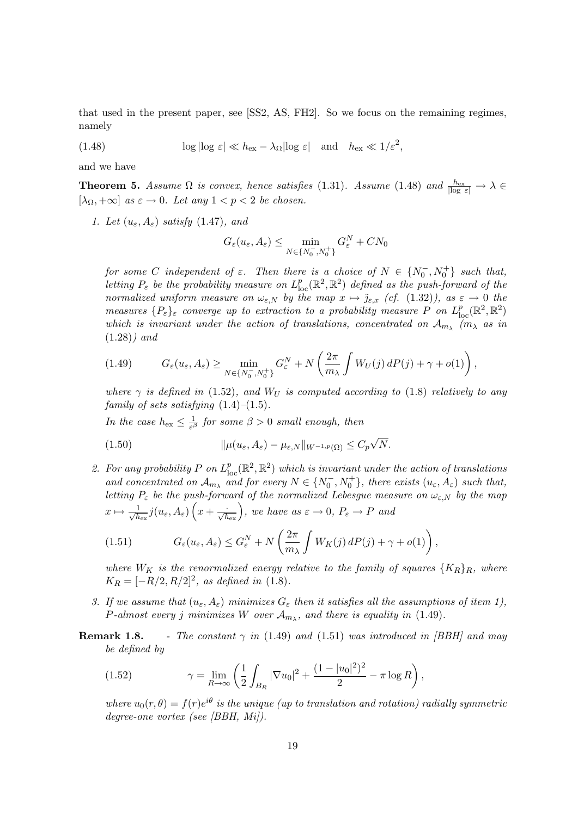that used in the present paper, see [SS2, AS, FH2]. So we focus on the remaining regimes, namely

(1.48) 
$$
\log |\log \varepsilon| \ll h_{\text{ex}} - \lambda_{\Omega} |\log \varepsilon| \quad \text{and} \quad h_{\text{ex}} \ll 1/\varepsilon^2,
$$

and we have

**Theorem 5.** Assume  $\Omega$  is convex, hence satisfies (1.31). Assume (1.48) and  $\frac{h_{\text{ex}}}{|\log \varepsilon|} \to \lambda$  $[\lambda_{\Omega}, +\infty]$  as  $\varepsilon \to 0$ . Let any  $1 < p < 2$  be chosen.

1. Let  $(u_{\varepsilon}, A_{\varepsilon})$  satisfy (1.47), and

$$
G_{\varepsilon}(u_{\varepsilon}, A_{\varepsilon}) \leq \min_{N \in \{N_0^-, N_0^+\}} G_{\varepsilon}^N + CN_0
$$

for some C independent of  $\varepsilon$ . Then there is a choice of  $N \in \{N_0^-, N_0^+\}$  such that, letting  $P_{\varepsilon}$  be the probability measure on  $L_{\text{loc}}^p(\mathbb{R}^2, \mathbb{R}^2)$  defined as the push-forward of the normalized uniform measure on  $\omega_{\varepsilon,N}$  by the map  $x \mapsto \tilde{\jmath}_{\varepsilon,x}$  (cf. (1.32)), as  $\varepsilon \to 0$  the measures  $\{P_{\varepsilon}\}_{\varepsilon}$  converge up to extraction to a probability measure P on  $L_{\text{loc}}^p(\mathbb{R}^2,\mathbb{R}^2)$ which is invariant under the action of translations, concentrated on  $\mathcal{A}_{m_{\lambda}}$  ( $m_{\lambda}$  as in  $(1.28)$ ) and

$$
(1.49) \tG_{\varepsilon}(u_{\varepsilon}, A_{\varepsilon}) \geq \min_{N \in \{N_0^-, N_0^+\}} G_{\varepsilon}^N + N\left(\frac{2\pi}{m_{\lambda}} \int W_U(j) dP(j) + \gamma + o(1)\right),
$$

where  $\gamma$  is defined in (1.52), and  $W_U$  is computed according to (1.8) relatively to any family of sets satisfying  $(1.4)$ – $(1.5)$ .

In the case  $h_{\text{ex}} \leq \frac{1}{\varepsilon^{\beta}}$  $\frac{1}{\varepsilon^{\beta}}$  for some  $\beta > 0$  small enough, then

(1.50) 
$$
\|\mu(u_{\varepsilon}, A_{\varepsilon}) - \mu_{\varepsilon, N}\|_{W^{-1,p}(\Omega)} \leq C_p \sqrt{N}.
$$

2. For any probability P on  $L_{\text{loc}}^p(\mathbb{R}^2, \mathbb{R}^2)$  which is invariant under the action of translations and concentrated on  $\mathcal{A}_{m_\lambda}$  and for every  $N \in \{N_0^-, N_0^+\}$ , there exists  $(u_\varepsilon, A_\varepsilon)$  such that, letting  $P_{\varepsilon}$  be the push-forward of the normalized Lebesgue measure on  $\omega_{\varepsilon,N}$  by the map  $x \mapsto \frac{1}{\sqrt{h}}$  $\frac{1}{h_{\text{ex}}}j(u_{\varepsilon}, A_{\varepsilon})\left(x+\frac{\cdot}{\sqrt{h_{\text{ex}}}}\right)$ , we have as  $\varepsilon \to 0$ ,  $P_{\varepsilon} \to P$  and

(1.51) 
$$
G_{\varepsilon}(u_{\varepsilon}, A_{\varepsilon}) \leq G_{\varepsilon}^{N} + N\left(\frac{2\pi}{m_{\lambda}}\int W_{K}(j) dP(j) + \gamma + o(1)\right),
$$

where  $W_K$  is the renormalized energy relative to the family of squares  $\{K_R\}_R$ , where  $K_R = [-R/2, R/2]^2$ , as defined in (1.8).

- 3. If we assume that  $(u_{\varepsilon}, A_{\varepsilon})$  minimizes  $G_{\varepsilon}$  then it satisfies all the assumptions of item 1), *P*-almost every j minimizes W over  $\mathcal{A}_{m_{\lambda}}$ , and there is equality in (1.49).
- **Remark 1.8.** The constant  $\gamma$  in (1.49) and (1.51) was introduced in *[BBH]* and may be defined by

(1.52) 
$$
\gamma = \lim_{R \to \infty} \left( \frac{1}{2} \int_{B_R} |\nabla u_0|^2 + \frac{(1 - |u_0|^2)^2}{2} - \pi \log R \right),
$$

where  $u_0(r, \theta) = f(r)e^{i\theta}$  is the unique (up to translation and rotation) radially symmetric degree-one vortex (see [BBH, Mi]).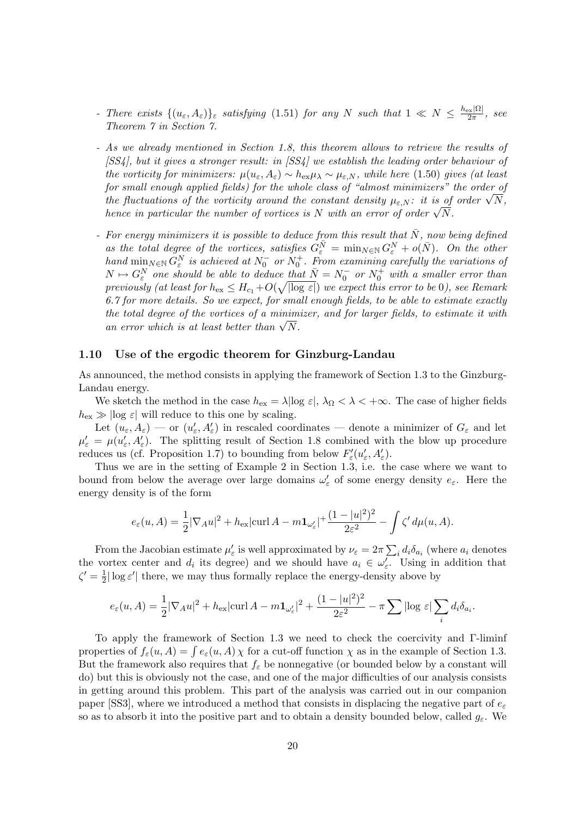- There exists  $\{(u_{\varepsilon}, A_{\varepsilon})\}_{\varepsilon}$  satisfying (1.51) for any N such that  $1 \ll N \leq \frac{h_{\text{ex}}|\Omega|}{2\pi}$  $rac{\log |\Delta L|}{2\pi}$ , see Theorem 7 in Section 7.
- As we already mentioned in Section 1.8, this theorem allows to retrieve the results of [SS4], but it gives a stronger result: in [SS4] we establish the leading order behaviour of the vorticity for minimizers:  $\mu(u_{\varepsilon}, A_{\varepsilon}) \sim h_{\exp \lambda} \sim \mu_{\varepsilon, N}$ , while here (1.50) gives (at least for small enough applied fields) for the whole class of "almost minimizers" the order of for small enough applied fields) for the whole class of "almost minimizers" the order of the vorticity around the constant density  $\mu_{\varepsilon,N}$ : it is of order  $\sqrt{N}$ , the fuctuations of the vorticity around the constant density  $\mu_{\varepsilon, N}$ : it is of<br>hence in particular the number of vortices is N with an error of order  $\sqrt{N}$ .
- For energy minimizers it is possible to deduce from this result that  $\overline{N}$ , now being defined as the total degree of the vortices, satisfies  $G_{\varepsilon}^{\overline{N}} = \min_{N \in \mathbb{N}} G_{\varepsilon}^N + o(N)$ . On the other hand  $\min_{N \in \mathbb{N}} G_{\varepsilon}^N$  is achieved at  $N_0^-$  or  $N_0^+$ . From examining carefully the variations of  $N \mapsto G_{\varepsilon}^N$  one should be able to deduce that  $\bar{N} = N_0^-$  or  $N_0^+$  with a smaller error than previously (at least for  $h_{\text{ex}} \leq H_{c_1}+O(\sqrt{|\log \varepsilon|})$  we expect this error to be 0), see Remark 6.7 for more details. So we expect, for small enough fields, to be able to estimate exactly the total degree of the vortices of a minimizer, and for larger fields, to estimate it with the total aegree of the vortices of a minim<br>an error which is at least better than  $\sqrt{N}$ .

# 1.10 Use of the ergodic theorem for Ginzburg-Landau

As announced, the method consists in applying the framework of Section 1.3 to the Ginzburg-Landau energy.

We sketch the method in the case  $h_{\text{ex}} = \lambda |\log \varepsilon|$ ,  $\lambda_{\Omega} < \lambda < +\infty$ . The case of higher fields  $h_{\text{ex}} \gg |\text{log } \varepsilon|$  will reduce to this one by scaling.

Let  $(u_\varepsilon, A_\varepsilon)$  — or  $(u'_\varepsilon, A'_\varepsilon)$  in rescaled coordinates — denote a minimizer of  $G_\varepsilon$  and let  $\mu'_{\varepsilon} = \mu(u'_{\varepsilon}, A'_{\varepsilon}).$  The splitting result of Section 1.8 combined with the blow up procedure reduces us (cf. Proposition 1.7) to bounding from below  $F'_{\varepsilon}(u'_{\varepsilon}, A'_{\varepsilon})$ .

Thus we are in the setting of Example 2 in Section 1.3, i.e. the case where we want to bound from below the average over large domains  $\omega'_{\varepsilon}$  of some energy density  $e_{\varepsilon}$ . Here the energy density is of the form

$$
e_{\varepsilon}(u, A) = \frac{1}{2} |\nabla_A u|^2 + h_{\text{ex}} |\text{curl } A - m \mathbf{1}_{\omega_{\varepsilon}'}|^2 + \frac{(1 - |u|^2)^2}{2\varepsilon^2} - \int \zeta' d\mu(u, A).
$$

From the Jacobian estimate  $\mu'_{\varepsilon}$  is well approximated by  $\nu_{\varepsilon} = 2\pi \sum_i d_i \delta_{a_i}$  (where  $a_i$  denotes the vortex center and  $d_i$  its degree) and we should have  $a_i \in \omega'_\varepsilon$ . Using in addition that  $\zeta' = \frac{1}{2}$  $\frac{1}{2}|\log \varepsilon'|$  there, we may thus formally replace the energy-density above by

$$
e_{\varepsilon}(u, A) = \frac{1}{2} |\nabla_A u|^2 + h_{\text{ex}} |\text{curl } A - m \mathbf{1}_{\omega_{\varepsilon}'}|^2 + \frac{(1 - |u|^2)^2}{2\varepsilon^2} - \pi \sum |\log \varepsilon| \sum_i d_i \delta_{a_i}.
$$

To apply the framework of Section 1.3 we need to check the coercivity and Γ-liminf properties of  $f_{\varepsilon}(u, A) = \int e_{\varepsilon}(u, A) \chi$  for a cut-off function  $\chi$  as in the example of Section 1.3. But the framework also requires that  $f_{\varepsilon}$  be nonnegative (or bounded below by a constant will do) but this is obviously not the case, and one of the major difficulties of our analysis consists in getting around this problem. This part of the analysis was carried out in our companion paper [SS3], where we introduced a method that consists in displacing the negative part of  $e_{\varepsilon}$ so as to absorb it into the positive part and to obtain a density bounded below, called  $g_{\varepsilon}$ . We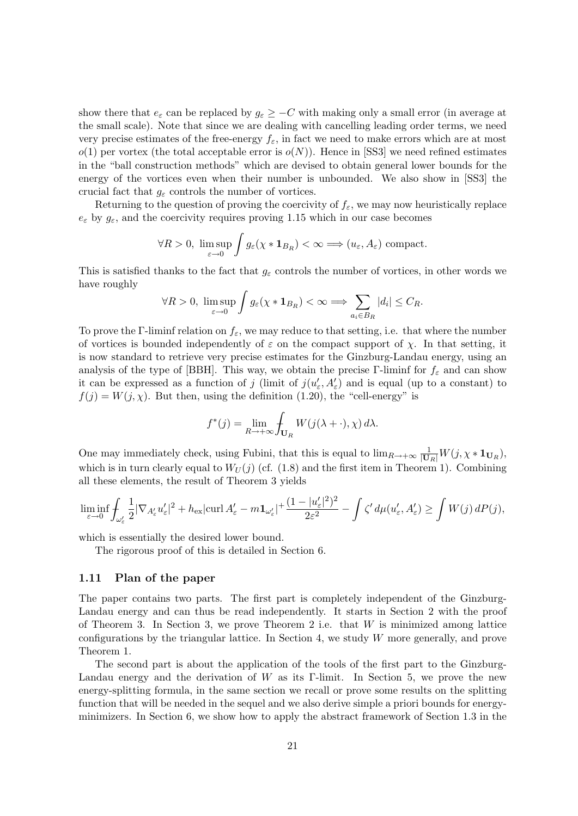show there that  $e_{\varepsilon}$  can be replaced by  $g_{\varepsilon} \geq -C$  with making only a small error (in average at the small scale). Note that since we are dealing with cancelling leading order terms, we need very precise estimates of the free-energy  $f_{\varepsilon}$ , in fact we need to make errors which are at most  $o(1)$  per vortex (the total acceptable error is  $o(N)$ ). Hence in [SS3] we need refined estimates in the "ball construction methods" which are devised to obtain general lower bounds for the energy of the vortices even when their number is unbounded. We also show in [SS3] the crucial fact that  $g_{\varepsilon}$  controls the number of vortices.

Returning to the question of proving the coercivity of  $f_{\varepsilon}$ , we may now heuristically replace  $e_{\varepsilon}$  by  $g_{\varepsilon}$ , and the coercivity requires proving 1.15 which in our case becomes

$$
\forall R > 0, \limsup_{\varepsilon \to 0} \int g_{\varepsilon}(\chi * \mathbf{1}_{B_R}) < \infty \Longrightarrow (u_{\varepsilon}, A_{\varepsilon}) \text{ compact.}
$$

This is satisfied thanks to the fact that  $g_{\varepsilon}$  controls the number of vortices, in other words we have roughly

$$
\forall R > 0, \ \limsup_{\varepsilon \to 0} \int g_{\varepsilon}(\chi * \mathbf{1}_{B_R}) < \infty \Longrightarrow \sum_{a_i \in B_R} |d_i| \leq C_R.
$$

To prove the Γ-liminf relation on  $f_{\varepsilon}$ , we may reduce to that setting, i.e. that where the number of vortices is bounded independently of  $\varepsilon$  on the compact support of  $\chi$ . In that setting, it is now standard to retrieve very precise estimates for the Ginzburg-Landau energy, using an analysis of the type of [BBH]. This way, we obtain the precise Γ-liminf for  $f_{\varepsilon}$  and can show it can be expressed as a function of j (limit of  $j(u'_{\varepsilon}, A'_{\varepsilon})$  and is equal (up to a constant) to  $f(j) = W(j, \chi)$ . But then, using the definition (1.20), the "cell-energy" is

$$
f^*(j) = \lim_{R \to +\infty} \int_{\mathbf{U}_R} W(j(\lambda + \cdot), \chi) d\lambda.
$$

One may immediately check, using Fubini, that this is equal to  $\lim_{R\to+\infty} \frac{1}{|\mathbf{U}_R|} W(j, \chi * \mathbf{1}_{\mathbf{U}_R}),$ which is in turn clearly equal to  $W_U(j)$  (cf. (1.8) and the first item in Theorem 1). Combining all these elements, the result of Theorem 3 yields

$$
\liminf_{\varepsilon\to 0} \int_{\omega'_\varepsilon} \frac{1}{2} |\nabla_{A'_\varepsilon} u'_\varepsilon|^2 + h_{\text{ex}} |\text{curl}\, A'_\varepsilon - m\mathbf{1}_{\omega'_\varepsilon}|^2 \frac{(1-|u'_\varepsilon|^2)^2}{2\varepsilon^2} - \int \zeta' \, d\mu(u'_\varepsilon,A'_\varepsilon) \ge \int W(j)\, dP(j),
$$

which is essentially the desired lower bound.

The rigorous proof of this is detailed in Section 6.

## 1.11 Plan of the paper

The paper contains two parts. The first part is completely independent of the Ginzburg-Landau energy and can thus be read independently. It starts in Section 2 with the proof of Theorem 3. In Section 3, we prove Theorem 2 i.e. that  $W$  is minimized among lattice configurations by the triangular lattice. In Section 4, we study W more generally, and prove Theorem 1.

The second part is about the application of the tools of the first part to the Ginzburg-Landau energy and the derivation of W as its Γ-limit. In Section 5, we prove the new energy-splitting formula, in the same section we recall or prove some results on the splitting function that will be needed in the sequel and we also derive simple a priori bounds for energyminimizers. In Section 6, we show how to apply the abstract framework of Section 1.3 in the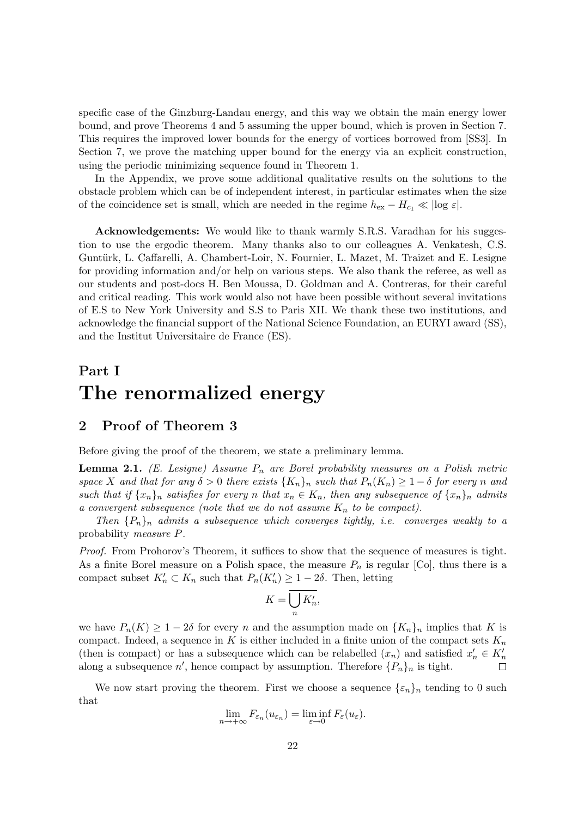specific case of the Ginzburg-Landau energy, and this way we obtain the main energy lower bound, and prove Theorems 4 and 5 assuming the upper bound, which is proven in Section 7. This requires the improved lower bounds for the energy of vortices borrowed from [SS3]. In Section 7, we prove the matching upper bound for the energy via an explicit construction, using the periodic minimizing sequence found in Theorem 1.

In the Appendix, we prove some additional qualitative results on the solutions to the obstacle problem which can be of independent interest, in particular estimates when the size of the coincidence set is small, which are needed in the regime  $h_{\text{ex}} - H_{c_1} \ll |\log \varepsilon|$ .

Acknowledgements: We would like to thank warmly S.R.S. Varadhan for his suggestion to use the ergodic theorem. Many thanks also to our colleagues A. Venkatesh, C.S. Guntürk, L. Caffarelli, A. Chambert-Loir, N. Fournier, L. Mazet, M. Traizet and E. Lesigne for providing information and/or help on various steps. We also thank the referee, as well as our students and post-docs H. Ben Moussa, D. Goldman and A. Contreras, for their careful and critical reading. This work would also not have been possible without several invitations of E.S to New York University and S.S to Paris XII. We thank these two institutions, and acknowledge the financial support of the National Science Foundation, an EURYI award (SS), and the Institut Universitaire de France (ES).

# Part I The renormalized energy

# 2 Proof of Theorem 3

Before giving the proof of the theorem, we state a preliminary lemma.

**Lemma 2.1.** (E. Lesigne) Assume  $P_n$  are Borel probability measures on a Polish metric space X and that for any  $\delta > 0$  there exists  $\{K_n\}_n$  such that  $P_n(K_n) \geq 1 - \delta$  for every n and such that if  $\{x_n\}_n$  satisfies for every n that  $x_n \in K_n$ , then any subsequence of  $\{x_n\}_n$  admits a convergent subsequence (note that we do not assume  $K_n$  to be compact).

Then  $\{P_n\}_n$  admits a subsequence which converges tightly, i.e. converges weakly to a probability measure P.

Proof. From Prohorov's Theorem, it suffices to show that the sequence of measures is tight. As a finite Borel measure on a Polish space, the measure  $P_n$  is regular [Co], thus there is a compact subset  $K'_n \subset K_n$  such that  $P_n(K'_n) \geq 1-2\delta$ . Then, letting

$$
K = \overline{\bigcup_{n} K'_n},
$$

we have  $P_n(K) \geq 1-2\delta$  for every n and the assumption made on  $\{K_n\}_n$  implies that K is compact. Indeed, a sequence in K is either included in a finite union of the compact sets  $K_n$ (then is compact) or has a subsequence which can be relabelled  $(x_n)$  and satisfied  $x'_n \in K'_n$ along a subsequence  $n'$ , hence compact by assumption. Therefore  $\{P_n\}_n$  is tight.

We now start proving the theorem. First we choose a sequence  $\{\varepsilon_n\}_n$  tending to 0 such that

$$
\lim_{n \to +\infty} F_{\varepsilon_n}(u_{\varepsilon_n}) = \liminf_{\varepsilon \to 0} F_{\varepsilon}(u_{\varepsilon}).
$$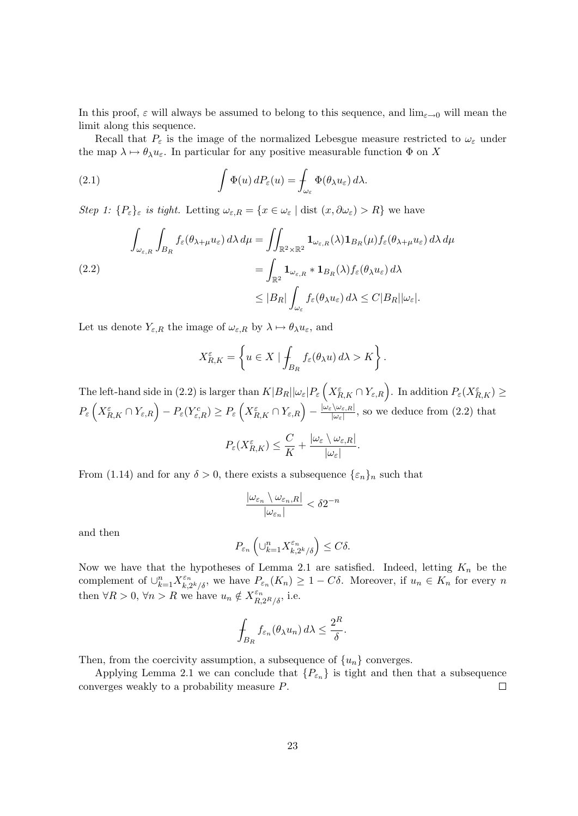In this proof,  $\varepsilon$  will always be assumed to belong to this sequence, and  $\lim_{\varepsilon\to 0}$  will mean the limit along this sequence.

Recall that  $P_{\varepsilon}$  is the image of the normalized Lebesgue measure restricted to  $\omega_{\varepsilon}$  under the map  $\lambda \mapsto \theta_{\lambda}u_{\varepsilon}$ . In particular for any positive measurable function  $\Phi$  on X

(2.1) 
$$
\int \Phi(u) dP_{\varepsilon}(u) = \int_{\omega_{\varepsilon}} \Phi(\theta_{\lambda} u_{\varepsilon}) d\lambda.
$$

Step 1:  $\{P_{\varepsilon}\}_\varepsilon$  is tight. Letting  $\omega_{\varepsilon,R} = \{x \in \omega_{\varepsilon} \mid \text{dist}(x,\partial \omega_{\varepsilon}) > R\}$  we have

$$
\int_{\omega_{\varepsilon,R}} \int_{B_R} f_{\varepsilon}(\theta_{\lambda+\mu} u_{\varepsilon}) d\lambda d\mu = \iint_{\mathbb{R}^2 \times \mathbb{R}^2} \mathbf{1}_{\omega_{\varepsilon,R}}(\lambda) \mathbf{1}_{B_R}(\mu) f_{\varepsilon}(\theta_{\lambda+\mu} u_{\varepsilon}) d\lambda d\mu
$$
\n
$$
= \int_{\mathbb{R}^2} \mathbf{1}_{\omega_{\varepsilon,R}} * \mathbf{1}_{B_R}(\lambda) f_{\varepsilon}(\theta_{\lambda} u_{\varepsilon}) d\lambda
$$
\n
$$
\leq |B_R| \int_{\omega_{\varepsilon}} f_{\varepsilon}(\theta_{\lambda} u_{\varepsilon}) d\lambda \leq C |B_R| |\omega_{\varepsilon}|.
$$

Let us denote  $Y_{\varepsilon,R}$  the image of  $\omega_{\varepsilon,R}$  by  $\lambda \mapsto \theta_\lambda u_\varepsilon$ , and

$$
X_{R,K}^{\varepsilon} = \left\{ u \in X \mid \int_{B_R} f_{\varepsilon}(\theta_{\lambda} u) d\lambda > K \right\}.
$$

The left-hand side in (2.2) is larger than  $K|B_R||\omega_{\varepsilon}|P_{\varepsilon}\left(X_{R,K}^{\varepsilon}\cap Y_{\varepsilon,R}\right)$ . In addition  $P_{\varepsilon}(X_{R,K}^{\varepsilon})\geq$  $P_\varepsilon\left(X_{R,K}^\varepsilon\cap Y_{\varepsilon,R}\right)-P_\varepsilon(Y_{\varepsilon,R}^c)\geq P_\varepsilon\left(X_{R,K}^\varepsilon\cap Y_{\varepsilon,R}\right)-\tfrac{|\omega_\varepsilon\setminus \omega_{\varepsilon,R}|}{|\omega_\varepsilon|}$  $\frac{\langle \omega_{\varepsilon,R} \rangle}{|\omega_{\varepsilon}|}$ , so we deduce from  $(2.2)$  that

$$
P_{\varepsilon}(X_{R,K}^{\varepsilon}) \leq \frac{C}{K} + \frac{|\omega_{\varepsilon} \setminus \omega_{\varepsilon,R}|}{|\omega_{\varepsilon}|}.
$$

From (1.14) and for any  $\delta > 0$ , there exists a subsequence  $\{\varepsilon_n\}_n$  such that

$$
\frac{|\omega_{\varepsilon_n}\setminus\omega_{\varepsilon_n,R}|}{|\omega_{\varepsilon_n}|}<\delta2^{-n}
$$

and then

$$
P_{\varepsilon_n} \left( \bigcup_{k=1}^n X_{k,2^k/\delta}^{\varepsilon_n} \right) \le C\delta.
$$

Now we have that the hypotheses of Lemma 2.1 are satisfied. Indeed, letting  $K_n$  be the complement of  $\cup_{k=1}^n X_{k,i}^{\varepsilon_n}$  $\sum_{k=2k/ \delta}^{\varepsilon_n}$ , we have  $P_{\varepsilon_n}(K_n) \geq 1 - C\delta$ . Moreover, if  $u_n \in K_n$  for every n then  $\forall R > 0, \, \forall n > R$  we have  $u_n \notin X^{\varepsilon_n}_{R,2^R/\delta}$ , i.e.

$$
\int_{B_R} f_{\varepsilon_n}(\theta_\lambda u_n) d\lambda \leq \frac{2^R}{\delta}.
$$

Then, from the coercivity assumption, a subsequence of  $\{u_n\}$  converges.

Applying Lemma 2.1 we can conclude that  ${P_{\varepsilon_n}}$  is tight and then that a subsequence converges weakly to a probability measure P.  $\Box$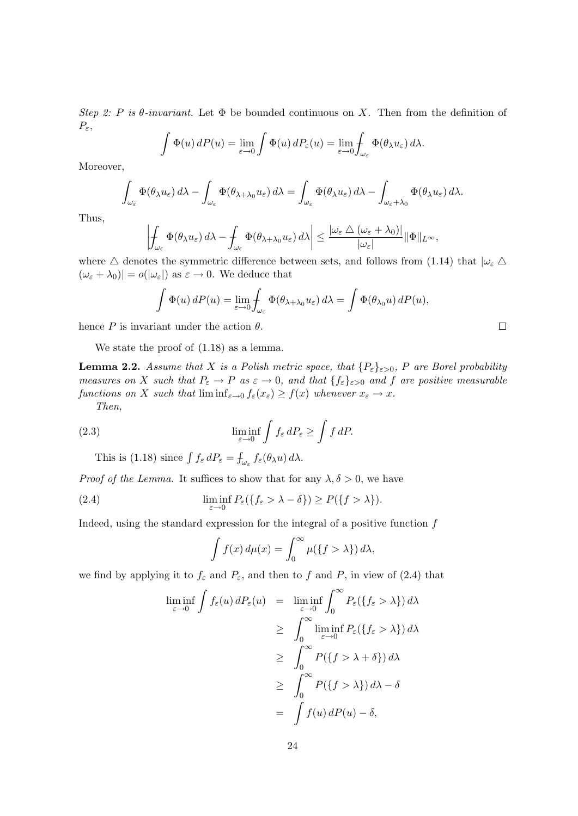Step 2: P is  $\theta$ -invariant. Let  $\Phi$  be bounded continuous on X. Then from the definition of  $P_{\varepsilon}$ ,

$$
\int \Phi(u) dP(u) = \lim_{\varepsilon \to 0} \int \Phi(u) dP_{\varepsilon}(u) = \lim_{\varepsilon \to 0} \int_{\omega_{\varepsilon}} \Phi(\theta_{\lambda} u_{\varepsilon}) d\lambda.
$$

Moreover,

$$
\int_{\omega_{\varepsilon}} \Phi(\theta_{\lambda} u_{\varepsilon}) d\lambda - \int_{\omega_{\varepsilon}} \Phi(\theta_{\lambda + \lambda_0} u_{\varepsilon}) d\lambda = \int_{\omega_{\varepsilon}} \Phi(\theta_{\lambda} u_{\varepsilon}) d\lambda - \int_{\omega_{\varepsilon} + \lambda_0} \Phi(\theta_{\lambda} u_{\varepsilon}) d\lambda.
$$

Thus,

$$
\left|\int_{\omega_{\varepsilon}} \Phi(\theta_{\lambda} u_{\varepsilon}) d\lambda - \int_{\omega_{\varepsilon}} \Phi(\theta_{\lambda + \lambda_0} u_{\varepsilon}) d\lambda\right| \leq \frac{|\omega_{\varepsilon} \wedge (\omega_{\varepsilon} + \lambda_0)|}{|\omega_{\varepsilon}|} \|\Phi\|_{L^{\infty}},
$$

where  $\Delta$  denotes the symmetric difference between sets, and follows from (1.14) that  $|\omega_{\varepsilon} \Delta$  $(\omega_{\varepsilon} + \lambda_0)| = o(|\omega_{\varepsilon}|)$  as  $\varepsilon \to 0$ . We deduce that

$$
\int \Phi(u) dP(u) = \lim_{\varepsilon \to 0} \int_{\omega_{\varepsilon}} \Phi(\theta_{\lambda + \lambda_0} u_{\varepsilon}) d\lambda = \int \Phi(\theta_{\lambda_0} u) dP(u),
$$

 $\Box$ 

hence P is invariant under the action  $\theta$ .

We state the proof of (1.18) as a lemma.

**Lemma 2.2.** Assume that X is a Polish metric space, that  $\{P_{\varepsilon}\}_{{\varepsilon}>0}$ , P are Borel probability measures on X such that  $P_{\varepsilon} \to P$  as  $\varepsilon \to 0$ , and that  $\{f_{\varepsilon}\}_{{\varepsilon}>0}$  and f are positive measurable functions on X such that  $\liminf_{\varepsilon\to 0} f_{\varepsilon}(x_{\varepsilon}) \geq f(x)$  whenever  $x_{\varepsilon} \to x$ . Then,

(2.3) 
$$
\liminf_{\varepsilon \to 0} \int f_{\varepsilon} dP_{\varepsilon} \ge \int f dP.
$$

This is (1.18) since  $\int f_{\varepsilon} dP_{\varepsilon} = \int_{\omega_{\varepsilon}} f_{\varepsilon}(\theta_{\lambda} u) d\lambda$ .

*Proof of the Lemma.* It suffices to show that for any  $\lambda, \delta > 0$ , we have

(2.4) 
$$
\liminf_{\varepsilon \to 0} P_{\varepsilon}(\{f_{\varepsilon} > \lambda - \delta\}) \ge P(\{f > \lambda\}).
$$

Indeed, using the standard expression for the integral of a positive function  $f$ 

$$
\int f(x) d\mu(x) = \int_0^\infty \mu({f > \lambda}) d\lambda,
$$

we find by applying it to  $f_{\varepsilon}$  and  $P_{\varepsilon}$ , and then to f and P, in view of (2.4) that

$$
\liminf_{\varepsilon \to 0} \int f_{\varepsilon}(u) dP_{\varepsilon}(u) = \liminf_{\varepsilon \to 0} \int_0^{\infty} P_{\varepsilon}(\{f_{\varepsilon} > \lambda\}) d\lambda
$$
  
\n
$$
\geq \int_0^{\infty} \liminf_{\varepsilon \to 0} P_{\varepsilon}(\{f_{\varepsilon} > \lambda\}) d\lambda
$$
  
\n
$$
\geq \int_0^{\infty} P(\{f > \lambda + \delta\}) d\lambda
$$
  
\n
$$
\geq \int_0^{\infty} P(\{f > \lambda\}) d\lambda - \delta
$$
  
\n
$$
= \int f(u) dP(u) - \delta,
$$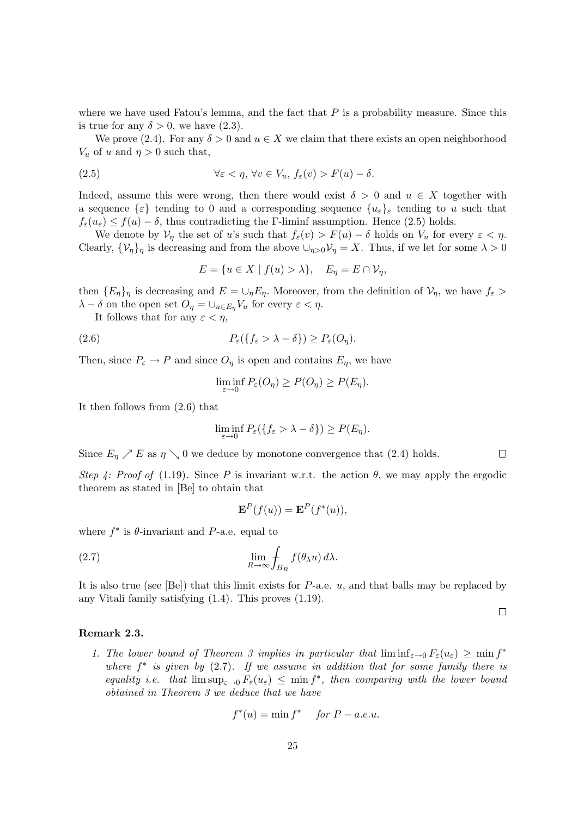where we have used Fatou's lemma, and the fact that  $P$  is a probability measure. Since this is true for any  $\delta > 0$ , we have  $(2.3)$ .

We prove (2.4). For any  $\delta > 0$  and  $u \in X$  we claim that there exists an open neighborhood  $V_u$  of u and  $\eta > 0$  such that,

(2.5) 
$$
\forall \varepsilon < \eta, \forall v \in V_u, f_{\varepsilon}(v) > F(u) - \delta.
$$

Indeed, assume this were wrong, then there would exist  $\delta > 0$  and  $u \in X$  together with a sequence  $\{\varepsilon\}$  tending to 0 and a corresponding sequence  $\{u_{\varepsilon}\}\varepsilon$  tending to u such that  $f_{\varepsilon}(u_{\varepsilon}) \leq f(u) - \delta$ , thus contradicting the Γ-liminf assumption. Hence (2.5) holds.

We denote by  $\mathcal{V}_\eta$  the set of u's such that  $f_\varepsilon(v) > F(u) - \delta$  holds on  $V_u$  for every  $\varepsilon < \eta$ . Clearly,  $\{\mathcal{V}_\eta\}_\eta$  is decreasing and from the above  $\cup_{\eta>0}\mathcal{V}_\eta=X$ . Thus, if we let for some  $\lambda>0$ 

$$
E = \{ u \in X \mid f(u) > \lambda \}, \quad E_{\eta} = E \cap \mathcal{V}_{\eta},
$$

then  ${E_n}_\eta$  is decreasing and  $E = \bigcup_{\eta} E_{\eta}$ . Moreover, from the definition of  $\mathcal{V}_{\eta}$ , we have  $f_{\varepsilon}$  $\lambda - \delta$  on the open set  $O_{\eta} = \bigcup_{u \in E_{\eta}} V_u$  for every  $\varepsilon < \eta$ .

It follows that for any  $\varepsilon < \eta$ ,

(2.6) 
$$
P_{\varepsilon}(\{f_{\varepsilon} > \lambda - \delta\}) \ge P_{\varepsilon}(O_{\eta}).
$$

Then, since  $P_{\varepsilon} \to P$  and since  $O_{\eta}$  is open and contains  $E_{\eta}$ , we have

$$
\liminf_{\varepsilon \to 0} P_{\varepsilon}(O_{\eta}) \ge P(O_{\eta}) \ge P(E_{\eta}).
$$

It then follows from (2.6) that

$$
\liminf_{\varepsilon \to 0} P_{\varepsilon} (\{ f_{\varepsilon} > \lambda - \delta \}) \ge P(E_{\eta}).
$$

Since  $E_n \nearrow E$  as  $\eta \searrow 0$  we deduce by monotone convergence that (2.4) holds.

Step 4: Proof of (1.19). Since P is invariant w.r.t. the action  $\theta$ , we may apply the ergodic theorem as stated in [Be] to obtain that

 $\Box$ 

 $\Box$ 

$$
\mathbf{E}^{P}(f(u)) = \mathbf{E}^{P}(f^{*}(u)),
$$

where  $f^*$  is  $\theta$ -invariant and P-a.e. equal to

(2.7) 
$$
\lim_{R \to \infty} \oint_{B_R} f(\theta_\lambda u) d\lambda.
$$

It is also true (see [Be]) that this limit exists for  $P$ -a.e.  $u$ , and that balls may be replaced by any Vitali family satisfying (1.4). This proves (1.19).

#### Remark 2.3.

1. The lower bound of Theorem 3 implies in particular that  $\liminf_{\varepsilon\to 0} F_{\varepsilon}(u_{\varepsilon}) \geq \min f^*$ where  $f^*$  is given by  $(2.7)$ . If we assume in addition that for some family there is equality i.e. that  $\limsup_{\varepsilon\to 0} F_{\varepsilon}(u_{\varepsilon}) \leq \min f^*$ , then comparing with the lower bound obtained in Theorem 3 we deduce that we have

$$
f^*(u) = \min f^* \quad \text{ for } P - a.e.u.
$$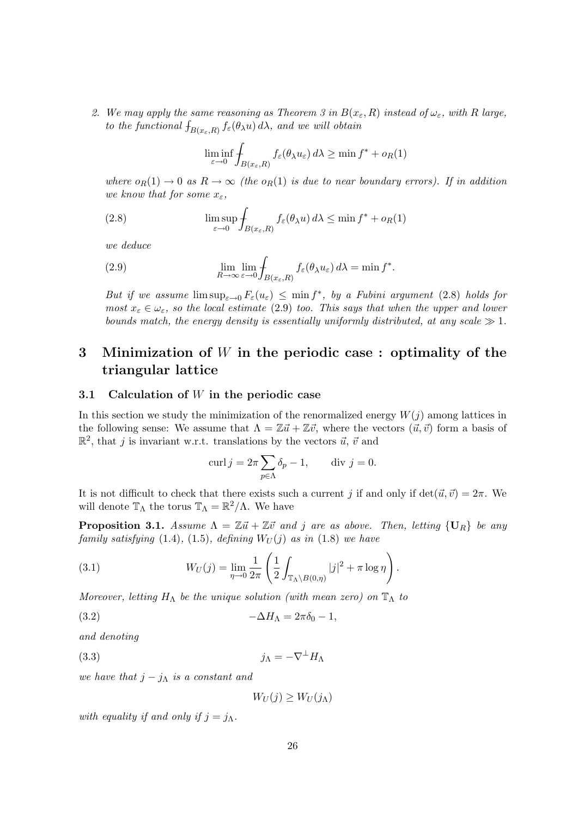2. We may apply the same reasoning as Theorem 3 in  $B(x_{\varepsilon}, R)$  instead of  $\omega_{\varepsilon}$ , with R large, to the functional  $\int_{B(x_{\varepsilon}, R)} f_{\varepsilon}(\theta_{\lambda} u) d\lambda$ , and we will obtain

$$
\liminf_{\varepsilon \to 0} \int_{B(x_{\varepsilon}, R)} f_{\varepsilon}(\theta_{\lambda} u_{\varepsilon}) d\lambda \ge \min f^* + o_R(1)
$$

where  $o_R(1) \to 0$  as  $R \to \infty$  (the  $o_R(1)$  is due to near boundary errors). If in addition we know that for some  $x_{\varepsilon}$ ,

(2.8) 
$$
\limsup_{\varepsilon \to 0} \int_{B(x_{\varepsilon}, R)} f_{\varepsilon}(\theta_{\lambda} u) d\lambda \leq \min f^* + o_R(1)
$$

we deduce

(2.9) 
$$
\lim_{R \to \infty} \lim_{\varepsilon \to 0} \int_{B(x_{\varepsilon}, R)} f_{\varepsilon}(\theta_{\lambda} u_{\varepsilon}) d\lambda = \min f^*.
$$

But if we assume  $\limsup_{\varepsilon\to 0} F_{\varepsilon}(u_{\varepsilon}) \leq \min f^*$ , by a Fubini argument (2.8) holds for most  $x_{\varepsilon} \in \omega_{\varepsilon}$ , so the local estimate (2.9) too. This says that when the upper and lower bounds match, the energy density is essentially uniformly distributed, at any scale  $\gg 1$ .

# 3 Minimization of W in the periodic case : optimality of the triangular lattice

## 3.1 Calculation of  $W$  in the periodic case

In this section we study the minimization of the renormalized energy  $W(j)$  among lattices in the following sense: We assume that  $\Lambda = \mathbb{Z}\vec{u} + \mathbb{Z}\vec{v}$ , where the vectors  $(\vec{u}, \vec{v})$  form a basis of  $\mathbb{R}^2$ , that j is invariant w.r.t. translations by the vectors  $\vec{u}, \vec{v}$  and

$$
\operatorname{curl} j = 2\pi \sum_{p \in \Lambda} \delta_p - 1, \qquad \text{div } j = 0.
$$

It is not difficult to check that there exists such a current j if and only if  $\det(\vec{u}, \vec{v}) = 2\pi$ . We will denote  $\mathbb{T}_{\Lambda}$  the torus  $\mathbb{T}_{\Lambda} = \mathbb{R}^2/\Lambda$ . We have

**Proposition 3.1.** Assume  $\Lambda = \mathbb{Z} \vec{u} + \mathbb{Z} \vec{v}$  and j are as above. Then, letting  $\{U_R\}$  be any family satisfying  $(1.4)$ ,  $(1.5)$ , defining  $W_U(j)$  as in  $(1.8)$  we have

(3.1) 
$$
W_U(j) = \lim_{\eta \to 0} \frac{1}{2\pi} \left( \frac{1}{2} \int_{\mathbb{T}_{\Lambda} \setminus B(0,\eta)} |j|^2 + \pi \log \eta \right).
$$

Moreover, letting  $H_{\Lambda}$  be the unique solution (with mean zero) on  $\mathbb{T}_{\Lambda}$  to

$$
(3.2) \t-\Delta H_{\Lambda} = 2\pi \delta_0 - 1,
$$

and denoting

$$
(3.3)\t\t\t j_{\Lambda} = -\nabla^{\perp} H_{\Lambda}
$$

we have that  $j - j_\Lambda$  is a constant and

 $W_U(j) \geq W_U(j_\Lambda)$ 

with equality if and only if  $j = j<sub>\Lambda</sub>$ .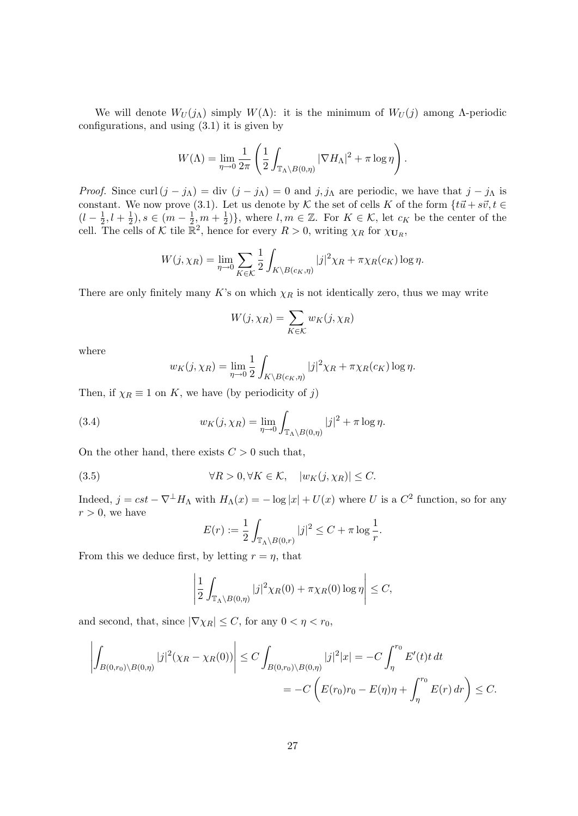We will denote  $W_U(j_\Lambda)$  simply  $W(\Lambda)$ : it is the minimum of  $W_U(j)$  among  $\Lambda$ -periodic configurations, and using (3.1) it is given by

$$
W(\Lambda) = \lim_{\eta \to 0} \frac{1}{2\pi} \left( \frac{1}{2} \int_{\mathbb{T}_{\Lambda} \backslash B(0,\eta)} |\nabla H_{\Lambda}|^2 + \pi \log \eta \right).
$$

*Proof.* Since curl  $(j - j<sub>\Lambda</sub>) = \text{div} (j - j<sub>\Lambda</sub>) = 0$  and  $j, j<sub>\Lambda</sub>$  are periodic, we have that  $j - j<sub>\Lambda</sub>$  is constant. We now prove (3.1). Let us denote by K the set of cells K of the form  $\{t\vec{u} + s\vec{v}, t \in$  $(l - \frac{1}{2})$  $\frac{1}{2}, l + \frac{1}{2}$  $(\frac{1}{2}), s \in (m - \frac{1}{2})$  $\frac{1}{2}, m + \frac{1}{2}$  $\frac{1}{2}$ }, where  $l, m \in \mathbb{Z}$ . For  $K \in \mathcal{K}$ , let  $c_K$  be the center of the cell. The cells of K tile  $\mathbb{R}^2$ , hence for every  $R > 0$ , writing  $\chi_R$  for  $\chi_{\mathbf{U}_R}$ ,

$$
W(j, \chi_R) = \lim_{\eta \to 0} \sum_{K \in \mathcal{K}} \frac{1}{2} \int_{K \setminus B(c_K, \eta)} |j|^2 \chi_R + \pi \chi_R(c_K) \log \eta.
$$

There are only finitely many K's on which  $\chi_R$  is not identically zero, thus we may write

$$
W(j, \chi_R) = \sum_{K \in \mathcal{K}} w_K(j, \chi_R)
$$

where

$$
w_K(j, \chi_R) = \lim_{\eta \to 0} \frac{1}{2} \int_{K \backslash B(c_K, \eta)} |j|^2 \chi_R + \pi \chi_R(c_K) \log \eta.
$$

Then, if  $\chi_R \equiv 1$  on K, we have (by periodicity of j)

(3.4) 
$$
w_K(j, \chi_R) = \lim_{\eta \to 0} \int_{\mathbb{T}_{\Lambda} \backslash B(0, \eta)} |j|^2 + \pi \log \eta.
$$

On the other hand, there exists  $C > 0$  such that,

(3.5) 
$$
\forall R > 0, \forall K \in \mathcal{K}, \quad |w_K(j, \chi_R)| \leq C.
$$

Indeed,  $j = cst - \nabla^{\perp} H_{\Lambda}$  with  $H_{\Lambda}(x) = -\log |x| + U(x)$  where U is a  $C^2$  function, so for any  $r > 0$ , we have

$$
E(r) := \frac{1}{2} \int_{\mathbb{T}_{\Lambda} \setminus B(0,r)} |j|^2 \leq C + \pi \log \frac{1}{r}.
$$

From this we deduce first, by letting  $r = \eta$ , that

$$
\left|\frac{1}{2}\int_{\mathbb{T}_{\Lambda}\setminus B(0,\eta)}|j|^2\chi_R(0)+\pi\chi_R(0)\log\eta\right|\leq C,
$$

and second, that, since  $|\nabla \chi_R| \leq C$ , for any  $0 < \eta < r_0$ ,

$$
\left| \int_{B(0,r_0)\setminus B(0,\eta)} |j|^2(\chi_R - \chi_R(0)) \right| \le C \int_{B(0,r_0)\setminus B(0,\eta)} |j|^2 |x| = -C \int_{\eta}^{r_0} E'(t) t \, dt
$$
  
= -C\left( E(r\_0)r\_0 - E(\eta)\eta + \int\_{\eta}^{r\_0} E(r) \, dr \right) \le C.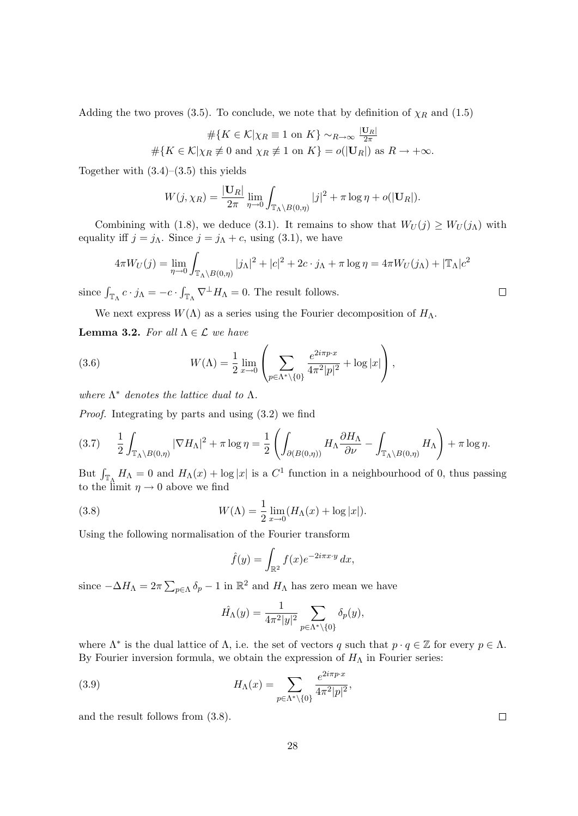Adding the two proves (3.5). To conclude, we note that by definition of  $\chi_R$  and (1.5)

$$
\#\{K \in \mathcal{K} | \chi_R \equiv 1 \text{ on } K\} \sim_{R \to \infty} \frac{|\mathbf{U}_R|}{2\pi}
$$
  

$$
\#\{K \in \mathcal{K} | \chi_R \not\equiv 0 \text{ and } \chi_R \not\equiv 1 \text{ on } K\} = o(|\mathbf{U}_R|) \text{ as } R \to +\infty.
$$

Together with  $(3.4)$ – $(3.5)$  this yields

$$
W(j, \chi_R) = \frac{|\mathbf{U}_R|}{2\pi} \lim_{\eta \to 0} \int_{\mathbb{T}_{\Lambda} \backslash B(0,\eta)} |j|^2 + \pi \log \eta + o(|\mathbf{U}_R|).
$$

Combining with (1.8), we deduce (3.1). It remains to show that  $W_U(j) \geq W_U(j_\Lambda)$  with equality iff  $j = j_{\Lambda}$ . Since  $j = j_{\Lambda} + c$ , using (3.1), we have

$$
4\pi W_U(j) = \lim_{\eta \to 0} \int_{\mathbb{T}_{\Lambda} \backslash B(0,\eta)} |j_{\Lambda}|^2 + |c|^2 + 2c \cdot j_{\Lambda} + \pi \log \eta = 4\pi W_U(j_{\Lambda}) + |\mathbb{T}_{\Lambda}|c^2
$$

since  $\int_{\mathbb{T}_{\Lambda}} c \cdot j_{\Lambda} = -c \cdot \int_{\mathbb{T}_{\Lambda}} \nabla^{\perp} H_{\Lambda} = 0$ . The result follows.

We next express  $W(\Lambda)$  as a series using the Fourier decomposition of  $H_{\Lambda}$ .

**Lemma 3.2.** For all  $\Lambda \in \mathcal{L}$  we have

(3.6) 
$$
W(\Lambda) = \frac{1}{2} \lim_{x \to 0} \left( \sum_{p \in \Lambda^* \setminus \{0\}} \frac{e^{2i\pi p \cdot x}}{4\pi^2 |p|^2} + \log |x| \right),
$$

where  $\Lambda^*$  denotes the lattice dual to  $\Lambda$ .

Proof. Integrating by parts and using (3.2) we find

$$
(3.7) \qquad \frac{1}{2} \int_{\mathbb{T}_{\Lambda} \backslash B(0,\eta)} |\nabla H_{\Lambda}|^2 + \pi \log \eta = \frac{1}{2} \left( \int_{\partial (B(0,\eta))} H_{\Lambda} \frac{\partial H_{\Lambda}}{\partial \nu} - \int_{\mathbb{T}_{\Lambda} \backslash B(0,\eta)} H_{\Lambda} \right) + \pi \log \eta.
$$

But  $\int_{\mathbb{T}_\Lambda} H_\Lambda = 0$  and  $H_\Lambda(x) + \log |x|$  is a  $C^1$  function in a neighbourhood of 0, thus passing to the limit  $\eta \to 0$  above we find

(3.8) 
$$
W(\Lambda) = \frac{1}{2} \lim_{x \to 0} (H_{\Lambda}(x) + \log |x|).
$$

Using the following normalisation of the Fourier transform

$$
\hat{f}(y) = \int_{\mathbb{R}^2} f(x)e^{-2i\pi x \cdot y} dx,
$$

since  $-\Delta H_{\Lambda} = 2\pi \sum_{p \in \Lambda} \delta_p - 1$  in  $\mathbb{R}^2$  and  $H_{\Lambda}$  has zero mean we have

$$
\hat{H_{\Lambda}}(y) = \frac{1}{4\pi^2|y|^2} \sum_{p \in \Lambda^* \backslash \{0\}} \delta_p(y),
$$

where  $\Lambda^*$  is the dual lattice of  $\Lambda$ , i.e. the set of vectors q such that  $p \cdot q \in \mathbb{Z}$  for every  $p \in \Lambda$ . By Fourier inversion formula, we obtain the expression of  $H_{\Lambda}$  in Fourier series:

(3.9) 
$$
H_{\Lambda}(x) = \sum_{p \in \Lambda^* \setminus \{0\}} \frac{e^{2i\pi p \cdot x}}{4\pi^2 |p|^2},
$$

and the result follows from (3.8).

 $\Box$ 

 $\Box$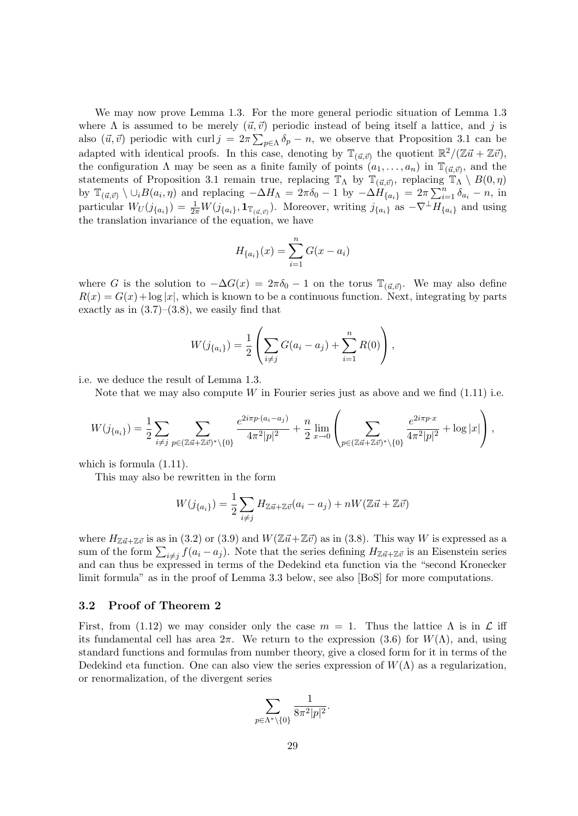We may now prove Lemma 1.3. For the more general periodic situation of Lemma 1.3 where  $\Lambda$  is assumed to be merely  $(\vec{u}, \vec{v})$  periodic instead of being itself a lattice, and j is also  $(\vec{u}, \vec{v})$  periodic with curl  $j = 2\pi \sum_{p \in \Lambda} \delta_p - n$ , we observe that Proposition 3.1 can be adapted with identical proofs. In this case, denoting by  $\mathbb{T}_{(\vec{u},\vec{v})}$  the quotient  $\mathbb{R}^2/(\mathbb{Z}\vec{u}+\mathbb{Z}\vec{v})$ , the configuration  $\Lambda$  may be seen as a finite family of points  $(a_1, \ldots, a_n)$  in  $\mathbb{T}_{(\vec{u}, \vec{v})}$ , and the statements of Proposition 3.1 remain true, replacing  $\mathbb{T}_\Lambda$  by  $\mathbb{T}_{(\vec{u},\vec{v})}$ , replacing  $\mathbb{T}_\Lambda \setminus B(0,\eta)$ by  $\mathbb{T}_{(\vec{u},\vec{v})} \setminus \cup_i B(a_i,\eta)$  and replacing  $-\Delta H_\Lambda = 2\pi \delta_0 - 1$  by  $-\Delta H_{\{a_i\}} = 2\pi \sum_{i=1}^n \delta_{a_i} - n$ , in particular  $W_U(j_{\{a_i\}}) = \frac{1}{2\pi} W(j_{\{a_i\}}, \mathbf{1}_{\mathbb{T}_{(\vec{a},\vec{v})}})$ . Moreover, writing  $j_{\{a_i\}}$  as  $-\nabla^{\perp} H_{\{a_i\}}$  and using the translation invariance of the equation, we have

$$
H_{\{a_i\}}(x) = \sum_{i=1}^{n} G(x - a_i)
$$

where G is the solution to  $-\Delta G(x) = 2\pi \delta_0 - 1$  on the torus  $\mathbb{T}_{(\vec{u},\vec{v})}$ . We may also define  $R(x) = G(x) + \log |x|$ , which is known to be a continuous function. Next, integrating by parts exactly as in  $(3.7)$ – $(3.8)$ , we easily find that

$$
W(j_{\{a_i\}}) = \frac{1}{2} \left( \sum_{i \neq j} G(a_i - a_j) + \sum_{i=1}^n R(0) \right),
$$

i.e. we deduce the result of Lemma 1.3.

Note that we may also compute  $W$  in Fourier series just as above and we find  $(1.11)$  i.e.

$$
W(j_{\{a_i\}}) = \frac{1}{2} \sum_{i \neq j} \sum_{p \in (\mathbb{Z} \vec{u} + \mathbb{Z} \vec{v})^* \setminus \{0\}} \frac{e^{2i\pi p \cdot (a_i - a_j)}}{4\pi^2 |p|^2} + \frac{n}{2} \lim_{x \to 0} \left( \sum_{p \in (\mathbb{Z} \vec{u} + \mathbb{Z} \vec{v})^* \setminus \{0\}} \frac{e^{2i\pi p \cdot x}}{4\pi^2 |p|^2} + \log |x| \right),
$$

which is formula (1.11).

This may also be rewritten in the form

$$
W(j_{\{a_i\}}) = \frac{1}{2} \sum_{i \neq j} H_{\mathbb{Z} \vec{u} + \mathbb{Z} \vec{v}} (a_i - a_j) + nW(\mathbb{Z} \vec{u} + \mathbb{Z} \vec{v})
$$

where  $H_{\mathbb{Z}\vec{u}+\mathbb{Z}\vec{v}}$  is as in (3.2) or (3.9) and  $W(\mathbb{Z}\vec{u}+\mathbb{Z}\vec{v})$  as in (3.8). This way W is expressed as a sum of the form  $\sum_{i\neq j} f(a_i - a_j)$ . Note that the series defining  $H_{\mathbb{Z}\vec{u}+\mathbb{Z}\vec{v}}$  is an Eisenstein series and can thus be expressed in terms of the Dedekind eta function via the "second Kronecker limit formula" as in the proof of Lemma 3.3 below, see also [BoS] for more computations.

# 3.2 Proof of Theorem 2

First, from (1.12) we may consider only the case  $m = 1$ . Thus the lattice  $\Lambda$  is in  $\mathcal L$  iff its fundamental cell has area  $2\pi$ . We return to the expression (3.6) for  $W(\Lambda)$ , and, using standard functions and formulas from number theory, give a closed form for it in terms of the Dedekind eta function. One can also view the series expression of  $W(\Lambda)$  as a regularization, or renormalization, of the divergent series

$$
\sum_{p\in \Lambda^*\backslash\{0\}}\frac{1}{8\pi^2|p|^2}.
$$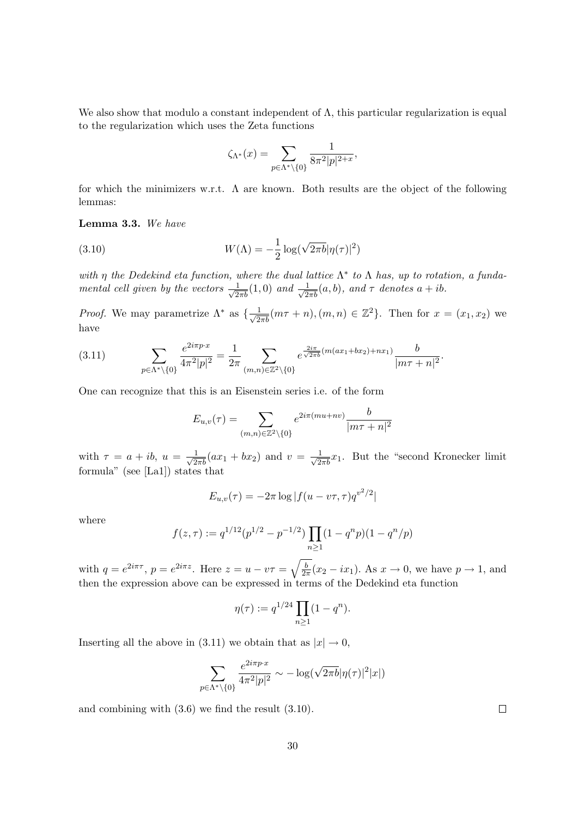We also show that modulo a constant independent of  $\Lambda$ , this particular regularization is equal to the regularization which uses the Zeta functions

$$
\zeta_{\Lambda^*}(x) = \sum_{p \in \Lambda^* \backslash \{0\}} \frac{1}{8\pi^2 |p|^{2+x}},
$$

for which the minimizers w.r.t.  $\Lambda$  are known. Both results are the object of the following lemmas:

Lemma 3.3. We have

(3.10) 
$$
W(\Lambda) = -\frac{1}{2}\log(\sqrt{2\pi b}|\eta(\tau)|^2)
$$

with  $\eta$  the Dedekind eta function, where the dual lattice  $\Lambda^*$  to  $\Lambda$  has, up to rotation, a fundamental cell given by the vectors  $\frac{1}{\sqrt{2\pi b}}(1,0)$  and  $\frac{1}{\sqrt{2\pi b}}(a,b)$ , and  $\tau$  denotes  $a+ib$ .

*Proof.* We may parametrize  $\Lambda^*$  as  $\{\frac{1}{\sqrt{2\pi b}}(m\tau+n), (m,n) \in \mathbb{Z}^2\}$ . Then for  $x = (x_1, x_2)$  we have

$$
(3.11) \qquad \sum_{p \in \Lambda^* \setminus \{0\}} \frac{e^{2i\pi p \cdot x}}{4\pi^2 |p|^2} = \frac{1}{2\pi} \sum_{(m,n) \in \mathbb{Z}^2 \setminus \{0\}} e^{\frac{2i\pi}{\sqrt{2\pi b}} (m(ax_1 + bx_2) + nx_1)} \frac{b}{|m\tau + n|^2}.
$$

One can recognize that this is an Eisenstein series i.e. of the form

$$
E_{u,v}(\tau) = \sum_{(m,n)\in\mathbb{Z}^2\backslash\{0\}} e^{2i\pi(mu+nv)} \frac{b}{|m\tau+n|^2}
$$

with  $\tau = a + ib$ ,  $u = \frac{1}{\sqrt{2\pi b}}(ax_1 + bx_2)$  and  $v = \frac{1}{\sqrt{2\pi b}}x_1$ . But the "second Kronecker limit formula" (see [La1]) states that

$$
E_{u,v}(\tau) = -2\pi \log|f(u - v\tau, \tau)q^{v^2/2}|
$$

where

$$
f(z,\tau) := q^{1/12} (p^{1/2} - p^{-1/2}) \prod_{n \ge 1} (1 - q^n p)(1 - q^n/p)
$$

with  $q = e^{2i\pi\tau}$ ,  $p = e^{2i\pi z}$ . Here  $z = u - v\tau = \sqrt{\frac{b}{2i\pi}}$  $\frac{b}{2\pi}(x_2 - ix_1)$ . As  $x \to 0$ , we have  $p \to 1$ , and then the expression above can be expressed in terms of the Dedekind eta function

$$
\eta(\tau) := q^{1/24} \prod_{n \ge 1} (1 - q^n).
$$

Inserting all the above in (3.11) we obtain that as  $|x| \to 0$ ,

$$
\sum_{p \in \Lambda^* \setminus \{0\}} \frac{e^{2i\pi p \cdot x}}{4\pi^2 |p|^2} \sim -\log(\sqrt{2\pi b} |\eta(\tau)|^2 |x|)
$$

and combining with (3.6) we find the result (3.10).

 $\Box$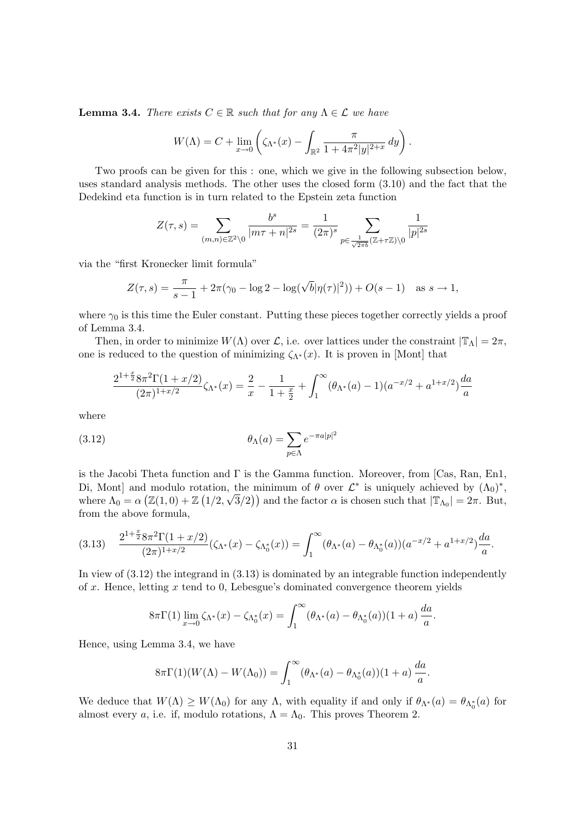**Lemma 3.4.** There exists  $C \in \mathbb{R}$  such that for any  $\Lambda \in \mathcal{L}$  we have

$$
W(\Lambda) = C + \lim_{x \to 0} \left( \zeta_{\Lambda^*}(x) - \int_{\mathbb{R}^2} \frac{\pi}{1 + 4\pi^2 |y|^{2+x}} \, dy \right).
$$

Two proofs can be given for this : one, which we give in the following subsection below, uses standard analysis methods. The other uses the closed form (3.10) and the fact that the Dedekind eta function is in turn related to the Epstein zeta function

$$
Z(\tau,s)=\sum_{(m,n)\in\mathbb{Z}^2\backslash 0}\frac{b^s}{|m\tau+n|^{2s}}=\frac{1}{(2\pi)^s}\sum_{p\in\frac{1}{\sqrt{2\pi b}}(\mathbb{Z}+\tau\mathbb{Z})\backslash 0}\frac{1}{|p|^{2s}}
$$

via the "first Kronecker limit formula"

$$
Z(\tau, s) = \frac{\pi}{s - 1} + 2\pi(\gamma_0 - \log 2 - \log(\sqrt{b}|\eta(\tau)|^2)) + O(s - 1) \text{ as } s \to 1,
$$

where  $\gamma_0$  is this time the Euler constant. Putting these pieces together correctly yields a proof of Lemma 3.4.

Then, in order to minimize  $W(\Lambda)$  over  $\mathcal{L}$ , i.e. over lattices under the constraint  $|\mathbb{T}_{\Lambda}| = 2\pi$ , one is reduced to the question of minimizing  $\zeta_{\Lambda^*}(x)$ . It is proven in [Mont] that

$$
\frac{2^{1+\frac{x}{2}} 8\pi^2 \Gamma(1+x/2)}{(2\pi)^{1+x/2}} \zeta_{\Lambda^*}(x) = \frac{2}{x} - \frac{1}{1+\frac{x}{2}} + \int_1^{\infty} (\theta_{\Lambda^*}(a) - 1)(a^{-x/2} + a^{1+x/2}) \frac{da}{a}
$$

where

(3.12) 
$$
\theta_{\Lambda}(a) = \sum_{p \in \Lambda} e^{-\pi a|p|^2}
$$

is the Jacobi Theta function and  $\Gamma$  is the Gamma function. Moreover, from [Cas, Ran, En1, Di, Mont] and modulo rotation, the minimum of  $\theta$  over  $\mathcal{L}^*$  is uniquely achieved by  $(\Lambda_0)^*$ , where  $\Lambda_0 = \alpha \left( \mathbb{Z}(1,0) + \mathbb{Z}(1/2,\sqrt{3}/2) \right)$  and the factor  $\alpha$  is chosen such that  $|\mathbb{T}_{\Lambda_0}| = 2\pi$ . But, from the above formula,

$$
(3.13) \quad \frac{2^{1+\frac{x}{2}} 8\pi^2 \Gamma(1+x/2)}{(2\pi)^{1+x/2}} (\zeta_{\Lambda^*}(x) - \zeta_{\Lambda_0^*}(x)) = \int_1^\infty (\theta_{\Lambda^*}(a) - \theta_{\Lambda_0^*}(a)) (a^{-x/2} + a^{1+x/2}) \frac{da}{a}.
$$

In view of (3.12) the integrand in (3.13) is dominated by an integrable function independently of  $x$ . Hence, letting  $x$  tend to 0, Lebesgue's dominated convergence theorem yields

$$
8\pi\Gamma(1)\lim_{x\to 0}\zeta_{\Lambda^*}(x)-\zeta_{\Lambda_0^*}(x)=\int_1^\infty(\theta_{\Lambda^*}(a)-\theta_{\Lambda_0^*}(a))(1+a)\,\frac{da}{a}.
$$

Hence, using Lemma 3.4, we have

$$
8\pi\Gamma(1)(W(\Lambda)-W(\Lambda_0))=\int_1^\infty(\theta_{\Lambda^*}(a)-\theta_{\Lambda_0^*}(a))(1+a)\,\frac{da}{a}.
$$

We deduce that  $W(\Lambda) \geq W(\Lambda_0)$  for any  $\Lambda$ , with equality if and only if  $\theta_{\Lambda^*}(a) = \theta_{\Lambda_0^*}(a)$  for almost every a, i.e. if, modulo rotations,  $\Lambda = \Lambda_0$ . This proves Theorem 2.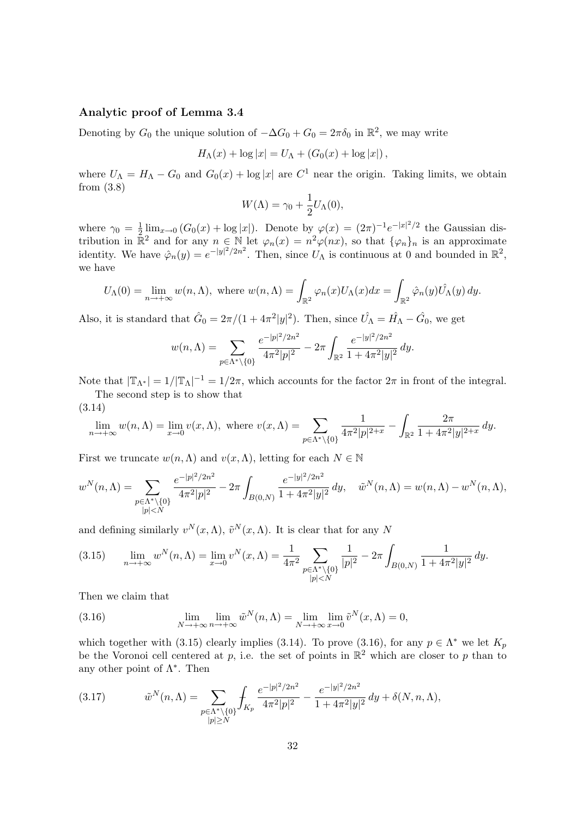# Analytic proof of Lemma 3.4

Denoting by  $G_0$  the unique solution of  $-\Delta G_0 + G_0 = 2\pi \delta_0$  in  $\mathbb{R}^2$ , we may write

$$
H_{\Lambda}(x) + \log |x| = U_{\Lambda} + (G_0(x) + \log |x|),
$$

where  $U_{\Lambda} = H_{\Lambda} - G_0$  and  $G_0(x) + \log |x|$  are  $C^1$  near the origin. Taking limits, we obtain from (3.8)

$$
W(\Lambda) = \gamma_0 + \frac{1}{2}U_{\Lambda}(0),
$$

where  $\gamma_0 = \frac{1}{2}$  $\frac{1}{2} \lim_{x\to 0} (G_0(x) + \log |x|)$ . Denote by  $\varphi(x) = (2\pi)^{-1} e^{-|x|^2/2}$  the Gaussian distribution in  $\mathbb{R}^2$  and for any  $n \in \mathbb{N}$  let  $\varphi_n(x) = n^2 \varphi(nx)$ , so that  $\{\varphi_n\}_n$  is an approximate identity. We have  $\hat{\varphi}_n(y) = e^{-|y|^2/2n^2}$ . Then, since  $U_{\Lambda}$  is continuous at 0 and bounded in  $\mathbb{R}^2$ , we have

$$
U_{\Lambda}(0) = \lim_{n \to +\infty} w(n, \Lambda), \text{ where } w(n, \Lambda) = \int_{\mathbb{R}^2} \varphi_n(x) U_{\Lambda}(x) dx = \int_{\mathbb{R}^2} \hat{\varphi}_n(y) \hat{U_{\Lambda}}(y) dy.
$$

Also, it is standard that  $\hat{G}_0 = 2\pi/(1 + 4\pi^2|y|^2)$ . Then, since  $\hat{U}_\Lambda = \hat{H}_\Lambda - \hat{G}_0$ , we get

$$
w(n,\Lambda) = \sum_{p \in \Lambda^* \backslash \{0\}} \frac{e^{-|p|^2/2n^2}}{4\pi^2|p|^2} - 2\pi \int_{\mathbb{R}^2} \frac{e^{-|y|^2/2n^2}}{1 + 4\pi^2|y|^2} dy.
$$

Note that  $|\mathbb{T}_{\Lambda^*}| = 1/|\mathbb{T}_{\Lambda}|^{-1} = 1/2\pi$ , which accounts for the factor  $2\pi$  in front of the integral. The second step is to show that

(3.14) 
$$
\lim_{n \to +\infty} w(n,\Lambda) = \lim_{x \to 0} v(x,\Lambda), \text{ where } v(x,\Lambda) = \sum_{p \in \Lambda^* \setminus \{0\}} \frac{1}{4\pi^2 |p|^{2+x}} - \int_{\mathbb{R}^2} \frac{2\pi}{1 + 4\pi^2 |y|^{2+x}} dy.
$$

First we truncate  $w(n, \Lambda)$  and  $v(x, \Lambda)$ , letting for each  $N \in \mathbb{N}$ 

$$
w^N(n,\Lambda) = \sum_{\substack{p \in \Lambda^* \setminus \{0\} \\ |p| < N}} \frac{e^{-|p|^2/2n^2}}{4\pi^2|p|^2} - 2\pi \int_{B(0,N)} \frac{e^{-|y|^2/2n^2}}{1 + 4\pi^2|y|^2} \, dy, \quad \tilde{w}^N(n,\Lambda) = w(n,\Lambda) - w^N(n,\Lambda),
$$

and defining similarly  $v^N(x, \Lambda)$ ,  $\tilde{v}^N(x, \Lambda)$ . It is clear that for any N

$$
(3.15) \qquad \lim_{n \to +\infty} w^N(n,\Lambda) = \lim_{x \to 0} v^N(x,\Lambda) = \frac{1}{4\pi^2} \sum_{\substack{p \in \Lambda^* \setminus \{0\} \\ |p| < N}} \frac{1}{|p|^2} - 2\pi \int_{B(0,N)} \frac{1}{1 + 4\pi^2 |y|^2} \, dy.
$$

Then we claim that

(3.16) 
$$
\lim_{N \to +\infty} \lim_{n \to +\infty} \tilde{w}^N(n, \Lambda) = \lim_{N \to +\infty} \lim_{x \to 0} \tilde{v}^N(x, \Lambda) = 0,
$$

which together with (3.15) clearly implies (3.14). To prove (3.16), for any  $p \in \Lambda^*$  we let  $K_p$ be the Voronoi cell centered at p, i.e. the set of points in  $\mathbb{R}^2$  which are closer to p than to any other point of  $\Lambda^*$ . Then

(3.17) 
$$
\tilde{w}^N(n,\Lambda) = \sum_{\substack{p \in \Lambda^* \setminus \{0\} \\ |p| \ge N}} \int_{K_p} \frac{e^{-|p|^2/2n^2}}{4\pi^2|p|^2} - \frac{e^{-|y|^2/2n^2}}{1 + 4\pi^2|y|^2} dy + \delta(N,n,\Lambda),
$$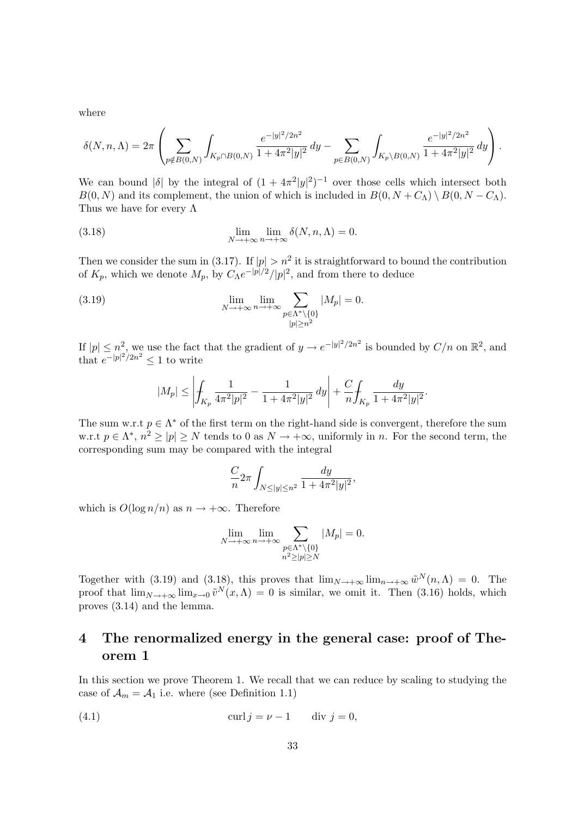where

$$
\delta(N,n,\Lambda) = 2\pi \left( \sum_{p \notin B(0,N)} \int_{K_p \cap B(0,N)} \frac{e^{-|y|^2/2n^2}}{1+4\pi^2|y|^2} dy - \sum_{p \in B(0,N)} \int_{K_p \setminus B(0,N)} \frac{e^{-|y|^2/2n^2}}{1+4\pi^2|y|^2} dy \right).
$$

We can bound  $|\delta|$  by the integral of  $(1 + 4\pi^2|y|^2)^{-1}$  over those cells which intersect both  $B(0, N)$  and its complement, the union of which is included in  $B(0, N + C<sub>\Lambda</sub>) \setminus B(0, N - C<sub>\Lambda</sub>)$ . Thus we have for every  $\Lambda$ 

(3.18) 
$$
\lim_{N \to +\infty} \lim_{n \to +\infty} \delta(N, n, \Lambda) = 0.
$$

Then we consider the sum in (3.17). If  $|p| > n^2$  it is straightforward to bound the contribution of  $K_p$ , which we denote  $M_p$ , by  $C_\Lambda e^{-|p|/2}/|p|^2$ , and from there to deduce

(3.19) 
$$
\lim_{N \to +\infty} \lim_{n \to +\infty} \sum_{\substack{p \in \Lambda^* \setminus \{0\} \\ |p| \ge n^2}} |M_p| = 0.
$$

If  $|p| \leq n^2$ , we use the fact that the gradient of  $y \to e^{-|y|^2/2n^2}$  is bounded by  $C/n$  on  $\mathbb{R}^2$ , and that  $e^{-|p|^2/2n^2} \leq 1$  to write

$$
|M_p| \le \left| \int_{K_p} \frac{1}{4\pi^2 |p|^2} - \frac{1}{1 + 4\pi^2 |y|^2} \, dy \right| + \frac{C}{n} \int_{K_p} \frac{dy}{1 + 4\pi^2 |y|^2}.
$$

The sum w.r.t  $p \in \Lambda^*$  of the first term on the right-hand side is convergent, therefore the sum w.r.t  $p \in \Lambda^*, n^2 \geq |p| \geq N$  tends to 0 as  $N \to +\infty$ , uniformly in n. For the second term, the corresponding sum may be compared with the integral

$$
\frac{C}{n}2\pi \int_{N \le |y| \le n^2} \frac{dy}{1 + 4\pi^2 |y|^2},
$$

which is  $O(\log n/n)$  as  $n \to +\infty$ . Therefore

$$
\lim_{N \to +\infty} \lim_{n \to +\infty} \sum_{\substack{p \in \Lambda^* \setminus \{0\} \\ n^2 \ge |p| \ge N}} |M_p| = 0.
$$

Together with (3.19) and (3.18), this proves that  $\lim_{N\to+\infty} \lim_{n\to+\infty} \tilde{w}^N(n,\Lambda) = 0$ . The proof that  $\lim_{N\to+\infty} \lim_{x\to0} \tilde{v}^N(x,\Lambda) = 0$  is similar, we omit it. Then (3.16) holds, which proves (3.14) and the lemma.

# 4 The renormalized energy in the general case: proof of Theorem 1

In this section we prove Theorem 1. We recall that we can reduce by scaling to studying the case of  $\mathcal{A}_m = \mathcal{A}_1$  i.e. where (see Definition 1.1)

(4.1) 
$$
\operatorname{curl} j = \nu - 1 \qquad \operatorname{div} j = 0,
$$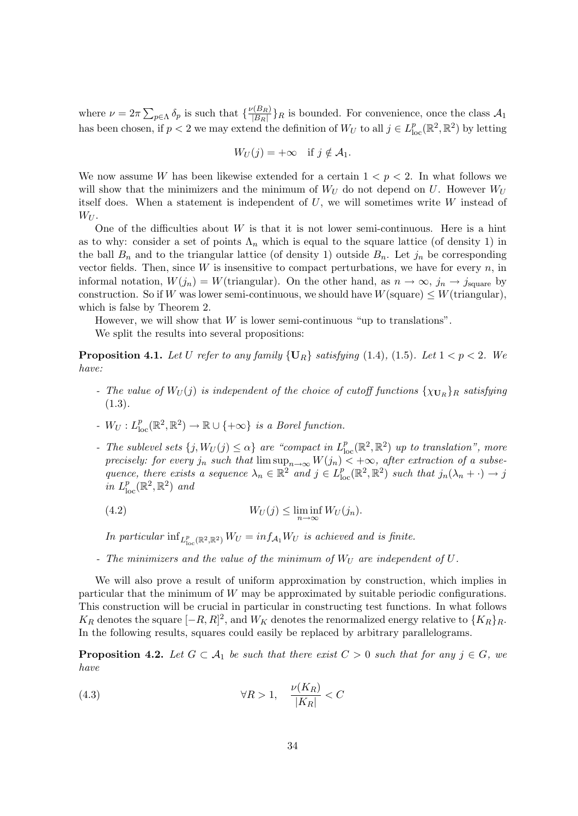where  $\nu = 2\pi \sum_{p \in \Lambda} \delta_p$  is such that  $\{\frac{\nu(B_R)}{|B_R|}\}$  $\frac{\sqrt{B_R}}{|B_R|}$  as bounded. For convenience, once the class  $\mathcal{A}_1$ has been chosen, if  $p < 2$  we may extend the definition of  $W_U$  to all  $j \in L^p_{loc}(\mathbb{R}^2, \mathbb{R}^2)$  by letting

$$
W_U(j) = +\infty \quad \text{if } j \notin \mathcal{A}_1.
$$

We now assume W has been likewise extended for a certain  $1 < p < 2$ . In what follows we will show that the minimizers and the minimum of  $W_U$  do not depend on U. However  $W_U$ itself does. When a statement is independent of  $U$ , we will sometimes write  $W$  instead of  $W_U$ .

One of the difficulties about  $W$  is that it is not lower semi-continuous. Here is a hint as to why: consider a set of points  $\Lambda_n$  which is equal to the square lattice (of density 1) in the ball  $B_n$  and to the triangular lattice (of density 1) outside  $B_n$ . Let  $j_n$  be corresponding vector fields. Then, since  $W$  is insensitive to compact perturbations, we have for every  $n$ , in informal notation,  $W(j_n) = W(\text{triangular})$ . On the other hand, as  $n \to \infty$ ,  $j_n \to j_{\text{square}}$  by construction. So if W was lower semi-continuous, we should have  $W(\text{square}) \leq W(\text{triangular})$ , which is false by Theorem 2.

However, we will show that  $W$  is lower semi-continuous "up to translations". We split the results into several propositions:

**Proposition 4.1.** Let U refer to any family  $\{U_R\}$  satisfying (1.4), (1.5). Let  $1 < p < 2$ . We have:

- The value of  $W_U(j)$  is independent of the choice of cutoff functions  $\{\chi_{\mathbf{U}_R}\}_R$  satisfying  $(1.3).$
- $W_U: L^p_{loc}(\mathbb{R}^2, \mathbb{R}^2) \to \mathbb{R} \cup \{+\infty\}$  is a Borel function.
- The sublevel sets  $\{j, W_U(j) \leq \alpha\}$  are "compact in  $L^p_{loc}(\mathbb{R}^2, \mathbb{R}^2)$  up to translation", more precisely: for every  $j_n$  such that  $\limsup_{n\to\infty} W(j_n) < +\infty$ , after extraction of a subsequence, there exists a sequence  $\lambda_n \in \mathbb{R}^2$  and  $j \in L^p_{loc}(\mathbb{R}^2, \mathbb{R}^2)$  such that  $j_n(\lambda_n + \cdot) \to j$ in  $L^p_{\text{loc}}(\mathbb{R}^2, \mathbb{R}^2)$  and

(4.2) 
$$
W_U(j) \leq \liminf_{n \to \infty} W_U(j_n).
$$

In particular  $\inf_{L^p_{loc}(\mathbb{R}^2, \mathbb{R}^2)} W_U = inf_{\mathcal{A}_1} W_U$  is achieved and is finite.

- The minimizers and the value of the minimum of  $W_U$  are independent of  $U$ .

We will also prove a result of uniform approximation by construction, which implies in particular that the minimum of  $W$  may be approximated by suitable periodic configurations. This construction will be crucial in particular in constructing test functions. In what follows  $K_R$  denotes the square  $[-R, R]^2$ , and  $W_K$  denotes the renormalized energy relative to  $\{K_R\}_R$ . In the following results, squares could easily be replaced by arbitrary parallelograms.

**Proposition 4.2.** Let  $G \subset A_1$  be such that there exist  $C > 0$  such that for any  $j \in G$ , we have

(4.3) 
$$
\forall R > 1, \quad \frac{\nu(K_R)}{|K_R|} < C
$$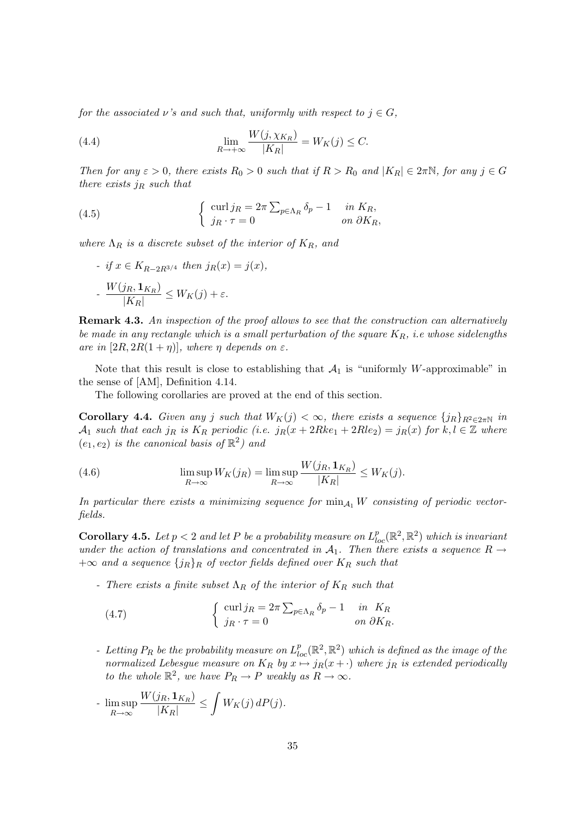for the associated  $\nu$ 's and such that, uniformly with respect to  $j \in G$ ,

(4.4) 
$$
\lim_{R \to +\infty} \frac{W(j, \chi_{K_R})}{|K_R|} = W_K(j) \leq C.
$$

Then for any  $\varepsilon > 0$ , there exists  $R_0 > 0$  such that if  $R > R_0$  and  $|K_R| \in 2\pi N$ , for any  $j \in G$ there exists  $j_R$  such that

(4.5) 
$$
\begin{cases} \text{curl } j_R = 2\pi \sum_{p \in \Lambda_R} \delta_p - 1 & \text{in } K_R, \\ j_R \cdot \tau = 0 & \text{on } \partial K_R, \end{cases}
$$

where  $\Lambda_R$  is a discrete subset of the interior of  $K_R$ , and

- if 
$$
x \in K_{R-2R^{3/4}}
$$
 then  $j_R(x) = j(x)$ ,  
- 
$$
\frac{W(j_R, \mathbf{1}_{K_R})}{|K_R|} \leq W_K(j) + \varepsilon.
$$

**Remark 4.3.** An inspection of the proof allows to see that the construction can alternatively be made in any rectangle which is a small perturbation of the square  $K_R$ , i.e whose sidelengths are in  $[2R, 2R(1 + \eta)]$ , where  $\eta$  depends on  $\varepsilon$ .

Note that this result is close to establishing that  $A_1$  is "uniformly W-approximable" in the sense of [AM], Definition 4.14.

The following corollaries are proved at the end of this section.

**Corollary 4.4.** Given any j such that  $W_K(j) < \infty$ , there exists a sequence  $\{j_R\}_{R^2 \in 2\pi\mathbb{N}}$  in  $\mathcal{A}_1$  such that each j<sub>R</sub> is  $K_R$  periodic (i.e. j<sub>R</sub>(x + 2Rke<sub>1</sub> + 2Rle<sub>2</sub>) = j<sub>R</sub>(x) for k, l  $\in \mathbb{Z}$  where  $(e_1, e_2)$  is the canonical basis of  $\mathbb{R}^2$ ) and

(4.6) 
$$
\limsup_{R \to \infty} W_K(j_R) = \limsup_{R \to \infty} \frac{W(j_R, \mathbf{1}_{K_R})}{|K_R|} \le W_K(j).
$$

In particular there exists a minimizing sequence for  $\min_{A_1} W$  consisting of periodic vectorfields.

**Corollary 4.5.** Let  $p < 2$  and let P be a probability measure on  $L_{loc}^p(\mathbb{R}^2, \mathbb{R}^2)$  which is invariant under the action of translations and concentrated in  $A_1$ . Then there exists a sequence  $R \rightarrow$  $+\infty$  and a sequence  $\{j_R\}_R$  of vector fields defined over  $K_R$  such that

- There exists a finite subset  $\Lambda_R$  of the interior of  $K_R$  such that

(4.7) 
$$
\begin{cases} \operatorname{curl} j_R = 2\pi \sum_{p \in \Lambda_R} \delta_p - 1 & \text{in } K_R \\ j_R \cdot \tau = 0 & \text{on } \partial K_R. \end{cases}
$$

- Letting  $P_R$  be the probability measure on  $L_{loc}^p(\mathbb{R}^2, \mathbb{R}^2)$  which is defined as the image of the normalized Lebesgue measure on  $K_R$  by  $x \mapsto j_R(x + \cdot)$  where  $j_R$  is extended periodically to the whole  $\mathbb{R}^2$ , we have  $P_R \to P$  weakly as  $R \to \infty$ .

$$
\text{-} \limsup_{R \to \infty} \frac{W(j_R, \mathbf{1}_{K_R})}{|K_R|} \leq \int W_K(j) \, dP(j).
$$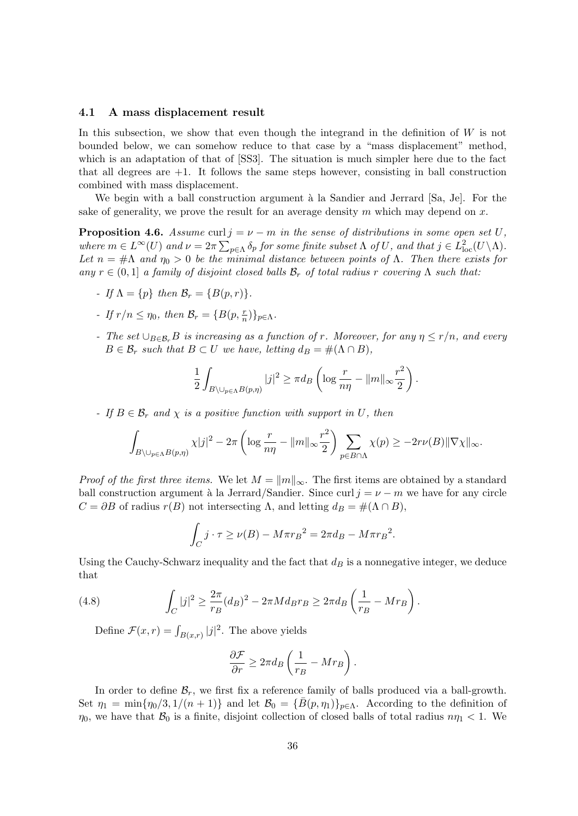#### 4.1 A mass displacement result

In this subsection, we show that even though the integrand in the definition of  $W$  is not bounded below, we can somehow reduce to that case by a "mass displacement" method, which is an adaptation of that of [SS3]. The situation is much simpler here due to the fact that all degrees are  $+1$ . It follows the same steps however, consisting in ball construction combined with mass displacement.

We begin with a ball construction argument  $\lambda$  la Sandier and Jerrard [Sa, Je]. For the sake of generality, we prove the result for an average density m which may depend on x.

**Proposition 4.6.** Assume curl  $j = \nu - m$  in the sense of distributions in some open set U, where  $m \in L^{\infty}(U)$  and  $\nu = 2\pi \sum_{p \in \Lambda} \delta_p$  for some finite subset  $\Lambda$  of U, and that  $j \in L^2_{loc}(U \setminus \Lambda)$ . Let  $n = #\Lambda$  and  $\eta_0 > 0$  be the minimal distance between points of  $\Lambda$ . Then there exists for any  $r \in (0,1]$  a family of disjoint closed balls  $\mathcal{B}_r$  of total radius r covering  $\Lambda$  such that:

- If  $\Lambda = \{p\}$  then  $\mathcal{B}_r = \{B(p, r)\}.$
- If  $r/n \leq \eta_0$ , then  $\mathcal{B}_r = \{B(p, \frac{r}{n})\}_{p \in \Lambda}$ .
- The set  $\cup_{B\in\mathcal{B}_r}B$  is increasing as a function of r. Moreover, for any  $\eta \le r/n$ , and every  $B \in \mathcal{B}_r$  such that  $B \subset U$  we have, letting  $d_B = \#(\Lambda \cap B)$ ,

$$
\frac{1}{2} \int_{B \setminus \cup_{p \in \Lambda} B(p,\eta)} |j|^2 \geq \pi d_B \left( \log \frac{r}{n\eta} - \|m\|_{\infty} \frac{r^2}{2} \right).
$$

- If  $B \in \mathcal{B}_r$  and  $\chi$  is a positive function with support in U, then

$$
\int_{B\setminus\cup_{p\in\Lambda}B(p,\eta)}\chi|j|^2-2\pi\left(\log\frac{r}{n\eta}-\|m\|_{\infty}\frac{r^2}{2}\right)\sum_{p\in B\cap\Lambda}\chi(p)\geq-2r\nu(B)\|\nabla\chi\|_{\infty}.
$$

*Proof of the first three items.* We let  $M = ||m||_{\infty}$ . The first items are obtained by a standard ball construction argument à la Jerrard/Sandier. Since curl  $j = \nu - m$  we have for any circle  $C = \partial B$  of radius  $r(B)$  not intersecting  $\Lambda$ , and letting  $d_B = \#(\Lambda \cap B)$ ,

$$
\int_C j \cdot \tau \ge \nu(B) - M\pi r_B^2 = 2\pi d_B - M\pi r_B^2.
$$

Using the Cauchy-Schwarz inequality and the fact that  $d<sub>B</sub>$  is a nonnegative integer, we deduce that

(4.8) 
$$
\int_C |j|^2 \ge \frac{2\pi}{r_B} (d_B)^2 - 2\pi M d_B r_B \ge 2\pi d_B \left(\frac{1}{r_B} - Mr_B\right).
$$

Define  $\mathcal{F}(x,r) = \int_{B(x,r)} |j|^2$ . The above yields

$$
\frac{\partial \mathcal{F}}{\partial r} \ge 2\pi d_B \left(\frac{1}{r_B} - Mr_B\right).
$$

In order to define  $\mathcal{B}_r$ , we first fix a reference family of balls produced via a ball-growth. Set  $\eta_1 = \min{\{\eta_0/3, 1/(n+1)\}}$  and let  $\mathcal{B}_0 = {\{\overline{B}(p, \eta_1)\}}_{p \in \Lambda}$ . According to the definition of  $\eta_0$ , we have that  $\mathcal{B}_0$  is a finite, disjoint collection of closed balls of total radius  $n\eta_1 < 1$ . We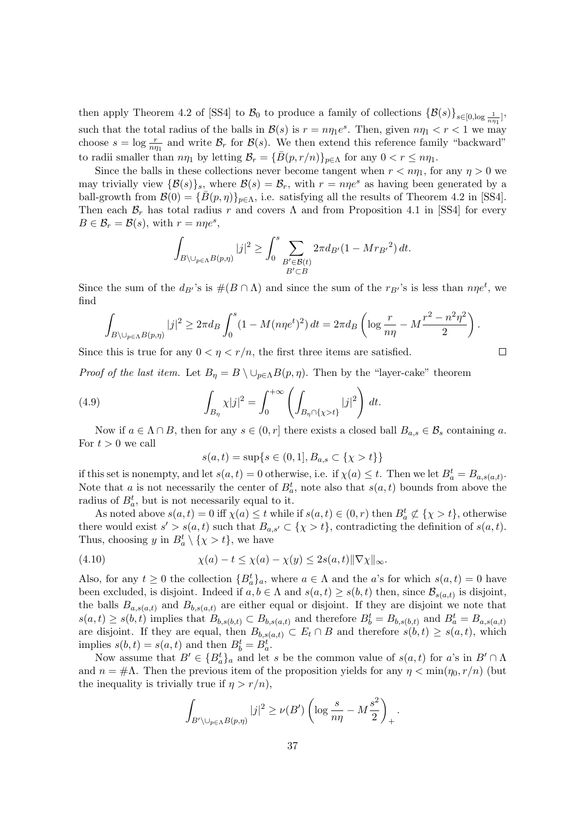then apply Theorem 4.2 of [SS4] to  $\mathcal{B}_0$  to produce a family of collections  $\{\mathcal{B}(s)\}_{s\in[0,\log\frac{1}{n\eta_1}]}$ , such that the total radius of the balls in  $\mathcal{B}(s)$  is  $r = n\eta_1 e^s$ . Then, given  $n\eta_1 < r < 1$  we may choose  $s = \log \frac{r}{n\eta_1}$  and write  $\mathcal{B}_r$  for  $\mathcal{B}(s)$ . We then extend this reference family "backward" to radii smaller than  $n\eta_1$  by letting  $\mathcal{B}_r = {\overline{B}(p,r/n)}_{p \in \Lambda}$  for any  $0 < r \leq n\eta_1$ .

Since the balls in these collections never become tangent when  $r < n\eta_1$ , for any  $\eta > 0$  we may trivially view  $\{\mathcal{B}(s)\}_s$ , where  $\mathcal{B}(s) = \mathcal{B}_r$ , with  $r = np e^s$  as having been generated by a ball-growth from  $\mathcal{B}(0) = \{B(p, \eta)\}_{p \in \Lambda}$ , i.e. satisfying all the results of Theorem 4.2 in [SS4]. Then each  $\mathcal{B}_r$  has total radius r and covers  $\Lambda$  and from Proposition 4.1 in [SS4] for every  $B \in \mathcal{B}_r = \mathcal{B}(s)$ , with  $r = n\eta e^s$ ,

$$
\int_{B\setminus\bigcup_{p\in\Lambda}B(p,\eta)}|j|^2\geq\int_0^s\sum_{\substack{B'\in\mathcal{B}(t)\\B'\subset B}}2\pi d_{B'}(1-M{r_{B'}}^2)\,dt.
$$

Since the sum of the  $d_{B'}$ 's is  $\#(B \cap \Lambda)$  and since the sum of the  $r_{B'}$ 's is less than  $n\eta e^t$ , we find

$$
\int_{B\setminus\cup_{p\in\Lambda}B(p,\eta)}|j|^2\geq 2\pi d_B\int_0^s(1-M(n\eta e^t)^2)\,dt=2\pi d_B\left(\log\frac{r}{n\eta}-M\frac{r^2-n^2\eta^2}{2}\right).
$$

Since this is true for any  $0 < \eta < r/n$ , the first three items are satisfied.

*Proof of the last item.* Let  $B_{\eta} = B \setminus \cup_{p \in \Lambda} B(p, \eta)$ . Then by the "layer-cake" theorem

(4.9) 
$$
\int_{B_{\eta}} \chi |j|^2 = \int_0^{+\infty} \left( \int_{B_{\eta} \cap \{\chi > t\}} |j|^2 \right) dt.
$$

Now if  $a \in \Lambda \cap B$ , then for any  $s \in (0, r]$  there exists a closed ball  $B_{a,s} \in \mathcal{B}_s$  containing a. For  $t > 0$  we call

$$
s(a,t) = \sup\{s \in (0,1], B_{a,s} \subset \{\chi > t\}\}\
$$

if this set is nonempty, and let  $s(a, t) = 0$  otherwise, i.e. if  $\chi(a) \leq t$ . Then we let  $B_a^t = B_{a,s(a,t)}$ . Note that a is not necessarily the center of  $B_a^t$ , note also that  $s(a, t)$  bounds from above the radius of  $B_a^t$ , but is not necessarily equal to it.

As noted above  $s(a, t) = 0$  iff  $\chi(a) \leq t$  while if  $s(a, t) \in (0, r)$  then  $B_a^t \not\subset {\chi > t}$ , otherwise there would exist  $s' > s(a, t)$  such that  $B_{a,s'} \subset {\{\chi > t\}}$ , contradicting the definition of  $s(a, t)$ . Thus, choosing y in  $B_a^t \setminus {\{\chi > t\}}$ , we have

(4.10) 
$$
\chi(a) - t \leq \chi(a) - \chi(y) \leq 2s(a, t) \|\nabla \chi\|_{\infty}.
$$

Also, for any  $t \geq 0$  the collection  ${B_a^t}_{a}$ , where  $a \in \Lambda$  and the a's for which  $s(a, t) = 0$  have been excluded, is disjoint. Indeed if  $a, b \in \Lambda$  and  $s(a, t) \geq s(b, t)$  then, since  $\mathcal{B}_{s(a,t)}$  is disjoint, the balls  $B_{a,s(a,t)}$  and  $B_{b,s(a,t)}$  are either equal or disjoint. If they are disjoint we note that  $s(a,t) \geq s(b,t)$  implies that  $B_{b,s(b,t)} \subset B_{b,s(a,t)}$  and therefore  $B_b^t = B_{b,s(b,t)}$  and  $B_a^t = B_{a,s(a,t)}$ are disjoint. If they are equal, then  $B_{b,s(a,t)} \subset E_t \cap B$  and therefore  $s(b,t) \geq s(a,t)$ , which implies  $s(b, t) = s(a, t)$  and then  $B_b^t = B_a^t$ .

Now assume that  $B' \in \{B_a^t\}_a$  and let s be the common value of  $s(a, t)$  for a's in  $B' \cap \Lambda$ and  $n = #\Lambda$ . Then the previous item of the proposition yields for any  $\eta < \min(\eta_0, r/n)$  (but the inequality is trivially true if  $\eta > r/n$ ,

$$
\int_{B' \setminus \bigcup_{p \in \Lambda} B(p,\eta)} |j|^2 \ge \nu(B') \left( \log \frac{s}{n\eta} - M \frac{s^2}{2} \right)_+.
$$

 $\Box$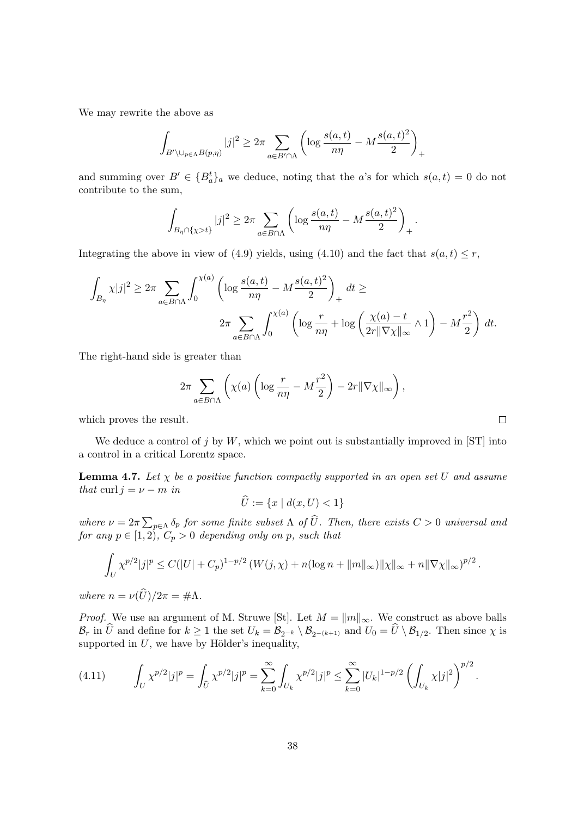We may rewrite the above as

$$
\int_{B' \setminus \bigcup_{p \in \Lambda} B(p,\eta)} |j|^2 \geq 2\pi \sum_{a \in B' \cap \Lambda} \left( \log \frac{s(a,t)}{n\eta} - M \frac{s(a,t)^2}{2} \right)_+
$$

and summing over  $B' \in \{B_a^t\}_a$  we deduce, noting that the a's for which  $s(a, t) = 0$  do not contribute to the sum,

$$
\int_{B_{\eta} \cap \{\chi > t\}} |j|^2 \geq 2\pi \sum_{a \in B \cap \Lambda} \left( \log \frac{s(a,t)}{n\eta} - M \frac{s(a,t)^2}{2} \right)_+.
$$

Integrating the above in view of (4.9) yields, using (4.10) and the fact that  $s(a, t) \leq r$ ,

$$
\int_{B_{\eta}} \chi |j|^2 \geq 2\pi \sum_{a \in B \cap \Lambda} \int_0^{\chi(a)} \left( \log \frac{s(a,t)}{n\eta} - M \frac{s(a,t)^2}{2} \right)_+ dt \geq
$$
  

$$
2\pi \sum_{a \in B \cap \Lambda} \int_0^{\chi(a)} \left( \log \frac{r}{n\eta} + \log \left( \frac{\chi(a) - t}{2r \|\nabla \chi\|_{\infty}} \wedge 1 \right) - M \frac{r^2}{2} \right) dt.
$$

The right-hand side is greater than

$$
2\pi \sum_{a \in B \cap \Lambda} \left( \chi(a) \left( \log \frac{r}{n\eta} - M\frac{r^2}{2} \right) - 2r \|\nabla \chi\|_{\infty} \right),\,
$$

which proves the result.

We deduce a control of j by W, which we point out is substantially improved in [ST] into a control in a critical Lorentz space.

**Lemma 4.7.** Let  $\chi$  be a positive function compactly supported in an open set U and assume that curl  $j = \nu - m$  in

$$
\widehat{U} := \{ x \mid d(x, U) < 1 \}
$$

where  $\nu = 2\pi \sum_{p \in \Lambda} \delta_p$  for some finite subset  $\Lambda$  of  $\overline{U}$ . Then, there exists  $C > 0$  universal and for any  $p \in [1, 2), C_p > 0$  depending only on p, such that

$$
\int_{U} \chi^{p/2} |j|^p \leq C(|U| + C_p)^{1-p/2} \left( W(j, \chi) + n(\log n + ||m||_{\infty}) ||\chi||_{\infty} + n||\nabla \chi||_{\infty} \right)^{p/2}.
$$

where  $n = \nu(\widehat{U})/2\pi = \#\Lambda$ .

*Proof.* We use an argument of M. Struwe [St]. Let  $M = ||m||_{\infty}$ . We construct as above balls  $\mathcal{B}_r$  in U and define for  $k \geq 1$  the set  $U_k = \mathcal{B}_{2^{-k}} \setminus \mathcal{B}_{2^{-(k+1)}}$  and  $U_0 = U \setminus \mathcal{B}_{1/2}$ . Then since  $\chi$  is supported in  $U$ , we have by Hölder's inequality,

$$
(4.11) \qquad \int_U \chi^{p/2} |j|^p = \int_{\widehat{U}} \chi^{p/2} |j|^p = \sum_{k=0}^\infty \int_{U_k} \chi^{p/2} |j|^p \le \sum_{k=0}^\infty |U_k|^{1-p/2} \left( \int_{U_k} \chi |j|^2 \right)^{p/2}.
$$

 $\Box$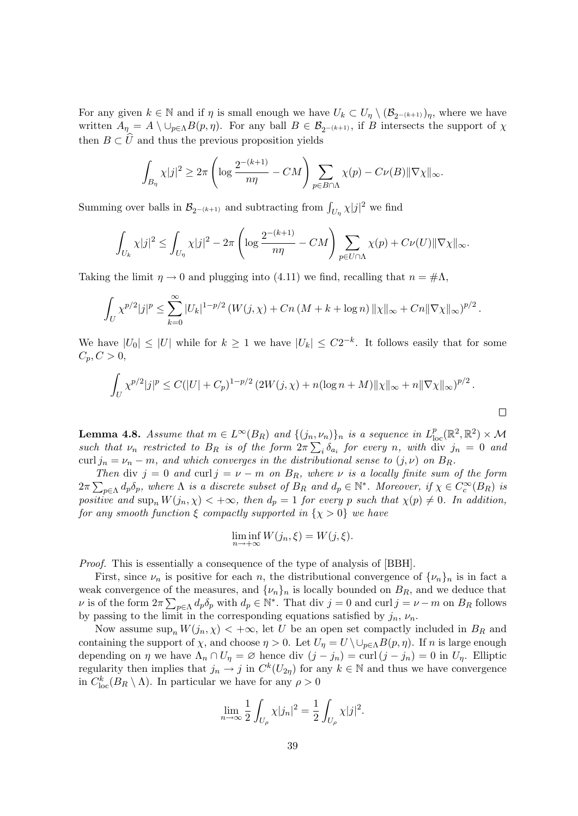For any given  $k \in \mathbb{N}$  and if  $\eta$  is small enough we have  $U_k \subset U_{\eta} \setminus (\mathcal{B}_{2^{-(k+1)}})_{\eta}$ , where we have written  $A_{\eta} = A \setminus \cup_{p \in \Lambda} B(p, \eta)$ . For any ball  $B \in \mathcal{B}_{2^{-(k+1)}},$  if B intersects the support of  $\chi$ then  $B \subset U$  and thus the previous proposition yields

$$
\int_{B_{\eta}} \chi|j|^2 \geq 2\pi \left( \log \frac{2^{-(k+1)}}{n\eta} - CM \right) \sum_{p \in B \cap \Lambda} \chi(p) - C\nu(B) \|\nabla \chi\|_{\infty}.
$$

Summing over balls in  $\mathcal{B}_{2^{-(k+1)}}$  and subtracting from  $\int_{U_{\eta}} \chi |j|^2$  we find

$$
\int_{U_k} \chi|j|^2 \leq \int_{U_\eta} \chi|j|^2 - 2\pi \left( \log \frac{2^{-(k+1)}}{n\eta} - CM \right) \sum_{p \in U \cap \Lambda} \chi(p) + C\nu(U) \|\nabla \chi\|_{\infty}.
$$

Taking the limit  $\eta \to 0$  and plugging into (4.11) we find, recalling that  $n = \text{\#A}$ ,

$$
\int_{U} \chi^{p/2} |j|^p \leq \sum_{k=0}^{\infty} |U_k|^{1-p/2} \left( W(j, \chi) + Cn \left( M + k + \log n \right) ||\chi||_{\infty} + Cn ||\nabla \chi||_{\infty} \right)^{p/2}.
$$

We have  $|U_0| \leq |U|$  while for  $k \geq 1$  we have  $|U_k| \leq C2^{-k}$ . It follows easily that for some  $C_p, C > 0,$ 

$$
\int_U \chi^{p/2} |j|^p \le C(|U| + C_p)^{1-p/2} \left( 2W(j, \chi) + n(\log n + M) ||\chi||_{\infty} + n||\nabla \chi||_{\infty} \right)^{p/2}.
$$

 $\Box$ 

**Lemma 4.8.** Assume that  $m \in L^{\infty}(B_R)$  and  $\{(j_n,\nu_n)\}_n$  is a sequence in  $L^p_{loc}(\mathbb{R}^2,\mathbb{R}^2) \times \mathcal{M}$ such that  $\nu_n$  restricted to  $B_R$  is of the form  $2\pi \sum_i \delta_{a_i}$  for every n, with div  $j_n = 0$  and curl  $j_n = \nu_n - m$ , and which converges in the distributional sense to  $(j, \nu)$  on  $B_R$ .

Then div  $j = 0$  and curl  $j = \nu - m$  on  $B_R$ , where  $\nu$  is a locally finite sum of the form  $2\pi\sum_{p\in\Lambda}d_p\delta_p$ , where  $\Lambda$  is a discrete subset of  $B_R$  and  $d_p \in \mathbb{N}^*$ . Moreover, if  $\chi \in C_c^{\infty}(B_R)$  is positive and  $\sup_n W(j_n, \chi) < +\infty$ , then  $d_p = 1$  for every p such that  $\chi(p) \neq 0$ . In addition, for any smooth function  $\xi$  compactly supported in  $\{\chi > 0\}$  we have

$$
\liminf_{n \to +\infty} W(j_n, \xi) = W(j, \xi).
$$

Proof. This is essentially a consequence of the type of analysis of [BBH].

First, since  $\nu_n$  is positive for each n, the distributional convergence of  $\{\nu_n\}_n$  is in fact a weak convergence of the measures, and  $\{\nu_n\}_n$  is locally bounded on  $B_R$ , and we deduce that  $\nu$  is of the form  $2\pi \sum_{p \in \Lambda} d_p \delta_p$  with  $d_p \in \mathbb{N}^*$ . That div  $j = 0$  and curl  $j = \nu - m$  on  $B_R$  follows by passing to the limit in the corresponding equations satisfied by  $j_n$ ,  $\nu_n$ .

Now assume  $\sup_n W(j_n, \chi) < +\infty$ , let U be an open set compactly included in  $B_R$  and containing the support of  $\chi$ , and choose  $\eta > 0$ . Let  $U_{\eta} = U \setminus \cup_{p \in \Lambda} B(p, \eta)$ . If n is large enough depending on  $\eta$  we have  $\Lambda_n \cap U_\eta = \varnothing$  hence div  $(j - j_n) = \text{curl}(j - j_n) = 0$  in  $U_\eta$ . Elliptic regularity then implies that  $j_n \to j$  in  $C^k(U_{2n})$  for any  $k \in \mathbb{N}$  and thus we have convergence in  $C^k_{\text{loc}}(B_R \setminus \Lambda)$ . In particular we have for any  $\rho > 0$ 

$$
\lim_{n \to \infty} \frac{1}{2} \int_{U_{\rho}} \chi |j_n|^2 = \frac{1}{2} \int_{U_{\rho}} \chi |j|^2.
$$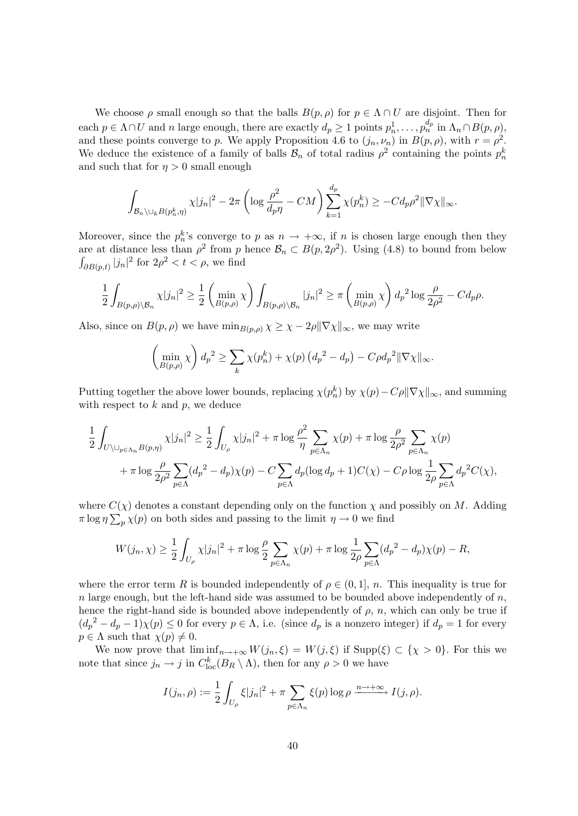We choose  $\rho$  small enough so that the balls  $B(p, \rho)$  for  $p \in \Lambda \cap U$  are disjoint. Then for each  $p \in \Lambda \cap U$  and n large enough, there are exactly  $d_p \geq 1$  points  $p_n^1, \ldots, p_n^{d_p}$  in  $\Lambda_n \cap B(p, \rho)$ , and these points converge to p. We apply Proposition 4.6 to  $(j_n, \nu_n)$  in  $B(p, \rho)$ , with  $r = \rho^2$ . We deduce the existence of a family of balls  $\mathcal{B}_n$  of total radius  $\rho^2$  containing the points  $p_n^k$ and such that for  $\eta > 0$  small enough

$$
\int_{\mathcal{B}_n\setminus\cup_k B(p_n^k,\eta)} \chi|j_n|^2 - 2\pi \left(\log \frac{\rho^2}{d_p\eta} - CM\right) \sum_{k=1}^{d_p} \chi(p_n^k) \ge -C d_p \rho^2 \|\nabla \chi\|_{\infty}.
$$

Moreover, since the  $p_n^k$ 's converge to p as  $n \to +\infty$ , if n is chosen large enough then they are at distance less than  $\rho^2$  from p hence  $\mathcal{B}_n \subset B(p, 2\rho^2)$ . Using (4.8) to bound from below  $\int_{\partial B(p,t)} |j_n|^2$  for  $2\rho^2 < t < \rho$ , we find

$$
\frac{1}{2} \int_{B(p,\rho)\setminus\mathcal{B}_n} \chi |j_n|^2 \geq \frac{1}{2} \left( \min_{B(p,\rho)} \chi \right) \int_{B(p,\rho)\setminus\mathcal{B}_n} |j_n|^2 \geq \pi \left( \min_{B(p,\rho)} \chi \right) d_p^2 \log \frac{\rho}{2\rho^2} - C d_p \rho.
$$

Also, since on  $B(p, \rho)$  we have  $\min_{B(p, \rho)} \chi \geq \chi - 2\rho \|\nabla \chi\|_{\infty}$ , we may write

$$
\left(\min_{B(p,\rho)} \chi\right) d_p^2 \ge \sum_k \chi(p_n^k) + \chi(p) \left(d_p^2 - d_p\right) - C\rho d_p^2 \|\nabla \chi\|_{\infty}.
$$

Putting together the above lower bounds, replacing  $\chi(p_n^k)$  by  $\chi(p) - C\rho ||\nabla \chi||_{\infty}$ , and summing with respect to  $k$  and  $p$ , we deduce

$$
\frac{1}{2} \int_{U \setminus \bigcup_{p \in \Lambda_n} B(p,\eta)} \chi |j_n|^2 \ge \frac{1}{2} \int_{U_\rho} \chi |j_n|^2 + \pi \log \frac{\rho^2}{\eta} \sum_{p \in \Lambda_n} \chi(p) + \pi \log \frac{\rho}{2\rho^2} \sum_{p \in \Lambda_n} \chi(p)
$$

$$
+ \pi \log \frac{\rho}{2\rho^2} \sum_{p \in \Lambda} (d_p^2 - d_p) \chi(p) - C \sum_{p \in \Lambda} d_p (\log d_p + 1) C(\chi) - C\rho \log \frac{1}{2\rho} \sum_{p \in \Lambda} d_p^2 C(\chi),
$$

where  $C(\chi)$  denotes a constant depending only on the function  $\chi$  and possibly on M. Adding  $\pi \log \eta \sum_{p} \chi(p)$  on both sides and passing to the limit  $\eta \to 0$  we find

$$
W(j_n, \chi) \ge \frac{1}{2} \int_{U_\rho} \chi |j_n|^2 + \pi \log \frac{\rho}{2} \sum_{p \in \Lambda_n} \chi(p) + \pi \log \frac{1}{2\rho} \sum_{p \in \Lambda} (d_p^2 - d_p) \chi(p) - R,
$$

where the error term R is bounded independently of  $\rho \in (0,1], n$ . This inequality is true for n large enough, but the left-hand side was assumed to be bounded above independently of  $n$ , hence the right-hand side is bounded above independently of  $\rho$ , n, which can only be true if  $(d_p^2 - d_p - 1)\chi(p) \leq 0$  for every  $p \in \Lambda$ , i.e. (since  $d_p$  is a nonzero integer) if  $d_p = 1$  for every  $p \in \Lambda$  such that  $\chi(p) \neq 0$ .

We now prove that  $\liminf_{n\to+\infty} W(j_n,\xi)=W(j,\xi)$  if  $\text{Supp}(\xi)\subset\{\chi>0\}$ . For this we note that since  $j_n \to j$  in  $C^k_{loc}(B_R \setminus \Lambda)$ , then for any  $\rho > 0$  we have

$$
I(j_n, \rho) := \frac{1}{2} \int_{U_\rho} \xi |j_n|^2 + \pi \sum_{p \in \Lambda_n} \xi(p) \log \rho \xrightarrow{n \to +\infty} I(j, \rho).
$$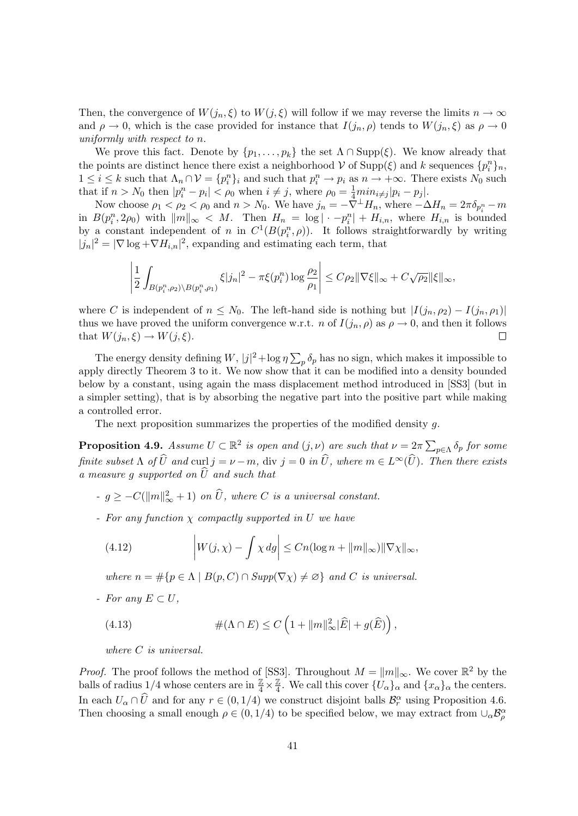Then, the convergence of  $W(j_n, \xi)$  to  $W(j, \xi)$  will follow if we may reverse the limits  $n \to \infty$ and  $\rho \to 0$ , which is the case provided for instance that  $I(j_n, \rho)$  tends to  $W(j_n, \xi)$  as  $\rho \to 0$ uniformly with respect to n.

We prove this fact. Denote by  $\{p_1, \ldots, p_k\}$  the set  $\Lambda \cap \text{Supp}(\xi)$ . We know already that the points are distinct hence there exist a neighborhood  $V$  of  $\text{Supp}(\xi)$  and k sequences  $\{p_i^n\}_n$ ,  $1 \leq i \leq k$  such that  $\Lambda_n \cap \mathcal{V} = \{p_i^n\}_i$  and such that  $p_i^n \to p_i$  as  $n \to +\infty$ . There exists  $N_0$  such that if  $n > N_0$  then  $|p_i^n - p_i| < \rho_0$  when  $i \neq j$ , where  $\rho_0 = \frac{1}{4} \min_{i \neq j} |p_i - p_j|$ .

Now choose  $\rho_1 < \rho_2 < \rho_0$  and  $n > N_0$ . We have  $j_n = -\overline{\nabla}^{\perp} H_n$ , where  $-\Delta H_n = 2\pi \delta_{p_i^n} - m$ in  $B(p_i^n, 2\rho_0)$  with  $||m||_{\infty} < M$ . Then  $H_n = \log |\cdot - p_i^n| + H_{i,n}$ , where  $H_{i,n}$  is bounded by a constant independent of n in  $C^1(B(p_i^n, \rho))$ . It follows straightforwardly by writing  $|j_n|^2 = |\nabla \log + \nabla H_{i,n}|^2$ , expanding and estimating each term, that

$$
\left|\frac{1}{2}\int_{B(p_i^n,\rho_2)\setminus B(p_i^n,\rho_1)}\xi|j_n|^2-\pi\xi(p_i^n)\log\frac{\rho_2}{\rho_1}\right|\leq C\rho_2\|\nabla\xi\|_{\infty}+C\sqrt{\rho_2}\|\xi\|_{\infty},
$$

where C is independent of  $n \leq N_0$ . The left-hand side is nothing but  $|I(j_n, \rho_2) - I(j_n, \rho_1)|$ thus we have proved the uniform convergence w.r.t. n of  $I(j_n, \rho)$  as  $\rho \to 0$ , and then it follows that  $W(j_n, \xi) \to W(j, \xi)$ .  $\Box$ 

The energy density defining W,  $|j|^2 + \log \eta \sum_p \delta_p$  has no sign, which makes it impossible to apply directly Theorem 3 to it. We now show that it can be modified into a density bounded below by a constant, using again the mass displacement method introduced in [SS3] (but in a simpler setting), that is by absorbing the negative part into the positive part while making a controlled error.

The next proposition summarizes the properties of the modified density g.

**Proposition 4.9.** Assume  $U \subset \mathbb{R}^2$  is open and  $(j, \nu)$  are such that  $\nu = 2\pi \sum_{p \in \Lambda} \delta_p$  for some finite subset  $\Lambda$  of  $\widehat{U}$  and curl  $j = \nu - m$ , div  $j = 0$  in  $\widehat{U}$ , where  $m \in L^{\infty}(\widehat{U})$ . Then there exists a measure q supported on  $\widehat{U}$  and such that

- $-g \geq -C(||m||^2_{\infty} + 1)$  on  $\widehat{U}$ , where C is a universal constant.
- For any function  $\chi$  compactly supported in U we have

(4.12) 
$$
\left|W(j,\chi)-\int \chi \, dg\right| \leq Cn(\log n+\|m\|_{\infty})\|\nabla \chi\|_{\infty},
$$

where  $n = \#\{p \in \Lambda \mid B(p, C) \cap \text{Supp}(\nabla \chi) \neq \emptyset\}$  and C is universal.

- For any  $E \subset U$ ,

(4.13) 
$$
\#(\Lambda \cap E) \leq C \left(1 + ||m||_{\infty}^2 |\widehat{E}| + g(\widehat{E})\right),
$$

where C is universal.

*Proof.* The proof follows the method of [SS3]. Throughout  $M = ||m||_{\infty}$ . We cover  $\mathbb{R}^2$  by the balls of radius 1/4 whose centers are in  $\frac{\mathbb{Z}}{4} \times \frac{\mathbb{Z}}{4}$  $\frac{\mathbb{Z}}{4}$ . We call this cover  $\{U_{\alpha}\}_{\alpha}$  and  $\{x_{\alpha}\}_{\alpha}$  the centers. In each  $U_{\alpha} \cap \widehat{U}$  and for any  $r \in (0, 1/4)$  we construct disjoint balls  $\mathcal{B}_{r}^{\alpha}$  using Proposition 4.6. Then choosing a small enough  $\rho \in (0, 1/4)$  to be specified below, we may extract from  $\cup_{\alpha} \mathcal{B}_{\rho}^{\alpha}$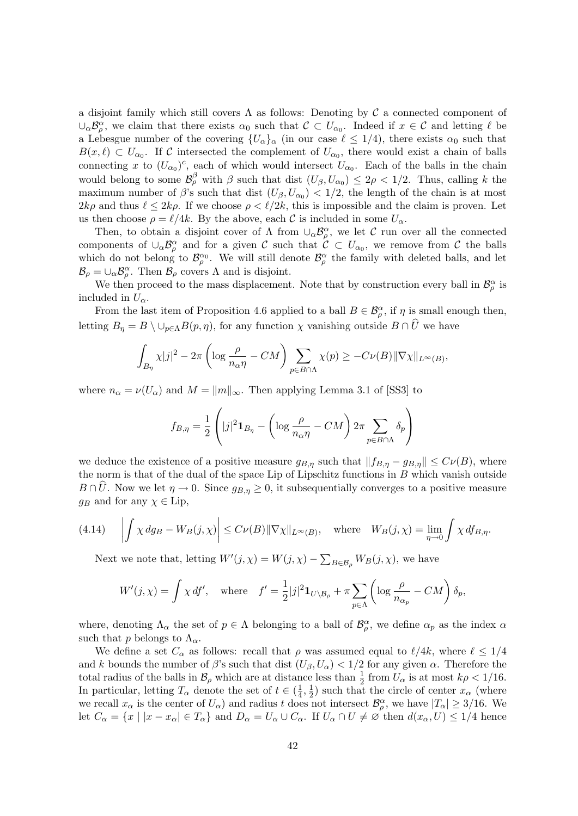a disjoint family which still covers  $\Lambda$  as follows: Denoting by  $\mathcal C$  a connected component of  $\cup_\alpha \mathcal{B}_\rho^\alpha$ , we claim that there exists  $\alpha_0$  such that  $\mathcal{C} \subset U_{\alpha_0}$ . Indeed if  $x \in \mathcal{C}$  and letting  $\ell$  be a Lebesgue number of the covering  $\{U_{\alpha}\}_{\alpha}$  (in our case  $\ell \leq 1/4$ ), there exists  $\alpha_0$  such that  $B(x,\ell) \subset U_{\alpha_0}$ . If C intersected the complement of  $U_{\alpha_0}$ , there would exist a chain of balls connecting x to  $(U_{\alpha_0})^c$ , each of which would intersect  $U_{\alpha_0}$ . Each of the balls in the chain would belong to some  $\mathcal{B}_{\rho}^{\beta}$  with  $\beta$  such that dist  $(U_{\beta}, U_{\alpha_0}) \leq 2\rho < 1/2$ . Thus, calling k the maximum number of  $\beta$ 's such that dist  $(U_{\beta}, U_{\alpha_0}) < 1/2$ , the length of the chain is at most  $2k\rho$  and thus  $\ell \leq 2k\rho$ . If we choose  $\rho < \ell/2k$ , this is impossible and the claim is proven. Let us then choose  $\rho = \ell/4k$ . By the above, each C is included in some  $U_{\alpha}$ .

Then, to obtain a disjoint cover of  $\Lambda$  from  $\cup_{\alpha} \mathcal{B}_{\rho}^{\alpha}$ , we let C run over all the connected components of  $\cup_{\alpha} \mathcal{B}_{\rho}^{\alpha}$  and for a given C such that  $\mathcal{C} \subset U_{\alpha_0}$ , we remove from C the balls which do not belong to  $\mathcal{B}_{\rho}^{\alpha_0}$ . We will still denote  $\mathcal{B}_{\rho}^{\alpha}$  the family with deleted balls, and let  $\mathcal{B}_{\rho} = \cup_{\alpha} \mathcal{B}_{\rho}^{\alpha}$ . Then  $\mathcal{B}_{\rho}$  covers  $\Lambda$  and is disjoint.

We then proceed to the mass displacement. Note that by construction every ball in  $\mathcal{B}_{\rho}^{\alpha}$  is included in  $U_{\alpha}$ .

From the last item of Proposition 4.6 applied to a ball  $B \in \mathcal{B}_{\rho}^{\alpha}$ , if  $\eta$  is small enough then, letting  $B_{\eta} = B \setminus \cup_{p \in \Lambda} B(p, \eta)$ , for any function  $\chi$  vanishing outside  $B \cap \hat{U}$  we have

$$
\int_{B_{\eta}} \chi |j|^2 - 2\pi \left( \log \frac{\rho}{n_{\alpha} \eta} - CM \right) \sum_{p \in B \cap \Lambda} \chi(p) \geq -C\nu(B) \|\nabla \chi\|_{L^{\infty}(B)},
$$

where  $n_{\alpha} = \nu(U_{\alpha})$  and  $M = ||m||_{\infty}$ . Then applying Lemma 3.1 of [SS3] to

$$
f_{B,\eta} = \frac{1}{2} \left( |j|^2 \mathbf{1}_{B_{\eta}} - \left( \log \frac{\rho}{n_{\alpha} \eta} - CM \right) 2\pi \sum_{p \in B \cap \Lambda} \delta_p \right)
$$

we deduce the existence of a positive measure  $g_{B,\eta}$  such that  $||f_{B,\eta} - g_{B,\eta}|| \leq C(\mu(B))$ , where the norm is that of the dual of the space Lip of Lipschitz functions in  $B$  which vanish outside  $B \cap \hat{U}$ . Now we let  $\eta \to 0$ . Since  $g_{B,\eta} \geq 0$ , it subsequentially converges to a positive measure  $g_B$  and for any  $\chi \in \text{Lip}$ ,

(4.14) 
$$
\left| \int \chi \, dg_B - W_B(j,\chi) \right| \leq C \nu(B) \|\nabla \chi\|_{L^\infty(B)}, \quad \text{where} \quad W_B(j,\chi) = \lim_{\eta \to 0} \int \chi \, df_{B,\eta}.
$$

Next we note that, letting  $W'(j, \chi) = W(j, \chi) - \sum_{B \in \mathcal{B}_{\rho}} W_B(j, \chi)$ , we have

$$
W'(j,\chi) = \int \chi \, df', \quad \text{where} \quad f' = \frac{1}{2}|j|^2 \mathbf{1}_{U \setminus \mathcal{B}_\rho} + \pi \sum_{p \in \Lambda} \left( \log \frac{\rho}{n_{\alpha_p}} - CM \right) \delta_p,
$$

where, denoting  $\Lambda_{\alpha}$  the set of  $p \in \Lambda$  belonging to a ball of  $\mathcal{B}_{\rho}^{\alpha}$ , we define  $\alpha_p$  as the index  $\alpha$ such that p belongs to  $\Lambda_{\alpha}$ .

We define a set  $C_{\alpha}$  as follows: recall that  $\rho$  was assumed equal to  $\ell/4k$ , where  $\ell \leq 1/4$ and k bounds the number of  $\beta$ 's such that dist  $(U_{\beta}, U_{\alpha}) < 1/2$  for any given  $\alpha$ . Therefore the total radius of the balls in  $\mathcal{B}_{\rho}$  which are at distance less than  $\frac{1}{2}$  from  $U_{\alpha}$  is at most  $k\rho < 1/16$ . In particular, letting  $T_{\alpha}$  denote the set of  $t \in \left(\frac{1}{4}\right)$  $\frac{1}{4}, \frac{1}{2}$  $\frac{1}{2}$ ) such that the circle of center  $x_{\alpha}$  (where we recall  $x_{\alpha}$  is the center of  $U_{\alpha}$ ) and radius t does not intersect  $\mathcal{B}_{\rho}^{\alpha}$ , we have  $|T_{\alpha}| \geq 3/16$ . We let  $C_{\alpha} = \{x \mid |x - x_{\alpha}| \in T_{\alpha}\}\$ and  $D_{\alpha} = U_{\alpha} \cup C_{\alpha}$ . If  $U_{\alpha} \cap U \neq \emptyset$  then  $d(x_{\alpha}, U) \leq 1/4$  hence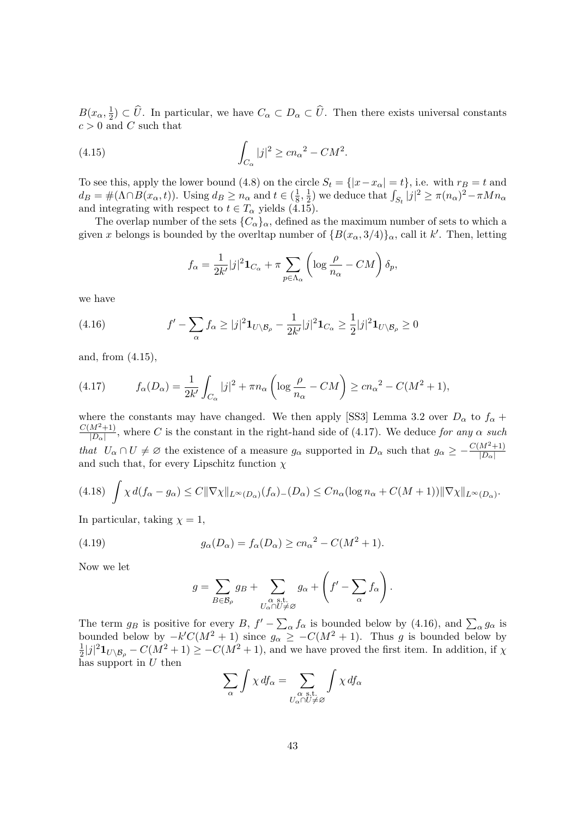$B(x_\alpha, \frac{1}{2})$  $(\frac{1}{2}) \subset U$ . In particular, we have  $C_{\alpha} \subset D_{\alpha} \subset U$ . Then there exists universal constants  $c > 0$  and C such that

(4.15) 
$$
\int_{C_{\alpha}} |j|^2 \geq c n_{\alpha}^2 - C M^2.
$$

To see this, apply the lower bound (4.8) on the circle  $S_t = \{ |x - x_\alpha| = t \}$ , i.e. with  $r_B = t$  and  $d_B = \#(\Lambda \cap B(x_\alpha, t))$ . Using  $d_B \geq n_\alpha$  and  $t \in (\frac{1}{8})$  $\frac{1}{8}, \frac{1}{2}$  $\frac{1}{2}$ ) we deduce that  $\int_{S_t} |j|^2 \ge \pi (n_\alpha)^2 - \pi M n_\alpha$ and integrating with respect to  $t \in T_\alpha$  yields (4.15).

The overlap number of the sets  ${C_{\alpha}}_{\alpha}$ , defined as the maximum number of sets to which a given x belongs is bounded by the overltap number of  $\{B(x_\alpha, 3/4)\}_\alpha$ , call it k'. Then, letting

$$
f_{\alpha} = \frac{1}{2k'}|j|^2 \mathbf{1}_{C_{\alpha}} + \pi \sum_{p \in \Lambda_{\alpha}} \left( \log \frac{\rho}{n_{\alpha}} - CM \right) \delta_p,
$$

we have

(4.16) 
$$
f' - \sum_{\alpha} f_{\alpha} \ge |j|^2 \mathbf{1}_{U \setminus \mathcal{B}_{\rho}} - \frac{1}{2k'} |j|^2 \mathbf{1}_{C_{\alpha}} \ge \frac{1}{2} |j|^2 \mathbf{1}_{U \setminus \mathcal{B}_{\rho}} \ge 0
$$

and, from (4.15),

(4.17) 
$$
f_{\alpha}(D_{\alpha}) = \frac{1}{2k'} \int_{C_{\alpha}} |j|^2 + \pi n_{\alpha} \left( \log \frac{\rho}{n_{\alpha}} - CM \right) \geq c n_{\alpha}^2 - C(M^2 + 1),
$$

where the constants may have changed. We then apply [SS3] Lemma 3.2 over  $D_{\alpha}$  to  $f_{\alpha}$  +  $C(M^2+1)$  $\frac{M^2+1}{|D_{\alpha}|}$ , where C is the constant in the right-hand side of (4.17). We deduce for any  $\alpha$  such that  $U_{\alpha} \cap U \neq \emptyset$  the existence of a measure  $g_{\alpha}$  supported in  $D_{\alpha}$  such that  $g_{\alpha} \geq -\frac{C(M^2+1)}{|D_{\alpha}|}$ and such that, for every Lipschitz function  $\chi$ 

$$
(4.18)\ \int \chi \, d(f_\alpha - g_\alpha) \leq C \|\nabla \chi\|_{L^\infty(D_\alpha)} (f_\alpha)_-(D_\alpha) \leq C n_\alpha (\log n_\alpha + C(M+1)) \|\nabla \chi\|_{L^\infty(D_\alpha)}.
$$

In particular, taking  $\chi = 1$ ,

(4.19) 
$$
g_{\alpha}(D_{\alpha}) = f_{\alpha}(D_{\alpha}) \ge cn_{\alpha}^{2} - C(M^{2} + 1).
$$

Now we let

$$
g = \sum_{B \in \mathcal{B}_{\rho}} g_B + \sum_{\substack{\alpha \text{ s.t.} \\ U_{\alpha} \cap U \neq \varnothing}} g_{\alpha} + \left( f' - \sum_{\alpha} f_{\alpha} \right).
$$

The term  $g_B$  is positive for every B,  $f' - \sum_{\alpha} f_{\alpha}$  is bounded below by (4.16), and  $\sum_{\alpha} g_{\alpha}$  is bounded below by  $-k'C(M^2 + 1)$  since  $g_{\alpha} \geq -C(M^2 + 1)$ . Thus g is bounded below by<br> $\frac{1}{2}|i|^2\text{Im}\,g = C(M^2 + 1) \geq -C(M^2 + 1)$  and we have proved the first item. In addition if x  $\frac{1}{2}|j|^2\mathbf{1}_{U\setminus\mathcal{B}_{\rho}}-C(M^2+1)\geq -C(M^2+1)$ , and we have proved the first item. In addition, if  $\chi$ has support in  $U$  then

$$
\sum_{\alpha} \int \chi \, df_{\alpha} = \sum_{\substack{\alpha \text{ s.t.} \\ U_{\alpha} \cap U \neq \varnothing}} \int \chi \, df_{\alpha}
$$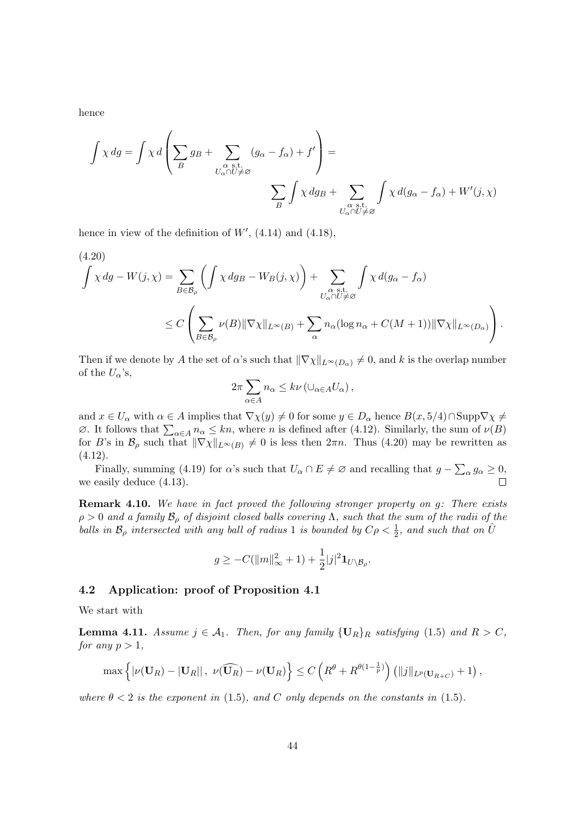hence

$$
\int \chi \, dg = \int \chi \, d \left( \sum_B g_B + \sum_{\substack{\alpha \text{ s.t.} \\ U_\alpha \cap U \neq \varnothing}} (g_\alpha - f_\alpha) + f' \right) = \sum_{\substack{\alpha \text{ s.t.} \\ \alpha \text{ s.t.} \\ U_\alpha \cap U \neq \varnothing}} \int \chi \, d(g_\alpha - f_\alpha) + W'(j, \chi)
$$

hence in view of the definition of  $W'$ , (4.14) and (4.18),

(4.20)  
\n
$$
\int \chi \, dg - W(j, \chi) = \sum_{B \in \mathcal{B}_{\rho}} \left( \int \chi \, dg_B - W_B(j, \chi) \right) + \sum_{\substack{\alpha \text{ s.t.} \\ U_{\alpha} \cap U \neq \varnothing}} \int \chi \, d(g_{\alpha} - f_{\alpha})
$$
\n
$$
\leq C \left( \sum_{B \in \mathcal{B}_{\rho}} \nu(B) \|\nabla \chi\|_{L^{\infty}(B)} + \sum_{\alpha} n_{\alpha} (\log n_{\alpha} + C(M+1)) \|\nabla \chi\|_{L^{\infty}(D_{\alpha})} \right).
$$

Then if we denote by A the set of  $\alpha$ 's such that  $\|\nabla \chi\|_{L^{\infty}(D_{\alpha})} \neq 0$ , and k is the overlap number of the  $U_{\alpha}$ 's,

$$
2\pi \sum_{\alpha \in A} n_{\alpha} \leq k \nu \left( \cup_{\alpha \in A} U_{\alpha} \right),
$$

and  $x \in U_\alpha$  with  $\alpha \in A$  implies that  $\nabla \chi(y) \neq 0$  for some  $y \in D_\alpha$  hence  $B(x, 5/4) \cap \text{Supp} \nabla \chi \neq 0$  $\emptyset$ . It follows that  $\sum_{\alpha \in A} n_{\alpha} \leq kn$ , where n is defined after (4.12). Similarly, the sum of  $\nu(B)$ for B's in  $\mathcal{B}_{\rho}$  such that  $\|\nabla \chi\|_{L^{\infty}(B)} \neq 0$  is less then  $2\pi n$ . Thus (4.20) may be rewritten as  $(4.12).$ 

Finally, summing (4.19) for  $\alpha$ 's such that  $U_{\alpha} \cap E \neq \emptyset$  and recalling that  $g - \sum_{\alpha} g_{\alpha} \geq 0$ , we easily deduce (4.13).  $\Box$ 

Remark 4.10. We have in fact proved the following stronger property on g: There exists  $\rho > 0$  and a family  $\mathcal{B}_{\rho}$  of disjoint closed balls covering  $\Lambda$ , such that the sum of the radii of the balls in  $\mathcal{B}_{\rho}$  intersected with any ball of radius 1 is bounded by  $C\rho < \frac{1}{2}$ , and such that on  $\hat{U}$ 

$$
g \geq -C(||m||_{\infty}^2 + 1) + \frac{1}{2}|j|^2 \mathbf{1}_{U \setminus \mathcal{B}_{\rho}}.
$$

## 4.2 Application: proof of Proposition 4.1

We start with

**Lemma 4.11.** Assume  $j \in A_1$ . Then, for any family  $\{U_R\}_R$  satisfying (1.5) and  $R > C$ , for any  $p > 1$ ,

$$
\max\left\{|\nu(\mathbf{U}_R)-|\mathbf{U}_R||, \ \nu(\widehat{\mathbf{U}_R})-\nu(\mathbf{U}_R)\right\}\leq C\left(R^{\theta}+R^{\theta(1-\frac{1}{p})}\right)\left(\|j\|_{L^p(\mathbf{U}_{R+C})}+1\right),
$$

where  $\theta < 2$  is the exponent in (1.5), and C only depends on the constants in (1.5).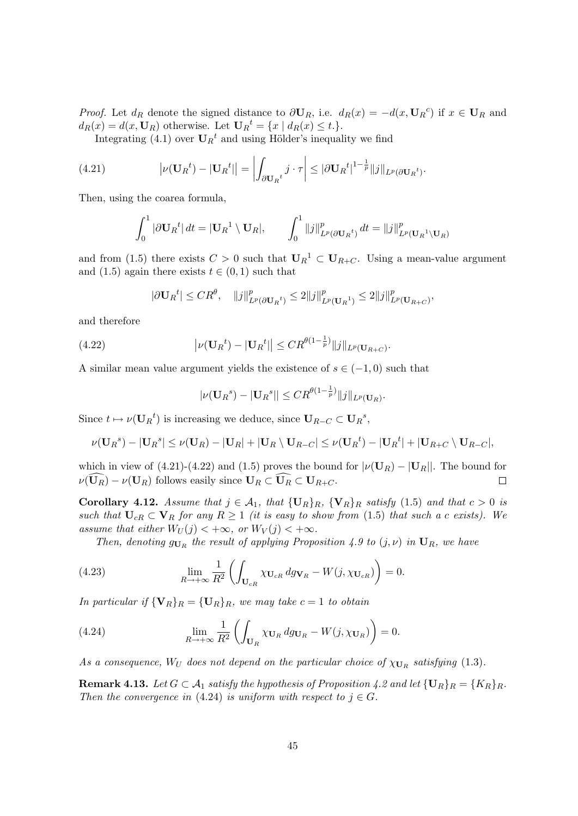*Proof.* Let  $d_R$  denote the signed distance to  $\partial \mathbf{U}_R$ , i.e.  $d_R(x) = -d(x, \mathbf{U}_R)^c$  if  $x \in \mathbf{U}_R$  and  $d_R(x) = d(x, \mathbf{U}_R)$  otherwise. Let  $\mathbf{U}_R{}^t = \{x \mid d_R(x) \le t.\}.$ 

Integrating (4.1) over  $\mathbf{U}_R{}^t$  and using Hölder's inequality we find

(4.21) 
$$
\left|\nu(\mathbf{U}_R{}^t) - |\mathbf{U}_R{}^t|\right| = \left|\int_{\partial \mathbf{U}_R{}^t} j \cdot \tau\right| \leq |\partial \mathbf{U}_R{}^t|^{1-\frac{1}{p}} \|j\|_{L^p(\partial \mathbf{U}_R{}^t)}.
$$

Then, using the coarea formula,

$$
\int_0^1 |\partial \mathbf{U}_R^t| dt = |\mathbf{U}_R^1 \setminus \mathbf{U}_R|, \qquad \int_0^1 ||j||^p_{L^p(\partial \mathbf{U}_R^t)} dt = ||j||^p_{L^p(\mathbf{U}_R^1 \setminus \mathbf{U}_R)}
$$

and from (1.5) there exists  $C > 0$  such that  $\mathbf{U}_{R}^{-1} \subset \mathbf{U}_{R+C}$ . Using a mean-value argument and (1.5) again there exists  $t \in (0, 1)$  such that

$$
|\partial \mathbf{U}_R{}^t| \leq C R^{\theta}, \quad \|j\|_{L^p(\partial \mathbf{U}_R{}^t)}^p \leq 2 \|j\|_{L^p(\mathbf{U}_R{}^1)}^p \leq 2 \|j\|_{L^p(\mathbf{U}_{R}{}^+C)}^p,
$$

and therefore

(4.22) 
$$
\left|\nu(\mathbf{U}_R^t) - |\mathbf{U}_R^t|\right| \leq C R^{\theta(1-\frac{1}{p})} \|j\|_{L^p(\mathbf{U}_{R+C})}.
$$

A similar mean value argument yields the existence of  $s \in (-1,0)$  such that

$$
|\nu(\mathbf{U}_R^s) - |\mathbf{U}_R^s|| \leq C R^{\theta(1-\frac{1}{p})} ||j||_{L^p(\mathbf{U}_R)}.
$$

Since  $t \mapsto \nu(\mathbf{U}_R{}^t)$  is increasing we deduce, since  $\mathbf{U}_{R-C} \subset \mathbf{U}_R{}^s$ ,

$$
\nu(\mathbf{U}_R{}^s) - |\mathbf{U}_R{}^s| \leq \nu(\mathbf{U}_R) - |\mathbf{U}_R| + |\mathbf{U}_R \setminus \mathbf{U}_{R-C}| \leq \nu(\mathbf{U}_R{}^t) - |\mathbf{U}_R{}^t| + |\mathbf{U}_{R+C} \setminus \mathbf{U}_{R-C}|,
$$

which in view of (4.21)-(4.22) and (1.5) proves the bound for  $|\nu(\mathbf{U}_R) - |\mathbf{U}_R|$ . The bound for  $\nu(\widehat{\mathbf{U}_R}) - \nu(\mathbf{U}_R)$  follows easily since  $\mathbf{U}_R \subset \widehat{\mathbf{U}_R} \subset \mathbf{U}_{R+C}$ .  $\Box$ 

Corollary 4.12. Assume that  $j \in A_1$ , that  $\{U_R\}_R$ ,  $\{V_R\}_R$  satisfy (1.5) and that  $c > 0$  is such that  $U_{cR} \subset V_R$  for any  $R \ge 1$  (it is easy to show from (1.5) that such a c exists). We assume that either  $W_U(j) < +\infty$ , or  $W_V(j) < +\infty$ .

Then, denoting  $g_{U_R}$  the result of applying Proposition 4.9 to  $(j,\nu)$  in  $U_R$ , we have

(4.23) 
$$
\lim_{R \to +\infty} \frac{1}{R^2} \left( \int_{\mathbf{U}_{cR}} \chi_{\mathbf{U}_{cR}} \, dg_{\mathbf{V}_R} - W(j, \chi_{\mathbf{U}_{cR}}) \right) = 0.
$$

In particular if  $\{V_R\}_R = \{U_R\}_R$ , we may take  $c = 1$  to obtain

(4.24) 
$$
\lim_{R \to +\infty} \frac{1}{R^2} \left( \int_{\mathbf{U}_R} \chi_{\mathbf{U}_R} \, dg_{\mathbf{U}_R} - W(j, \chi_{\mathbf{U}_R}) \right) = 0.
$$

As a consequence,  $W_U$  does not depend on the particular choice of  $\chi_{U_R}$  satisfying (1.3).

**Remark 4.13.** Let  $G \subset A_1$  satisfy the hypothesis of Proposition 4.2 and let  $\{U_R\}_R = \{K_R\}_R$ . Then the convergence in (4.24) is uniform with respect to  $j \in G$ .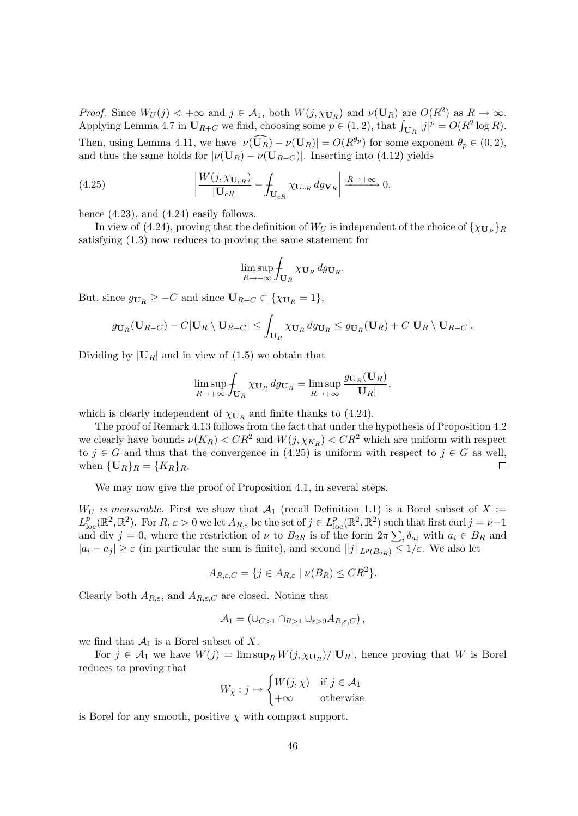*Proof.* Since  $W_U(j) < +\infty$  and  $j \in \mathcal{A}_1$ , both  $W(j, \chi_{\mathbf{U}_R})$  and  $\nu(\mathbf{U}_R)$  are  $O(R^2)$  as  $R \to \infty$ . Applying Lemma 4.7 in  $U_{R+C}$  we find, choosing some  $p \in (1,2)$ , that  $\int_{U_R} |j|^p = O(R^2 \log R)$ . Then, using Lemma 4.11, we have  $|\nu(\mathbf{U}_R) - \nu(\mathbf{U}_R)| = O(R^{\theta_p})$  for some exponent  $\theta_p \in (0, 2)$ , and thus the same holds for  $|\nu(\mathbf{U}_R) - \nu(\mathbf{U}_{R-C})|$ . Inserting into (4.12) yields

(4.25) 
$$
\left| \frac{W(j, \chi_{\mathbf{U}_{cR}})}{|\mathbf{U}_{cR}|} - \int_{\mathbf{U}_{cR}} \chi_{\mathbf{U}_{cR}} \, dg \mathbf{v}_R \right| \xrightarrow{R \to +\infty} 0,
$$

hence  $(4.23)$ , and  $(4.24)$  easily follows.

In view of (4.24), proving that the definition of  $W_U$  is independent of the choice of  $\{\chi_{\mathbf{U}_R}\}_R$ satisfying (1.3) now reduces to proving the same statement for

$$
\limsup_{R\to+\infty}\int_{\mathbf{U}_R}\chi_{\mathbf{U}_R}dg_{\mathbf{U}_R}.
$$

But, since  $g_{\mathbf{U}_R} \geq -C$  and since  $\mathbf{U}_{R-C} \subset \{\chi_{\mathbf{U}_R} = 1\},\$ 

$$
g_{\mathbf{U}_R}(\mathbf{U}_{R-C})-C|\mathbf{U}_R\setminus \mathbf{U}_{R-C}|\leq \int_{\mathbf{U}_R}\chi_{\mathbf{U}_R}\,dg_{\mathbf{U}_R}\leq g_{\mathbf{U}_R}(\mathbf{U}_R)+C|\mathbf{U}_R\setminus \mathbf{U}_{R-C}|.
$$

Dividing by  $|\mathbf{U}_R|$  and in view of (1.5) we obtain that

$$
\limsup_{R \to +\infty} \int_{\mathbf{U}_R} \chi_{\mathbf{U}_R} \, dg_{\mathbf{U}_R} = \limsup_{R \to +\infty} \frac{g_{\mathbf{U}_R}(\mathbf{U}_R)}{|\mathbf{U}_R|},
$$

which is clearly independent of  $\chi_{\mathbf{U}_R}$  and finite thanks to (4.24).

The proof of Remark 4.13 follows from the fact that under the hypothesis of Proposition 4.2 we clearly have bounds  $\nu(K_R) < CR^2$  and  $W(j, \chi_{K_R}) < CR^2$  which are uniform with respect to  $j \in G$  and thus that the convergence in (4.25) is uniform with respect to  $j \in G$  as well, when  $\{U_R\}_R = \{K_R\}_R$ .  $\Box$ 

We may now give the proof of Proposition 4.1, in several steps.

 $W_U$  is measurable. First we show that  $\mathcal{A}_1$  (recall Definition 1.1) is a Borel subset of X :=  $L_{\text{loc}}^p(\mathbb{R}^2, \mathbb{R}^2)$ . For  $R, \varepsilon > 0$  we let  $A_{R,\varepsilon}$  be the set of  $j \in L_{\text{loc}}^p(\mathbb{R}^2, \mathbb{R}^2)$  such that first curl  $j = \nu - 1$ and div  $j = 0$ , where the restriction of  $\nu$  to  $B_{2R}$  is of the form  $2\pi \sum_i \delta_{a_i}$  with  $a_i \in B_R$  and  $|a_i - a_j| \geq \varepsilon$  (in particular the sum is finite), and second  $||j||_{L^p(B_{2R})} \leq 1/\varepsilon$ . We also let

$$
A_{R,\varepsilon,C} = \{ j \in A_{R,\varepsilon} \mid \nu(B_R) \leq CR^2 \}.
$$

Clearly both  $A_{R,\varepsilon}$ , and  $A_{R,\varepsilon}$  are closed. Noting that

$$
A_1 = (\cup_{C>1} \cap_{R>1} \cup_{\varepsilon>0} A_{R,\varepsilon,C}),
$$

we find that  $\mathcal{A}_1$  is a Borel subset of X.

For  $j \in A_1$  we have  $W(j) = \limsup_R W(j, \chi_{\mathbf{U}_R})/|\mathbf{U}_R|$ , hence proving that W is Borel reduces to proving that

$$
W_{\chi} : j \mapsto \begin{cases} W(j, \chi) & \text{if } j \in \mathcal{A}_1 \\ +\infty & \text{otherwise} \end{cases}
$$

is Borel for any smooth, positive  $\chi$  with compact support.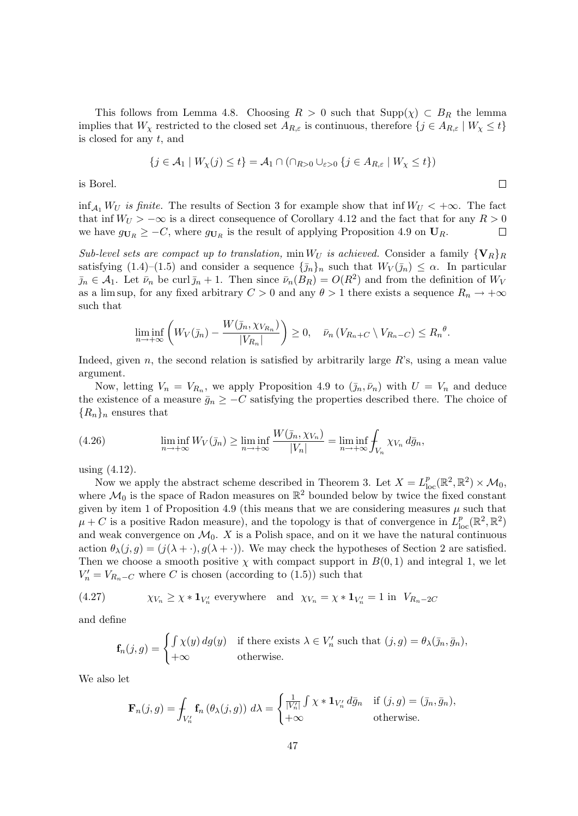This follows from Lemma 4.8. Choosing  $R > 0$  such that  $\text{Supp}(\chi) \subset B_R$  the lemma implies that  $W_\chi$  restricted to the closed set  $A_{R,\varepsilon}$  is continuous, therefore  $\{j \in A_{R,\varepsilon} \mid W_\chi \leq t\}$ is closed for any  $t$ , and

$$
\{j \in \mathcal{A}_1 \mid W_{\chi}(j) \le t\} = \mathcal{A}_1 \cap (\cap_{R>0} \cup_{\varepsilon>0} \{j \in A_{R,\varepsilon} \mid W_{\chi} \le t\})
$$

 $\Box$ 

is Borel.

 $\inf_{\mathcal{A}_1} W_U$  is finite. The results of Section 3 for example show that inf  $W_U < +\infty$ . The fact that inf  $W_U > -\infty$  is a direct consequence of Corollary 4.12 and the fact that for any  $R > 0$ we have  $g_{\mathbf{U}_R} \geq -C$ , where  $g_{\mathbf{U}_R}$  is the result of applying Proposition 4.9 on  $\mathbf{U}_R$ .  $\Box$ 

Sub-level sets are compact up to translation, min  $W_U$  is achieved. Consider a family  $\{V_R\}_R$ satisfying  $(1.4)$ – $(1.5)$  and consider a sequence  $\{\bar{\jmath}_n\}_n$  such that  $W_V(\bar{\jmath}_n) \leq \alpha$ . In particular  $\bar{j}_n \in \mathcal{A}_1$ . Let  $\bar{\nu}_n$  be curl  $\bar{j}_n + 1$ . Then since  $\bar{\nu}_n(B_R) = O(R^2)$  and from the definition of  $W_V$ as a lim sup, for any fixed arbitrary  $C > 0$  and any  $\theta > 1$  there exists a sequence  $R_n \to +\infty$ such that

$$
\liminf_{n\to+\infty}\left(W_V(\bar{\jmath}_n)-\frac{W(\bar{\jmath}_n,\chi_{V_{R_n}})}{|V_{R_n}|}\right)\geq 0,\quad \bar{\nu}_n\left(V_{R_n+C}\setminus V_{R_n-C}\right)\leq R_n^{\theta}.
$$

Indeed, given n, the second relation is satisfied by arbitrarily large  $R$ 's, using a mean value argument.

Now, letting  $V_n = V_{R_n}$ , we apply Proposition 4.9 to  $(\bar{j}_n, \bar{\nu}_n)$  with  $U = V_n$  and deduce the existence of a measure  $\bar{g}_n \geq -C$  satisfying the properties described there. The choice of  ${R_n}_n$  ensures that

(4.26) 
$$
\liminf_{n \to +\infty} W_V(\bar{\jmath}_n) \ge \liminf_{n \to +\infty} \frac{W(\bar{\jmath}_n, \chi_{V_n})}{|V_n|} = \liminf_{n \to +\infty} \int_{V_n} \chi_{V_n} d\bar{g}_n,
$$

using (4.12).

Now we apply the abstract scheme described in Theorem 3. Let  $X = L^p_{loc}(\mathbb{R}^2, \mathbb{R}^2) \times \mathcal{M}_0$ , where  $\mathcal{M}_0$  is the space of Radon measures on  $\mathbb{R}^2$  bounded below by twice the fixed constant given by item 1 of Proposition 4.9 (this means that we are considering measures  $\mu$  such that  $\mu + C$  is a positive Radon measure), and the topology is that of convergence in  $L_{\text{loc}}^p(\mathbb{R}^2, \mathbb{R}^2)$ and weak convergence on  $\mathcal{M}_0$ . X is a Polish space, and on it we have the natural continuous action  $\theta_{\lambda}(j,g) = (j(\lambda + \cdot), g(\lambda + \cdot))$ . We may check the hypotheses of Section 2 are satisfied. Then we choose a smooth positive  $\chi$  with compact support in  $B(0, 1)$  and integral 1, we let  $V'_n = V_{R_n-C}$  where C is chosen (according to (1.5)) such that

(4.27) 
$$
\chi_{V_n} \ge \chi * \mathbf{1}_{V_n'} \text{ everywhere and } \chi_{V_n} = \chi * \mathbf{1}_{V_n'} = 1 \text{ in } V_{R_n - 2C}
$$

and define

$$
\mathbf{f}_n(j,g) = \begin{cases} \int \chi(y) \, dg(y) & \text{if there exists } \lambda \in V_n' \text{ such that } (j,g) = \theta_\lambda(\bar{\jmath}_n, \bar{g}_n), \\ +\infty & \text{otherwise.} \end{cases}
$$

We also let

$$
\mathbf{F}_n(j,g) = \int_{V'_n} \mathbf{f}_n\left(\theta_\lambda(j,g)\right) d\lambda = \begin{cases} \frac{1}{|V'_n|} \int \chi * \mathbf{1}_{V'_n} d\bar{g}_n & \text{if } (j,g) = (\bar{j}_n, \bar{g}_n), \\ +\infty & \text{otherwise.} \end{cases}
$$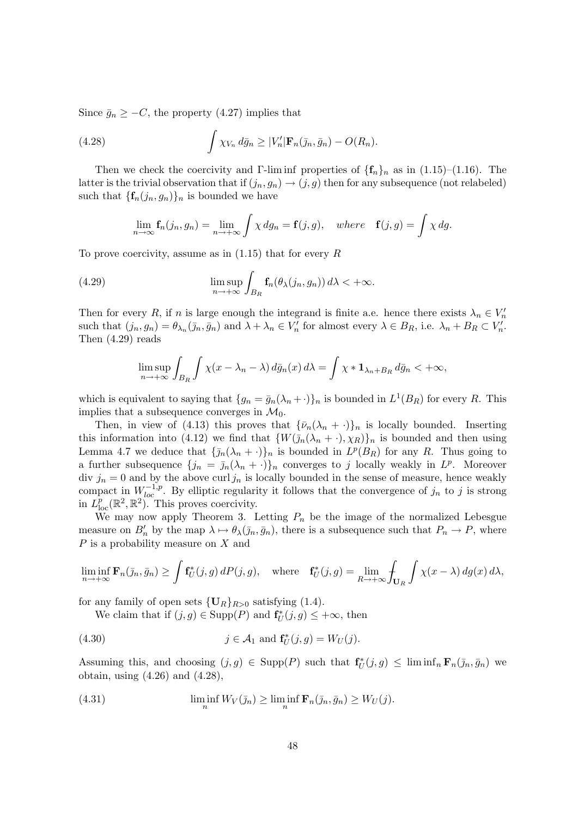Since  $\bar{g}_n \geq -C$ , the property (4.27) implies that

(4.28) 
$$
\int \chi_{V_n} d\bar{g}_n \ge |V'_n| \mathbf{F}_n(\bar{g}_n, \bar{g}_n) - O(R_n).
$$

Then we check the coercivity and Γ-lim inf properties of  $\{f_n\}_n$  as in (1.15)–(1.16). The latter is the trivial observation that if  $(j_n, g_n) \to (j, g)$  then for any subsequence (not relabeled) such that  $\{\mathbf{f}_n(j_n, g_n)\}_n$  is bounded we have

$$
\lim_{n \to \infty} \mathbf{f}_n(j_n, g_n) = \lim_{n \to +\infty} \int \chi \, dg_n = \mathbf{f}(j, g), \quad \text{where} \quad \mathbf{f}(j, g) = \int \chi \, dg.
$$

To prove coercivity, assume as in  $(1.15)$  that for every R

(4.29) 
$$
\limsup_{n \to +\infty} \int_{B_R} \mathbf{f}_n(\theta_\lambda(j_n, g_n)) d\lambda < +\infty.
$$

Then for every R, if n is large enough the integrand is finite a.e. hence there exists  $\lambda_n \in V'_n$ such that  $(j_n, g_n) = \theta_{\lambda_n}(\bar{y}_n, \bar{g}_n)$  and  $\lambda + \lambda_n \in V_n'$  for almost every  $\lambda \in B_R$ , i.e.  $\lambda_n + B_R \subset V_n'$ . Then (4.29) reads

$$
\limsup_{n \to +\infty} \int_{B_R} \int \chi(x - \lambda_n - \lambda) \, d\bar{g}_n(x) \, d\lambda = \int \chi * \mathbf{1}_{\lambda_n + B_R} \, d\bar{g}_n < +\infty,
$$

which is equivalent to saying that  $\{g_n = \bar{g}_n(\lambda_n + \cdot)\}_n$  is bounded in  $L^1(B_R)$  for every R. This implies that a subsequence converges in  $\mathcal{M}_0$ .

Then, in view of (4.13) this proves that  $\{\bar{\nu}_n(\lambda_n + \cdot)\}_n$  is locally bounded. Inserting this information into (4.12) we find that  $\{W(\bar{\jmath}_n(\lambda_n + \cdot), \chi_R)\}_n$  is bounded and then using Lemma 4.7 we deduce that  $\{\bar{j}_n(\lambda_n + \cdot)\}_n$  is bounded in  $L^p(B_R)$  for any R. Thus going to a further subsequence  ${j_n = \bar{j}_n(\lambda_n + \cdot)}_n$  converges to j locally weakly in  $L^p$ . Moreover div  $j_n = 0$  and by the above curl  $j_n$  is locally bounded in the sense of measure, hence weakly compact in  $W_{loc}^{-1,p}$ . By elliptic regularity it follows that the convergence of  $j_n$  to j is strong in  $L_{\text{loc}}^p(\mathbb{R}^2, \mathbb{R}^2)$ . This proves coercivity.

We may now apply Theorem 3. Letting  $P_n$  be the image of the normalized Lebesgue measure on  $B'_n$  by the map  $\lambda \mapsto \theta_\lambda(\bar{j}_n, \bar{g}_n)$ , there is a subsequence such that  $P_n \to P$ , where P is a probability measure on X and

$$
\liminf_{n \to +\infty} \mathbf{F}_n(\bar{\jmath}_n, \bar{g}_n) \ge \int \mathbf{f}_U^*(j, g) dP(j, g), \quad \text{where} \quad \mathbf{f}_U^*(j, g) = \lim_{R \to +\infty} \int_{\mathbf{U}_R} \int \chi(x - \lambda) dg(x) d\lambda,
$$

for any family of open sets  $\{U_R\}_{R>0}$  satisfying (1.4).

We claim that if  $(j, g) \in \text{Supp}(P)$  and  $\mathbf{f}_{U}^{*}(j, g) \leq +\infty$ , then

(4.30) 
$$
j \in \mathcal{A}_1 \text{ and } \mathbf{f}_U^*(j, g) = W_U(j).
$$

Assuming this, and choosing  $(j, g) \in \text{Supp}(P)$  such that  $\mathbf{f}_U^*(j, g) \leq \liminf_n \mathbf{F}_n(\bar{j}_n, \bar{g}_n)$  we obtain, using (4.26) and (4.28),

(4.31) 
$$
\liminf_{n} W_V(\bar{\jmath}_n) \ge \liminf_{n} \mathbf{F}_n(\bar{\jmath}_n, \bar{g}_n) \ge W_U(j).
$$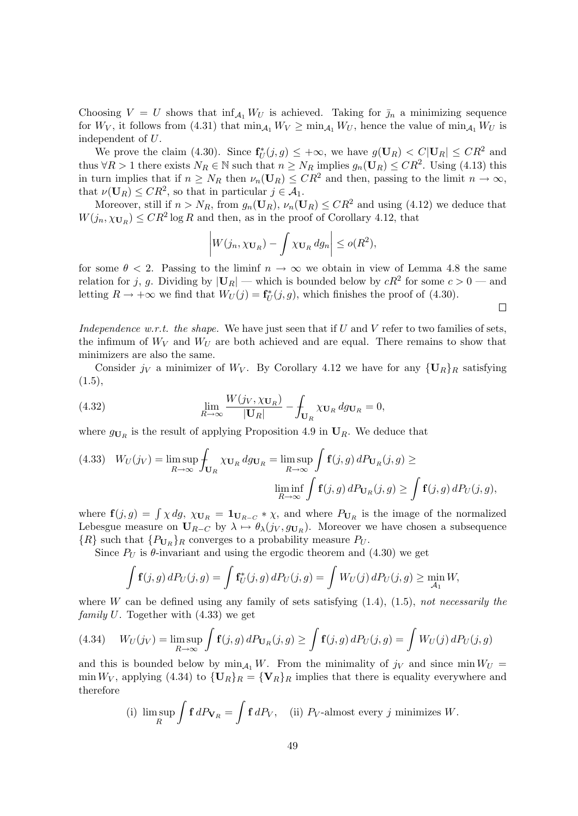Choosing  $V = U$  shows that  $\inf_{\mathcal{A}_1} W_U$  is achieved. Taking for  $\bar{\jmath}_n$  a minimizing sequence for  $W_V$ , it follows from (4.31) that  $\min_{\mathcal{A}_1} W_V \geq \min_{\mathcal{A}_1} W_U$ , hence the value of  $\min_{\mathcal{A}_1} W_U$  is independent of U.

We prove the claim (4.30). Since  $f_U^*(j, g) \leq +\infty$ , we have  $g(U_R) < C|U_R| \leq CR^2$  and thus  $\forall R > 1$  there exists  $N_R \in \mathbb{N}$  such that  $n \ge N_R$  implies  $g_n(\mathbf{U}_R) \le CR^2$ . Using (4.13) this in turn implies that if  $n \geq N_R$  then  $\nu_n(\mathbf{U}_R) \leq CR^2$  and then, passing to the limit  $n \to \infty$ , that  $\nu(\mathbf{U}_R) \leq CR^2$ , so that in particular  $j \in \mathcal{A}_1$ .

Moreover, still if  $n > N_R$ , from  $g_n(\mathbf{U}_R)$ ,  $\nu_n(\mathbf{U}_R) \leq CR^2$  and using (4.12) we deduce that  $W(j_n, \chi_{\mathbf{U}_R}) \leq C R^2 \log R$  and then, as in the proof of Corollary 4.12, that

$$
\left| W(j_n, \chi_{\mathbf{U}_R}) - \int \chi_{\mathbf{U}_R} dg_n \right| \le o(R^2),
$$

for some  $\theta < 2$ . Passing to the liminf  $n \to \infty$  we obtain in view of Lemma 4.8 the same relation for j, g. Dividing by  $|\mathbf{U}_R|$  — which is bounded below by  $cR^2$  for some  $c > 0$  — and letting  $R \to +\infty$  we find that  $W_U(j) = \mathbf{f}_U^*(j, g)$ , which finishes the proof of (4.30).

 $\Box$ 

Independence w.r.t. the shape. We have just seen that if U and V refer to two families of sets, the infimum of  $W_V$  and  $W_U$  are both achieved and are equal. There remains to show that minimizers are also the same.

Consider  $j_V$  a minimizer of  $W_V$ . By Corollary 4.12 we have for any  $\{U_R\}_R$  satisfying  $(1.5),$ 

(4.32) 
$$
\lim_{R \to \infty} \frac{W(j_V, \chi_{\mathbf{U}_R})}{|\mathbf{U}_R|} - \int_{\mathbf{U}_R} \chi_{\mathbf{U}_R} dg_{\mathbf{U}_R} = 0,
$$

where  $g_{U_R}$  is the result of applying Proposition 4.9 in  $U_R$ . We deduce that

(4.33) 
$$
W_U(j_V) = \limsup_{R \to \infty} \int_{\mathbf{U}_R} \chi_{\mathbf{U}_R} dg_{\mathbf{U}_R} = \limsup_{R \to \infty} \int_{\mathbf{f}(j,g)} \mathbf{f}(j,g) dP_{\mathbf{U}_R}(j,g) \ge \liminf_{R \to \infty} \int_{\mathbf{f}(j,g)} \mathbf{f}(j,g) dP_{\mathbf{U}_R}(j,g) \ge \int_{\mathbf{f}(j,g)} \mathbf{f}(j,g) dP_U(j,g),
$$

where  $f(j, g) = \int \chi dg$ ,  $\chi_{U_R} = \mathbf{1}_{U_{R-C}} * \chi$ , and where  $P_{U_R}$  is the image of the normalized Lebesgue measure on  $U_{R-C}$  by  $\lambda \mapsto \theta_{\lambda}(j_V, g_{U_R})$ . Moreover we have chosen a subsequence  $\{R\}$  such that  $\{P_{\mathbf{U}_R}\}_R$  converges to a probability measure  $P_U$ .

Since  $P_U$  is  $\theta$ -invariant and using the ergodic theorem and  $(4.30)$  we get

$$
\int \mathbf{f}(j,g) \, dP_U(j,g) = \int \mathbf{f}_U^*(j,g) \, dP_U(j,g) = \int W_U(j) \, dP_U(j,g) \ge \min_{\mathcal{A}_1} W,
$$

where W can be defined using any family of sets satisfying  $(1.4)$ ,  $(1.5)$ , not necessarily the *family U.* Together with  $(4.33)$  we get

(4.34) 
$$
W_U(j_V) = \limsup_{R \to \infty} \int \mathbf{f}(j,g) dP_{\mathbf{U}_R}(j,g) \ge \int \mathbf{f}(j,g) dP_U(j,g) = \int W_U(j) dP_U(j,g)
$$

and this is bounded below by  $\min_{A_1} W$ . From the minimality of  $j_V$  and since  $\min W_U =$ min  $W_V$ , applying (4.34) to  $\{U_R\}_R = \{V_R\}_R$  implies that there is equality everywhere and therefore

(i) 
$$
\limsup_{R} \int f dP_{V_R} = \int f dP_V
$$
, (ii)  $P_V$ -almost every j minimizes W.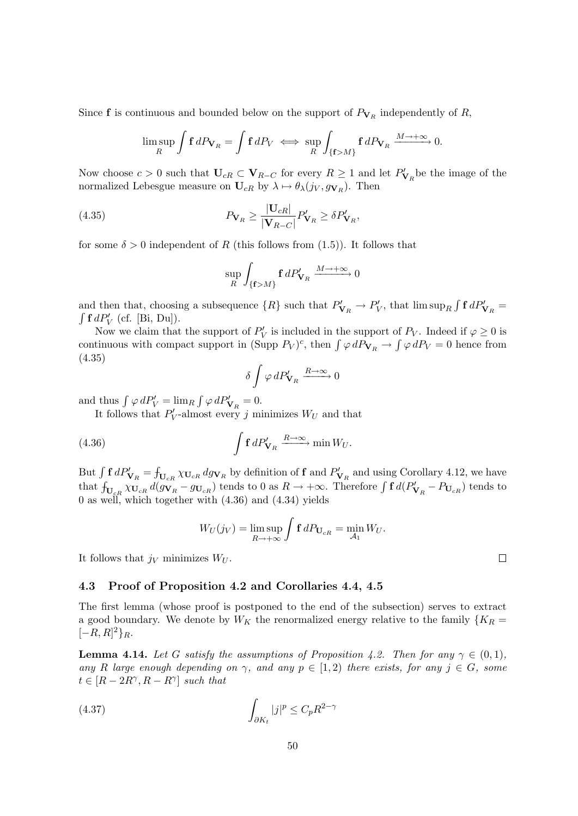Since **f** is continuous and bounded below on the support of  $P_{\mathbf{V}_R}$  independently of R,

$$
\limsup_{R} \int f dP_{\mathbf{V}_R} = \int f dP_V \iff \sup_{R} \int_{\{\mathbf{f} > M\}} \mathbf{f} dP_{\mathbf{V}_R} \xrightarrow{M \to +\infty} 0.
$$

Now choose  $c > 0$  such that  $U_{cR} \subset V_{R-C}$  for every  $R \ge 1$  and let  $P'_{V_R}$  be the image of the normalized Lebesgue measure on  $U_{cR}$  by  $\lambda \mapsto \theta_{\lambda}(j_V, g_{\mathbf{V}_R})$ . Then

(4.35) 
$$
P_{\mathbf{V}_R} \geq \frac{|\mathbf{U}_{cR}|}{|\mathbf{V}_{R-C}|} P'_{\mathbf{V}_R} \geq \delta P'_{\mathbf{V}_R},
$$

for some  $\delta > 0$  independent of R (this follows from (1.5)). It follows that

$$
\sup_{R} \int_{\{\mathbf{f} > M\}} \mathbf{f} \, dP'_{\mathbf{V}_R} \xrightarrow{M \to +\infty} 0
$$

and then that, choosing a subsequence  $\{R\}$  such that  $P'_{\mathbf{V}_R} \to P'_V$ , that  $\limsup_R \int f dP'_{\mathbf{V}_R} =$  $\int \mathbf{f} \, dP'_V$  (cf. [Bi, Du]).

Now we claim that the support of  $P'_V$  is included in the support of  $P_V$ . Indeed if  $\varphi \geq 0$  is continuous with compact support in (Supp  $P_V)^c$ , then  $\int \varphi \, dP_{V_R} \to \int \varphi \, dP_V = 0$  hence from (4.35)

$$
\delta \int \varphi \, dP'_{\mathbf{V}_R} \xrightarrow{R \to \infty} 0
$$

and thus  $\int \varphi \, dP'_V = \lim_R \int \varphi \, dP'_{\mathbf{V}_R} = 0.$ 

It follows that  $P'_V$ -almost every j minimizes  $W_U$  and that

(4.36) 
$$
\int f dP'_{\mathbf{V}_R} \xrightarrow{R \to \infty} \min W_U.
$$

But  $\int f dP'_{\mathbf{V}_R} = \int_{\mathbf{U}_{cR}} \chi_{\mathbf{U}_{cR}} d g_{\mathbf{V}_R}$  by definition of  $f$  and  $P'_{\mathbf{V}_R}$  and using Corollary 4.12, we have that  $f_{\mathbf{U}_{cR}} \chi_{\mathbf{U}_{cR}} d(g_{\mathbf{V}_R} - g_{\mathbf{U}_{cR}})$  tends to 0 as  $R \to +\infty$ . Therefore  $\int f d(P'_{\mathbf{V}_R} - P_{\mathbf{U}_{cR}})$  tends to 0 as well, which together with  $(4.36)$  and  $(4.34)$  yields

$$
W_U(j_V) = \limsup_{R \to +\infty} \int \mathbf{f} \, dP_{\mathbf{U}_{cR}} = \min_{\mathcal{A}_1} W_U.
$$

It follows that  $j_V$  minimizes  $W_U$ .

## 4.3 Proof of Proposition 4.2 and Corollaries 4.4, 4.5

The first lemma (whose proof is postponed to the end of the subsection) serves to extract a good boundary. We denote by  $W_K$  the renormalized energy relative to the family  $\{K_R =$  $[-R, R]^2\}_R.$ 

**Lemma 4.14.** Let G satisfy the assumptions of Proposition 4.2. Then for any  $\gamma \in (0,1)$ , any R large enough depending on  $\gamma$ , and any  $p \in [1,2)$  there exists, for any  $j \in G$ , some  $t \in [R - 2R^{\gamma}, R - R^{\gamma}]$  such that

(4.37) 
$$
\int_{\partial K_t} |j|^p \leq C_p R^{2-\gamma}
$$

 $\Box$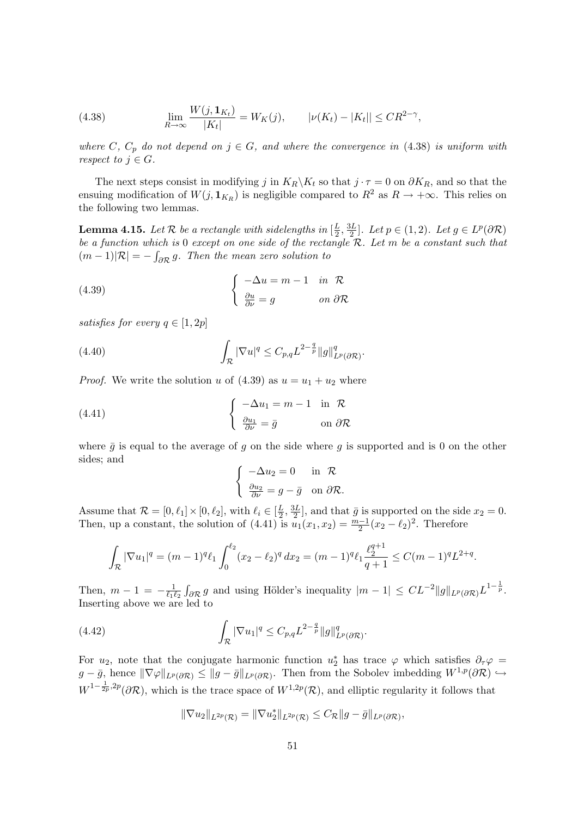(4.38) 
$$
\lim_{R \to \infty} \frac{W(j, \mathbf{1}_{K_t})}{|K_t|} = W_K(j), \qquad |\nu(K_t) - |K_t|| \leq C R^{2-\gamma},
$$

where C,  $C_p$  do not depend on  $j \in G$ , and where the convergence in (4.38) is uniform with respect to  $j \in G$ .

The next steps consist in modifying j in  $K_R\backslash K_t$  so that  $j \cdot \tau = 0$  on  $\partial K_R$ , and so that the ensuing modification of  $W(j, 1<sub>K<sub>R</sub></sub>)$  is negligible compared to  $R<sup>2</sup>$  as  $R \to +\infty$ . This relies on the following two lemmas.

**Lemma 4.15.** Let  $\mathcal{R}$  be a rectangle with sidelengths in  $\left[\frac{L}{2}\right]$  $\frac{L}{2}, \frac{3L}{2}$  $\frac{\partial L}{2}$ . Let  $p \in (1, 2)$ . Let  $g \in L^p(\partial \mathcal{R})$ be a function which is 0 except on one side of the rectangle  $\mathcal{R}$ . Let m be a constant such that  $(m-1)|\mathcal{R}| = -\int_{\partial \mathcal{R}} g$ . Then the mean zero solution to

(4.39) 
$$
\begin{cases} -\Delta u = m - 1 & \text{in } \mathcal{R} \\ \frac{\partial u}{\partial \nu} = g & \text{on } \partial \mathcal{R} \end{cases}
$$

satisfies for every  $q \in [1, 2p]$ 

(4.40) 
$$
\int_{\mathcal{R}} |\nabla u|^q \leq C_{p,q} L^{2-\frac{q}{p}} \|g\|_{L^p(\partial \mathcal{R})}^q.
$$

*Proof.* We write the solution u of  $(4.39)$  as  $u = u_1 + u_2$  where

(4.41) 
$$
\begin{cases} -\Delta u_1 = m - 1 & \text{in } \mathcal{R} \\ \frac{\partial u_1}{\partial \nu} = \bar{g} & \text{on } \partial \mathcal{R} \end{cases}
$$

where  $\bar{g}$  is equal to the average of g on the side where g is supported and is 0 on the other sides; and

$$
\begin{cases}\n-\Delta u_2 = 0 & \text{in } \mathcal{R} \\
\frac{\partial u_2}{\partial \nu} = g - \bar{g} & \text{on } \partial \mathcal{R}.\n\end{cases}
$$

Assume that  $\mathcal{R} = [0, \ell_1] \times [0, \ell_2]$ , with  $\ell_i \in [\frac{L}{2}]$  $\frac{L}{2}, \frac{3L}{2}$  $\frac{3L}{2}$ , and that  $\bar{g}$  is supported on the side  $x_2 = 0$ . Then, up a constant, the solution of  $(4.41)$  is  $u_1(x_1, x_2) = \frac{m-1}{2}(x_2 - \ell_2)^2$ . Therefore

$$
\int_{\mathcal{R}} |\nabla u_1|^q = (m-1)^q \ell_1 \int_0^{\ell_2} (x_2 - \ell_2)^q dx_2 = (m-1)^q \ell_1 \frac{\ell_2^{q+1}}{q+1} \le C(m-1)^q L^{2+q}.
$$

Then,  $m-1 = -\frac{1}{\ell_1 l}$  $\frac{1}{\ell_1\ell_2} \int_{\partial \mathcal{R}} g$  and using Hölder's inequality  $|m-1| \leq CL^{-2} ||g||_{L^p(\partial \mathcal{R})} L^{1-\frac{1}{p}}$ . Inserting above we are led to

(4.42) 
$$
\int_{\mathcal{R}} |\nabla u_1|^q \leq C_{p,q} L^{2-\frac{q}{p}} \|g\|_{L^p(\partial \mathcal{R})}^q.
$$

For  $u_2$ , note that the conjugate harmonic function  $u_2^*$  has trace  $\varphi$  which satisfies  $\partial_{\tau}\varphi =$  $g - \bar{g}$ , hence  $\|\nabla \varphi\|_{L^p(\partial \mathcal{R})} \leq \|g - \bar{g}\|_{L^p(\partial \mathcal{R})}$ . Then from the Sobolev imbedding  $W^{1,p}(\partial \mathcal{R}) \hookrightarrow$  $W^{1-\frac{1}{2p},2p}(\partial \mathcal{R})$ , which is the trace space of  $W^{1,2p}(\mathcal{R})$ , and elliptic regularity it follows that

$$
\|\nabla u_2\|_{L^{2p}(\mathcal{R})}=\|\nabla u_2^*\|_{L^{2p}(\mathcal{R})}\leq C_{\mathcal{R}}\|g-\bar{g}\|_{L^p(\partial\mathcal{R})},
$$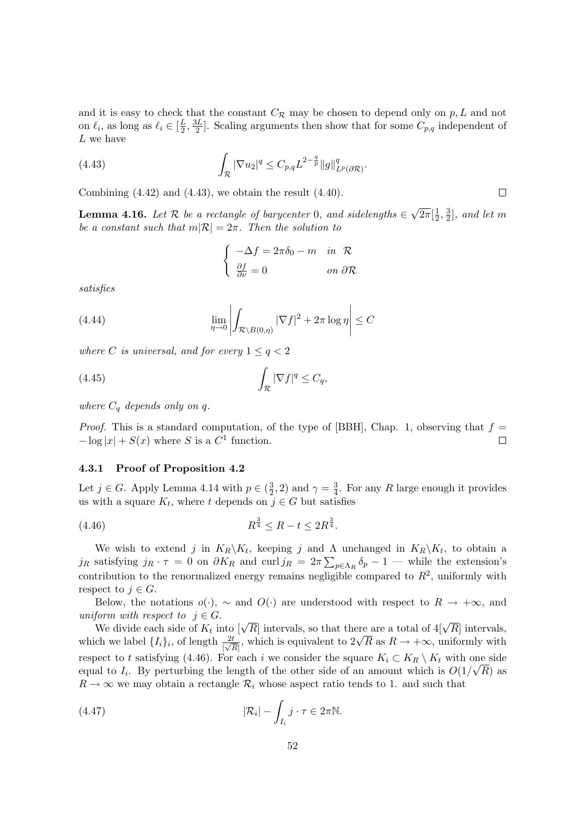and it is easy to check that the constant  $C_{\mathcal{R}}$  may be chosen to depend only on p, L and not on  $\ell_i$ , as long as  $\ell_i \in [\frac{L}{2}]$  $\frac{L}{2}, \frac{3L}{2}$  $\frac{3L}{2}$ . Scaling arguments then show that for some  $C_{p,q}$  independent of L we have

(4.43) 
$$
\int_{\mathcal{R}} |\nabla u_2|^q \leq C_{p,q} L^{2-\frac{q}{p}} \|g\|_{L^p(\partial \mathcal{R})}^q.
$$

Combining (4.42) and (4.43), we obtain the result (4.40).

**Lemma 4.16.** Let  $\mathcal{R}$  be a rectangle of barycenter 0, and sidelengths  $\in$ √  $\overline{2\pi}[\frac{1}{2}]$  $\frac{1}{2}, \frac{3}{2}$  $\frac{3}{2}$ , and let m be a constant such that  $m|\mathcal{R}| = 2\pi$ . Then the solution to

$$
\begin{cases}\n-\Delta f = 2\pi \delta_0 - m & \text{in } \mathcal{R} \\
\frac{\partial f}{\partial \nu} = 0 & \text{on } \partial \mathcal{R}\n\end{cases}
$$

satisfies

(4.44) 
$$
\lim_{\eta \to 0} \left| \int_{\mathcal{R} \setminus B(0,\eta)} |\nabla f|^2 + 2\pi \log \eta \right| \leq C
$$

where C is universal, and for every  $1 \le q < 2$ 

$$
(4.45)\qquad \qquad \int_{\mathcal{R}} |\nabla f|^q \leq C_q,
$$

where  $C_q$  depends only on q.

*Proof.* This is a standard computation, of the type of [BBH], Chap. 1, observing that  $f =$  $-\log|x| + S(x)$  where S is a  $C^1$  function.  $\Box$ 

#### 4.3.1 Proof of Proposition 4.2

Let  $j \in G$ . Apply Lemma 4.14 with  $p \in \left(\frac{3}{2}\right)$  $(\frac{3}{2}, 2)$  and  $\gamma = \frac{3}{4}$  $\frac{3}{4}$ . For any R large enough it provides us with a square  $K_t$ , where t depends on  $j \in G$  but satisfies

$$
(4.46) \t\t R^{\frac{3}{4}} \le R - t \le 2R^{\frac{3}{4}}.
$$

We wish to extend j in  $K_R \backslash K_t$ , keeping j and  $\Lambda$  unchanged in  $K_R \backslash K_t$ , to obtain a  $j_R$  satisfying  $j_R \cdot \tau = 0$  on  $\partial K_R$  and  $\text{curl } j_R = 2\pi \sum_{p \in \Lambda_R} \delta_p - 1$  — while the extension's contribution to the renormalized energy remains negligible compared to  $R^2$ , uniformly with respect to  $j \in G$ .

Below, the notations  $o(\cdot)$ ,  $\sim$  and  $O(\cdot)$  are understood with respect to  $R \to +\infty$ , and uniform with respect to  $j \in G$ .

form with respect to  $j \in G$ .<br>We divide each side of  $K_t$  into  $[\sqrt{R}]$  intervals, so that there are a total of  $4[\sqrt{R}]$  intervals, we divide each side of  $\mathcal{A}_t$  into [ $\sqrt{\mathcal{R}}$ ] intervals, so that there are a total or 4[ $\sqrt{\mathcal{R}}$ ] intervals,<br>which we label  $\{I_i\}_i$ , of length  $\frac{2t}{|\sqrt{\mathcal{R}}|}$ , which is equivalent to  $2\sqrt{\mathcal{R}}$  as  $\mathcal{R} \to +\$ respect to t satisfying (4.46). For each i we consider the square  $K_i \subset K_R \setminus K_t$  with one side equal to  $I_i$ . By perturbing the length of the other side of an amount which is  $O(1/\sqrt{R})$  as  $R \to \infty$  we may obtain a rectangle  $\mathcal{R}_i$  whose aspect ratio tends to 1. and such that

(4.47) 
$$
|\mathcal{R}_i| - \int_{I_i} j \cdot \tau \in 2\pi \mathbb{N}.
$$

 $\Box$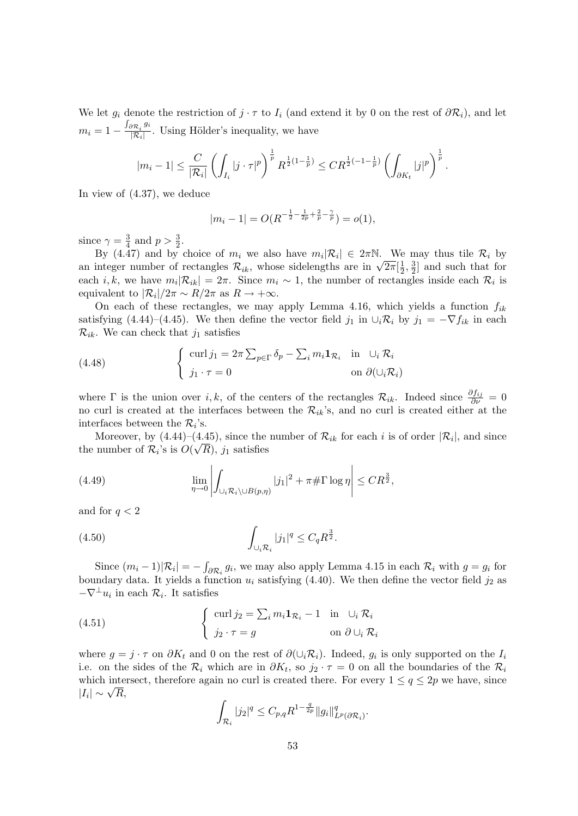We let  $g_i$  denote the restriction of  $j \cdot \tau$  to  $I_i$  (and extend it by 0 on the rest of  $\partial \mathcal{R}_i$ ), and let  $m_i = 1 - \frac{\int_{\partial \mathcal{R}_i} g_i}{|\mathcal{R}_i|}$  $\frac{\partial \mathcal{R}_i^{(3)}}{\partial \mathcal{R}_i}$ . Using Hölder's inequality, we have

$$
|m_i - 1| \le \frac{C}{|\mathcal{R}_i|} \left( \int_{I_i} |j \cdot \tau|^p \right)^{\frac{1}{p}} R^{\frac{1}{2}(1 - \frac{1}{p})} \le C R^{\frac{1}{2}(-1 - \frac{1}{p})} \left( \int_{\partial K_t} |j|^p \right)^{\frac{1}{p}}.
$$

In view of (4.37), we deduce

$$
|m_i - 1| = O(R^{-\frac{1}{2} - \frac{1}{2p} + \frac{2}{p} - \frac{\gamma}{p}}) = o(1),
$$

since  $\gamma = \frac{3}{4}$  $\frac{3}{4}$  and  $p > \frac{3}{2}$ .

By (4.47) and by choice of  $m_i$  we also have  $m_i|\mathcal{R}_i| \in 2\pi\mathbb{N}$ . We may thus tile  $\mathcal{R}_i$  by by (4.4*t*) and by choice of  $m_i$  we also have  $m_i | \kappa_i | \in 2\pi$  is. We an integer number of rectangles  $\mathcal{R}_{ik}$ , whose sidelengths are in  $\sqrt{2\pi}[\frac{1}{2}]$  $\frac{1}{2}, \frac{3}{2}$  $\frac{3}{2}$  and such that for each *i*, *k*, we have  $m_i|\mathcal{R}_{ik}| = 2\pi$ . Since  $m_i \sim 1$ , the number of rectangles inside each  $\mathcal{R}_i$  is equivalent to  $\frac{|R_i|}{2\pi} \sim R/2\pi$  as  $R \to +\infty$ .

On each of these rectangles, we may apply Lemma 4.16, which yields a function  $f_{ik}$ satisfying (4.44)–(4.45). We then define the vector field  $j_1$  in  $\cup_i \mathcal{R}_i$  by  $j_1 = -\nabla f_{ik}$  in each  $\mathcal{R}_{ik}$ . We can check that  $j_1$  satisfies

(4.48) 
$$
\begin{cases} \operatorname{curl} j_1 = 2\pi \sum_{p \in \Gamma} \delta_p - \sum_i m_i \mathbf{1}_{\mathcal{R}_i} & \text{in } \cup_i \mathcal{R}_i \\ j_1 \cdot \tau = 0 & \text{on } \partial(\cup_i \mathcal{R}_i) \end{cases}
$$

where  $\Gamma$  is the union over i, k, of the centers of the rectangles  $\mathcal{R}_{ik}$ . Indeed since  $\frac{\partial f_{ij}}{\partial \nu} = 0$ no curl is created at the interfaces between the  $\mathcal{R}_{ik}$ 's, and no curl is created either at the interfaces between the  $\mathcal{R}_i$ 's.

Moreover, by  $(4.44)$ – $(4.45)$ , since the number of  $\mathcal{R}_{ik}$  for each i is of order  $|\mathcal{R}_i|$ , and since the number of  $\mathcal{R}_i$ 's is  $O(\sqrt{R})$ , j<sub>1</sub> satisfies

(4.49) 
$$
\lim_{\eta \to 0} \left| \int_{\bigcup_i \mathcal{R}_i \setminus \bigcup B(p,\eta)} |j_1|^2 + \pi \# \Gamma \log \eta \right| \leq C R^{\frac{3}{2}},
$$

and for  $q < 2$ 

(4.50) 
$$
\int_{\cup_i \mathcal{R}_i} |j_1|^q \leq C_q R^{\frac{3}{2}}.
$$

Since  $(m_i - 1)|\mathcal{R}_i| = -\int_{\partial \mathcal{R}_i} g_i$ , we may also apply Lemma 4.15 in each  $\mathcal{R}_i$  with  $g = g_i$  for boundary data. It yields a function  $u_i$  satisfying (4.40). We then define the vector field  $j_2$  as  $-\nabla^{\perp} u_i$  in each  $\mathcal{R}_i$ . It satisfies

(4.51) 
$$
\begin{cases} \operatorname{curl} j_2 = \sum_i m_i \mathbf{1}_{\mathcal{R}_i} - 1 & \text{in } \cup_i \mathcal{R}_i \\ j_2 \cdot \tau = g & \text{on } \partial \cup_i \mathcal{R}_i \end{cases}
$$

where  $g = j \cdot \tau$  on  $\partial K_t$  and 0 on the rest of  $\partial (\cup_i \mathcal{R}_i)$ . Indeed,  $g_i$  is only supported on the  $I_i$ i.e. on the sides of the  $\mathcal{R}_i$  which are in  $\partial K_t$ , so  $j_2 \cdot \tau = 0$  on all the boundaries of the  $\mathcal{R}_i$ which intersect, therefore again no curl is created there. For every  $1 \le q \le 2p$  we have, since which intervals  $|I_i| \sim \sqrt{R}$ ,

$$
\int_{\mathcal{R}_i} |j_2|^q \leq C_{p,q} R^{1-\frac{q}{2p}} \|g_i\|_{L^p(\partial \mathcal{R}_i)}^q.
$$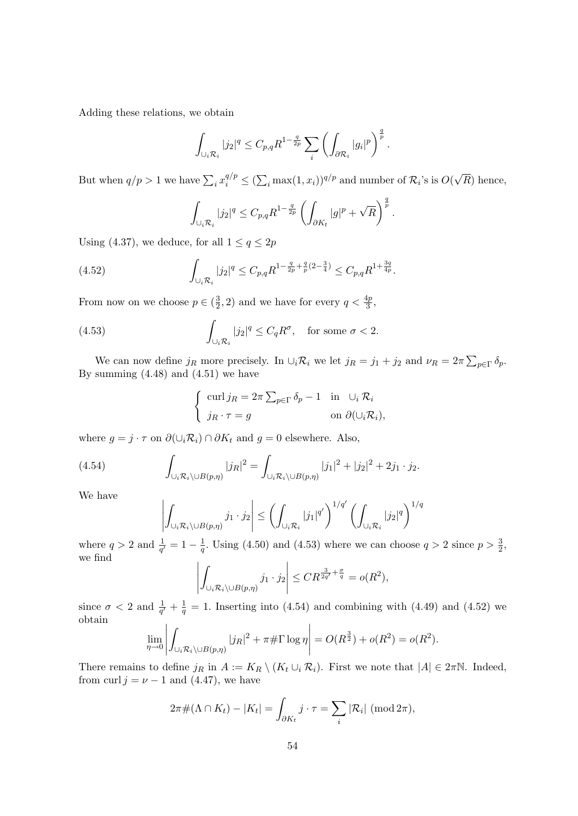Adding these relations, we obtain

$$
\int_{\cup_i \mathcal{R}_i} |j_2|^q \leq C_{p,q} R^{1-\frac{q}{2p}} \sum_i \left( \int_{\partial \mathcal{R}_i} |g_i|^p \right)^{\frac{q}{p}}.
$$

But when  $q/p > 1$  we have  $\sum_i x_i^{q/p} \leq (\sum_i \max(1, x_i))^{q/p}$  and number of  $\mathcal{R}_i$ 's is  $O(n)$ √ R) hence,

$$
\int_{\bigcup_i \mathcal{R}_i} |j_2|^q \leq C_{p,q} R^{1-\frac{q}{2p}} \left( \int_{\partial K_t} |g|^p + \sqrt{R} \right)^{\frac{q}{p}}.
$$

Using (4.37), we deduce, for all  $1 \le q \le 2p$ 

(4.52) 
$$
\int_{\bigcup_i \mathcal{R}_i} |j_2|^q \leq C_{p,q} R^{1 - \frac{q}{2p} + \frac{q}{p}(2 - \frac{3}{4})} \leq C_{p,q} R^{1 + \frac{3q}{4p}}.
$$

From now on we choose  $p \in (\frac{3}{2})$  $(\frac{3}{2}, 2)$  and we have for every  $q < \frac{4p}{3}$ ,

(4.53) 
$$
\int_{\cup_i \mathcal{R}_i} |j_2|^q \leq C_q R^{\sigma}, \text{ for some } \sigma < 2.
$$

We can now define  $j_R$  more precisely. In  $\cup_i \mathcal{R}_i$  we let  $j_R = j_1 + j_2$  and  $\nu_R = 2\pi \sum_{p \in \Gamma} \delta_p$ . By summing  $(4.48)$  and  $(4.51)$  we have

$$
\begin{cases} \operatorname{curl} j_R = 2\pi \sum_{p \in \Gamma} \delta_p - 1 & \text{in } \cup_i \mathcal{R}_i \\ j_R \cdot \tau = g & \text{on } \partial(\cup_i \mathcal{R}_i), \end{cases}
$$

where  $g = j \cdot \tau$  on  $\partial(\cup_i \mathcal{R}_i) \cap \partial K_t$  and  $g = 0$  elsewhere. Also,

(4.54) 
$$
\int_{\bigcup_i \mathcal{R}_i \setminus \bigcup B(p,\eta)} |j_R|^2 = \int_{\bigcup_i \mathcal{R}_i \setminus \bigcup B(p,\eta)} |j_1|^2 + |j_2|^2 + 2j_1 \cdot j_2.
$$

We have

$$
\left|\int_{\bigcup_i \mathcal{R}_i \setminus \bigcup B(p,\eta)} j_1 \cdot j_2 \right| \le \left(\int_{\bigcup_i \mathcal{R}_i} |j_1|^{q'}\right)^{1/q'} \left(\int_{\bigcup_i \mathcal{R}_i} |j_2|^q\right)^{1/q'}
$$

where  $q > 2$  and  $\frac{1}{q'} = 1 - \frac{1}{q}$  $\frac{1}{q}$ . Using (4.50) and (4.53) where we can choose  $q > 2$  since  $p > \frac{3}{2}$ , we find

$$
\left| \int_{\bigcup_i \mathcal{R}_i \setminus \bigcup B(p,\eta)} j_1 \cdot j_2 \right| \leq C R^{\frac{3}{2q'} + \frac{\sigma}{q}} = o(R^2),
$$

since  $\sigma < 2$  and  $\frac{1}{q'} + \frac{1}{q}$  $\frac{1}{q}$  = 1. Inserting into (4.54) and combining with (4.49) and (4.52) we obtain

$$
\lim_{\eta \to 0} \left| \int_{\cup_i \mathcal{R}_i \setminus \cup B(p,\eta)} |j_R|^2 + \pi \# \Gamma \log \eta \right| = O(R^{\frac{3}{2}}) + o(R^2) = o(R^2).
$$

There remains to define  $j_R$  in  $A := K_R \setminus (K_t \cup_i \mathcal{R}_i)$ . First we note that  $|A| \in 2\pi\mathbb{N}$ . Indeed, from curl  $j = \nu - 1$  and (4.47), we have

$$
2\pi\#(\Lambda\cap K_t) - |K_t| = \int_{\partial K_t} j \cdot \tau = \sum_i |\mathcal{R}_i| \; (\text{mod } 2\pi),
$$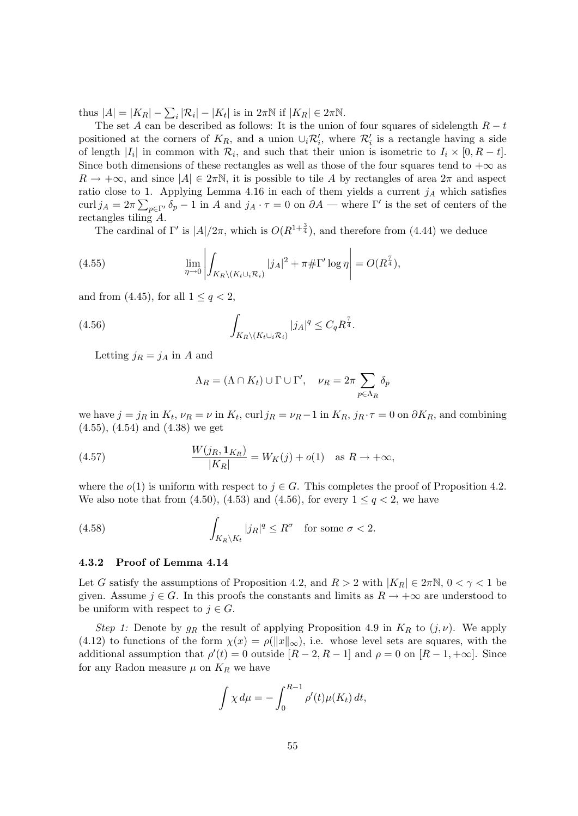thus  $|A| = |K_R| - \sum_i |\mathcal{R}_i| - |K_t|$  is in  $2\pi \mathbb{N}$  if  $|K_R| \in 2\pi \mathbb{N}$ .

The set A can be described as follows: It is the union of four squares of sidelength  $R - t$ positioned at the corners of  $K_R$ , and a union  $\cup_i \mathcal{R}'_i$ , where  $\mathcal{R}'_i$  is a rectangle having a side of length  $|I_i|$  in common with  $\mathcal{R}_i$ , and such that their union is isometric to  $I_i \times [0, R - t]$ . Since both dimensions of these rectangles as well as those of the four squares tend to  $+\infty$  as  $R \to +\infty$ , and since  $|A| \in 2\pi\mathbb{N}$ , it is possible to tile A by rectangles of area  $2\pi$  and aspect ratio close to 1. Applying Lemma 4.16 in each of them yields a current  $j_A$  which satisfies curl  $j_A = 2\pi \sum_{p \in \Gamma'} \delta_p - 1$  in A and  $j_A \cdot \tau = 0$  on  $\partial A$  — where  $\Gamma'$  is the set of centers of the rectangles tiling A.

The cardinal of  $\Gamma'$  is  $|A|/2\pi$ , which is  $O(R^{1+\frac{3}{4}})$ , and therefore from (4.44) we deduce

(4.55) 
$$
\lim_{\eta \to 0} \left| \int_{K_R \setminus (K_t \cup_i \mathcal{R}_i)} |j_A|^2 + \pi \# \Gamma' \log \eta \right| = O(R^{\frac{7}{4}}),
$$

and from (4.45), for all  $1 \leq q < 2$ ,

(4.56) 
$$
\int_{K_R \setminus (K_t \cup_i \mathcal{R}_i)} |j_A|^q \leq C_q R^{\frac{7}{4}}.
$$

Letting  $j_R = j_A$  in A and

$$
\Lambda_R = (\Lambda \cap K_t) \cup \Gamma \cup \Gamma', \quad \nu_R = 2\pi \sum_{p \in \Lambda_R} \delta_p
$$

we have  $j = j_R$  in  $K_t$ ,  $\nu_R = \nu$  in  $K_t$ , curl  $j_R = \nu_R - 1$  in  $K_R$ ,  $j_R \cdot \tau = 0$  on  $\partial K_R$ , and combining (4.55), (4.54) and (4.38) we get

(4.57) 
$$
\frac{W(j_R, \mathbf{1}_{K_R})}{|K_R|} = W_K(j) + o(1) \quad \text{as } R \to +\infty,
$$

where the  $o(1)$  is uniform with respect to  $j \in G$ . This completes the proof of Proposition 4.2. We also note that from (4.50), (4.53) and (4.56), for every  $1 \leq q < 2$ , we have

(4.58) 
$$
\int_{K_R \backslash K_t} |j_R|^q \leq R^{\sigma} \text{ for some } \sigma < 2.
$$

## 4.3.2 Proof of Lemma 4.14

Let G satisfy the assumptions of Proposition 4.2, and  $R > 2$  with  $|K_R| \in 2\pi N$ ,  $0 < \gamma < 1$  be given. Assume  $j \in G$ . In this proofs the constants and limits as  $R \to +\infty$  are understood to be uniform with respect to  $j \in G$ .

Step 1: Denote by  $g_R$  the result of applying Proposition 4.9 in  $K_R$  to  $(j, \nu)$ . We apply (4.12) to functions of the form  $\chi(x) = \rho(||x||_{\infty})$ , i.e. whose level sets are squares, with the additional assumption that  $\rho'(t) = 0$  outside  $[R-2, R-1]$  and  $\rho = 0$  on  $[R-1, +\infty]$ . Since for any Radon measure  $\mu$  on  $K_R$  we have

$$
\int \chi d\mu = -\int_0^{R-1} \rho'(t)\mu(K_t) dt,
$$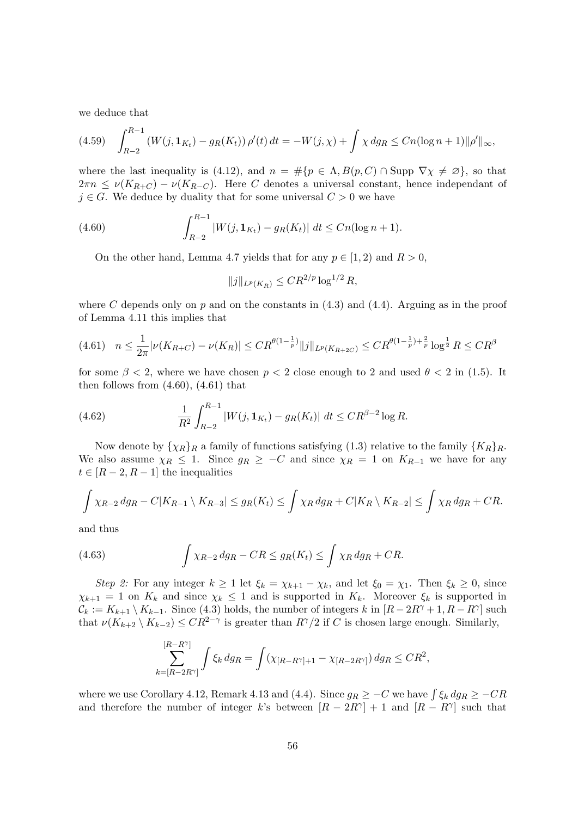we deduce that

$$
(4.59) \quad \int_{R-2}^{R-1} \left( W(j, \mathbf{1}_{K_t}) - g_R(K_t) \right) \rho'(t) \, dt = -W(j, \chi) + \int \chi \, dg_R \le Cn(\log n + 1) \|\rho'\|_{\infty},
$$

where the last inequality is (4.12), and  $n = \#\{p \in \Lambda, B(p, C) \cap \text{Supp } \nabla \chi \neq \emptyset\}$ , so that  $2\pi n \leq \nu(K_{R+C}) - \nu(K_{R-C})$ . Here C denotes a universal constant, hence independant of  $j \in G$ . We deduce by duality that for some universal  $C > 0$  we have

(4.60) 
$$
\int_{R-2}^{R-1} |W(j, \mathbf{1}_{K_t}) - g_R(K_t)| \ dt \le Cn(\log n + 1).
$$

On the other hand, Lemma 4.7 yields that for any  $p \in [1, 2)$  and  $R > 0$ ,

$$
||j||_{L^p(K_R)} \leq C R^{2/p} \log^{1/2} R,
$$

where C depends only on p and on the constants in  $(4.3)$  and  $(4.4)$ . Arguing as in the proof of Lemma 4.11 this implies that

$$
(4.61) \quad n \le \frac{1}{2\pi} |\nu(K_{R+C}) - \nu(K_R)| \le CR^{\theta(1-\frac{1}{p})} ||j||_{L^p(K_{R+2C})} \le CR^{\theta(1-\frac{1}{p}) + \frac{2}{p}} \log^{\frac{1}{2}} R \le CR^{\beta}
$$

for some  $\beta$  < 2, where we have chosen  $p < 2$  close enough to 2 and used  $\theta < 2$  in (1.5). It then follows from  $(4.60)$ ,  $(4.61)$  that

(4.62) 
$$
\frac{1}{R^2} \int_{R-2}^{R-1} |W(j, \mathbf{1}_{K_t}) - g_R(K_t)| \, dt \leq C R^{\beta - 2} \log R.
$$

Now denote by  $\{\chi_R\}_R$  a family of functions satisfying (1.3) relative to the family  $\{K_R\}_R$ . We also assume  $\chi_R \leq 1$ . Since  $g_R \geq -C$  and since  $\chi_R = 1$  on  $K_{R-1}$  we have for any  $t \in [R-2, R-1]$  the inequalities

$$
\int \chi_{R-2} dg_R - C|K_{R-1} \setminus K_{R-3}| \le g_R(K_t) \le \int \chi_R dg_R + C|K_R \setminus K_{R-2}| \le \int \chi_R dg_R + CR.
$$

and thus

(4.63) 
$$
\int \chi_{R-2} dg_R - CR \leq g_R(K_t) \leq \int \chi_R dg_R + CR.
$$

Step 2: For any integer  $k \ge 1$  let  $\xi_k = \chi_{k+1} - \chi_k$ , and let  $\xi_0 = \chi_1$ . Then  $\xi_k \ge 0$ , since  $\chi_{k+1} = 1$  on  $K_k$  and since  $\chi_k \leq 1$  and is supported in  $K_k$ . Moreover  $\xi_k$  is supported in  $\mathcal{C}_k := K_{k+1} \setminus K_{k-1}$ . Since (4.3) holds, the number of integers k in  $[R - 2R^{\gamma} + 1, R - R^{\gamma}]$  such that  $\nu(K_{k+2} \setminus K_{k-2}) \leq CR^{2-\gamma}$  is greater than  $R^{\gamma}/2$  if C is chosen large enough. Similarly,

$$
\sum_{k=[R-2R^{\gamma}]}^{[R-R^{\gamma}]} \int \xi_k \, dg_R = \int (\chi_{[R-R^{\gamma}]+1} - \chi_{[R-2R^{\gamma}]}) \, dg_R \leq CR^2,
$$

where we use Corollary 4.12, Remark 4.13 and (4.4). Since  $g_R \geq -C$  we have  $\int \xi_k dg_R \geq -CR$ and therefore the number of integer k's between  $[R - 2R^{\gamma}] + 1$  and  $[R - R^{\gamma}]$  such that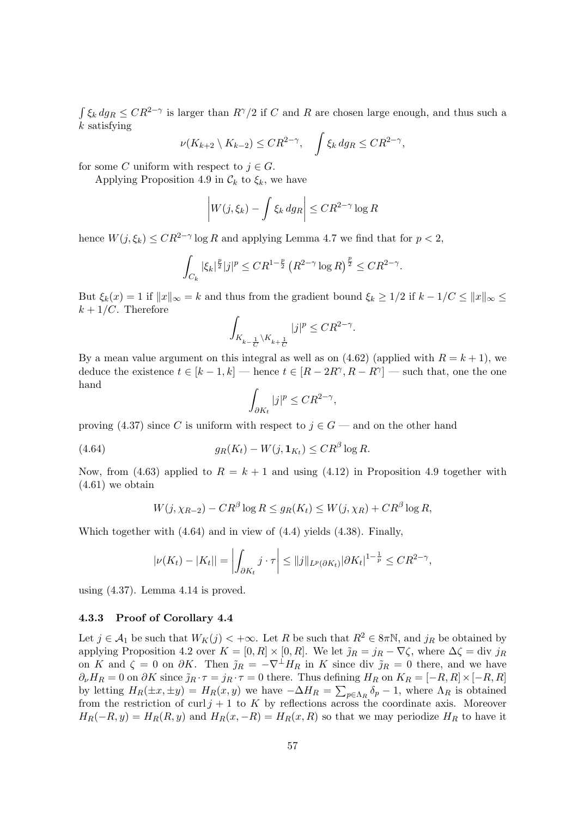$\int \xi_k dg_R \leq CR^{2-\gamma}$  is larger than  $R^{\gamma}/2$  if C and R are chosen large enough, and thus such a  $k$  satisfying

$$
\nu(K_{k+2} \setminus K_{k-2}) \leq CR^{2-\gamma}, \quad \int \xi_k \, dg_R \leq CR^{2-\gamma},
$$

for some C uniform with respect to  $j \in G$ .

Applying Proposition 4.9 in  $\mathcal{C}_k$  to  $\xi_k$ , we have

$$
\left| W(j, \xi_k) - \int \xi_k \, dg_R \right| \leq C R^{2-\gamma} \log R
$$

hence  $W(j, \xi_k) \leq C R^{2-\gamma} \log R$  and applying Lemma 4.7 we find that for  $p < 2$ ,

$$
\int_{C_k} |\xi_k|^{\frac{p}{2}} |j|^p \leq C R^{1-\frac{p}{2}} \left( R^{2-\gamma} \log R \right)^{\frac{p}{2}} \leq C R^{2-\gamma}.
$$

But  $\xi_k(x) = 1$  if  $||x||_{\infty} = k$  and thus from the gradient bound  $\xi_k \geq 1/2$  if  $k - 1/C \leq ||x||_{\infty} \leq$  $k + 1/C$ . Therefore

$$
\int_{K_{k-\frac{1}{C}}\backslash K_{k+\frac{1}{C}}}|j|^p\leq CR^{2-\gamma}.
$$

By a mean value argument on this integral as well as on  $(4.62)$  (applied with  $R = k + 1$ ), we deduce the existence  $t \in [k-1, k]$  — hence  $t \in [R - 2R^{\gamma}, R - R^{\gamma}]$  — such that, one the one hand

$$
\int_{\partial K_t} |j|^p \leq C R^{2-\gamma},
$$

proving (4.37) since C is uniform with respect to  $j \in G$  — and on the other hand

(4.64) 
$$
g_R(K_t) - W(j, \mathbf{1}_{K_t}) \leq C R^{\beta} \log R.
$$

Now, from (4.63) applied to  $R = k + 1$  and using (4.12) in Proposition 4.9 together with (4.61) we obtain

$$
W(j, \chi_{R-2}) - CR^{\beta} \log R \le g_R(K_t) \le W(j, \chi_R) + CR^{\beta} \log R,
$$

Which together with (4.64) and in view of (4.4) yields (4.38). Finally,

$$
|\nu(K_t) - |K_t|| = \left| \int_{\partial K_t} j \cdot \tau \right| \le ||j||_{L^p(\partial K_t)} |\partial K_t|^{1-\frac{1}{p}} \le C R^{2-\gamma},
$$

using (4.37). Lemma 4.14 is proved.

## 4.3.3 Proof of Corollary 4.4

Let  $j \in A_1$  be such that  $W_K(j) < +\infty$ . Let R be such that  $R^2 \in 8\pi\mathbb{N}$ , and  $j_R$  be obtained by applying Proposition 4.2 over  $K = [0, R] \times [0, R]$ . We let  $\tilde{\jmath}_R = j_R - \nabla \zeta$ , where  $\Delta \zeta = \text{div } j_R$ on K and  $\zeta = 0$  on  $\partial K$ . Then  $\tilde{\jmath}_R = -\nabla^{\perp} H_R$  in K since div  $\tilde{\jmath}_R = 0$  there, and we have  $\partial_{\nu}H_R = 0$  on  $\partial K$  since  $\tilde{j}_R \cdot \tau = j_R \cdot \tau = 0$  there. Thus defining  $H_R$  on  $K_R = [-R, R] \times [-R, R]$ by letting  $H_R(\pm x, \pm y) = H_R(x, y)$  we have  $-\Delta H_R = \sum_{p \in \Lambda_R} \delta_p - 1$ , where  $\Lambda_R$  is obtained from the restriction of curl  $j + 1$  to K by reflections across the coordinate axis. Moreover  $H_R(-R, y) = H_R(R, y)$  and  $H_R(x, -R) = H_R(x, R)$  so that we may periodize  $H_R$  to have it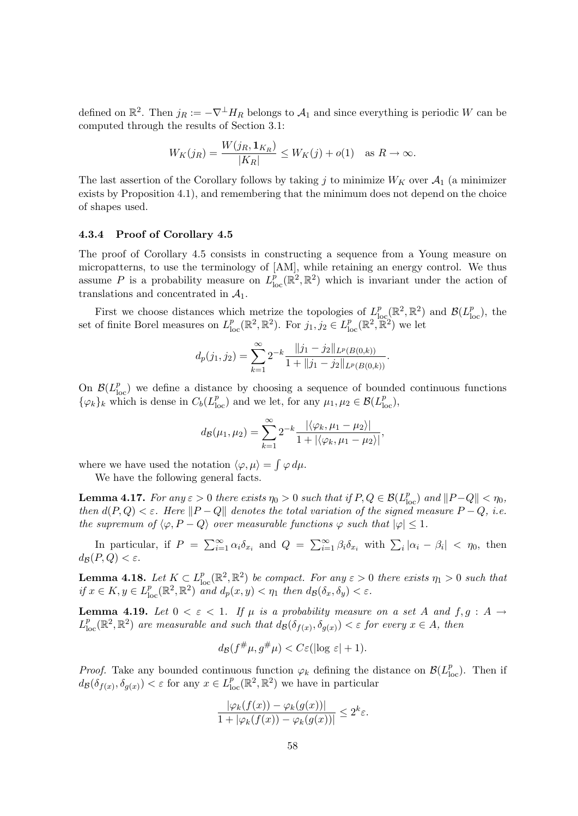defined on  $\mathbb{R}^2$ . Then  $j_R := -\nabla^{\perp} H_R$  belongs to  $\mathcal{A}_1$  and since everything is periodic W can be computed through the results of Section 3.1:

$$
W_K(j_R) = \frac{W(j_R, \mathbf{1}_{K_R})}{|K_R|} \le W_K(j) + o(1) \quad \text{as } R \to \infty.
$$

The last assertion of the Corollary follows by taking j to minimize  $W_K$  over  $\mathcal{A}_1$  (a minimizer exists by Proposition 4.1), and remembering that the minimum does not depend on the choice of shapes used.

## 4.3.4 Proof of Corollary 4.5

The proof of Corollary 4.5 consists in constructing a sequence from a Young measure on micropatterns, to use the terminology of [AM], while retaining an energy control. We thus assume P is a probability measure on  $L_{\text{loc}}^p(\mathbb{R}^2, \mathbb{R}^2)$  which is invariant under the action of translations and concentrated in  $A_1$ .

First we choose distances which metrize the topologies of  $L^p_{\text{loc}}(\mathbb{R}^2, \mathbb{R}^2)$  and  $\mathcal{B}(L^p_{\text{loc}})$ , the set of finite Borel measures on  $L_{\text{loc}}^p(\mathbb{R}^2, \mathbb{R}^2)$ . For  $j_1, j_2 \in L_{\text{loc}}^p(\mathbb{R}^2, \mathbb{R}^2)$  we let

$$
d_p(j_1, j_2) = \sum_{k=1}^{\infty} 2^{-k} \frac{\|j_1 - j_2\|_{L^p(B(0,k))}}{1 + \|j_1 - j_2\|_{L^p(B(0,k))}}.
$$

On  $\mathcal{B}(L_{\text{loc}}^p)$  we define a distance by choosing a sequence of bounded continuous functions  $\{\varphi_k\}_k$  which is dense in  $C_b(L_{\text{loc}}^p)$  and we let, for any  $\mu_1, \mu_2 \in \mathcal{B}(L_{\text{loc}}^p)$ ,

$$
d_{\mathcal{B}}(\mu_1, \mu_2) = \sum_{k=1}^{\infty} 2^{-k} \frac{|\langle \varphi_k, \mu_1 - \mu_2 \rangle|}{1 + |\langle \varphi_k, \mu_1 - \mu_2 \rangle|},
$$

where we have used the notation  $\langle \varphi, \mu \rangle = \int \varphi \, d\mu$ .

We have the following general facts.

**Lemma 4.17.** For any  $\varepsilon > 0$  there exists  $\eta_0 > 0$  such that if  $P, Q \in \mathcal{B}(L^p_{loc})$  and  $||P-Q|| < \eta_0$ , then  $d(P,Q) < \varepsilon$ . Here  $||P-Q||$  denotes the total variation of the signed measure  $P-Q$ , i.e. the supremum of  $\langle \varphi, P - Q \rangle$  over measurable functions  $\varphi$  such that  $|\varphi| \leq 1$ .

In particular, if  $P = \sum_{i=1}^{\infty} \alpha_i \delta_{x_i}$  and  $Q = \sum_{i=1}^{\infty} \beta_i \delta_{x_i}$  with  $\sum_i |\alpha_i - \beta_i| < \eta_0$ , then  $d_{\mathcal{B}}(P,Q) < \varepsilon$ .

**Lemma 4.18.** Let  $K \subset L^p_{loc}(\mathbb{R}^2, \mathbb{R}^2)$  be compact. For any  $\varepsilon > 0$  there exists  $\eta_1 > 0$  such that if  $x \in K$ ,  $y \in L^p_{loc}(\mathbb{R}^2, \mathbb{R}^2)$  and  $d_p(x, y) < \eta_1$  then  $d_{\mathcal{B}}(\delta_x, \delta_y) < \varepsilon$ .

**Lemma 4.19.** Let  $0 < \varepsilon < 1$ . If  $\mu$  is a probability measure on a set A and  $f, g : A \rightarrow$  $L_{\text{loc}}^p(\mathbb{R}^2, \mathbb{R}^2)$  are measurable and such that  $d_{\mathcal{B}}(\delta_{f(x)}, \delta_{g(x)}) < \varepsilon$  for every  $x \in A$ , then

$$
d_{\mathcal{B}}(f^{\#}\mu, g^{\#}\mu) < C\varepsilon(\log \varepsilon + 1).
$$

*Proof.* Take any bounded continuous function  $\varphi_k$  defining the distance on  $\mathcal{B}(L_{\text{loc}}^p)$ . Then if  $d_{\mathcal{B}}(\delta_{f(x)}, \delta_{g(x)}) < \varepsilon$  for any  $x \in L^p_{loc}(\mathbb{R}^2, \mathbb{R}^2)$  we have in particular

$$
\frac{|\varphi_k(f(x)) - \varphi_k(g(x))|}{1 + |\varphi_k(f(x)) - \varphi_k(g(x))|} \le 2^k \varepsilon.
$$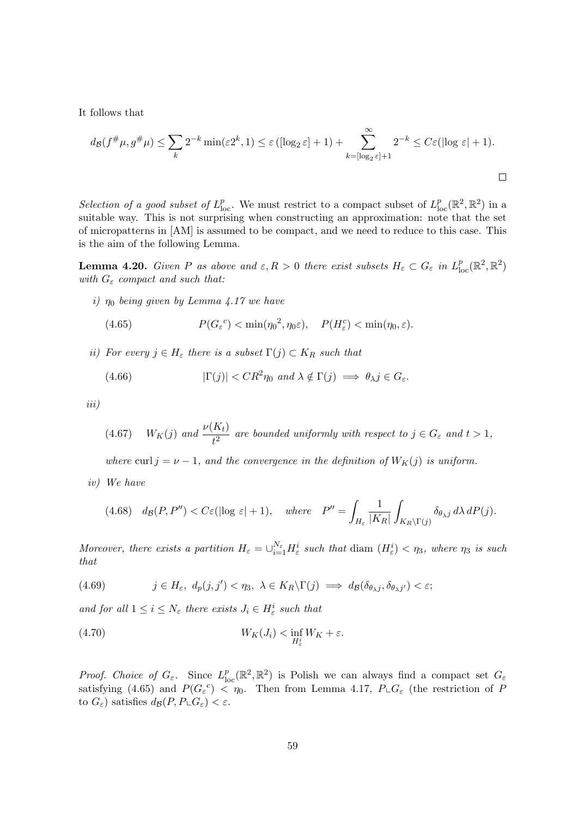It follows that

$$
d_{\mathcal{B}}(f^{\#}\mu, g^{\#}\mu) \leq \sum_{k} 2^{-k} \min(\varepsilon 2^{k}, 1) \leq \varepsilon \left( [\log_{2} \varepsilon] + 1 \right) + \sum_{k = [\log_{2} \varepsilon] + 1}^{\infty} 2^{-k} \leq C \varepsilon (\log \varepsilon + 1).
$$

Selection of a good subset of  $L_{loc}^p$ . We must restrict to a compact subset of  $L_{loc}^p(\mathbb{R}^2, \mathbb{R}^2)$  in a suitable way. This is not surprising when constructing an approximation: note that the set of micropatterns in [AM] is assumed to be compact, and we need to reduce to this case. This is the aim of the following Lemma.

**Lemma 4.20.** Given P as above and  $\varepsilon, R > 0$  there exist subsets  $H_{\varepsilon} \subset G_{\varepsilon}$  in  $L_{\text{loc}}^p(\mathbb{R}^2, \mathbb{R}^2)$ with  $G_{\varepsilon}$  compact and such that:

i)  $\eta_0$  being given by Lemma 4.17 we have

(4.65) 
$$
P(G_{\varepsilon}^{c}) < \min(\eta_{0}^{2}, \eta_{0}\varepsilon), \quad P(H_{\varepsilon}^{c}) < \min(\eta_{0}, \varepsilon).
$$

ii) For every  $j \in H_{\varepsilon}$  there is a subset  $\Gamma(j) \subset K_R$  such that

(4.66) 
$$
|\Gamma(j)| < CR^2 \eta_0 \text{ and } \lambda \notin \Gamma(j) \implies \theta_{\lambda} j \in G_{\varepsilon}.
$$

iii)

(4.67) 
$$
W_K(j)
$$
 and  $\frac{\nu(K_t)}{t^2}$  are bounded uniformly with respect to  $j \in G_{\varepsilon}$  and  $t > 1$ ,

where curl  $j = \nu - 1$ , and the convergence in the definition of  $W_K(j)$  is uniform.

iv) We have

$$
(4.68)\quad d_{\mathcal{B}}(P,P'') < C\varepsilon(|\log \varepsilon|+1), \quad where \quad P'' = \int_{H_{\varepsilon}} \frac{1}{|K_R|} \int_{K_R \backslash \Gamma(j)} \delta_{\theta_{\lambda} j} d\lambda \, dP(j).
$$

Moreover, there exists a partition  $H_{\varepsilon} = \bigcup_{i=1}^{N_{\varepsilon}} H_{\varepsilon}^i$  such that diam  $(H_{\varepsilon}^i) < \eta_3$ , where  $\eta_3$  is such that

(4.69) 
$$
j \in H_{\varepsilon}, d_p(j, j') < \eta_3, \ \lambda \in K_R \backslash \Gamma(j) \implies d_{\mathcal{B}}(\delta_{\theta, j}, \delta_{\theta, j'}) < \varepsilon;
$$

and for all  $1 \leq i \leq N_{\varepsilon}$  there exists  $J_i \in H_{\varepsilon}^i$  such that

(4.70) 
$$
W_K(J_i) < \inf_{H^i_\varepsilon} W_K + \varepsilon.
$$

*Proof.* Choice of  $G_{\varepsilon}$ . Since  $L_{loc}^p(\mathbb{R}^2, \mathbb{R}^2)$  is Polish we can always find a compact set  $G_{\varepsilon}$ satisfying (4.65) and  $P(G_{\varepsilon}^c) < \eta_0$ . Then from Lemma 4.17,  $P_{\perp}G_{\varepsilon}$  (the restriction of F to  $G_{\varepsilon}$ ) satisfies  $d_{\mathcal{B}}(P, P \sqcup G_{\varepsilon}) < \varepsilon$ .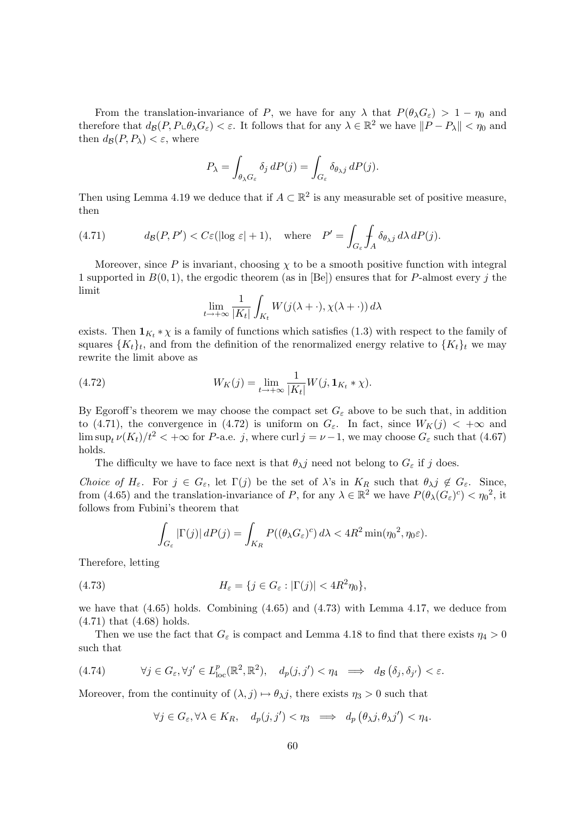From the translation-invariance of P, we have for any  $\lambda$  that  $P(\theta_\lambda G_\varepsilon) > 1 - \eta_0$  and therefore that  $d_{\mathcal{B}}(P, P \cup \theta_{\lambda} G_{\varepsilon}) < \varepsilon$ . It follows that for any  $\lambda \in \mathbb{R}^2$  we have  $||P - P_{\lambda}|| < \eta_0$  and then  $d_{\mathcal{B}}(P, P_{\lambda}) < \varepsilon$ , where

$$
P_{\lambda} = \int_{\theta_{\lambda}G_{\varepsilon}} \delta_j dP(j) = \int_{G_{\varepsilon}} \delta_{\theta_{\lambda}j} dP(j).
$$

Then using Lemma 4.19 we deduce that if  $A \subset \mathbb{R}^2$  is any measurable set of positive measure, then

(4.71) 
$$
d_{\mathcal{B}}(P, P') < C\varepsilon(\log \varepsilon | + 1), \quad \text{where} \quad P' = \int_{G_{\varepsilon}} \int_{A} \delta_{\theta_{\lambda}j} \, d\lambda \, dP(j).
$$

Moreover, since P is invariant, choosing  $\chi$  to be a smooth positive function with integral 1 supported in  $B(0,1)$ , the ergodic theorem (as in [Be]) ensures that for P-almost every j the limit

$$
\lim_{t \to +\infty} \frac{1}{|K_t|} \int_{K_t} W(j(\lambda + \cdot), \chi(\lambda + \cdot)) d\lambda
$$

exists. Then  $\mathbf{1}_{K_t} * \chi$  is a family of functions which satisfies (1.3) with respect to the family of squares  $\{K_t\}_t$ , and from the definition of the renormalized energy relative to  $\{K_t\}_t$  we may rewrite the limit above as

(4.72) 
$$
W_K(j) = \lim_{t \to +\infty} \frac{1}{|K_t|} W(j, \mathbf{1}_{K_t} * \chi).
$$

By Egoroff's theorem we may choose the compact set  $G_{\varepsilon}$  above to be such that, in addition to (4.71), the convergence in (4.72) is uniform on  $G_{\varepsilon}$ . In fact, since  $W_K(j) < +\infty$  and  $\limsup_{t} \nu(K_t)/t^2 < +\infty$  for P-a.e. j, where curl  $j = \nu - 1$ , we may choose  $G_{\varepsilon}$  such that (4.67) holds.

The difficulty we have to face next is that  $\theta_{\lambda}j$  need not belong to  $G_{\varepsilon}$  if j does.

Choice of  $H_{\varepsilon}$ . For  $j \in G_{\varepsilon}$ , let  $\Gamma(j)$  be the set of  $\lambda$ 's in  $K_R$  such that  $\theta_{\lambda} j \notin G_{\varepsilon}$ . Since, from (4.65) and the translation-invariance of P, for any  $\lambda \in \mathbb{R}^2$  we have  $P(\theta_\lambda(G_\varepsilon)^c) < \eta_0^2$ , it follows from Fubini's theorem that

$$
\int_{G_{\varepsilon}} |\Gamma(j)| dP(j) = \int_{K_R} P((\theta_{\lambda} G_{\varepsilon})^c) d\lambda < 4R^2 \min(\eta_0^2, \eta_0 \varepsilon).
$$

Therefore, letting

(4.73) 
$$
H_{\varepsilon} = \{j \in G_{\varepsilon} : |\Gamma(j)| < 4R^2 \eta_0\},
$$

we have that  $(4.65)$  holds. Combining  $(4.65)$  and  $(4.73)$  with Lemma 4.17, we deduce from (4.71) that (4.68) holds.

Then we use the fact that  $G_{\varepsilon}$  is compact and Lemma 4.18 to find that there exists  $\eta_4 > 0$ such that

(4.74) 
$$
\forall j \in G_{\varepsilon}, \forall j' \in L_{\text{loc}}^p(\mathbb{R}^2, \mathbb{R}^2), \quad d_p(j, j') < \eta_4 \implies d_B(\delta_j, \delta_{j'}) < \varepsilon.
$$

Moreover, from the continuity of  $(\lambda, j) \mapsto \theta_{\lambda} j$ , there exists  $\eta_3 > 0$  such that

$$
\forall j \in G_{\varepsilon}, \forall \lambda \in K_R, \quad d_p(j, j') < \eta_3 \implies d_p(\theta_\lambda j, \theta_\lambda j') < \eta_4.
$$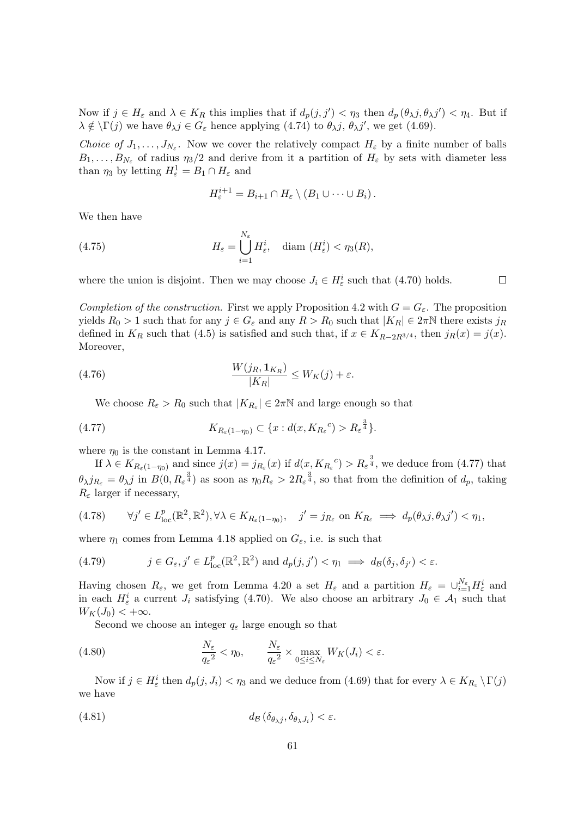Now if  $j \in H_{\varepsilon}$  and  $\lambda \in K_R$  this implies that if  $d_p(j, j') < \eta_3$  then  $d_p(\theta_\lambda j, \theta_\lambda j') < \eta_4$ . But if  $\lambda \notin \Gamma(j)$  we have  $\theta_{\lambda} j \in G_{\varepsilon}$  hence applying  $(4.74)$  to  $\theta_{\lambda} j$ ,  $\theta_{\lambda} j'$ , we get  $(4.69)$ .

Choice of  $J_1, \ldots, J_{N_\varepsilon}$ . Now we cover the relatively compact  $H_\varepsilon$  by a finite number of balls  $B_1, \ldots, B_{N_\varepsilon}$  of radius  $\eta_3/2$  and derive from it a partition of  $H_\varepsilon$  by sets with diameter less than  $\eta_3$  by letting  $H_{\varepsilon}^1 = B_1 \cap H_{\varepsilon}$  and

$$
H_{\varepsilon}^{i+1} = B_{i+1} \cap H_{\varepsilon} \setminus (B_1 \cup \cdots \cup B_i).
$$

We then have

(4.75) 
$$
H_{\varepsilon} = \bigcup_{i=1}^{N_{\varepsilon}} H_{\varepsilon}^i, \quad \text{diam } (H_{\varepsilon}^i) < \eta_3(R),
$$

where the union is disjoint. Then we may choose  $J_i \in H^i_{\varepsilon}$  such that (4.70) holds.

Completion of the construction. First we apply Proposition 4.2 with  $G = G_{\varepsilon}$ . The proposition yields  $R_0 > 1$  such that for any  $j \in G_\varepsilon$  and any  $R > R_0$  such that  $|K_R| \in 2\pi N$  there exists  $j_R$ defined in  $K_R$  such that (4.5) is satisfied and such that, if  $x \in K_{R-2R^{3/4}}$ , then  $j_R(x) = j(x)$ . Moreover,

(4.76) 
$$
\frac{W(j_R, \mathbf{1}_{K_R})}{|K_R|} \le W_K(j) + \varepsilon.
$$

We choose  $R_{\varepsilon} > R_0$  such that  $|K_{R_{\varepsilon}}| \in 2\pi\mathbb{N}$  and large enough so that

(4.77) 
$$
K_{R_{\varepsilon}(1-\eta_0)} \subset \{x: d(x, K_{R_{\varepsilon}}^{\qquad c}) > R_{\varepsilon}^{\frac{3}{4}}\}.
$$

where  $\eta_0$  is the constant in Lemma 4.17.

If  $\lambda \in K_{R_{\varepsilon}(1-\eta_0)}$  and since  $j(x) = j_{R_{\varepsilon}}(x)$  if  $d(x, K_{R_{\varepsilon}}^c) > R_{\varepsilon}^{\frac{3}{4}}$ , we deduce from (4.77) that  $\theta_{\lambda} j_{R_{\varepsilon}} = \theta_{\lambda} j$  in  $B(0, R_{\varepsilon}^{\frac{3}{4}})$  as soon as  $\eta_0 R_{\varepsilon} > 2R_{\varepsilon}^{\frac{3}{4}}$ , so that from the definition of  $d_p$ , taking  $R_{\varepsilon}$  larger if necessary,

$$
(4.78) \quad \forall j' \in L_{\text{loc}}^p(\mathbb{R}^2, \mathbb{R}^2), \forall \lambda \in K_{R_{\varepsilon}(1-\eta_0)}, \quad j' = j_{R_{\varepsilon}} \text{ on } K_{R_{\varepsilon}} \implies d_p(\theta_\lambda j, \theta_\lambda j') < \eta_1,
$$

where  $\eta_1$  comes from Lemma 4.18 applied on  $G_{\varepsilon}$ , i.e. is such that

(4.79) 
$$
j \in G_{\varepsilon}, j' \in L^p_{loc}(\mathbb{R}^2, \mathbb{R}^2) \text{ and } d_p(j, j') < \eta_1 \implies d_{\mathcal{B}}(\delta_j, \delta_{j'}) < \varepsilon.
$$

Having chosen  $R_{\varepsilon}$ , we get from Lemma 4.20 a set  $H_{\varepsilon}$  and a partition  $H_{\varepsilon} = \bigcup_{i=1}^{N_{\varepsilon}} H_{\varepsilon}^{i}$  and in each  $H_{\varepsilon}^{i}$  a current  $J_{i}$  satisfying (4.70). We also choose an arbitrary  $J_{0} \in \mathcal{A}_{1}$  such that  $W_K(J_0) < +\infty$ .

Second we choose an integer  $q_{\varepsilon}$  large enough so that

(4.80) 
$$
\frac{N_{\varepsilon}}{q_{\varepsilon}^{2}} < \eta_{0}, \qquad \frac{N_{\varepsilon}}{q_{\varepsilon}^{2}} \times \max_{0 \le i \le N_{\varepsilon}} W_{K}(J_{i}) < \varepsilon.
$$

Now if  $j \in H_{\varepsilon}^i$  then  $d_p(j, J_i) < \eta_3$  and we deduce from (4.69) that for every  $\lambda \in K_{R_{\varepsilon}} \setminus \Gamma(j)$ we have

$$
(4.81) \t\t d_B(\delta_{\theta_{\lambda}j}, \delta_{\theta_{\lambda}J_i}) < \varepsilon.
$$

 $\Box$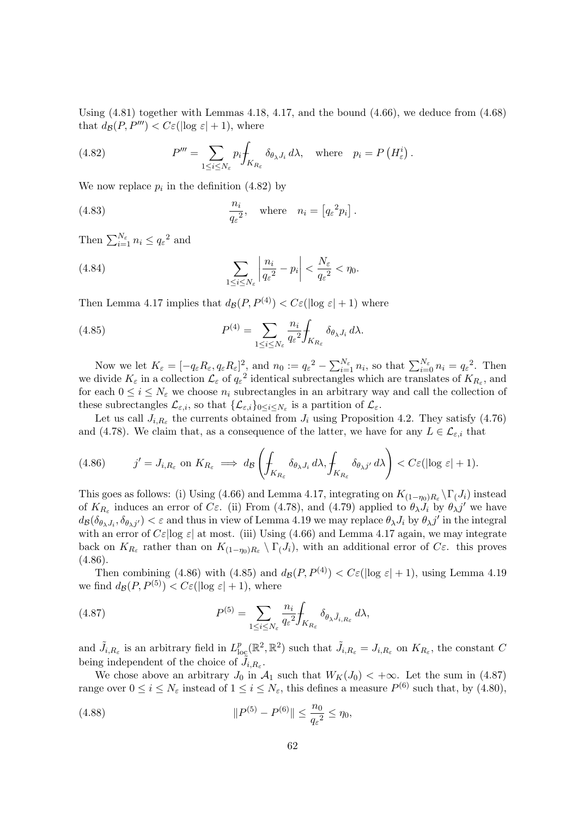Using  $(4.81)$  together with Lemmas 4.18, 4.17, and the bound  $(4.66)$ , we deduce from  $(4.68)$ that  $d_{\mathcal{B}}(P, P^{\prime\prime\prime}) < C \varepsilon(|\log \varepsilon| + 1)$ , where

(4.82) 
$$
P''' = \sum_{1 \leq i \leq N_{\varepsilon}} p_i \int_{K_{R_{\varepsilon}}} \delta_{\theta_{\lambda} J_i} d\lambda, \text{ where } p_i = P\left(H_{\varepsilon}^i\right).
$$

We now replace  $p_i$  in the definition (4.82) by

(4.83) 
$$
\frac{n_i}{q_{\varepsilon}^2}, \quad \text{where} \quad n_i = \left[ q_{\varepsilon}^2 p_i \right].
$$

Then  $\sum_{i=1}^{N_{\varepsilon}} n_i \leq q_{\varepsilon}^2$  and

(4.84) 
$$
\sum_{1 \leq i \leq N_{\varepsilon}} \left| \frac{n_i}{q_{\varepsilon}^2} - p_i \right| < \frac{N_{\varepsilon}}{q_{\varepsilon}^2} < \eta_0.
$$

Then Lemma 4.17 implies that  $d_{\mathcal{B}}(P, P^{(4)}) < C \varepsilon(|\log \varepsilon| + 1)$  where

(4.85) 
$$
P^{(4)} = \sum_{1 \leq i \leq N_{\varepsilon}} \frac{n_i}{q_{\varepsilon}^2} \int_{K_{R_{\varepsilon}}} \delta_{\theta_{\lambda} J_i} d\lambda.
$$

Now we let  $K_{\varepsilon} = [-q_{\varepsilon}R_{\varepsilon}, q_{\varepsilon}R_{\varepsilon}]^2$ , and  $n_0 := q_{\varepsilon}^2 - \sum_{i=1}^{N_{\varepsilon}} n_i$ , so that  $\sum_{i=0}^{N_{\varepsilon}} n_i = q_{\varepsilon}^2$ . Then we divide  $K_{\varepsilon}$  in a collection  $\mathcal{L}_{\varepsilon}$  of  $q_{\varepsilon}^2$  identical subrectangles which are translates of  $K_{R_{\varepsilon}}$ , and for each  $0 \leq i \leq N_{\varepsilon}$  we choose  $n_i$  subrectangles in an arbitrary way and call the collection of these subrectangles  $\mathcal{L}_{\varepsilon,i}$ , so that  $\{\mathcal{L}_{\varepsilon,i}\}_{0\leq i\leq N_{\varepsilon}}$  is a partition of  $\mathcal{L}_{\varepsilon}$ .

Let us call  $J_{i,R_{\varepsilon}}$  the currents obtained from  $J_i$  using Proposition 4.2. They satisfy (4.76) and (4.78). We claim that, as a consequence of the latter, we have for any  $L \in \mathcal{L}_{\varepsilon,i}$  that

$$
(4.86) \t j' = J_{i,R_{\varepsilon}} \text{ on } K_{R_{\varepsilon}} \implies d_{\mathcal{B}} \left( \int_{K_{R_{\varepsilon}}} \delta_{\theta_{\lambda} J_i} d\lambda, \int_{K_{R_{\varepsilon}}} \delta_{\theta_{\lambda} j'} d\lambda \right) < C \varepsilon (\log \varepsilon + 1).
$$

This goes as follows: (i) Using (4.66) and Lemma 4.17, integrating on  $K_{(1-\eta_0)R_\varepsilon} \backslash \Gamma(J_i)$  instead of  $K_{R_{\varepsilon}}$  induces an error of C $\varepsilon$ . (ii) From (4.78), and (4.79) applied to  $\theta_{\lambda} J_i$  by  $\theta_{\lambda} j'$  we have  $d_{\mathcal{B}}(\delta_{\theta_{\lambda},J_i},\delta_{\theta_{\lambda},j'}) < \varepsilon$  and thus in view of Lemma 4.19 we may replace  $\theta_{\lambda},J_i$  by  $\theta_{\lambda},j'$  in the integral with an error of  $C\varepsilon$  |log  $\varepsilon$ | at most. (iii) Using (4.66) and Lemma 4.17 again, we may integrate back on  $K_{R_{\varepsilon}}$  rather than on  $K_{(1-\eta_0)R_{\varepsilon}} \setminus \Gamma(J_i)$ , with an additional error of  $C_{\varepsilon}$ . this proves  $(4.86).$ 

Then combining (4.86) with (4.85) and  $d_{\mathcal{B}}(P, P^{(4)}) < C_{\varepsilon}(\log \varepsilon + 1)$ , using Lemma 4.19 we find  $d_{\mathcal{B}}(P, P^{(5)}) < C \varepsilon(|\log \varepsilon| + 1)$ , where

(4.87) 
$$
P^{(5)} = \sum_{1 \leq i \leq N_{\varepsilon}} \frac{n_i}{q_{\varepsilon}^2} \int_{K_{R_{\varepsilon}}} \delta_{\theta_{\lambda} \tilde{J}_{i, R_{\varepsilon}}} d\lambda,
$$

and  $\tilde{J}_{i,R_{\varepsilon}}$  is an arbitrary field in  $L_{\text{loc}}^p(\mathbb{R}^2, \mathbb{R}^2)$  such that  $\tilde{J}_{i,R_{\varepsilon}} = J_{i,R_{\varepsilon}}$  on  $K_{R_{\varepsilon}}$ , the constant C being independent of the choice of  $\tilde{J}_{i,R_{\varepsilon}}$ .

We chose above an arbitrary  $J_0$  in  $\mathcal{A}_1$  such that  $W_K(J_0) < +\infty$ . Let the sum in (4.87) range over  $0 \le i \le N_{\varepsilon}$  instead of  $1 \le i \le N_{\varepsilon}$ , this defines a measure  $P^{(6)}$  such that, by (4.80),

(4.88) 
$$
||P^{(5)} - P^{(6)}|| \leq \frac{n_0}{q_{\varepsilon}^2} \leq \eta_0,
$$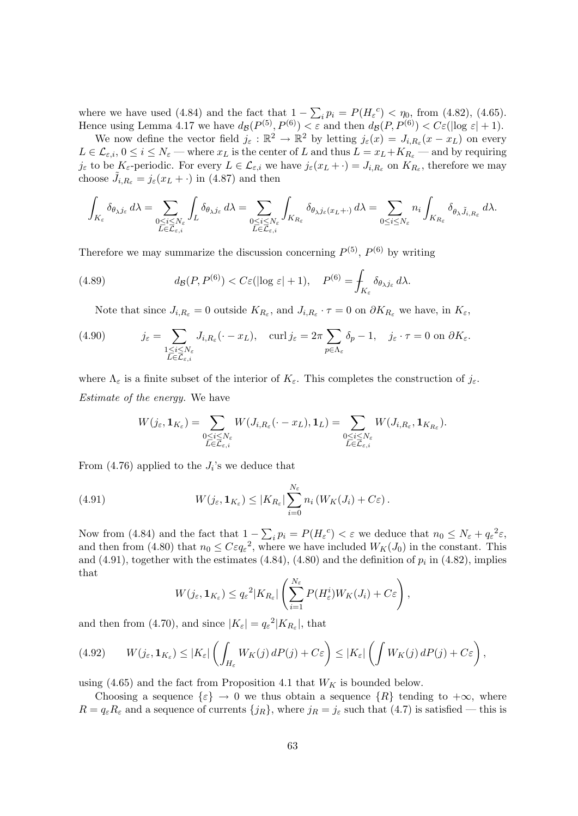where we have used (4.84) and the fact that  $1 - \sum_i p_i = P(H_\varepsilon^c) < \eta_0$ , from (4.82), (4.65). Hence using Lemma 4.17 we have  $d_{\mathcal{B}}(P^{(5)}, P^{(6)}) < \varepsilon$  and then  $d_{\mathcal{B}}(P, P^{(6)}) < C\varepsilon(\log \varepsilon + 1)$ .

We now define the vector field  $j_{\varepsilon}: \mathbb{R}^2 \to \mathbb{R}^2$  by letting  $j_{\varepsilon}(x) = J_{i,R_{\varepsilon}}(x-x_L)$  on every  $L \in \mathcal{L}_{\varepsilon,i}, 0 \leq i \leq N_{\varepsilon}$  — where  $x_L$  is the center of L and thus  $L = x_L + K_{R_{\varepsilon}}$  — and by requiring  $j_{\varepsilon}$  to be  $K_{\varepsilon}$ -periodic. For every  $L \in \mathcal{L}_{\varepsilon,i}$  we have  $j_{\varepsilon}(x_L + \cdot) = J_{i,R_{\varepsilon}}$  on  $K_{R_{\varepsilon}}$ , therefore we may choose  $\tilde{J}_{i,R_{\varepsilon}} = j_{\varepsilon}(x_L + \cdot)$  in (4.87) and then

$$
\int_{K_{\varepsilon}} \delta_{\theta_{\lambda}j_{\varepsilon}} d\lambda = \sum_{\substack{0 \le i \le N_{\varepsilon} \\ L \in \mathcal{L}_{\varepsilon,i}}} \int_{L} \delta_{\theta_{\lambda}j_{\varepsilon}} d\lambda = \sum_{\substack{0 \le i \le N_{\varepsilon} \\ L \in \mathcal{L}_{\varepsilon,i}}} \int_{K_{R_{\varepsilon}}} \delta_{\theta_{\lambda}j_{\varepsilon}(x_{L}+\cdot)} d\lambda = \sum_{0 \le i \le N_{\varepsilon}} n_{i} \int_{K_{R_{\varepsilon}}} \delta_{\theta_{\lambda}j_{i,R_{\varepsilon}}} d\lambda.
$$

Therefore we may summarize the discussion concerning  $P^{(5)}$ ,  $P^{(6)}$  by writing

(4.89) 
$$
d_{\mathcal{B}}(P, P^{(6)}) < C \varepsilon (\log \varepsilon + 1), \quad P^{(6)} = \int_{K_{\varepsilon}} \delta_{\theta_{\lambda} j_{\varepsilon}} d\lambda.
$$

Note that since  $J_{i,R_{\varepsilon}} = 0$  outside  $K_{R_{\varepsilon}}$ , and  $J_{i,R_{\varepsilon}} \cdot \tau = 0$  on  $\partial K_{R_{\varepsilon}}$  we have, in  $K_{\varepsilon}$ ,

(4.90) 
$$
j_{\varepsilon} = \sum_{\substack{1 \leq i \leq N_{\varepsilon} \\ L \in \mathcal{L}_{\varepsilon,i}}} J_{i,R_{\varepsilon}}(\cdot - x_L), \quad \text{curl } j_{\varepsilon} = 2\pi \sum_{p \in \Lambda_{\varepsilon}} \delta_p - 1, \quad j_{\varepsilon} \cdot \tau = 0 \text{ on } \partial K_{\varepsilon}.
$$

where  $\Lambda_{\varepsilon}$  is a finite subset of the interior of  $K_{\varepsilon}$ . This completes the construction of  $j_{\varepsilon}$ . Estimate of the energy. We have

$$
W(j_{\varepsilon}, \mathbf{1}_{K_{\varepsilon}}) = \sum_{\substack{0 \le i \le N_{\varepsilon} \\ L \in \mathcal{L}_{\varepsilon,i}}} W(J_{i,R_{\varepsilon}}(\cdot - x_L), \mathbf{1}_L) = \sum_{\substack{0 \le i \le N_{\varepsilon} \\ L \in \mathcal{L}_{\varepsilon,i}}} W(J_{i,R_{\varepsilon}}, \mathbf{1}_{K_{R_{\varepsilon}}}).
$$

From  $(4.76)$  applied to the  $J_i$ 's we deduce that

(4.91) 
$$
W(j_{\varepsilon}, \mathbf{1}_{K_{\varepsilon}}) \leq |K_{R_{\varepsilon}}| \sum_{i=0}^{N_{\varepsilon}} n_i \left( W_K(J_i) + C \varepsilon \right).
$$

Now from (4.84) and the fact that  $1 - \sum_i p_i = P(H_\varepsilon^c) < \varepsilon$  we deduce that  $n_0 \leq N_\varepsilon + q_\varepsilon^2 \varepsilon$ , and then from (4.80) that  $n_0 \leq C \varepsilon q_{\varepsilon}^2$ , where we have included  $W_K(J_0)$  in the constant. This and  $(4.91)$ , together with the estimates  $(4.84)$ ,  $(4.80)$  and the definition of  $p_i$  in  $(4.82)$ , implies that

$$
W(j_{\varepsilon}, \mathbf{1}_{K_{\varepsilon}}) \leq q_{\varepsilon}^{2} |K_{R_{\varepsilon}}| \left( \sum_{i=1}^{N_{\varepsilon}} P(H_{\varepsilon}^{i}) W_{K}(J_{i}) + C \varepsilon \right),
$$

and then from (4.70), and since  $|K_{\varepsilon}| = q_{\varepsilon}^2 |K_{R_{\varepsilon}}|$ , that

(4.92) 
$$
W(j_{\varepsilon}, \mathbf{1}_{K_{\varepsilon}}) \leq |K_{\varepsilon}| \left( \int_{H_{\varepsilon}} W_K(j) dP(j) + C_{\varepsilon} \right) \leq |K_{\varepsilon}| \left( \int W_K(j) dP(j) + C_{\varepsilon} \right),
$$

using (4.65) and the fact from Proposition 4.1 that  $W_K$  is bounded below.

Choosing a sequence  $\{\varepsilon\} \to 0$  we thus obtain a sequence  $\{R\}$  tending to  $+\infty$ , where  $R = q_{\varepsilon} R_{\varepsilon}$  and a sequence of currents  $\{j_R\}$ , where  $j_R = j_{\varepsilon}$  such that  $(4.7)$  is satisfied — this is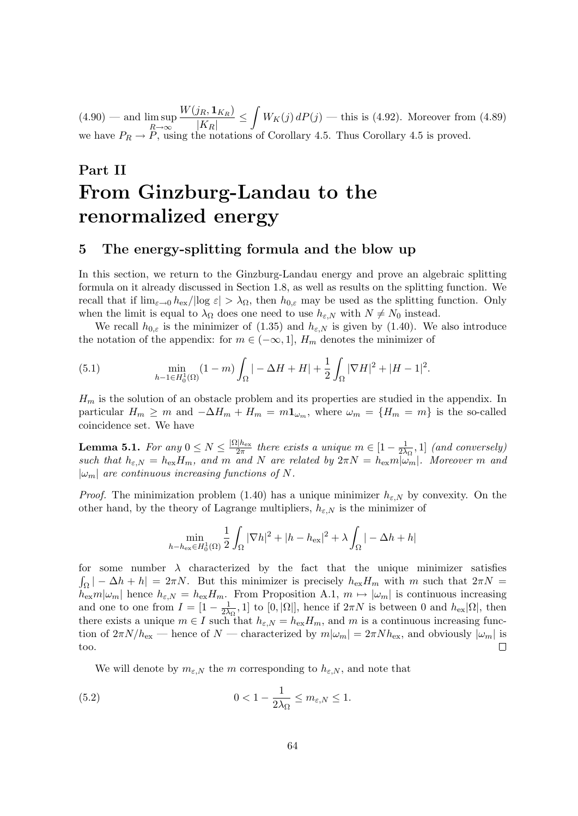$(4.90)$  — and  $\limsup$  $R\rightarrow\infty$  $W(j_R,\mathbf{1}_{K_R})$  $\frac{(j_R, \mathbf{1}_{K_R})}{|K_R|} \le \int W_K(j) dP(j)$  — this is (4.92). Moreover from (4.89) we have  $P_R \to P$ , using the notations of Corollary 4.5. Thus Corollary 4.5 is proved.

# Part II From Ginzburg-Landau to the renormalized energy

## 5 The energy-splitting formula and the blow up

In this section, we return to the Ginzburg-Landau energy and prove an algebraic splitting formula on it already discussed in Section 1.8, as well as results on the splitting function. We recall that if  $\lim_{\varepsilon\to 0} h_{\text{ex}}/|\log \varepsilon| > \lambda_{\Omega}$ , then  $h_{0,\varepsilon}$  may be used as the splitting function. Only when the limit is equal to  $\lambda_{\Omega}$  does one need to use  $h_{\varepsilon,N}$  with  $N \neq N_0$  instead.

We recall  $h_{0,\varepsilon}$  is the minimizer of (1.35) and  $h_{\varepsilon,N}$  is given by (1.40). We also introduce the notation of the appendix: for  $m \in (-\infty, 1]$ ,  $H_m$  denotes the minimizer of

(5.1) 
$$
\min_{h-1 \in H_0^1(\Omega)} (1-m) \int_{\Omega} |-\Delta H + H| + \frac{1}{2} \int_{\Omega} |\nabla H|^2 + |H-1|^2.
$$

 $H_m$  is the solution of an obstacle problem and its properties are studied in the appendix. In particular  $H_m \geq m$  and  $-\Delta H_m + H_m = m \mathbf{1}_{\omega_m}$ , where  $\omega_m = \{H_m = m\}$  is the so-called coincidence set. We have

**Lemma 5.1.** For any  $0 \leq N \leq \frac{|\Omega| h_{\text{ex}}}{2\pi}$  $\frac{2|h_{\text{ex}}|}{2\pi}$  there exists a unique  $m \in [1 - \frac{1}{2\lambda}]$  $\frac{1}{2\lambda_{\Omega}}, 1]$  (and conversely) such that  $h_{\varepsilon,N} = h_{\varepsilon} H_m$ , and m and N are related by  $2\pi N = h_{\varepsilon} m |\omega_m|$ . Moreover m and  $|\omega_m|$  are continuous increasing functions of N.

*Proof.* The minimization problem (1.40) has a unique minimizer  $h_{\varepsilon,N}$  by convexity. On the other hand, by the theory of Lagrange multipliers,  $h_{\varepsilon,N}$  is the minimizer of

$$
\min_{h-h_{\text{ex}} \in H_0^1(\Omega)} \frac{1}{2} \int_{\Omega} |\nabla h|^2 + |h - h_{\text{ex}}|^2 + \lambda \int_{\Omega} | - \Delta h + h |
$$

for some number  $\lambda$  characterized by the fact that the unique minimizer satisfies  $\int_{\Omega}$  | -  $\Delta h + h$ | = 2πN. But this minimizer is precisely  $h_{ex}H_m$  with m such that  $2\pi N$  =  $h_{\text{ex}}m|\omega_m|$  hence  $h_{\varepsilon,N} = h_{\text{ex}}H_m$ . From Proposition A.1,  $m \mapsto |\omega_m|$  is continuous increasing and one to one from  $I = \left[1 - \frac{1}{2\lambda}\right]$  $\frac{1}{2\lambda_{\Omega}}$ , 1] to [0, | $\Omega$ ], hence if  $2\pi N$  is between 0 and  $h_{\text{ex}}|\Omega|$ , then there exists a unique  $m \in I$  such that  $h_{\varepsilon,N} = h_{\text{ex}} H_m$ , and m is a continuous increasing function of  $2\pi N/h_{\rm ex}$  — hence of N — characterized by  $m|\omega_m| = 2\pi Nh_{\rm ex}$ , and obviously  $|\omega_m|$  is  $\Box$ too.

We will denote by  $m_{\varepsilon,N}$  the m corresponding to  $h_{\varepsilon,N}$ , and note that

(5.2) 
$$
0 < 1 - \frac{1}{2\lambda_{\Omega}} \le m_{\varepsilon, N} \le 1.
$$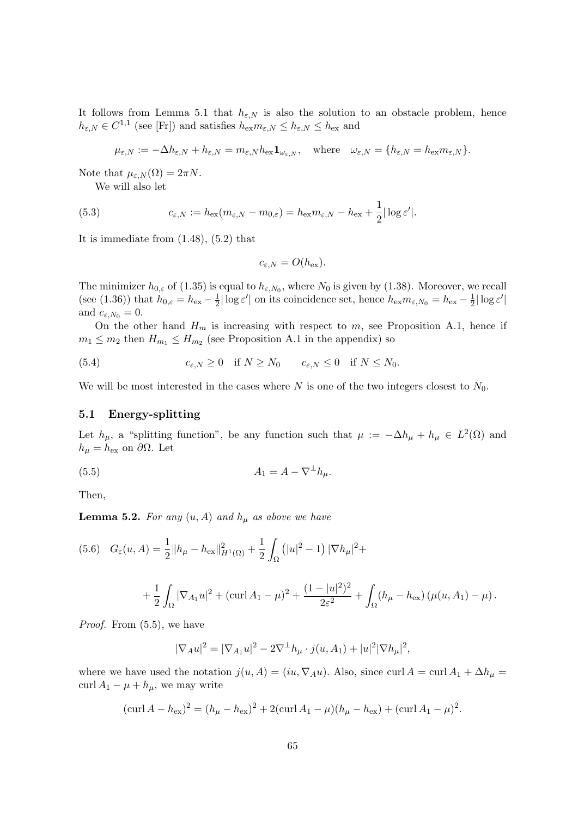It follows from Lemma 5.1 that  $h_{\varepsilon,N}$  is also the solution to an obstacle problem, hence  $h_{\varepsilon,N} \in C^{1,1}$  (see [Fr]) and satisfies  $h_{\text{ex}} m_{\varepsilon,N} \leq h_{\varepsilon,N} \leq h_{\text{ex}}$  and

$$
\mu_{\varepsilon,N}:=-\Delta h_{\varepsilon,N}+h_{\varepsilon,N}=m_{\varepsilon,N}h_{\text{ex}}\mathbf{1}_{\omega_{\varepsilon,N}},\quad\text{where}\quad\omega_{\varepsilon,N}=\{h_{\varepsilon,N}=h_{\text{ex}}m_{\varepsilon,N}\}.
$$

Note that  $\mu_{\varepsilon,N}(\Omega) = 2\pi N$ .

We will also let

(5.3) 
$$
c_{\varepsilon,N} := h_{\text{ex}}(m_{\varepsilon,N} - m_{0,\varepsilon}) = h_{\text{ex}}m_{\varepsilon,N} - h_{\text{ex}} + \frac{1}{2}|\log \varepsilon'|.
$$

It is immediate from (1.48), (5.2) that

$$
c_{\varepsilon,N}=O(h_{\text{ex}}).
$$

The minimizer  $h_{0,\varepsilon}$  of (1.35) is equal to  $h_{\varepsilon,N_0}$ , where  $N_0$  is given by (1.38). Moreover, we recall (see (1.36)) that  $h_{0,\varepsilon} = h_{\text{ex}} - \frac{1}{2}$  $\frac{1}{2}|\log \varepsilon'|$  on its coincidence set, hence  $h_{\text{ex}}m_{\varepsilon,N_0}=h_{\text{ex}}-\frac{1}{2}$  $\frac{1}{2}|\log \varepsilon'|$ and  $c_{\varepsilon,N_0}=0$ .

On the other hand  $H_m$  is increasing with respect to m, see Proposition A.1, hence if  $m_1 \leq m_2$  then  $H_{m_1} \leq H_{m_2}$  (see Proposition A.1 in the appendix) so

(5.4) 
$$
c_{\varepsilon,N} \geq 0 \quad \text{if } N \geq N_0 \qquad c_{\varepsilon,N} \leq 0 \quad \text{if } N \leq N_0.
$$

We will be most interested in the cases where  $N$  is one of the two integers closest to  $N_0$ .

## 5.1 Energy-splitting

Let  $h_{\mu}$ , a "splitting function", be any function such that  $\mu := -\Delta h_{\mu} + h_{\mu} \in L^2(\Omega)$  and  $h_{\mu} = h_{\text{ex}}$  on  $\partial \Omega$ . Let

$$
(5.5) \t\t A_1 = A - \nabla^{\perp} h_{\mu}.
$$

Then,

**Lemma 5.2.** For any  $(u, A)$  and  $h_{\mu}$  as above we have

$$
(5.6) \quad G_{\varepsilon}(u, A) = \frac{1}{2} ||h_{\mu} - h_{\text{ex}}||_{H^{1}(\Omega)}^{2} + \frac{1}{2} \int_{\Omega} (|u|^{2} - 1) |\nabla h_{\mu}|^{2} +
$$

$$
+\frac{1}{2}\int_{\Omega}|\nabla_{A_1}u|^2 + (\text{curl}\,A_1-\mu)^2 + \frac{(1-|u|^2)^2}{2\varepsilon^2} + \int_{\Omega}(h_{\mu}-h_{\text{ex}})\left(\mu(u,A_1)-\mu\right).
$$

*Proof.* From  $(5.5)$ , we have

$$
|\nabla_A u|^2 = |\nabla_{A_1} u|^2 - 2\nabla^{\perp} h_{\mu} \cdot j(u, A_1) + |u|^2 |\nabla h_{\mu}|^2,
$$

where we have used the notation  $j(u, A) = (iu, \nabla_A u)$ . Also, since curl  $A = \text{curl } A_1 + \Delta h_\mu =$ curl  $A_1 - \mu + h_\mu$ , we may write

$$
(\operatorname{curl} A - h_{\text{ex}})^2 = (h_{\mu} - h_{\text{ex}})^2 + 2(\operatorname{curl} A_1 - \mu)(h_{\mu} - h_{\text{ex}}) + (\operatorname{curl} A_1 - \mu)^2.
$$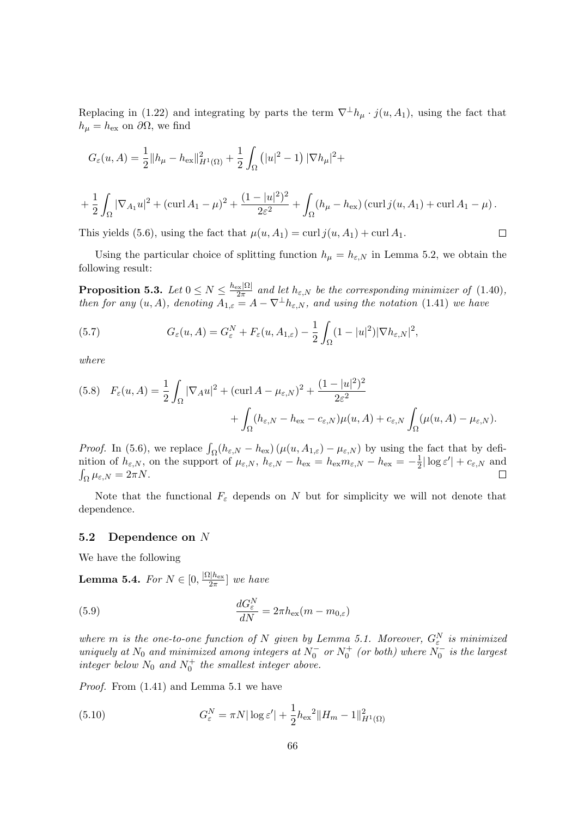Replacing in (1.22) and integrating by parts the term  $\nabla^{\perp}h_{\mu} \cdot j(u, A_1)$ , using the fact that  $h_{\mu} = h_{\text{ex}}$  on  $\partial \Omega$ , we find

$$
G_{\varepsilon}(u, A) = \frac{1}{2} ||h_{\mu} - h_{\text{ex}}||_{H^{1}(\Omega)}^{2} + \frac{1}{2} \int_{\Omega} (|u|^{2} - 1) |\nabla h_{\mu}|^{2} +
$$
  
+ 
$$
\frac{1}{2} \int_{\Omega} |\nabla_{A_{1}} u|^{2} + (\text{curl } A_{1} - \mu)^{2} + \frac{(1 - |u|^{2})^{2}}{2\varepsilon^{2}} + \int_{\Omega} (h_{\mu} - h_{\text{ex}}) (\text{curl } j(u, A_{1}) + \text{curl } A_{1} - \mu).
$$

This yields (5.6), using the fact that  $\mu(u, A_1) = \text{curl } j(u, A_1) + \text{curl } A_1$ .

Using the particular choice of splitting function  $h_{\mu} = h_{\varepsilon,N}$  in Lemma 5.2, we obtain the following result:

 $\Box$ 

**Proposition 5.3.** Let  $0 \leq N \leq \frac{h_{\text{ex}}|\Omega|}{2\pi}$  $rac{2\pi |M|}{2\pi}$  and let  $h_{\varepsilon,N}$  be the corresponding minimizer of  $(1.40)$ , then for any  $(u, A)$ , denoting  $A_{1,\varepsilon} = A - \nabla^{\perp} h_{\varepsilon,N}$ , and using the notation (1.41) we have

(5.7) 
$$
G_{\varepsilon}(u, A) = G_{\varepsilon}^{N} + F_{\varepsilon}(u, A_{1, \varepsilon}) - \frac{1}{2} \int_{\Omega} (1 - |u|^{2}) |\nabla h_{\varepsilon, N}|^{2},
$$

where

(5.8) 
$$
F_{\varepsilon}(u, A) = \frac{1}{2} \int_{\Omega} |\nabla_{A} u|^{2} + (\text{curl} A - \mu_{\varepsilon, N})^{2} + \frac{(1 - |u|^{2})^{2}}{2\varepsilon^{2}} + \int_{\Omega} (h_{\varepsilon, N} - h_{\text{ex}} - c_{\varepsilon, N}) \mu(u, A) + c_{\varepsilon, N} \int_{\Omega} (\mu(u, A) - \mu_{\varepsilon, N}).
$$

*Proof.* In (5.6), we replace  $\int_{\Omega} (h_{\varepsilon,N} - h_{\varepsilon}) (\mu(u, A_{1,\varepsilon}) - \mu_{\varepsilon,N})$  by using the fact that by definition of  $h_{\varepsilon,N}$ , on the support of  $\mu_{\varepsilon,N}$ ,  $h_{\varepsilon,N} - h_{\text{ex}} = h_{\text{ex}} m_{\varepsilon,N} - h_{\text{ex}} = -\frac{1}{2}$  $\frac{1}{2}|\log \varepsilon'| + c_{\varepsilon,N}$  and  $\int_{\Omega} \mu_{\varepsilon,N} = 2\pi N.$  $\Box$ 

Note that the functional  $F_{\varepsilon}$  depends on N but for simplicity we will not denote that dependence.

## 5.2 Dependence on N

We have the following

**Lemma 5.4.** For  $N \in [0, \frac{|\Omega| h_{\text{ex}}}{2\pi}]$  $\frac{u_{\text{lex}}}{2\pi}$  we have

(5.9) 
$$
\frac{dG_{\varepsilon}^{N}}{dN} = 2\pi h_{\text{ex}}(m - m_{0,\varepsilon})
$$

where m is the one-to-one function of N given by Lemma 5.1. Moreover,  $G_{\varepsilon}^{N}$  is minimized uniquely at  $N_0$  and minimized among integers at  $N_0^-$  or  $N_0^+$  (or both) where  $N_0^-$  is the largest integer below  $N_0$  and  $N_0^+$  the smallest integer above.

Proof. From (1.41) and Lemma 5.1 we have

(5.10) 
$$
G_{\varepsilon}^{N} = \pi N |\log \varepsilon'| + \frac{1}{2} h_{\text{ex}}^{2} \|H_{m} - 1\|_{H^{1}(\Omega)}^{2}
$$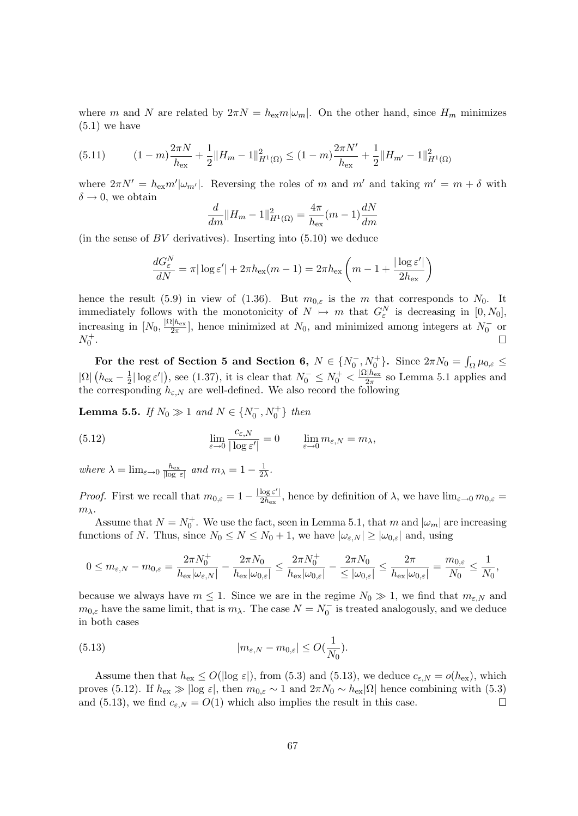where m and N are related by  $2\pi N = h_{ex}m|\omega_m|$ . On the other hand, since  $H_m$  minimizes  $(5.1)$  we have

$$
(5.11) \t(1-m)\frac{2\pi N}{h_{\text{ex}}} + \frac{1}{2}||H_m - 1||_{H^1(\Omega)}^2 \le (1-m)\frac{2\pi N'}{h_{\text{ex}}} + \frac{1}{2}||H_{m'} - 1||_{H^1(\Omega)}^2
$$

where  $2\pi N' = h_{\text{ex}}m'|\omega_{m'}|$ . Reversing the roles of m and m' and taking  $m' = m + \delta$  with  $\delta \rightarrow 0$ , we obtain

$$
\frac{d}{dm}||H_m - 1||_{H^1(\Omega)}^2 = \frac{4\pi}{h_{\text{ex}}}(m - 1)\frac{dN}{dm}
$$

(in the sense of  $BV$  derivatives). Inserting into  $(5.10)$  we deduce

$$
\frac{dG_{\varepsilon}^{N}}{dN} = \pi |\log \varepsilon'| + 2\pi h_{\text{ex}}(m-1) = 2\pi h_{\text{ex}}\left(m - 1 + \frac{|\log \varepsilon'|}{2h_{\text{ex}}}\right)
$$

hence the result (5.9) in view of (1.36). But  $m_{0,\varepsilon}$  is the m that corresponds to  $N_0$ . It immediately follows with the monotonicity of  $N \mapsto m$  that  $G_{\varepsilon}^N$  is decreasing in  $[0, N_0]$ , increasing in  $[N_0, \frac{|\Omega|h_{\text{ex}}|}{2\pi}]$  $\frac{2|h_{\text{ex}}|}{2\pi}$ , hence minimized at  $N_0$ , and minimized among integers at  $N_0^-$  or  $N_0^+$ .

For the rest of Section 5 and Section 6,  $N \in \{N_0^-, N_0^+\}$ . Since  $2\pi N_0 = \int_{\Omega} \mu_{0,\varepsilon} \leq$  $|\Omega|$   $(h_{\rm ex} - \frac{1}{2})$  $\frac{1}{2} |\log \varepsilon'|$ , see (1.37), it is clear that  $N_0^- \le N_0^+ < \frac{|\Omega|h_{\text{ex}}|}{2\pi}$  $\frac{2\pi}{2\pi}$  so Lemma 5.1 applies and the corresponding  $h_{\varepsilon,N}$  are well-defined. We also record the following

**Lemma 5.5.** If  $N_0 \gg 1$  and  $N \in \{N_0^-, N_0^+\}$  then

(5.12) 
$$
\lim_{\varepsilon \to 0} \frac{c_{\varepsilon, N}}{|\log \varepsilon'|} = 0 \qquad \lim_{\varepsilon \to 0} m_{\varepsilon, N} = m_{\lambda},
$$

where  $\lambda = \lim_{\varepsilon \to 0} \frac{h_{\text{ex}}}{|\log \varepsilon|}$  and  $m_{\lambda} = 1 - \frac{1}{2\lambda}$  $\frac{1}{2\lambda}$ .

*Proof.* First we recall that  $m_{0,\varepsilon} = 1 - \frac{|\log \varepsilon'|}{2h_{\infty}}$  $\frac{\log \varepsilon}{2h_{\text{ex}}},$  hence by definition of  $\lambda$ , we have  $\lim_{\varepsilon \to 0} m_{0,\varepsilon} =$  $m_{\lambda}$ .

Assume that  $N = N_0^+$ . We use the fact, seen in Lemma 5.1, that m and  $|\omega_m|$  are increasing functions of N. Thus, since  $N_0 \leq N \leq N_0 + 1$ , we have  $|\omega_{\varepsilon,N}| \geq |\omega_{0,\varepsilon}|$  and, using

$$
0\leq m_{\varepsilon,N}-m_{0,\varepsilon}=\frac{2\pi N_0^+}{h_{\rm ex}|\omega_{\varepsilon,N}|}-\frac{2\pi N_0}{h_{\rm ex}|\omega_{0,\varepsilon}|}\leq \frac{2\pi N_0^+}{h_{\rm ex}|\omega_{0,\varepsilon}|}-\frac{2\pi N_0}{\leq |\omega_{0,\varepsilon}|}\leq \frac{2\pi}{h_{\rm ex}|\omega_{0,\varepsilon}|}=\frac{m_{0,\varepsilon}}{N_0}\leq \frac{1}{N_0},
$$

because we always have  $m \leq 1$ . Since we are in the regime  $N_0 \gg 1$ , we find that  $m_{\varepsilon,N}$  and  $m_{0,\varepsilon}$  have the same limit, that is  $m_\lambda$ . The case  $N = N_0^-$  is treated analogously, and we deduce in both cases

(5.13) 
$$
|m_{\varepsilon,N} - m_{0,\varepsilon}| \le O(\frac{1}{N_0}).
$$

Assume then that  $h_{\text{ex}} \leq O(|\log \varepsilon|)$ , from (5.3) and (5.13), we deduce  $c_{\varepsilon,N} = o(h_{\text{ex}})$ , which proves (5.12). If  $h_{\text{ex}} \gg |\log \varepsilon|$ , then  $m_{0,\varepsilon} \sim 1$  and  $2\pi N_0 \sim h_{\text{ex}}|\Omega|$  hence combining with (5.3) and (5.13), we find  $c_{\varepsilon,N} = O(1)$  which also implies the result in this case.  $\Box$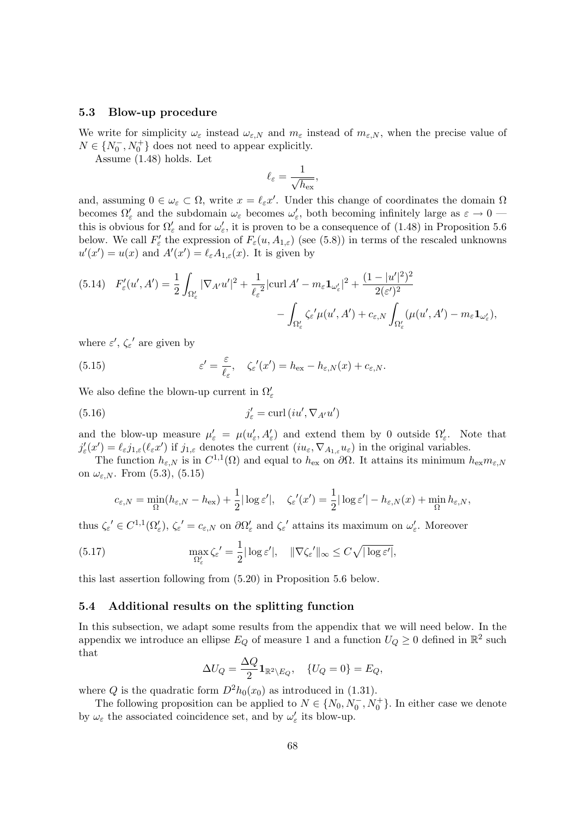## 5.3 Blow-up procedure

We write for simplicity  $\omega_{\varepsilon}$  instead  $\omega_{\varepsilon,N}$  and  $m_{\varepsilon}$  instead of  $m_{\varepsilon,N}$ , when the precise value of  $N\in\{N_0^-,N_0^+\}$  does not need to appear explicitly.

Assume (1.48) holds. Let

$$
\ell_\varepsilon = \frac{1}{\sqrt{h_\mathrm{ex}}},
$$

and, assuming  $0 \in \omega_{\varepsilon} \subset \Omega$ , write  $x = \ell_{\varepsilon} x'$ . Under this change of coordinates the domain  $\Omega$ becomes  $\Omega'_\varepsilon$  and the subdomain  $\omega_\varepsilon$  becomes  $\omega'_\varepsilon$ , both becoming infinitely large as  $\varepsilon \to 0$  this is obvious for  $\Omega'_{\varepsilon}$  and for  $\omega'_{\varepsilon}$ , it is proven to be a consequence of (1.48) in Proposition 5.6 below. We call  $F'_{\varepsilon}$  the expression of  $F_{\varepsilon}(u, A_{1,\varepsilon})$  (see (5.8)) in terms of the rescaled unknowns  $u'(x') = u(x)$  and  $A'(x') = \ell_{\varepsilon} A_{1,\varepsilon}(x)$ . It is given by

$$
(5.14) \quad F'_{\varepsilon}(u',A') = \frac{1}{2} \int_{\Omega'_{\varepsilon}} |\nabla_{A'} u'|^2 + \frac{1}{\ell_{\varepsilon}^2} |\text{curl } A' - m_{\varepsilon} \mathbf{1}_{\omega'_{\varepsilon}}|^2 + \frac{(1 - |u'|^2)^2}{2(\varepsilon')^2} - \int_{\Omega'_{\varepsilon}} \zeta_{\varepsilon'} \mu(u',A') + c_{\varepsilon,N} \int_{\Omega'_{\varepsilon}} (\mu(u',A') - m_{\varepsilon} \mathbf{1}_{\omega'_{\varepsilon}}),
$$

where  $\varepsilon', \zeta_{\varepsilon}'$  are given by

(5.15) 
$$
\varepsilon' = \frac{\varepsilon}{\ell_{\varepsilon}}, \quad \zeta_{\varepsilon}'(x') = h_{\text{ex}} - h_{\varepsilon, N}(x) + c_{\varepsilon, N}.
$$

We also define the blown-up current in  $\Omega'_\varepsilon$ 

(5.16) 
$$
j'_{\varepsilon} = \text{curl} (iu', \nabla_{A'} u')
$$

and the blow-up measure  $\mu'_{\varepsilon} = \mu(u'_{\varepsilon}, A'_{\varepsilon})$  and extend them by 0 outside  $\Omega'_{\varepsilon}$ . Note that  $j'_{\varepsilon}(x') = \ell_{\varepsilon} j_{1,\varepsilon}(\ell_{\varepsilon} x')$  if  $j_{1,\varepsilon}$  denotes the current  $(iu_{\varepsilon}, \nabla_{A_{1,\varepsilon}} u_{\varepsilon})$  in the original variables.

The function  $h_{\varepsilon,N}$  is in  $C^{1,1}(\Omega)$  and equal to  $h_{\text{ex}}$  on  $\partial\Omega$ . It attains its minimum  $h_{\text{ex}}m_{\varepsilon,N}$ on  $\omega_{\varepsilon,N}$ . From  $(5.3)$ ,  $(5.15)$ 

$$
c_{\varepsilon,N} = \min_{\Omega}(h_{\varepsilon,N} - h_{\text{ex}}) + \frac{1}{2}|\log \varepsilon'|, \quad \zeta_{\varepsilon'}(x') = \frac{1}{2}|\log \varepsilon'| - h_{\varepsilon,N}(x) + \min_{\Omega} h_{\varepsilon,N},
$$

thus  $\zeta_{\varepsilon} \in C^{1,1}(\Omega_{\varepsilon}')$ ,  $\zeta_{\varepsilon} \equiv c_{\varepsilon,N}$  on  $\partial \Omega_{\varepsilon}'$  and  $\zeta_{\varepsilon}'$  attains its maximum on  $\omega_{\varepsilon}'$ . Moreover

(5.17) 
$$
\max_{\Omega'_{\varepsilon}} \zeta_{\varepsilon}^{\prime} = \frac{1}{2} |\log \varepsilon'|, \quad \|\nabla \zeta_{\varepsilon}'\|_{\infty} \leq C \sqrt{|\log \varepsilon'|},
$$

this last assertion following from (5.20) in Proposition 5.6 below.

## 5.4 Additional results on the splitting function

In this subsection, we adapt some results from the appendix that we will need below. In the appendix we introduce an ellipse  $E_Q$  of measure 1 and a function  $U_Q \geq 0$  defined in  $\mathbb{R}^2$  such that

$$
\Delta U_Q = \frac{\Delta Q}{2} \mathbf{1}_{\mathbb{R}^2 \setminus E_Q}, \quad \{U_Q = 0\} = E_Q,
$$

where Q is the quadratic form  $D^2h_0(x_0)$  as introduced in (1.31).

The following proposition can be applied to  $N \in \{N_0, N_0^-, N_0^+\}$ . In either case we denote by  $\omega_{\varepsilon}$  the associated coincidence set, and by  $\omega_{\varepsilon}'$  its blow-up.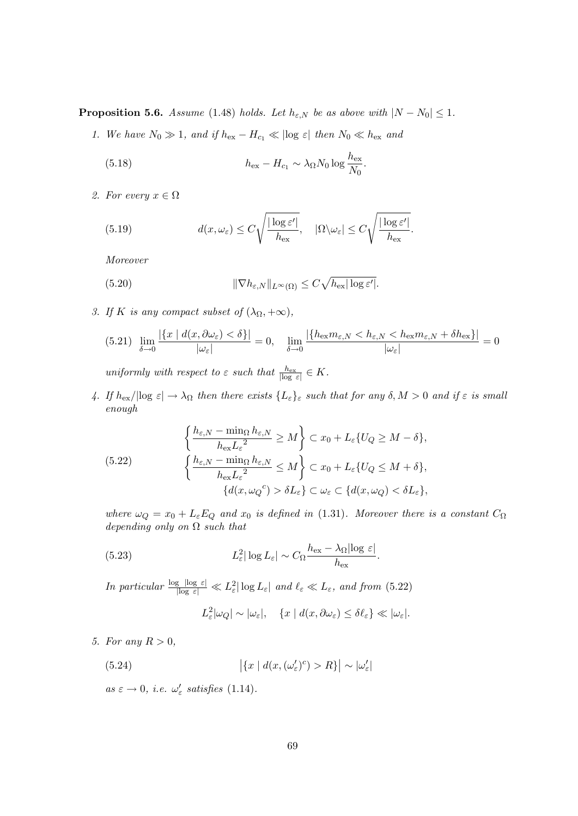**Proposition 5.6.** Assume (1.48) holds. Let  $h_{\varepsilon,N}$  be as above with  $|N - N_0| \leq 1$ .

1. We have  $N_0 \gg 1$ , and if  $h_{\text{ex}} - H_{c_1} \ll |\log \varepsilon|$  then  $N_0 \ll h_{\text{ex}}$  and

(5.18) 
$$
h_{\text{ex}} - H_{c_1} \sim \lambda_{\Omega} N_0 \log \frac{h_{\text{ex}}}{N_0}.
$$

2. For every  $x \in \Omega$ 

(5.19) 
$$
d(x,\omega_{\varepsilon}) \leq C \sqrt{\frac{|\log \varepsilon'|}{h_{\text{ex}}}}, \quad |\Omega \setminus \omega_{\varepsilon}| \leq C \sqrt{\frac{|\log \varepsilon'|}{h_{\text{ex}}}}.
$$

Moreover

(5.20) 
$$
\|\nabla h_{\varepsilon,N}\|_{L^{\infty}(\Omega)} \leq C\sqrt{h_{\text{ex}}|\log \varepsilon'}|.
$$

3. If K is any compact subset of  $(\lambda_{\Omega}, +\infty)$ ,

$$
(5.21) \lim_{\delta \to 0} \frac{|\{x \mid d(x, \partial \omega_{\varepsilon}) < \delta\}|}{|\omega_{\varepsilon}|} = 0, \quad \lim_{\delta \to 0} \frac{|\{h_{\exp}(m_{\varepsilon,N} < h_{\varepsilon,N} < h_{\exp}(m_{\varepsilon,N} + \delta h_{\exp})\}|}{|\omega_{\varepsilon}|} = 0
$$

uniformly with respect to  $\varepsilon$  such that  $\frac{h_{\text{ex}}}{|\log \varepsilon|} \in K$ .

4. If  $h_{\text{ex}}/|\log \varepsilon| \to \lambda_{\Omega}$  then there exists  $\{L_{\varepsilon}\}_{\varepsilon}$  such that for any  $\delta, M > 0$  and if  $\varepsilon$  is small enough

(5.22) 
$$
\left\{\frac{h_{\varepsilon,N} - \min_{\Omega} h_{\varepsilon,N}}{h_{\varepsilon x} L_{\varepsilon}^2} \ge M\right\} \subset x_0 + L_{\varepsilon} \{U_Q \ge M - \delta\},
$$

$$
\left\{\frac{h_{\varepsilon,N} - \min_{\Omega} h_{\varepsilon,N}}{h_{\varepsilon x} L_{\varepsilon}^2} \le M\right\} \subset x_0 + L_{\varepsilon} \{U_Q \le M + \delta\},
$$

$$
\left\{d(x,\omega_Q^c) > \delta L_{\varepsilon}\right\} \subset \omega_{\varepsilon} \subset \left\{d(x,\omega_Q) < \delta L_{\varepsilon}\right\},
$$

where  $\omega_Q = x_0 + L_{\varepsilon} E_Q$  and  $x_0$  is defined in (1.31). Moreover there is a constant  $C_{\Omega}$ depending only on  $\Omega$  such that

.

(5.23) 
$$
L_{\varepsilon}^{2}|\log L_{\varepsilon}| \sim C_{\Omega} \frac{h_{\text{ex}} - \lambda_{\Omega}|\log \varepsilon|}{h_{\text{ex}}}
$$

In particular  $\frac{\log |\log \varepsilon|}{\log |\varepsilon|} \ll L_{\varepsilon}^2 |\log L_{\varepsilon}|$  and  $\ell_{\varepsilon} \ll L_{\varepsilon}$ , and from (5.22)

$$
L_{\varepsilon}^{2}|\omega_{Q}| \sim |\omega_{\varepsilon}|, \quad \{x \mid d(x, \partial \omega_{\varepsilon}) \leq \delta \ell_{\varepsilon}\} \ll |\omega_{\varepsilon}|.
$$

5. For any  $R > 0$ ,

(5.24) 
$$
\left| \{ x \mid d(x, (\omega_{\varepsilon}')^c) > R \} \right| \sim |\omega_{\varepsilon}'|
$$

 $as \varepsilon \to 0$ , i.e.  $\omega'_{\varepsilon}$  satisfies (1.14).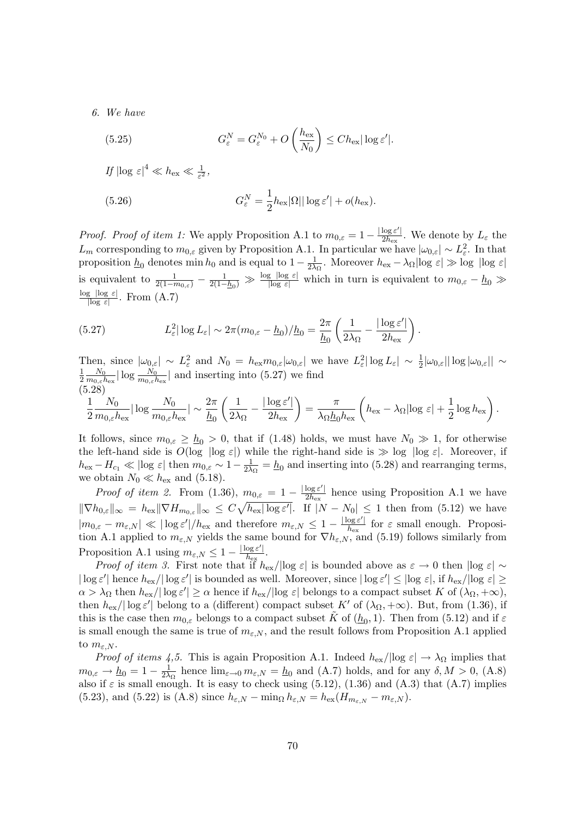6. We have

(5.25) 
$$
G_{\varepsilon}^{N} = G_{\varepsilon}^{N_{0}} + O\left(\frac{h_{\text{ex}}}{N_{0}}\right) \leq Ch_{\text{ex}}|\log \varepsilon'|.
$$

If  $|\log \varepsilon|^4 \ll h_{\rm ex} \ll \frac{1}{\varepsilon^2},$ 

(5.26) 
$$
G_{\varepsilon}^{N} = \frac{1}{2} h_{\text{ex}} |\Omega| |\log \varepsilon'| + o(h_{\text{ex}}).
$$

*Proof. Proof of item 1:* We apply Proposition A.1 to  $m_{0,\varepsilon} = 1 - \frac{|\log \varepsilon'|}{2h_{\infty}}$  $rac{\log \varepsilon}{2h_{\text{ex}}}.$  We denote by  $L_{\varepsilon}$  the  $L_m$  corresponding to  $m_{0,\varepsilon}$  given by Proposition A.1. In particular we have  $|\omega_{0,\varepsilon}| \sim L_{\varepsilon}^2$ . In that proposition  $\underline{h}_0$  denotes min  $h_0$  and is equal to  $1 - \frac{1}{2\lambda}$  $\frac{1}{2\lambda_{\Omega}}$ . Moreover  $h_{\text{ex}} - \lambda_{\Omega} |\log \varepsilon| \gg \log |\log \varepsilon|$ is equivalent to  $\frac{1}{2(1-m_{0,\varepsilon})}-\frac{1}{2(1-\varepsilon)}$  $\frac{1}{2(1-h_0)} \gg \frac{\log |\log \varepsilon|}{|\log \varepsilon|}$  which in turn is equivalent to  $m_{0,\varepsilon}-h_0 \gg$  $log$   $|log \epsilon|$  $\frac{g \log \varepsilon}{\log \varepsilon}$ . From  $(A.7)$ 

(5.27) 
$$
L_{\varepsilon}^{2} |\log L_{\varepsilon}| \sim 2\pi (m_{0,\varepsilon} - \underline{h}_{0})/\underline{h}_{0} = \frac{2\pi}{\underline{h}_{0}} \left( \frac{1}{2\lambda_{\Omega}} - \frac{|\log \varepsilon'|}{2h_{\text{ex}}} \right).
$$

Then, since  $|\omega_{0,\varepsilon}| \sim L_{\varepsilon}^2$  and  $N_0 = h_{\varepsilon x} m_{0,\varepsilon} |\omega_{0,\varepsilon}|$  we have  $L_{\varepsilon}^2 |\log L_{\varepsilon}| \sim \frac{1}{2} |\omega_{0,\varepsilon}| |\log |\omega_{0,\varepsilon}| |\sim$ 1  $\frac{1}{2} \frac{N_0}{m_{0,\varepsilon}l}$  $\frac{N_0}{m_{0,\varepsilon}h_{\text{ex}}}|\log\frac{N_0}{m_{0,\varepsilon}h_{\text{ex}}}|$  and inserting into (5.27) we find (5.28)

$$
\frac{1}{2}\frac{N_0}{m_{0,\varepsilon}h_{\text{ex}}}\left|\log\frac{N_0}{m_{0,\varepsilon}h_{\text{ex}}}\right| \sim \frac{2\pi}{\underline{h}_0}\left(\frac{1}{2\lambda_\Omega}-\frac{|\log\varepsilon'|}{2h_{\text{ex}}}\right) = \frac{\pi}{\lambda_\Omega\underline{h}_0h_{\text{ex}}}\left(h_{\text{ex}}-\lambda_\Omega|\log\,\varepsilon|+\frac{1}{2}\log h_{\text{ex}}\right).
$$

It follows, since  $m_{0,\varepsilon} \geq h_0 > 0$ , that if (1.48) holds, we must have  $N_0 \gg 1$ , for otherwise the left-hand side is  $O(\log |\log \varepsilon|)$  while the right-hand side is  $\gg \log |\log \varepsilon|$ . Moreover, if  $h_{\text{ex}} - H_{c_1} \ll |\text{log } \varepsilon| \text{ then } m_{0,\varepsilon} \sim 1 - \frac{1}{2\lambda}$  $\frac{1}{2\lambda_{\Omega}} = \underline{h}_0$  and inserting into (5.28) and rearranging terms, we obtain  $N_0 \ll h_{\text{ex}}$  and (5.18).

Proof of item 2. From (1.36),  $m_{0,\varepsilon} = 1 - \frac{|\log \varepsilon'|}{2h_{\infty}}$  $\frac{\log \varepsilon}{2h_{\text{ex}}}$  hence using Proposition A.1 we have  $\|\nabla h_{0,\varepsilon}\|_{\infty} = h_{\text{ex}} \|\nabla H_{m_{0,\varepsilon}}\|_{\infty} \leq C \sqrt{h_{\text{ex}} \log \varepsilon'}$ . If  $|N - N_0| \leq 1$  then from (5.12) we have  $|m_{0,\varepsilon} - m_{\varepsilon,N}| \ll |\log \varepsilon'|/h_{\text{ex}}$  and therefore  $m_{\varepsilon,N} \leq 1 - \frac{|\log \varepsilon'|}{h_{\text{ex}}}$  $\frac{\log \varepsilon}{h_{\text{ex}}}$  for  $\varepsilon$  small enough. Proposition A.1 applied to  $m_{\varepsilon,N}$  yields the same bound for  $\nabla h_{\varepsilon,N}$ , and (5.19) follows similarly from Proposition A.1 using  $m_{\varepsilon,N} \leq 1 - \frac{|\log \varepsilon'|}{h_{\varepsilon,N}}$  $\frac{\log \varepsilon}{h_{\rm ex}}$ .

*Proof of item 3.* First note that if  $h_{\text{ex}}/|\log \varepsilon|$  is bounded above as  $\varepsilon \to 0$  then  $|\log \varepsilon| \sim$  $|\log \varepsilon'|$  hence  $h_{\text{ex}}/|\log \varepsilon'|$  is bounded as well. Moreover, since  $|\log \varepsilon'| \leq |\log \varepsilon|$ , if  $h_{\text{ex}}/|\log \varepsilon| \geq$  $\alpha > \lambda_{\Omega}$  then  $h_{\text{ex}}/|\log \varepsilon'| \geq \alpha$  hence if  $h_{\text{ex}}/|\log \varepsilon|$  belongs to a compact subset K of  $(\lambda_{\Omega}, +\infty)$ , then  $h_{\text{ex}}/|\log \varepsilon'|$  belong to a (different) compact subset K' of  $(\lambda_{\Omega}, +\infty)$ . But, from (1.36), if this is the case then  $m_{0,\varepsilon}$  belongs to a compact subset  $\tilde{K}$  of  $(\underline{h}_0, 1)$ . Then from  $(5.12)$  and if  $\varepsilon$ is small enough the same is true of  $m_{\epsilon,N}$ , and the result follows from Proposition A.1 applied to  $m_{\varepsilon,N}$ .

*Proof of items 4,5.* This is again Proposition A.1. Indeed  $h_{ex}/\log \varepsilon \rightarrow \lambda_{\Omega}$  implies that  $m_{0,\varepsilon} \to \underline{h}_0 = 1 - \frac{1}{2\lambda}$  $\frac{1}{2\lambda_{\Omega}}$  hence  $\lim_{\varepsilon \to 0} m_{\varepsilon,N} = \underline{h}_0$  and (A.7) holds, and for any  $\delta, M > 0$ , (A.8) also if  $\varepsilon$  is small enough. It is easy to check using (5.12), (1.36) and (A.3) that (A.7) implies (5.23), and (5.22) is (A.8) since  $h_{\varepsilon,N} - \min_{\Omega} h_{\varepsilon,N} = h_{\text{ex}}(H_{m_{\varepsilon,N}} - m_{\varepsilon,N}).$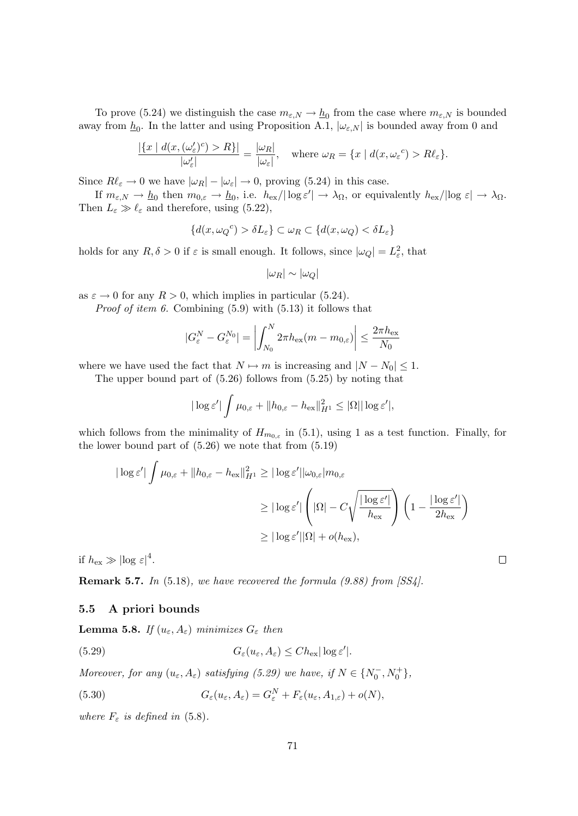To prove (5.24) we distinguish the case  $m_{\varepsilon,N} \to \underline{h}_0$  from the case where  $m_{\varepsilon,N}$  is bounded away from  $\underline{h}_0$ . In the latter and using Proposition A.1,  $|\omega_{\varepsilon,N}|$  is bounded away from 0 and

$$
\frac{|\{x \mid d(x, (\omega'_{\varepsilon})^c) > R\}|}{|\omega'_{\varepsilon}|} = \frac{|\omega_R|}{|\omega_{\varepsilon}|}, \quad \text{where } \omega_R = \{x \mid d(x, \omega_{\varepsilon}^c) > R\ell_{\varepsilon}\}.
$$

Since  $R\ell_{\varepsilon} \to 0$  we have  $|\omega_R| - |\omega_{\varepsilon}| \to 0$ , proving (5.24) in this case.

If  $m_{\varepsilon,N} \to \underline{h}_0$  then  $m_{0,\varepsilon} \to \underline{h}_0$ , i.e.  $h_{\text{ex}}/|\log \varepsilon'| \to \lambda_\Omega$ , or equivalently  $h_{\text{ex}}/|\log \varepsilon| \to \lambda_\Omega$ . Then  $L_{\varepsilon} \gg \ell_{\varepsilon}$  and therefore, using (5.22),

$$
\{d(x,\omega_Q{}^c) > \delta L_\varepsilon\} \subset \omega_R \subset \{d(x,\omega_Q) < \delta L_\varepsilon\}
$$

holds for any  $R, \delta > 0$  if  $\varepsilon$  is small enough. It follows, since  $|\omega_Q| = L_{\varepsilon}^2$ , that

$$
|\omega_R| \sim |\omega_Q|
$$

as  $\varepsilon \to 0$  for any  $R > 0$ , which implies in particular (5.24).

*Proof of item 6.* Combining  $(5.9)$  with  $(5.13)$  it follows that

$$
|G_{\varepsilon}^{N} - G_{\varepsilon}^{N_0}| = \left| \int_{N_0}^{N} 2\pi h_{\text{ex}}(m - m_{0,\varepsilon}) \right| \leq \frac{2\pi h_{\text{ex}}}{N_0}
$$

where we have used the fact that  $N \mapsto m$  is increasing and  $|N - N_0| \leq 1$ .

The upper bound part of (5.26) follows from (5.25) by noting that

$$
|\log \varepsilon'| \int \mu_{0,\varepsilon} + \|h_{0,\varepsilon} - h_{\text{ex}}\|_{H^1}^2 \leq |\Omega| |\log \varepsilon'|,
$$

which follows from the minimality of  $H_{m_{0,\varepsilon}}$  in (5.1), using 1 as a test function. Finally, for the lower bound part of  $(5.26)$  we note that from  $(5.19)$ 

$$
\begin{aligned} |\log \varepsilon'| \int \mu_{0,\varepsilon} + \|h_{0,\varepsilon} - h_{\text{ex}}\|_{H^1}^2 &\geq |\log \varepsilon'| |\omega_{0,\varepsilon}| m_{0,\varepsilon} \\ &\geq |\log \varepsilon'| \left( |\Omega| - C \sqrt{\frac{|\log \varepsilon'|}{h_{\text{ex}}}} \right) \left( 1 - \frac{|\log \varepsilon'|}{2h_{\text{ex}}} \right) \\ &\geq |\log \varepsilon'| |\Omega| + o(h_{\text{ex}}), \end{aligned}
$$

if  $h_{\text{ex}} \gg |\text{log } \varepsilon|^4$ .

**Remark 5.7.** In  $(5.18)$ , we have recovered the formula  $(9.88)$  from  $[SS4]$ .

### 5.5 A priori bounds

**Lemma 5.8.** If  $(u_{\varepsilon}, A_{\varepsilon})$  minimizes  $G_{\varepsilon}$  then

(5.29) 
$$
G_{\varepsilon}(u_{\varepsilon}, A_{\varepsilon}) \leq Ch_{\text{ex}} |\log \varepsilon'|.
$$

Moreover, for any  $(u_{\varepsilon}, A_{\varepsilon})$  satisfying (5.29) we have, if  $N \in \{N_0^-, N_0^+\}$ ,

(5.30) 
$$
G_{\varepsilon}(u_{\varepsilon}, A_{\varepsilon}) = G_{\varepsilon}^{N} + F_{\varepsilon}(u_{\varepsilon}, A_{1,\varepsilon}) + o(N),
$$

where  $F<sub>\varepsilon</sub>$  is defined in (5.8).

 $\Box$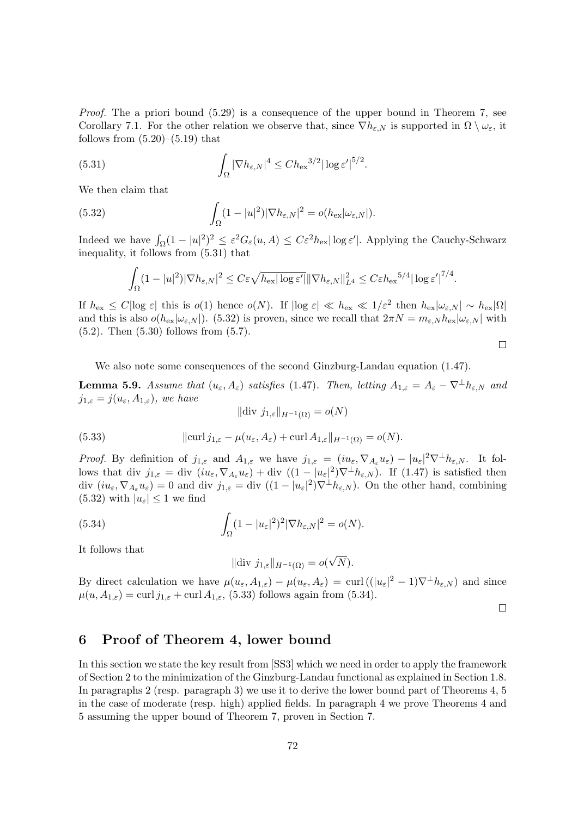*Proof.* The a priori bound  $(5.29)$  is a consequence of the upper bound in Theorem 7, see Corollary 7.1. For the other relation we observe that, since  $\nabla h_{\varepsilon,N}$  is supported in  $\Omega \setminus \omega_{\varepsilon}$ , it follows from  $(5.20)$ – $(5.19)$  that

(5.31) 
$$
\int_{\Omega} |\nabla h_{\varepsilon,N}|^4 \leq Ch_{\rm ex}^{3/2} |\log \varepsilon'|^{5/2}.
$$

We then claim that

(5.32) 
$$
\int_{\Omega} (1-|u|^2)|\nabla h_{\varepsilon,N}|^2 = o(h_{\text{ex}}|\omega_{\varepsilon,N}|).
$$

Indeed we have  $\int_{\Omega} (1 - |u|^2)^2 \leq \varepsilon^2 G_{\varepsilon}(u, A) \leq C \varepsilon^2 h_{\text{ex}} |\log \varepsilon'|$ . Applying the Cauchy-Schwarz inequality, it follows from (5.31) that

$$
\int_{\Omega} (1-|u|^2)|\nabla h_{\varepsilon,N}|^2 \leq C\varepsilon \sqrt{h_{\text{ex}}|\log \varepsilon'|} \|\nabla h_{\varepsilon,N}\|_{L^4}^2 \leq C\varepsilon h_{\text{ex}}^{5/4}|\log \varepsilon'|^{7/4}.
$$

If  $h_{\text{ex}} \leq C |\log \varepsilon|$  this is  $o(1)$  hence  $o(N)$ . If  $|\log \varepsilon| \ll h_{\text{ex}} \ll 1/\varepsilon^2$  then  $h_{\text{ex}} |\omega_{\varepsilon,N}| \sim h_{\text{ex}} |\Omega|$ and this is also  $o(h_{\text{ex}}|\omega_{\varepsilon,N}|)$ . (5.32) is proven, since we recall that  $2\pi N = m_{\varepsilon,N}h_{\text{ex}}|\omega_{\varepsilon,N}|$  with (5.2). Then (5.30) follows from (5.7).

 $\Box$ 

We also note some consequences of the second Ginzburg-Landau equation (1.47).

**Lemma 5.9.** Assume that  $(u_{\varepsilon}, A_{\varepsilon})$  satisfies (1.47). Then, letting  $A_{1,\varepsilon} = A_{\varepsilon} - \nabla^{\perp} h_{\varepsilon, N}$  and  $j_{1,\varepsilon} = j(u_{\varepsilon}, A_{1,\varepsilon})$ , we have  $\|\text{div } j_{1,\varepsilon}\|_{H^{-1}(\Omega)} = o(N)$ 

(5.33) 
$$
\|\text{curl } j_{1,\varepsilon} - \mu(u_{\varepsilon}, A_{\varepsilon}) + \text{curl } A_{1,\varepsilon}\|_{H^{-1}(\Omega)} = o(N).
$$

*Proof.* By definition of  $j_{1,\varepsilon}$  and  $A_{1,\varepsilon}$  we have  $j_{1,\varepsilon} = (iu_{\varepsilon}, \nabla_{A_{\varepsilon}} u_{\varepsilon}) - |u_{\varepsilon}|^2 \nabla^{\perp} h_{\varepsilon,N}$ . It follows that div  $j_{1,\varepsilon} = \text{div} \left( i u_{\varepsilon}, \nabla_{A_{\varepsilon}} u_{\varepsilon} \right) + \text{div} \left( (1 - |u_{\varepsilon}|^2) \nabla^{\perp} h_{\varepsilon,N} \right)$ . If  $(1.47)$  is satisfied then div  $(iu_{\varepsilon}, \nabla_{A_{\varepsilon}} u_{\varepsilon}) = 0$  and div  $j_{1,\varepsilon} = \text{div} \left( (1 - |u_{\varepsilon}|^2) \nabla^{\perp} h_{\varepsilon,N} \right)$ . On the other hand, combining  $(5.32)$  with  $|u_{\varepsilon}| \leq 1$  we find

(5.34) 
$$
\int_{\Omega} (1-|u_{\varepsilon}|^2)^2 |\nabla h_{\varepsilon,N}|^2 = o(N).
$$

It follows that

$$
\|\text{div } j_{1,\varepsilon}\|_{H^{-1}(\Omega)} = o(\sqrt{N}).
$$

By direct calculation we have  $\mu(u_{\varepsilon}, A_{1,\varepsilon}) - \mu(u_{\varepsilon}, A_{\varepsilon}) = \text{curl}((|u_{\varepsilon}|^2 - 1)\nabla^{\perp} h_{\varepsilon,N})$  and since  $\mu(u, A_{1,\varepsilon}) = \text{curl } j_{1,\varepsilon} + \text{curl } A_{1,\varepsilon}$ , (5.33) follows again from (5.34).

 $\Box$ 

## 6 Proof of Theorem 4, lower bound

In this section we state the key result from [SS3] which we need in order to apply the framework of Section 2 to the minimization of the Ginzburg-Landau functional as explained in Section 1.8. In paragraphs 2 (resp. paragraph 3) we use it to derive the lower bound part of Theorems 4, 5 in the case of moderate (resp. high) applied fields. In paragraph 4 we prove Theorems 4 and 5 assuming the upper bound of Theorem 7, proven in Section 7.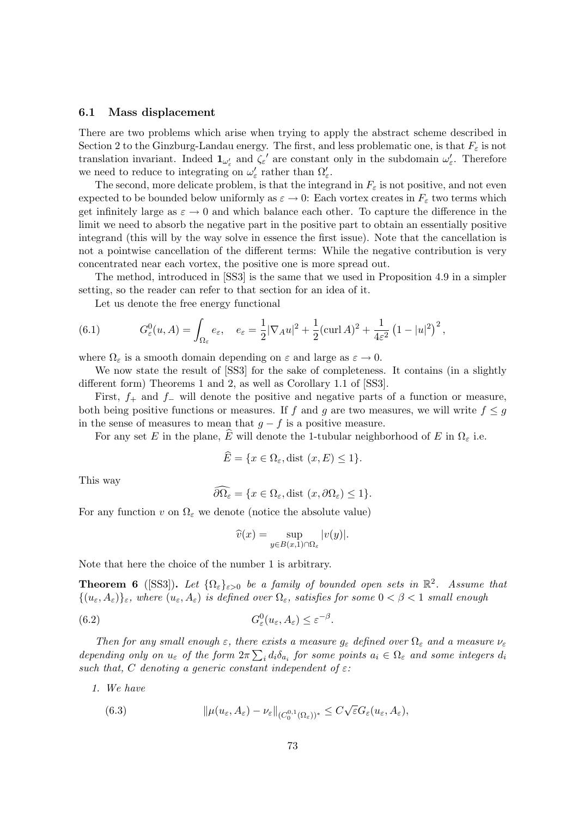### 6.1 Mass displacement

There are two problems which arise when trying to apply the abstract scheme described in Section 2 to the Ginzburg-Landau energy. The first, and less problematic one, is that  $F<sub>\varepsilon</sub>$  is not translation invariant. Indeed  $\mathbf{1}_{\omega'_\varepsilon}$  and  $\zeta_\varepsilon'$  are constant only in the subdomain  $\omega'_\varepsilon$ . Therefore we need to reduce to integrating on  $\omega'_{\varepsilon}$  rather than  $\Omega'_{\varepsilon}$ .

The second, more delicate problem, is that the integrand in  $F_{\varepsilon}$  is not positive, and not even expected to be bounded below uniformly as  $\varepsilon \to 0$ : Each vortex creates in  $F_{\varepsilon}$  two terms which get infinitely large as  $\varepsilon \to 0$  and which balance each other. To capture the difference in the limit we need to absorb the negative part in the positive part to obtain an essentially positive integrand (this will by the way solve in essence the first issue). Note that the cancellation is not a pointwise cancellation of the different terms: While the negative contribution is very concentrated near each vortex, the positive one is more spread out.

The method, introduced in [SS3] is the same that we used in Proposition 4.9 in a simpler setting, so the reader can refer to that section for an idea of it.

Let us denote the free energy functional

(6.1) 
$$
G_{\varepsilon}^{0}(u, A) = \int_{\Omega_{\varepsilon}} e_{\varepsilon}, \quad e_{\varepsilon} = \frac{1}{2} |\nabla_{A} u|^{2} + \frac{1}{2} (\text{curl } A)^{2} + \frac{1}{4\varepsilon^{2}} (1 - |u|^{2})^{2},
$$

where  $\Omega_{\varepsilon}$  is a smooth domain depending on  $\varepsilon$  and large as  $\varepsilon \to 0$ .

We now state the result of [SS3] for the sake of completeness. It contains (in a slightly different form) Theorems 1 and 2, as well as Corollary 1.1 of [SS3].

First,  $f_+$  and  $f_-\,$  will denote the positive and negative parts of a function or measure, both being positive functions or measures. If f and q are two measures, we will write  $f \leq q$ in the sense of measures to mean that  $g - f$  is a positive measure.

For any set E in the plane, E will denote the 1-tubular neighborhood of E in  $\Omega_{\varepsilon}$  i.e.

$$
\widehat{E} = \{ x \in \Omega_{\varepsilon}, \text{dist } (x, E) \le 1 \}.
$$

This way

$$
\widehat{\partial}\Omega_{\varepsilon} = \{x \in \Omega_{\varepsilon}, \text{dist}(x, \partial\Omega_{\varepsilon}) \le 1\}.
$$

For any function v on  $\Omega_{\varepsilon}$  we denote (notice the absolute value)

$$
\widehat{v}(x) = \sup_{y \in B(x,1) \cap \Omega_{\varepsilon}} |v(y)|.
$$

Note that here the choice of the number 1 is arbitrary.

**Theorem 6** ([SS3]). Let  $\{\Omega_{\varepsilon}\}_{{\varepsilon}>0}$  be a family of bounded open sets in  $\mathbb{R}^2$ . Assume that  $\{(u_{\varepsilon}, A_{\varepsilon})\}_{\varepsilon}$ , where  $(u_{\varepsilon}, A_{\varepsilon})$  is defined over  $\Omega_{\varepsilon}$ , satisfies for some  $0 < \beta < 1$  small enough

(6.2) 
$$
G_{\varepsilon}^{0}(u_{\varepsilon}, A_{\varepsilon}) \leq \varepsilon^{-\beta}.
$$

Then for any small enough  $\varepsilon$ , there exists a measure  $g_{\varepsilon}$  defined over  $\Omega_{\varepsilon}$  and a measure  $\nu_{\varepsilon}$ depending only on  $u_{\varepsilon}$  of the form  $2\pi\sum_{i} d_i\delta_{a_i}$  for some points  $a_i \in \Omega_{\varepsilon}$  and some integers  $d_i$ such that, C denoting a generic constant independent of  $\varepsilon$ :

1. We have

(6.3) 
$$
\|\mu(u_{\varepsilon}, A_{\varepsilon}) - \nu_{\varepsilon}\|_{(C_0^{0,1}(\Omega_{\varepsilon}))^*} \leq C\sqrt{\varepsilon}G_{\varepsilon}(u_{\varepsilon}, A_{\varepsilon}),
$$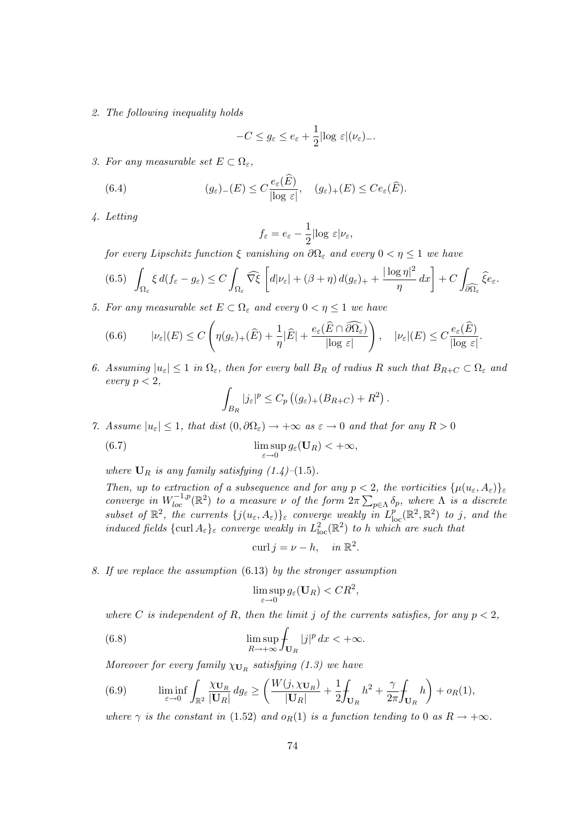2. The following inequality holds

$$
-C \le g_{\varepsilon} \le e_{\varepsilon} + \frac{1}{2} |\log \varepsilon| (\nu_{\varepsilon})_{-}.
$$

3. For any measurable set  $E \subset \Omega_{\varepsilon}$ ,

(6.4) 
$$
(g_{\varepsilon})_{-}(E) \leq C \frac{e_{\varepsilon}(\widehat{E})}{|\log \varepsilon|}, \quad (g_{\varepsilon})_{+}(E) \leq C e_{\varepsilon}(\widehat{E}).
$$

4. Letting

$$
f_{\varepsilon}=e_{\varepsilon}-\frac{1}{2}|\text{log }\varepsilon|\nu_{\varepsilon},
$$

for every Lipschitz function  $\xi$  vanishing on  $\partial\Omega_{\varepsilon}$  and every  $0 < \eta \leq 1$  we have

$$
(6.5)\ \ \int_{\Omega_{\varepsilon}} \xi \, d(f_{\varepsilon} - g_{\varepsilon}) \le C \int_{\Omega_{\varepsilon}} \widehat{\nabla \xi} \left[ d|\nu_{\varepsilon}| + (\beta + \eta) \, d(g_{\varepsilon})_{+} + \frac{|\log \eta|^2}{\eta} \, dx \right] + C \int_{\partial \widehat{\Omega}_{\varepsilon}} \widehat{\xi} e_{\varepsilon}.
$$

5. For any measurable set  $E \subset \Omega_{\varepsilon}$  and every  $0 < \eta \leq 1$  we have

(6.6) 
$$
|\nu_{\varepsilon}|(E) \leq C \left( \eta(g_{\varepsilon})_+(\widehat{E}) + \frac{1}{\eta} |\widehat{E}| + \frac{e_{\varepsilon}(\widehat{E} \cap \widehat{\partial \Omega_{\varepsilon}})}{|\log \varepsilon|} \right), \quad |\nu_{\varepsilon}|(E) \leq C \frac{e_{\varepsilon}(\widehat{E})}{|\log \varepsilon|}.
$$

6. Assuming  $|u_{\varepsilon}| \leq 1$  in  $\Omega_{\varepsilon}$ , then for every ball  $B_R$  of radius R such that  $B_{R+C} \subset \Omega_{\varepsilon}$  and every  $p < 2$ ,

$$
\int_{B_R} |j_{\varepsilon}|^p \leq C_p \left( (g_{\varepsilon})_+(B_{R+C}) + R^2 \right).
$$

7. Assume  $|u_{\varepsilon}| \leq 1$ , that dist  $(0, \partial \Omega_{\varepsilon}) \to +\infty$  as  $\varepsilon \to 0$  and that for any  $R > 0$ 

(6.7) 
$$
\limsup_{\varepsilon \to 0} g_{\varepsilon}(\mathbf{U}_R) < +\infty,
$$

where  $\mathbf{U}_R$  is any family satisfying  $(1.4)$ – $(1.5)$ .

Then, up to extraction of a subsequence and for any  $p < 2$ , the vorticities  $\{\mu(u_{\varepsilon}, A_{\varepsilon})\}_{\varepsilon}$ converge in  $W^{-1,p}_{loc}(\mathbb{R}^2)$  to a measure  $\nu$  of the form  $2\pi \sum_{p\in\Lambda} \delta_p$ , where  $\Lambda$  is a discrete subset of  $\mathbb{R}^2$ , the currents  $\{j(u_{\varepsilon}, A_{\varepsilon})\}_{\varepsilon}$  converge weakly in  $L^p_{\text{loc}}(\mathbb{R}^2, \mathbb{R}^2)$  to j, and the induced fields  $\{\text{curl } A_{\varepsilon}\}_{\varepsilon}$  converge weakly in  $L^2_{\text{loc}}(\mathbb{R}^2)$  to h which are such that

$$
\operatorname{curl} j = \nu - h, \quad \text{in } \mathbb{R}^2.
$$

8. If we replace the assumption (6.13) by the stronger assumption

$$
\limsup_{\varepsilon \to 0} g_{\varepsilon}(\mathbf{U}_R) < CR^2,
$$

where C is independent of R, then the limit j of the currents satisfies, for any  $p < 2$ ,

(6.8) 
$$
\limsup_{R \to +\infty} \int_{\mathbf{U}_R} |j|^p dx < +\infty.
$$

Moreover for every family  $\chi_{\mathbf{U}_R}$  satisfying (1.3) we have

(6.9) 
$$
\liminf_{\varepsilon \to 0} \int_{\mathbb{R}^2} \frac{\chi \mathbf{U}_R}{|\mathbf{U}_R|} dg_{\varepsilon} \ge \left( \frac{W(j, \chi \mathbf{U}_R)}{|\mathbf{U}_R|} + \frac{1}{2} \int_{\mathbf{U}_R} h^2 + \frac{\gamma}{2\pi} \int_{\mathbf{U}_R} h \right) + o_R(1),
$$

where  $\gamma$  is the constant in (1.52) and  $o_R(1)$  is a function tending to 0 as  $R \to +\infty$ .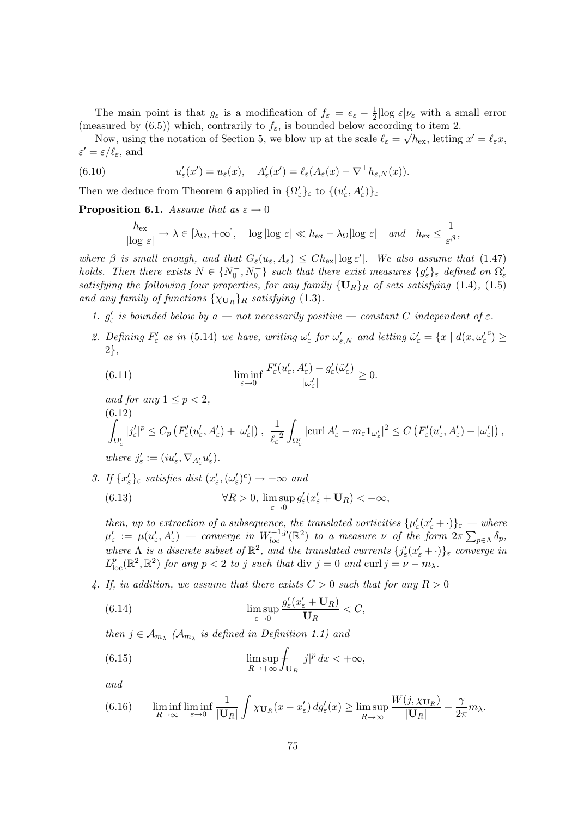The main point is that  $g_{\varepsilon}$  is a modification of  $f_{\varepsilon} = e_{\varepsilon} - \frac{1}{2}$  $\frac{1}{2}$ log  $\varepsilon|\nu_{\varepsilon}$  with a small error (measured by (6.5)) which, contrarily to  $f_{\varepsilon}$ , is bounded below according to item 2.

Now, using the notation of Section 5, we blow up at the scale  $\ell_{\varepsilon} = \sqrt{h_{\rm ex}}$ , letting  $x' = \ell_{\varepsilon} x$ ,  $\varepsilon' = \varepsilon/\ell_{\varepsilon}$ , and

(6.10) 
$$
u_{\varepsilon}'(x') = u_{\varepsilon}(x), \quad A'_{\varepsilon}(x') = \ell_{\varepsilon}(A_{\varepsilon}(x) - \nabla^{\perp} h_{\varepsilon,N}(x)).
$$

Then we deduce from Theorem 6 applied in  $\{\Omega'_{\varepsilon}\}_\varepsilon$  to  $\{(u'_{\varepsilon}, A'_{\varepsilon})\}_\varepsilon$ 

**Proposition 6.1.** Assume that as  $\varepsilon \to 0$ 

$$
\frac{h_{\text{ex}}}{|\log \varepsilon|} \to \lambda \in [\lambda_{\Omega}, +\infty], \quad \log |\log \varepsilon| \ll h_{\text{ex}} - \lambda_{\Omega} |\log \varepsilon| \quad \text{and} \quad h_{\text{ex}} \le \frac{1}{\varepsilon^{\beta}},
$$

where  $\beta$  is small enough, and that  $G_{\varepsilon}(u_{\varepsilon}, A_{\varepsilon}) \leq Ch_{\text{ex}} |\log \varepsilon'|$ . We also assume that (1.47) holds. Then there exists  $N \in \{N_0^-, N_0^+\}$  such that there exist measures  $\{g_\varepsilon'\}_\varepsilon$  defined on  $\Omega_\varepsilon'$ satisfying the following four properties, for any family  $\{U_R\}_R$  of sets satisfying (1.4), (1.5) and any family of functions  $\{\chi_{\mathbf{U}_R}\}_R$  satisfying (1.3).

- 1.  $g'_{\varepsilon}$  is bounded below by a not necessarily positive constant C independent of  $\varepsilon$ .
- 2. Defining  $F'_{\varepsilon}$  as in (5.14) we have, writing  $\omega'_{\varepsilon}$  for  $\omega'_{\varepsilon,N}$  and letting  $\tilde{\omega}'_{\varepsilon} = \{x \mid d(x, {\omega'_{\varepsilon}}^c) \geq$ 2},

(6.11) 
$$
\liminf_{\varepsilon \to 0} \frac{F'_{\varepsilon}(u'_{\varepsilon}, A'_{\varepsilon}) - g'_{\varepsilon}(\tilde{\omega}'_{\varepsilon})}{|\omega'_{\varepsilon}|} \ge 0.
$$

and for any 
$$
1 \le p < 2
$$
,  
\n(6.12)  
\n
$$
\int_{\Omega'_{\varepsilon}} |j'_{\varepsilon}|^p \le C_p \left( F'_{\varepsilon}(u'_{\varepsilon}, A'_{\varepsilon}) + |\omega'_{\varepsilon}| \right), \frac{1}{\ell_{\varepsilon}^2} \int_{\Omega'_{\varepsilon}} |\text{curl } A'_{\varepsilon} - m_{\varepsilon} \mathbf{1}_{\omega'_{\varepsilon}}|^2 \le C \left( F'_{\varepsilon}(u'_{\varepsilon}, A'_{\varepsilon}) + |\omega'_{\varepsilon}| \right),
$$
\nwhere  $j'_{\varepsilon} := (iu'_{\varepsilon}, \nabla_{A'_{\varepsilon}} u'_{\varepsilon}).$ 

3. If  $\{x_{\varepsilon}'\}_\varepsilon$  satisfies dist  $(x_{\varepsilon}', (\omega_{\varepsilon}')^c) \to +\infty$  and

(6.13) 
$$
\forall R > 0, \limsup_{\varepsilon \to 0} g_{\varepsilon}'(x_{\varepsilon}'+\mathbf{U}_R) < +\infty,
$$

then, up to extraction of a subsequence, the translated vorticities  $\{\mu'_\varepsilon(x'_\varepsilon+\cdot)\}_\varepsilon$  — where  $\mu_\varepsilon':=\ \mu(u_\varepsilon',A_\varepsilon') \ -\ \ \textit{converge in}\ \ W^{-1,p}_{loc}(\mathbb R^2) \ \ \textit{to}\ \ a\ \ \textit{measure}\ \ \nu\ \ \textit{of the form}\ \ 2\pi\sum_{p\in\Lambda} \delta_p,$ where  $\Lambda$  is a discrete subset of  $\mathbb{R}^2$ , and the translated currents  $\{j'_\varepsilon(x'_\varepsilon+\cdot)\}_\varepsilon$  converge in  $L_{\text{loc}}^p(\mathbb{R}^2, \mathbb{R}^2)$  for any  $p < 2$  to j such that div  $j = 0$  and curl  $j = \nu - m_\lambda$ .

4. If, in addition, we assume that there exists  $C > 0$  such that for any  $R > 0$ 

(6.14) 
$$
\limsup_{\varepsilon \to 0} \frac{g_{\varepsilon}'(x_{\varepsilon}'+\mathbf{U}_R)}{|\mathbf{U}_R|} < C,
$$

then  $j \in \mathcal{A}_{m_{\lambda}}$  ( $\mathcal{A}_{m_{\lambda}}$  is defined in Definition 1.1) and

(6.15) 
$$
\limsup_{R \to +\infty} \int_{\mathbf{U}_R} |j|^p dx < +\infty,
$$

and

(6.16) 
$$
\liminf_{R \to \infty} \liminf_{\varepsilon \to 0} \frac{1}{|\mathbf{U}_R|} \int \chi_{\mathbf{U}_R}(x - x_{\varepsilon}') \, dg_{\varepsilon}'(x) \ge \limsup_{R \to \infty} \frac{W(j, \chi_{\mathbf{U}_R})}{|\mathbf{U}_R|} + \frac{\gamma}{2\pi} m_\lambda.
$$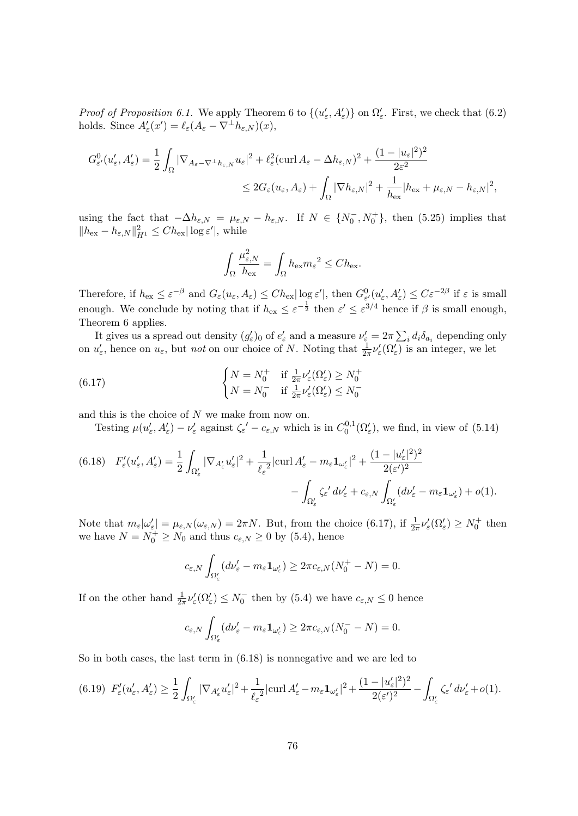*Proof of Proposition 6.1.* We apply Theorem 6 to  $\{(u'_\varepsilon, A'_\varepsilon)\}\$  on  $\Omega'_\varepsilon$ . First, we check that (6.2) holds. Since  $A'_\varepsilon(x') = \ell_\varepsilon(A_\varepsilon - \nabla^\perp h_{\varepsilon,N})(x),$ 

$$
G_{\varepsilon'}^{0}(u_{\varepsilon}', A_{\varepsilon}') = \frac{1}{2} \int_{\Omega} |\nabla_{A_{\varepsilon}-\nabla^{\perp} h_{\varepsilon,N}} u_{\varepsilon}|^{2} + \ell_{\varepsilon}^{2} (\operatorname{curl} A_{\varepsilon} - \Delta h_{\varepsilon,N})^{2} + \frac{(1-|u_{\varepsilon}|^{2})^{2}}{2\varepsilon^{2}} \n\leq 2G_{\varepsilon}(u_{\varepsilon}, A_{\varepsilon}) + \int_{\Omega} |\nabla h_{\varepsilon,N}|^{2} + \frac{1}{h_{\text{ex}}} |h_{\text{ex}} + \mu_{\varepsilon,N} - h_{\varepsilon,N}|^{2},
$$

using the fact that  $-\Delta h_{\varepsilon,N} = \mu_{\varepsilon,N} - h_{\varepsilon,N}$ . If  $N \in \{N_0^-, N_0^+\}$ , then (5.25) implies that  $||h_{\text{ex}} - h_{\varepsilon,N}||_{H^1}^2 \leq Ch_{\text{ex}} |\log \varepsilon'|$ , while

$$
\int_{\Omega} \frac{\mu_{\varepsilon,N}^2}{h_{\text{ex}}} = \int_{\Omega} h_{\text{ex}} m_{\varepsilon}^2 \leq C h_{\text{ex}}.
$$

Therefore, if  $h_{\text{ex}} \leq \varepsilon^{-\beta}$  and  $G_{\varepsilon}(u_{\varepsilon}, A_{\varepsilon}) \leq Ch_{\text{ex}} |\log \varepsilon'|$ , then  $G_{\varepsilon'}^0(u'_{\varepsilon}, A'_{\varepsilon}) \leq C \varepsilon^{-2\beta}$  if  $\varepsilon$  is small enough. We conclude by noting that if  $h_{\text{ex}} \leq \varepsilon^{-\frac{1}{2}}$  then  $\varepsilon' \leq \varepsilon^{3/4}$  hence if  $\beta$  is small enough, Theorem 6 applies.

It gives us a spread out density  $(g'_\varepsilon)_0$  of  $e'_\varepsilon$  and a measure  $\nu'_\varepsilon = 2\pi \sum_i d_i \delta_{a_i}$  depending only on  $u'_\varepsilon$ , hence on  $u_\varepsilon$ , but *not* on our choice of N. Noting that  $\frac{1}{2\pi}\nu'_\varepsilon(\Omega'_\varepsilon)$  is an integer, we let

(6.17) 
$$
\begin{cases} N = N_0^+ & \text{if } \frac{1}{2\pi} \nu_{\varepsilon}'(\Omega_{\varepsilon}') \ge N_0^+ \\ N = N_0^- & \text{if } \frac{1}{2\pi} \nu_{\varepsilon}'(\Omega_{\varepsilon}') \le N_0^- \end{cases}
$$

and this is the choice of  $N$  we make from now on.

Testing  $\mu(u'_{\varepsilon}, A'_{\varepsilon}) - \nu'_{\varepsilon}$  against  $\zeta_{\varepsilon}' - c_{\varepsilon, N}$  which is in  $C_0^{0,1}$  $0^{0,1}_{0}(\Omega_{\varepsilon}'),$  we find, in view of  $(5.14)$ 

(6.18) 
$$
F'_{\varepsilon}(u'_{\varepsilon}, A'_{\varepsilon}) = \frac{1}{2} \int_{\Omega'_{\varepsilon}} |\nabla_{A'_{\varepsilon}} u'_{\varepsilon}|^2 + \frac{1}{\ell_{\varepsilon}^2} |\text{curl } A'_{\varepsilon} - m_{\varepsilon} \mathbf{1}_{\omega'_{\varepsilon}}|^2 + \frac{(1 - |u'_{\varepsilon}|^2)^2}{2(\varepsilon')^2} - \int_{\Omega'_{\varepsilon}} \zeta_{\varepsilon} \, d\nu'_{\varepsilon} + c_{\varepsilon, N} \int_{\Omega'_{\varepsilon}} (d\nu'_{\varepsilon} - m_{\varepsilon} \mathbf{1}_{\omega'_{\varepsilon}}) + o(1).
$$

Note that  $m_{\varepsilon}|\omega'_{\varepsilon}| = \mu_{\varepsilon,N}(\omega_{\varepsilon,N}) = 2\pi N$ . But, from the choice (6.17), if  $\frac{1}{2\pi}\nu'_{\varepsilon}(\Omega'_{\varepsilon}) \geq N_0^+$  then we have  $N = N_0^+ \ge N_0$  and thus  $c_{\varepsilon, N} \ge 0$  by (5.4), hence

$$
c_{\varepsilon,N} \int_{\Omega'_{\varepsilon}} (d\nu'_{\varepsilon} - m_{\varepsilon} \mathbf{1}_{\omega'_{\varepsilon}}) \geq 2\pi c_{\varepsilon,N} (N_0^+ - N) = 0.
$$

If on the other hand  $\frac{1}{2\pi} \nu_{\varepsilon}'(\Omega_{\varepsilon}') \leq N_0^-$  then by (5.4) we have  $c_{\varepsilon,N} \leq 0$  hence

$$
c_{\varepsilon,N}\int_{\Omega'_{\varepsilon}}(d\nu'_{\varepsilon}-m_{\varepsilon}\mathbf{1}_{\omega'_{\varepsilon}})\geq 2\pi c_{\varepsilon,N}(N_0^--N)=0.
$$

So in both cases, the last term in (6.18) is nonnegative and we are led to

$$
(6.19)\ \ F'_{\varepsilon}(u'_{\varepsilon},A'_{\varepsilon}) \geq \frac{1}{2} \int_{\Omega'_{\varepsilon}} |\nabla_{A'_{\varepsilon}} u'_{\varepsilon}|^{2} + \frac{1}{\ell_{\varepsilon}^{2}} |\mathrm{curl}\, A'_{\varepsilon} - m_{\varepsilon} \mathbf{1}_{\omega'_{\varepsilon}}|^{2} + \frac{(1 - |u'_{\varepsilon}|^{2})^{2}}{2(\varepsilon')^{2}} - \int_{\Omega'_{\varepsilon}} \zeta_{\varepsilon} \, d\nu'_{\varepsilon} + o(1).
$$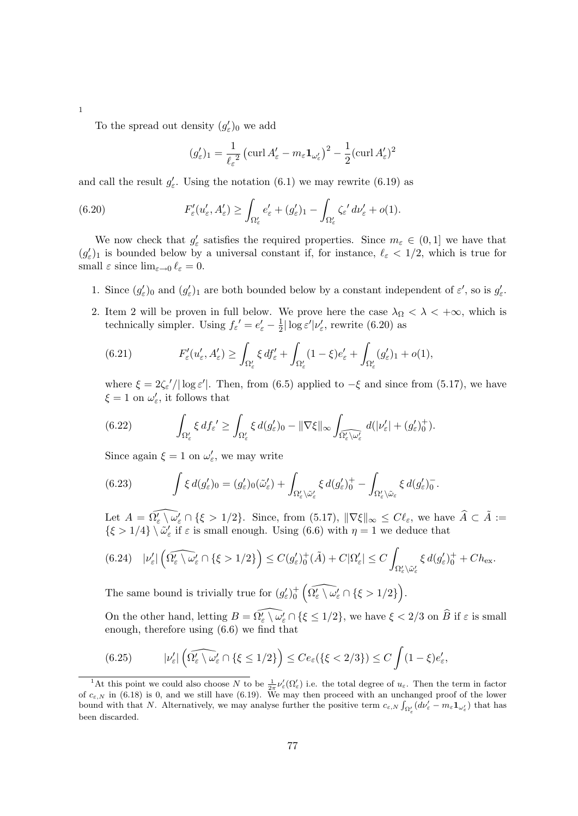To the spread out density  $(g'_{\varepsilon})_0$  we add

1

$$
(g'_{\varepsilon})_1 = \frac{1}{\ell_{\varepsilon}^2} \left( \operatorname{curl} A'_{\varepsilon} - m_{\varepsilon} \mathbf{1}_{\omega'_{\varepsilon}} \right)^2 - \frac{1}{2} (\operatorname{curl} A'_{\varepsilon})^2
$$

and call the result  $g'_{\varepsilon}$ . Using the notation (6.1) we may rewrite (6.19) as

(6.20) 
$$
F'_{\varepsilon}(u'_{\varepsilon}, A'_{\varepsilon}) \geq \int_{\Omega'_{\varepsilon}} e'_{\varepsilon} + (g'_{\varepsilon})_1 - \int_{\Omega'_{\varepsilon}} \zeta_{\varepsilon}' d\nu'_{\varepsilon} + o(1).
$$

We now check that  $g'_{\varepsilon}$  satisfies the required properties. Since  $m_{\varepsilon} \in (0,1]$  we have that  $(g'_\varepsilon)_1$  is bounded below by a universal constant if, for instance,  $\ell_\varepsilon < 1/2$ , which is true for small  $\varepsilon$  since  $\lim_{\varepsilon \to 0} \ell_{\varepsilon} = 0.$ 

- 1. Since  $(g'_\varepsilon)_0$  and  $(g'_\varepsilon)_1$  are both bounded below by a constant independent of  $\varepsilon'$ , so is  $g'_\varepsilon$ .
- 2. Item 2 will be proven in full below. We prove here the case  $\lambda_{\Omega} < \lambda < +\infty$ , which is technically simpler. Using  $f_{\varepsilon}^{\prime} = e_{\varepsilon}^{\prime} - \frac{1}{2}$  $\frac{1}{2}|\log \varepsilon'|\nu'_{\varepsilon}$ , rewrite (6.20) as

(6.21) 
$$
F'_{\varepsilon}(u'_{\varepsilon}, A'_{\varepsilon}) \geq \int_{\Omega'_{\varepsilon}} \xi \, df'_{\varepsilon} + \int_{\Omega'_{\varepsilon}} (1 - \xi) e'_{\varepsilon} + \int_{\Omega'_{\varepsilon}} (g'_{\varepsilon})_1 + o(1),
$$

where  $\xi = 2\zeta_{\varepsilon}'/|\log \varepsilon'|$ . Then, from (6.5) applied to  $-\xi$  and since from (5.17), we have  $\xi = 1$  on  $\omega'_{\varepsilon}$ , it follows that

(6.22) 
$$
\int_{\Omega'_{\varepsilon}} \xi \, df_{\varepsilon} \geq \int_{\Omega'_{\varepsilon}} \xi \, d(g'_{\varepsilon})_0 - \|\nabla \xi\|_{\infty} \int_{\Omega'_{\varepsilon} \setminus \omega'_{\varepsilon}} d(|\nu'_{\varepsilon}| + (g'_{\varepsilon})_0^+).
$$

Since again  $\xi = 1$  on  $\omega'_{\varepsilon}$ , we may write

(6.23) 
$$
\int \xi \, d(g'_{\varepsilon})_0 = (g'_{\varepsilon})_0(\tilde{\omega}'_{\varepsilon}) + \int_{\Omega'_{\varepsilon} \setminus \tilde{\omega}'_{\varepsilon}} \xi \, d(g'_{\varepsilon})_0^+ - \int_{\Omega'_{\varepsilon} \setminus \tilde{\omega}_{\varepsilon}} \xi \, d(g'_{\varepsilon})_0^-.
$$

Let  $A = \widehat{\Omega_{\varepsilon} \setminus \omega_{\varepsilon}} \cap {\{\varepsilon > 1/2\}}$ . Since, from (5.17),  $\|\nabla \xi\|_{\infty} \leq C\ell_{\varepsilon}$ , we have  $\widehat{A} \subset \tilde{A}$  :=  $\{\xi > 1/4\} \setminus \tilde{\omega}'_{\varepsilon}$  if  $\varepsilon$  is small enough. Using (6.6) with  $\eta = 1$  we deduce that

$$
(6.24)\quad |\nu_{\varepsilon}'| \left(\widehat{\Omega_{\varepsilon}' \setminus \omega_{\varepsilon}'} \cap \{\xi > 1/2\}\right) \leq C(g_{\varepsilon}')_{0}^{+}(\tilde{A}) + C|\Omega_{\varepsilon}'| \leq C \int_{\Omega_{\varepsilon}' \setminus \tilde{\omega}_{\varepsilon}'} \xi \, d(g_{\varepsilon}')_{0}^{+} + Ch_{\text{ex}}.
$$

The same bound is trivially true for  $(g'_{\varepsilon})_0^+ \left( \widehat{\Omega'_{\varepsilon}} \setminus \omega'_{\varepsilon} \cap {\{\xi > 1/2\}} \right)$ .

On the other hand, letting  $B = \widehat{\Omega_{\varepsilon}'} \setminus \omega_{\varepsilon}' \cap {\{\xi \leq 1/2\}}$ , we have  $\xi < 2/3$  on  $\widehat{B}$  if  $\varepsilon$  is small enough, therefore using (6.6) we find that

(6.25) 
$$
|\nu_{\varepsilon}'| \left(\widehat{\Omega_{\varepsilon}' \setminus \omega_{\varepsilon}'} \cap \{\xi \le 1/2\}\right) \le C e_{\varepsilon} (\{\xi < 2/3\}) \le C \int (1 - \xi) e_{\varepsilon}',
$$

<sup>&</sup>lt;sup>1</sup>At this point we could also choose N to be  $\frac{1}{2\pi}\nu_{\varepsilon}'(\Omega_{\varepsilon}')$  i.e. the total degree of  $u_{\varepsilon}$ . Then the term in factor of  $c_{\varepsilon,N}$  in (6.18) is 0, and we still have (6.19). We may then proceed with an unchanged proof of the lower bound with that N. Alternatively, we may analyse further the positive term  $c_{\varepsilon,N} \int_{\Omega'_{\varepsilon}} (d\nu'_{\varepsilon} - m_{\varepsilon} \mathbf{1}_{\omega'_{\varepsilon}})$  that has been discarded.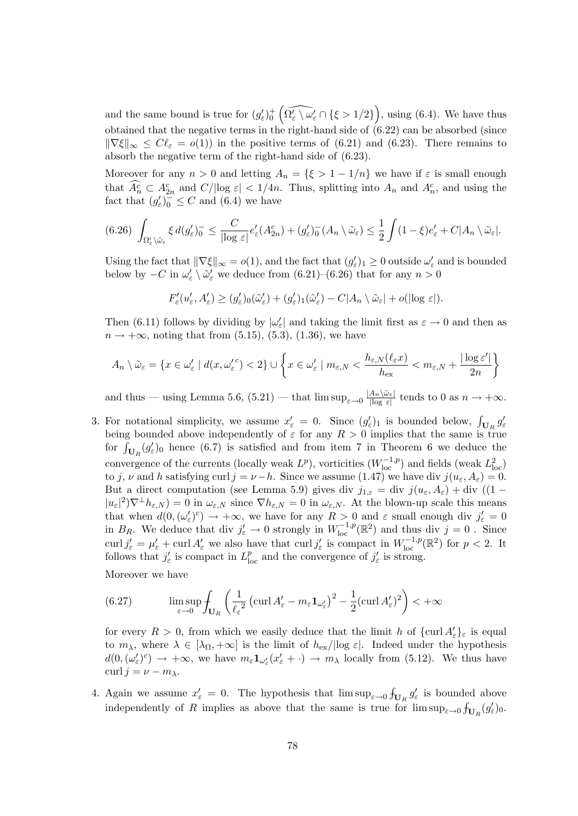and the same bound is true for  $(g'_\varepsilon)^+_{0}$   $(\widehat{\Omega'_\varepsilon \setminus \omega'_\varepsilon} \cap {\{\xi > 1/2\}})$ , using (6.4). We have thus obtained that the negative terms in the right-hand side of (6.22) can be absorbed (since  $\|\nabla \xi\|_{\infty} \leq C\ell_{\varepsilon} = o(1)$  in the positive terms of (6.21) and (6.23). There remains to absorb the negative term of the right-hand side of (6.23).

Moreover for any  $n > 0$  and letting  $A_n = \{\xi > 1 - 1/n\}$  we have if  $\varepsilon$  is small enough that  $\widehat{A_n^c} \subset A_{2n}^c$  and  $C/|\log \varepsilon| < 1/4n$ . Thus, splitting into  $A_n$  and  $A_n^c$ , and using the fact that  $(g_{\varepsilon}')_0^- \leq C$  and  $(6.4)$  we have

$$
(6.26)\ \int_{\Omega'_\varepsilon\setminus\tilde{\omega}_\varepsilon} \xi\,d(g'_\varepsilon)_0^- \leq \frac{C}{|\log\varepsilon|}e'_\varepsilon(A_{2n}^c) + (g'_\varepsilon)_0^-(A_n\setminus\tilde{\omega}_\varepsilon) \leq \frac{1}{2}\int (1-\xi)e'_\varepsilon + C|A_n\setminus\tilde{\omega}_\varepsilon|.
$$

Using the fact that  $\|\nabla \xi\|_{\infty} = o(1)$ , and the fact that  $(g_{\varepsilon}')_1 \geq 0$  outside  $\omega_{\varepsilon}'$  and is bounded below by  $-C$  in  $\omega'_{\varepsilon} \setminus \tilde{\omega}'_{\varepsilon}$  we deduce from (6.21)–(6.26) that for any  $n > 0$ 

$$
F'_{\varepsilon}(u'_{\varepsilon}, A'_{\varepsilon}) \ge (g'_{\varepsilon})_{0}(\tilde{\omega}'_{\varepsilon}) + (g'_{\varepsilon})_{1}(\tilde{\omega}'_{\varepsilon}) - C|A_{n} \setminus \tilde{\omega}_{\varepsilon}| + o(|\log \varepsilon|).
$$

Then (6.11) follows by dividing by  $|\omega_{\varepsilon}'|$  and taking the limit first as  $\varepsilon \to 0$  and then as  $n \to +\infty$ , noting that from (5.15), (5.3), (1.36), we have

$$
A_n \setminus \tilde{\omega}_{\varepsilon} = \{ x \in \omega_{\varepsilon}' \mid d(x, {\omega_{\varepsilon}'}^c) < 2 \} \cup \left\{ x \in \omega_{\varepsilon}' \mid m_{\varepsilon, N} < \frac{h_{\varepsilon, N}(\ell_{\varepsilon} x)}{h_{\text{ex}}} < m_{\varepsilon, N} + \frac{|\log \varepsilon'|}{2n} \right\}
$$

and thus — using Lemma 5.6,  $(5.21)$  — that  $\limsup_{\varepsilon \to 0} \frac{|A_n \setminus \tilde{\omega}_{\varepsilon}|}{|\log \varepsilon|}$  $\frac{A_n \setminus \omega_{\varepsilon}}{\log \varepsilon}$  tends to 0 as  $n \to +\infty$ .

3. For notational simplicity, we assume  $x'_{\varepsilon} = 0$ . Since  $(g'_{\varepsilon})_1$  is bounded below,  $\int_{\mathbf{U}_R} g'_{\varepsilon}$ being bounded above independently of  $\varepsilon$  for any  $R > 0$  implies that the same is true for  $\int_{\mathbf{U}_R} (g_\varepsilon')_0$  hence (6.7) is satisfied and from item 7 in Theorem 6 we deduce the convergence of the currents (locally weak  $L^p$ ), vorticities  $(W_{\text{loc}}^{-1,p})$  and fields (weak  $L^2_{\text{loc}}$ ) to j, v and h satisfying curl  $j = \nu - h$ . Since we assume (1.47) we have div  $j(u_{\varepsilon}, A_{\varepsilon}) = 0$ . But a direct computation (see Lemma 5.9) gives div  $j_{1,\varepsilon} = \text{div } j(u_{\varepsilon}, A_{\varepsilon}) + \text{div } ((1 |u_{\varepsilon}|^2 \nabla^{\perp} h_{\varepsilon,N} = 0$  in  $\omega_{\varepsilon,N}$  since  $\nabla h_{\varepsilon,N} = 0$  in  $\omega_{\varepsilon,N}$ . At the blown-up scale this means that when  $d(0, (\omega'_\varepsilon)^c) \to +\infty$ , we have for any  $R > 0$  and  $\varepsilon$  small enough div  $j'_\varepsilon = 0$ in  $B_R$ . We deduce that div  $j'_\varepsilon \to 0$  strongly in  $W^{-1,p}_{loc}(\mathbb{R}^2)$  and thus div  $j = 0$ . Since curl  $j'_{\varepsilon} = \mu'_{\varepsilon} + \text{curl } A'_{\varepsilon}$  we also have that  $\text{curl } j'_{\varepsilon}$  is compact in  $W_{\text{loc}}^{-1,p}(\mathbb{R}^2)$  for  $p < 2$ . It follows that  $j'_{\varepsilon}$  is compact in  $L^p_{\text{loc}}$  and the convergence of  $j'_{\varepsilon}$  is strong.

Moreover we have

(6.27) 
$$
\limsup_{\varepsilon \to 0} \int_{\mathbf{U}_R} \left( \frac{1}{\ell_{\varepsilon}^2} \left( \operatorname{curl} A_{\varepsilon}' - m_{\varepsilon} \mathbf{1}_{\omega_{\varepsilon}'} \right)^2 - \frac{1}{2} (\operatorname{curl} A_{\varepsilon}')^2 \right) < +\infty
$$

for every  $R > 0$ , from which we easily deduce that the limit h of  $\{\text{curl } A_{\varepsilon}'\}_{\varepsilon}$  is equal to  $m_\lambda$ , where  $\lambda \in [\lambda_{\Omega}, +\infty]$  is the limit of  $h_{\text{ex}}/|\log \varepsilon|$ . Indeed under the hypothesis  $d(0, (\omega'_\varepsilon)^c) \to +\infty$ , we have  $m_\varepsilon \mathbf{1}_{\omega'_\varepsilon}(x'_\varepsilon + \cdot) \to m_\lambda$  locally from (5.12). We thus have curl  $j = \nu - m_{\lambda}$ .

4. Again we assume  $x'_{\varepsilon} = 0$ . The hypothesis that  $\limsup_{\varepsilon \to 0} \int_{\mathbf{U}_R} g'_{\varepsilon}$  is bounded above independently of R implies as above that the same is true for  $\limsup_{\varepsilon\to 0}$   $\int_{\mathbf{U}_R}(g_{\varepsilon}')_0$ .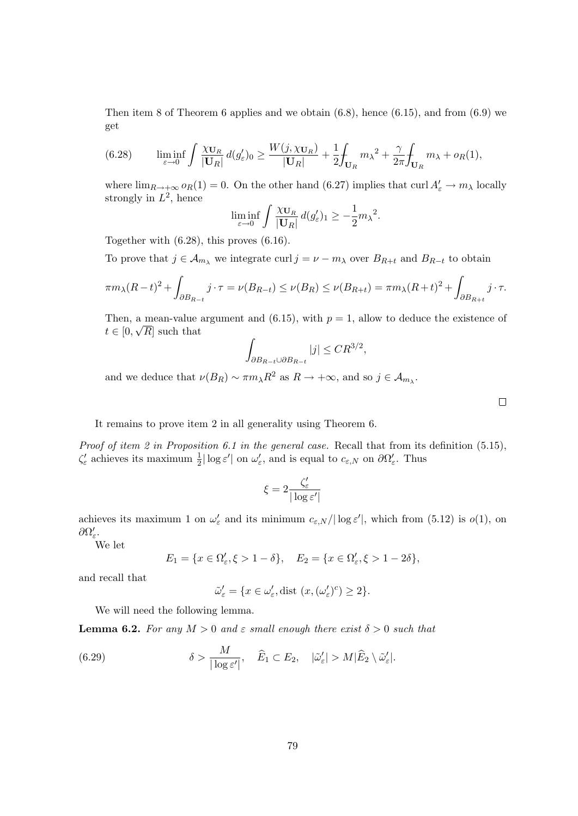Then item 8 of Theorem 6 applies and we obtain  $(6.8)$ , hence  $(6.15)$ , and from  $(6.9)$  we get

(6.28) 
$$
\liminf_{\varepsilon \to 0} \int \frac{\chi_{\mathbf{U}_R}}{|\mathbf{U}_R|} d(g_{\varepsilon}')_0 \ge \frac{W(j, \chi_{\mathbf{U}_R})}{|\mathbf{U}_R|} + \frac{1}{2} \int_{\mathbf{U}_R} m_\lambda^2 + \frac{\gamma}{2\pi} \int_{\mathbf{U}_R} m_\lambda + o_R(1),
$$

where  $\lim_{R\to+\infty} o_R(1) = 0$ . On the other hand (6.27) implies that curl  $A'_\varepsilon \to m_\lambda$  locally strongly in  $L^2$ , hence

$$
\liminf_{\varepsilon \to 0} \int \frac{\chi_{\mathbf{U}_R}}{|\mathbf{U}_R|} d(g_{\varepsilon}')_1 \geq -\frac{1}{2} m_{\lambda}^2.
$$

Together with (6.28), this proves (6.16).

To prove that  $j \in A_{m_\lambda}$  we integrate curl  $j = \nu - m_\lambda$  over  $B_{R+t}$  and  $B_{R-t}$  to obtain

$$
\pi m_{\lambda}(R-t)^2 + \int_{\partial B_{R-t}} j \cdot \tau = \nu(B_{R-t}) \le \nu(B_R) \le \nu(B_{R+t}) = \pi m_{\lambda}(R+t)^2 + \int_{\partial B_{R+t}} j \cdot \tau.
$$

Then, a mean-value argument and (6.15), with  $p = 1$ , allow to deduce the existence of  $t \in [0, \sqrt{R}]$  such that

$$
\int_{\partial B_{R-t}\cup \partial B_{R-t}}|j| \leq CR^{3/2},
$$

and we deduce that  $\nu(B_R) \sim \pi m_\lambda R^2$  as  $R \to +\infty$ , and so  $j \in \mathcal{A}_{m_\lambda}$ .

It remains to prove item 2 in all generality using Theorem 6.

Proof of item 2 in Proposition 6.1 in the general case. Recall that from its definition (5.15),  $\zeta'_{\varepsilon}$  achieves its maximum  $\frac{1}{2}|\log \varepsilon'|$  on  $\omega'_{\varepsilon}$ , and is equal to  $c_{\varepsilon,N}$  on  $\partial \Omega'_{\varepsilon}$ . Thus

$$
\xi = 2 \frac{\zeta'_\varepsilon}{|\log \varepsilon'|}
$$

achieves its maximum 1 on  $\omega'_{\varepsilon}$  and its minimum  $c_{\varepsilon,N}/|\log \varepsilon'|$ , which from (5.12) is  $o(1)$ , on  $\partial\Omega_{\varepsilon}^{\prime}$ .

We let

$$
E_1 = \{x \in \Omega'_{\varepsilon}, \xi > 1 - \delta\}, \quad E_2 = \{x \in \Omega'_{\varepsilon}, \xi > 1 - 2\delta\},
$$

and recall that

$$
\tilde{\omega}'_{\varepsilon} = \{ x \in \omega'_{\varepsilon}, \text{dist } (x, (\omega'_{\varepsilon})^c) \ge 2 \}.
$$

We will need the following lemma.

**Lemma 6.2.** For any  $M > 0$  and  $\varepsilon$  small enough there exist  $\delta > 0$  such that

(6.29) 
$$
\delta > \frac{M}{|\log \varepsilon'|}, \quad \widehat{E}_1 \subset E_2, \quad |\tilde{\omega}'_{\varepsilon}| > M |\widehat{E}_2 \setminus \tilde{\omega}'_{\varepsilon}|.
$$

 $\Box$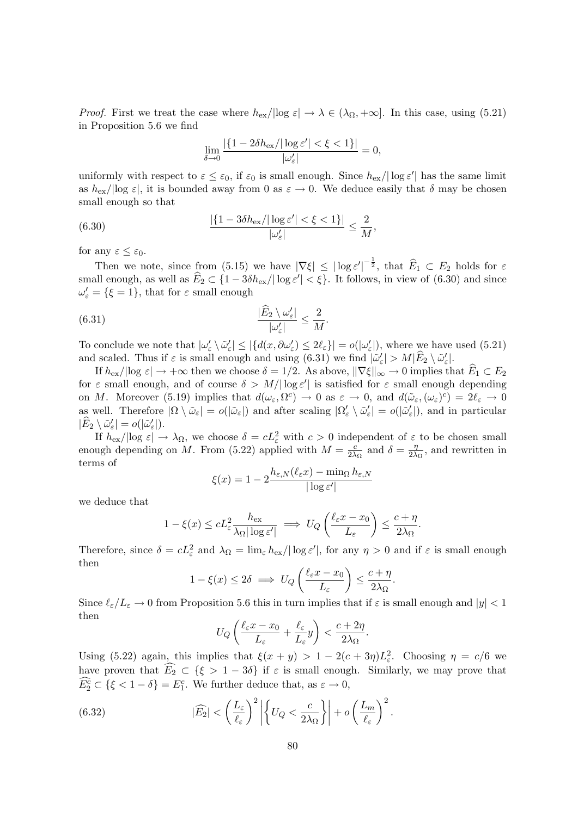*Proof.* First we treat the case where  $h_{\text{ex}}/|\log \varepsilon| \to \lambda \in (\lambda_{\Omega}, +\infty]$ . In this case, using (5.21) in Proposition 5.6 we find

$$
\lim_{\delta \to 0} \frac{|\{1 - 2\delta h_{\rm ex}/|\log \varepsilon'| < \xi < 1\}|}{|\omega_{\varepsilon}'|} = 0,
$$

uniformly with respect to  $\varepsilon \leq \varepsilon_0$ , if  $\varepsilon_0$  is small enough. Since  $h_{\text{ex}}/|\log \varepsilon'|$  has the same limit as  $h_{\text{ex}}/|\text{log } \varepsilon|$ , it is bounded away from 0 as  $\varepsilon \to 0$ . We deduce easily that  $\delta$  may be chosen small enough so that

(6.30) 
$$
\frac{|\{1-3\delta h_{\rm ex}/|\log \varepsilon'|<\xi<1\}|}{|\omega_{\varepsilon}'|}\leq \frac{2}{M},
$$

for any  $\varepsilon \leq \varepsilon_0$ .

Then we note, since from (5.15) we have  $|\nabla \xi| \le |\log \varepsilon'|^{-\frac{1}{2}}$ , that  $\widehat{E}_1 \subset E_2$  holds for  $\varepsilon$ small enough, as well as  $\widehat{E}_2 \subset \{1 - 3\delta h_{\rm ex}/|\log \varepsilon'| < \xi\}$ . It follows, in view of (6.30) and since  $\omega_{\varepsilon} = {\{\xi = 1\}},\$  that for  $\varepsilon$  small enough

(6.31) 
$$
\frac{|\widehat{E}_2 \setminus \omega_{\varepsilon}'|}{|\omega_{\varepsilon}'|} \leq \frac{2}{M}.
$$

To conclude we note that  $|\omega_{\varepsilon}' \setminus \tilde{\omega}_{\varepsilon}'| \leq |\{d(x, \partial \omega_{\varepsilon}') \leq 2\ell_{\varepsilon}\}| = o(|\omega_{\varepsilon}'|)$ , where we have used (5.21) and scaled. Thus if  $\varepsilon$  is small enough and using  $(6.31)$  we find  $|\tilde{\omega}'_{\epsilon}| > M|\tilde{E}_2 \setminus \tilde{\omega}'_{\epsilon}|$ .

If  $h_{\text{ex}}/|\log \varepsilon| \to +\infty$  then we choose  $\delta = 1/2$ . As above,  $\|\nabla \xi\|_{\infty} \to 0$  implies that  $E_1 \subset E_2$ for  $\varepsilon$  small enough, and of course  $\delta > M/|\log \varepsilon'|$  is satisfied for  $\varepsilon$  small enough depending on M. Moreover (5.19) implies that  $d(\omega_{\varepsilon}, \Omega^c) \to 0$  as  $\varepsilon \to 0$ , and  $d(\tilde{\omega}_{\varepsilon}, (\omega_{\varepsilon})^c) = 2\ell_{\varepsilon} \to 0$ as well. Therefore  $|\Omega \setminus \tilde{\omega}_{\varepsilon}| = o(|\tilde{\omega}_{\varepsilon}|)$  and after scaling  $|\Omega_{\varepsilon}' \setminus \tilde{\omega}_{\varepsilon}'| = o(|\tilde{\omega}_{\varepsilon}'|)$ , and in particular  $|\widehat{E}_2 \setminus \tilde{\omega}'_{\varepsilon}| = o(|\tilde{\omega}'_{\varepsilon}|).$ 

If  $h_{\text{ex}}/|\text{log } \varepsilon| \to \lambda_{\Omega}$ , we choose  $\delta = cL_{\varepsilon}^2$  with  $c > 0$  independent of  $\varepsilon$  to be chosen small enough depending on M. From (5.22) applied with  $M = \frac{c}{2\lambda}$  $\frac{c}{2\lambda_{\Omega}}$  and  $\delta = \frac{\eta}{2\lambda}$  $\frac{\eta}{2\lambda_{\Omega}}$ , and rewritten in terms of

$$
\xi(x) = 1 - 2 \frac{h_{\varepsilon, N}(\ell_{\varepsilon} x) - \min_{\Omega} h_{\varepsilon, N}}{|\log \varepsilon'|}
$$

we deduce that

$$
1 - \xi(x) \le c L_{\varepsilon}^2 \frac{h_{\varepsilon x}}{\lambda_{\Omega} |\log \varepsilon'|} \implies U_Q \left( \frac{\ell_{\varepsilon} x - x_0}{L_{\varepsilon}} \right) \le \frac{c + \eta}{2\lambda_{\Omega}}.
$$

Therefore, since  $\delta = cL_{\varepsilon}^2$  and  $\lambda_{\Omega} = \lim_{\varepsilon} h_{\varepsilon} / |\log \varepsilon'|$ , for any  $\eta > 0$  and if  $\varepsilon$  is small enough then

$$
1 - \xi(x) \le 2\delta \implies U_Q\left(\frac{\ell_\varepsilon x - x_0}{L_\varepsilon}\right) \le \frac{c + \eta}{2\lambda_\Omega}
$$

.

Since  $\ell_{\varepsilon}/L_{\varepsilon} \to 0$  from Proposition 5.6 this in turn implies that if  $\varepsilon$  is small enough and  $|y| < 1$ then

$$
U_Q\left(\frac{\ell_\varepsilon x - x_0}{L_\varepsilon} + \frac{\ell_\varepsilon}{L_\varepsilon}y\right) < \frac{c + 2\eta}{2\lambda_\Omega}.
$$

Using (5.22) again, this implies that  $\xi(x+y) > 1 - 2(c+3\eta)L_{\varepsilon}^2$ . Choosing  $\eta = c/6$  we have proven that  $\widehat{E_2} \subset {\xi > 1-3\delta}$  if  $\varepsilon$  is small enough. Similarly, we may prove that  $\widehat{E}_2^c \subset {\xi < 1 - \delta} = E_1^c$ . We further deduce that, as  $\varepsilon \to 0$ ,

(6.32) 
$$
|\widehat{E_2}| < \left(\frac{L_{\varepsilon}}{\ell_{\varepsilon}}\right)^2 \left| \left\{U_Q < \frac{c}{2\lambda_{\Omega}}\right\} \right| + o\left(\frac{L_m}{\ell_{\varepsilon}}\right)^2.
$$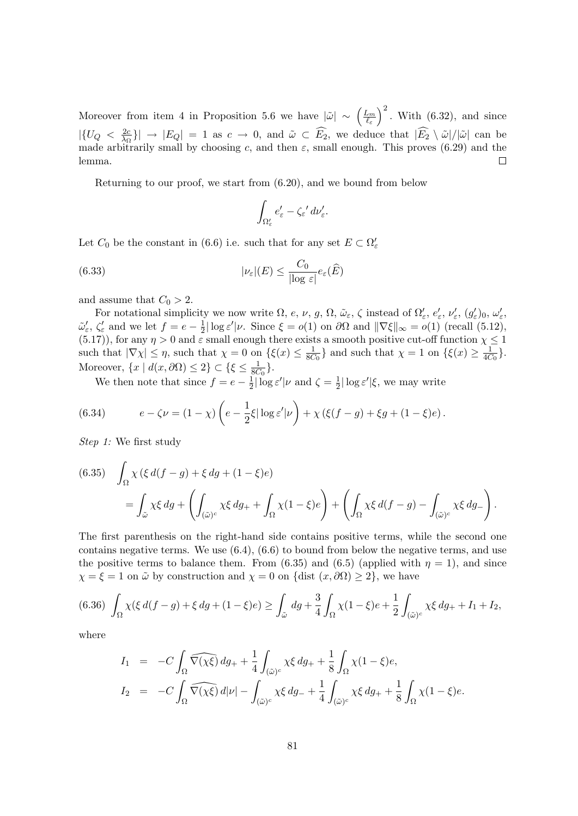$\left(\frac{L_m}{\ell_{\varepsilon}}\right)^2$ . With (6.32), and since Moreover from item 4 in Proposition 5.6 we have  $|\tilde{\omega}| \sim \left(\frac{L_m}{\ell}\right)$  $|\{U_Q\}<\frac{2c}{\lambda_C}\}|$  $\left|\frac{2c}{\lambda_{\Omega}}\right| \to |E_Q| = 1$  as  $c \to 0$ , and  $\tilde{\omega} \subset E_2$ , we deduce that  $|E_2 \setminus \tilde{\omega}|/|\tilde{\omega}|$  can be made arbitrarily small by choosing c, and then  $\varepsilon$ , small enough. This proves (6.29) and the lemma.  $\Box$ 

Returning to our proof, we start from (6.20), and we bound from below

$$
\int_{\Omega'_{\varepsilon}} e'_{\varepsilon} - \zeta_{\varepsilon}' d\nu'_{\varepsilon}.
$$

Let  $C_0$  be the constant in (6.6) i.e. such that for any set  $E \subset \Omega'_{\varepsilon}$ 

(6.33) 
$$
|\nu_{\varepsilon}|(E) \leq \frac{C_0}{|\log \varepsilon|} e_{\varepsilon}(\widehat{E})
$$

and assume that  $C_0 > 2$ .

For notational simplicity we now write  $\Omega$ , e, v, g,  $\Omega$ ,  $\tilde{\omega}_{\varepsilon}$ ,  $\zeta$  instead of  $\Omega_{\varepsilon}'$ ,  $e_{\varepsilon}'$ ,  $v_{\varepsilon}'$ ,  $(g_{\varepsilon}')_0$ ,  $\omega_{\varepsilon}'$ ,  $\tilde{\omega}'_{\varepsilon}$ ,  $\zeta'_{\varepsilon}$  and we let  $f = e - \frac{1}{2}$  $\frac{1}{2}|\log \varepsilon'|\nu$ . Since  $\xi = o(1)$  on  $\partial\Omega$  and  $\|\nabla \xi\|_{\infty} = o(1)$  (recall (5.12), (5.17)), for any  $\eta > 0$  and  $\varepsilon$  small enough there exists a smooth positive cut-off function  $\chi \leq 1$ such that  $|\nabla \chi| \leq \eta$ , such that  $\chi = 0$  on  $\{\xi(x) \leq \frac{1}{86}\}$  $\frac{1}{8C_0}$  and such that  $\chi = 1$  on  $\{\xi(x) \geq \frac{1}{4C}\}$  $\frac{1}{4C_0}$ . Moreover,  $\{x \mid d(x, \partial \Omega) \leq 2\} \subset \{\xi \leq \frac{1}{86}\}$  $\frac{1}{8C_0}$ .

We then note that since  $f = e - \frac{1}{2}$  $\frac{1}{2}|\log \varepsilon'|\nu \text{ and } \zeta = \frac{1}{2}$  $\frac{1}{2}|\log \varepsilon'|\xi$ , we may write

(6.34) 
$$
e - \zeta \nu = (1 - \chi) \left( e - \frac{1}{2} \xi |\log \varepsilon'| \nu \right) + \chi \left( \xi (f - g) + \xi g + (1 - \xi) e \right).
$$

Step 1: We first study

(6.35) 
$$
\int_{\Omega} \chi(\xi d(f - g) + \xi dg + (1 - \xi)e)
$$
  
= 
$$
\int_{\tilde{\omega}} \chi \xi dg + \left( \int_{(\tilde{\omega})^c} \chi \xi dg_+ + \int_{\Omega} \chi (1 - \xi)e \right) + \left( \int_{\Omega} \chi \xi d(f - g) - \int_{(\tilde{\omega})^c} \chi \xi dg_- \right).
$$

The first parenthesis on the right-hand side contains positive terms, while the second one contains negative terms. We use  $(6.4)$ ,  $(6.6)$  to bound from below the negative terms, and use the positive terms to balance them. From (6.35) and (6.5) (applied with  $\eta = 1$ ), and since  $\chi = \xi = 1$  on  $\tilde{\omega}$  by construction and  $\chi = 0$  on {dist  $(x, \partial \Omega) \ge 2$ }, we have

$$
(6.36)\ \int_{\Omega} \chi(\xi \, d(f-g) + \xi \, dg + (1-\xi)e) \ge \int_{\tilde{\omega}} \, dg + \frac{3}{4} \int_{\Omega} \chi(1-\xi)e + \frac{1}{2} \int_{(\tilde{\omega})^c} \chi \xi \, dg_+ + I_1 + I_2,
$$

where

$$
I_1 = -C \int_{\Omega} \widehat{\nabla(\chi\xi)} \, dg_+ + \frac{1}{4} \int_{(\tilde{\omega})^c} \chi\xi \, dg_+ + \frac{1}{8} \int_{\Omega} \chi(1-\xi) e,
$$
  
\n
$$
I_2 = -C \int_{\Omega} \widehat{\nabla(\chi\xi)} \, d|\nu| - \int_{(\tilde{\omega})^c} \chi\xi \, dg_- + \frac{1}{4} \int_{(\tilde{\omega})^c} \chi\xi \, dg_+ + \frac{1}{8} \int_{\Omega} \chi(1-\xi) e.
$$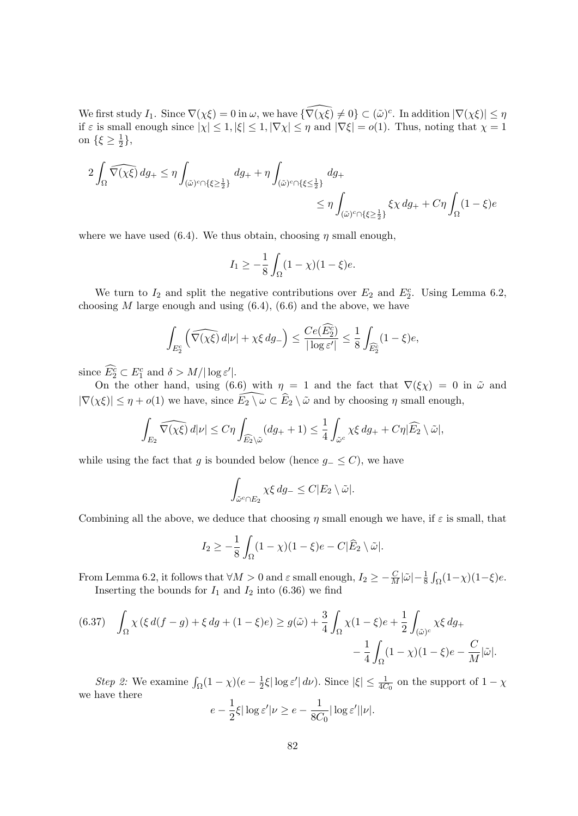We first study  $I_1$ . Since  $\nabla(\chi\xi) = 0$  in  $\omega$ , we have  $\{\widehat{\nabla(\chi\xi)} \neq 0\} \subset (\tilde{\omega})^c$ . In addition  $|\nabla(\chi\xi)| \leq \eta$ if  $\varepsilon$  is small enough since  $|\chi| \leq 1, |\xi| \leq 1, |\nabla \chi| \leq \eta$  and  $|\nabla \xi| = o(1)$ . Thus, noting that  $\chi = 1$ on  $\{\xi \geq \frac{1}{2}\}$  $\frac{1}{2}$ ,

2 Z Ω <sup>∇</sup>\(χξ) dg<sup>+</sup> <sup>≤</sup> <sup>η</sup> Z (˜ω) <sup>c</sup>∩{ξ≥ <sup>1</sup> 2 } dg<sup>+</sup> + η (˜ω) <sup>c</sup>∩{ξ≤ <sup>1</sup> 2 } dg<sup>+</sup> ≤ η Z (˜ω) <sup>c</sup>∩{ξ≥ <sup>1</sup> 2 } ξχ dg<sup>+</sup> <sup>+</sup> Cη <sup>Z</sup> Ω (1 − ξ)e

where we have used (6.4). We thus obtain, choosing  $\eta$  small enough,

$$
I_1 \ge -\frac{1}{8} \int_{\Omega} (1 - \chi)(1 - \xi)e.
$$

We turn to  $I_2$  and split the negative contributions over  $E_2$  and  $E_2^c$ . Using Lemma 6.2, choosing  $M$  large enough and using  $(6.4)$ ,  $(6.6)$  and the above, we have

$$
\int_{E_2^c} \left( \widehat{\nabla(\chi \xi)} \, d|\nu| + \chi \xi \, dg \right) \le \frac{Ce(E_2^c)}{|\log \varepsilon'|} \le \frac{1}{8} \int_{\widehat{E}_2^c} (1 - \xi) e,
$$

since  $\widehat{E_2^c} \subset E_1^c$  and  $\delta > M/|\log \varepsilon'|$ .

On the other hand, using (6.6) with  $\eta = 1$  and the fact that  $\nabla(\xi \chi) = 0$  in  $\tilde{\omega}$  and  $|\nabla(\chi \xi)| \leq \eta + o(1)$  we have, since  $\widehat{E_2 \setminus \omega} \subset \widehat{E}_2 \setminus \widetilde{\omega}$  and by choosing  $\eta$  small enough,

$$
\int_{E_2} \widehat{\nabla(\chi\xi)} d|\nu| \leq C\eta \int_{\widehat{E_2}\backslash \tilde{\omega}} (dg_+ + 1) \leq \frac{1}{4} \int_{\tilde{\omega}^c} \chi\xi \, dg_+ + C\eta |\widehat{E_2}\setminus \tilde{\omega}|,
$$

while using the fact that g is bounded below (hence  $g_-\leq C$ ), we have

$$
\int_{\tilde{\omega}^c \cap E_2} \chi \xi \, dg_- \leq C |E_2 \setminus \tilde{\omega}|.
$$

Combining all the above, we deduce that choosing  $\eta$  small enough we have, if  $\varepsilon$  is small, that

$$
I_2 \ge -\frac{1}{8} \int_{\Omega} (1 - \chi)(1 - \xi) e - C |\widehat{E}_2 \setminus \widetilde{\omega}|.
$$

From Lemma 6.2, it follows that  $\forall M > 0$  and  $\varepsilon$  small enough,  $I_2 \ge -\frac{C}{M} |\tilde{\omega}| - \frac{1}{8} \int_{\Omega} (1 - \chi)(1 - \xi) e$ . Inserting the bounds for  $I_1$  and  $I_2$  into (6.36) we find

$$
(6.37) \quad \int_{\Omega} \chi\left(\xi \, d(f-g) + \xi \, dg + (1-\xi)e\right) \ge g(\tilde{\omega}) + \frac{3}{4} \int_{\Omega} \chi(1-\xi)e + \frac{1}{2} \int_{(\tilde{\omega})^c} \chi \xi \, dg_+ \\ - \frac{1}{4} \int_{\Omega} (1-\chi)(1-\xi)e - \frac{C}{M} |\tilde{\omega}|.
$$

*Step 2:* We examine  $\int_{\Omega} (1 - \chi)(e - \frac{1}{2})$  $\frac{1}{2}\xi |\log \varepsilon' | d\nu$ ). Since  $|\xi| \leq \frac{1}{4C_0}$  on the support of  $1 - \chi$ we have there  $e-\frac{1}{2}$  $\frac{1}{2}\xi |\log \varepsilon'|\nu \geq e - \frac{1}{8C}$  $\frac{1}{8C_0}|\log \varepsilon'||\nu|.$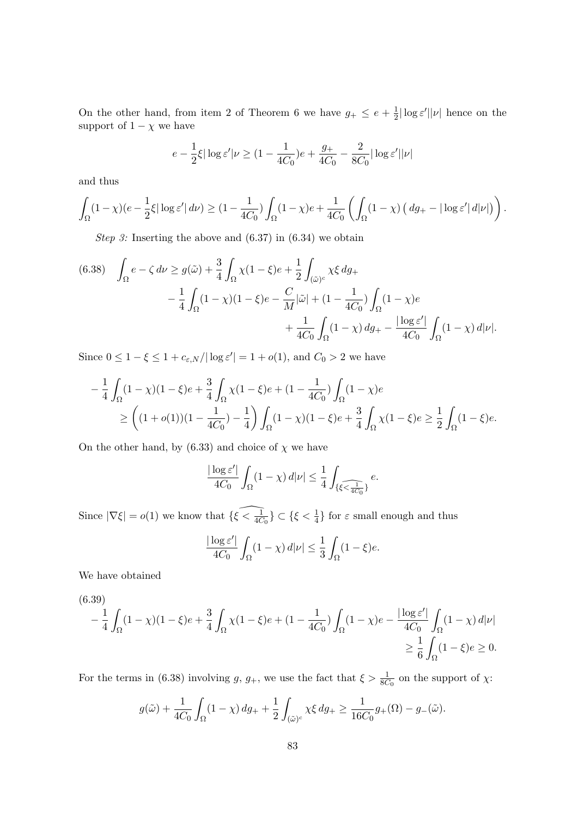On the other hand, from item 2 of Theorem 6 we have  $g_+ \leq e + \frac{1}{2}$  $\frac{1}{2}|\log \varepsilon'||\nu|$  hence on the support of  $1 - \chi$  we have

$$
e - \frac{1}{2}\xi |\log \varepsilon' | \nu \ge (1 - \frac{1}{4C_0})e + \frac{g_+}{4C_0} - \frac{2}{8C_0} |\log \varepsilon' | |\nu|
$$

and thus

$$
\int_{\Omega} (1 - \chi)(e - \frac{1}{2}\xi |\log \varepsilon'| d\nu) \ge (1 - \frac{1}{4C_0}) \int_{\Omega} (1 - \chi)e + \frac{1}{4C_0} \left( \int_{\Omega} (1 - \chi) \left( d g_+ - |\log \varepsilon'| d|\nu| \right) \right).
$$

Step 3: Inserting the above and  $(6.37)$  in  $(6.34)$  we obtain

(6.38) 
$$
\int_{\Omega} e - \zeta \, d\nu \ge g(\tilde{\omega}) + \frac{3}{4} \int_{\Omega} \chi(1 - \xi) e + \frac{1}{2} \int_{(\tilde{\omega})^c} \chi \xi \, dg_+ - \frac{1}{4} \int_{\Omega} (1 - \chi)(1 - \xi) e - \frac{C}{M} |\tilde{\omega}| + (1 - \frac{1}{4C_0}) \int_{\Omega} (1 - \chi) e + \frac{1}{4C_0} \int_{\Omega} (1 - \chi) \, dg_+ - \frac{|\log \varepsilon'|}{4C_0} \int_{\Omega} (1 - \chi) \, d|\nu|.
$$

Since  $0 \leq 1 - \xi \leq 1 + c_{\varepsilon, N} / |\log \varepsilon'| = 1 + o(1)$ , and  $C_0 > 2$  we have

$$
-\frac{1}{4} \int_{\Omega} (1 - \chi)(1 - \xi)e + \frac{3}{4} \int_{\Omega} \chi(1 - \xi)e + (1 - \frac{1}{4C_0}) \int_{\Omega} (1 - \chi)e
$$
  
\n
$$
\geq \left( (1 + o(1))(1 - \frac{1}{4C_0}) - \frac{1}{4} \right) \int_{\Omega} (1 - \chi)(1 - \xi)e + \frac{3}{4} \int_{\Omega} \chi(1 - \xi)e \geq \frac{1}{2} \int_{\Omega} (1 - \xi)e.
$$

On the other hand, by (6.33) and choice of  $\chi$  we have

$$
\frac{|\log \varepsilon'|}{4C_0} \int_{\Omega} (1 - \chi) d|\nu| \le \frac{1}{4} \int_{\{\xi < \frac{1}{4C_0}\}} e.
$$

Since  $|\nabla \xi| = o(1)$  we know that  $\{\widehat{\xi} < \frac{1}{4C_0}\} \subset \{\xi < \frac{1}{4}\}$  for  $\varepsilon$  small enough and thus

$$
\frac{|\log \varepsilon'|}{4C_0} \int_{\Omega} (1 - \chi) \, d|\nu| \le \frac{1}{3} \int_{\Omega} (1 - \xi) e.
$$

We have obtained

$$
\begin{aligned} &(6.39)\\ &-\frac{1}{4}\int_{\Omega}(1-\chi)(1-\xi)e+\frac{3}{4}\int_{\Omega}\chi(1-\xi)e+(1-\frac{1}{4C_0})\int_{\Omega}(1-\chi)e-\frac{|\log \varepsilon'|}{4C_0}\int_{\Omega}(1-\chi)\,d|\nu|\\ &\geq \frac{1}{6}\int_{\Omega}(1-\xi)e\geq 0. \end{aligned}
$$

For the terms in (6.38) involving g,  $g_+$ , we use the fact that  $\xi > \frac{1}{8C_0}$  on the support of  $\chi$ :

$$
g(\tilde{\omega}) + \frac{1}{4C_0} \int_{\Omega} (1 - \chi) \, dg_+ + \frac{1}{2} \int_{(\tilde{\omega})^c} \chi \xi \, dg_+ \ge \frac{1}{16C_0} g_+(\Omega) - g_-(\tilde{\omega}).
$$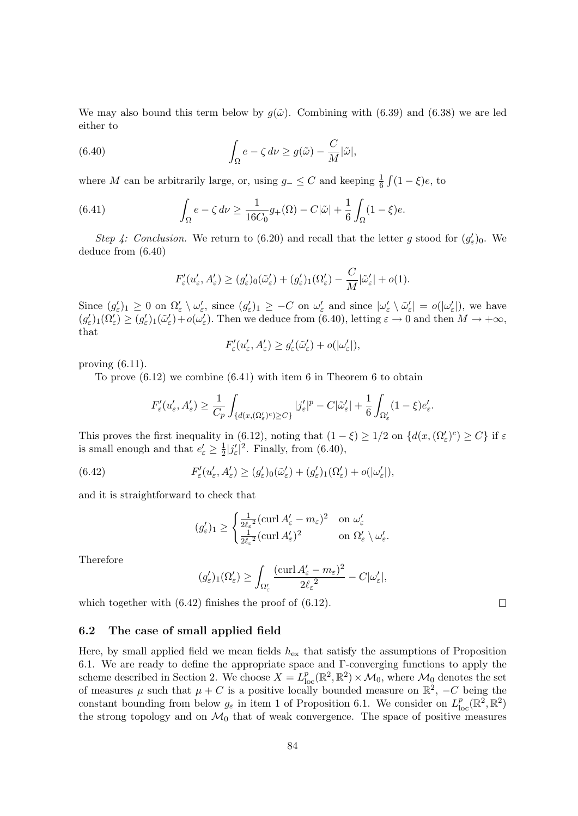We may also bound this term below by  $g(\tilde{\omega})$ . Combining with (6.39) and (6.38) we are led either to

(6.40) 
$$
\int_{\Omega} e - \zeta \, d\nu \ge g(\tilde{\omega}) - \frac{C}{M} |\tilde{\omega}|,
$$

where M can be arbitrarily large, or, using  $g_-\leq C$  and keeping  $\frac{1}{6}\int (1-\xi)e$ , to

(6.41) 
$$
\int_{\Omega} e - \zeta \, d\nu \ge \frac{1}{16C_0} g_+(\Omega) - C|\tilde{\omega}| + \frac{1}{6} \int_{\Omega} (1 - \xi)e.
$$

Step 4: Conclusion. We return to (6.20) and recall that the letter g stood for  $(g_{\varepsilon}')_0$ . We deduce from (6.40)

$$
F'_{\varepsilon}(u'_{\varepsilon}, A'_{\varepsilon}) \ge (g'_{\varepsilon})_{0}(\tilde{\omega}'_{\varepsilon}) + (g'_{\varepsilon})_{1}(\Omega'_{\varepsilon}) - \frac{C}{M}|\tilde{\omega}'_{\varepsilon}| + o(1).
$$

Since  $(g_{\varepsilon}')_1 \geq 0$  on  $\Omega'_{\varepsilon} \setminus \omega'_{\varepsilon}$ , since  $(g_{\varepsilon}')_1 \geq -C$  on  $\omega'_{\varepsilon}$  and since  $|\omega'_{\varepsilon} \setminus \tilde{\omega}'_{\varepsilon}| = o(|\omega'_{\varepsilon}|)$ , we have  $(g_{\varepsilon}')_1(\Omega_{\varepsilon}') \geq (g_{\varepsilon}')_1(\tilde{\omega}_{\varepsilon}') + o(\omega_{\varepsilon}')$ . Then we deduce from (6.40), letting  $\varepsilon \to 0$  and then  $M \to +\infty$ , that

$$
F'_{\varepsilon}(u'_{\varepsilon}, A'_{\varepsilon}) \ge g'_{\varepsilon}(\tilde{\omega}'_{\varepsilon}) + o(|\omega'_{\varepsilon}|),
$$

proving (6.11).

To prove (6.12) we combine (6.41) with item 6 in Theorem 6 to obtain

$$
F'_{\varepsilon}(u'_{\varepsilon}, A'_{\varepsilon}) \geq \frac{1}{C_p} \int_{\{d(x, (\Omega'_{\varepsilon})^c) \geq C\}} |j'_{\varepsilon}|^p - C|\tilde{\omega}'_{\varepsilon}| + \frac{1}{6} \int_{\Omega'_{\varepsilon}} (1 - \xi) e'_{\varepsilon}.
$$

This proves the first inequality in (6.12), noting that  $(1 - \xi) \geq 1/2$  on  $\{d(x, (\Omega_{\varepsilon}')^c) \geq C\}$  if  $\varepsilon$ is small enough and that  $e'_{\varepsilon} \geq \frac{1}{2}$  $\frac{1}{2} |j'_{\varepsilon}|^2$ . Finally, from (6.40),

(6.42) 
$$
F'_{\varepsilon}(u'_{\varepsilon}, A'_{\varepsilon}) \ge (g'_{\varepsilon})_0(\tilde{\omega}'_{\varepsilon}) + (g'_{\varepsilon})_1(\Omega'_{\varepsilon}) + o(|\omega'_{\varepsilon}|),
$$

and it is straightforward to check that

$$
(g'_{\varepsilon})_1 \ge \begin{cases} \frac{1}{2\ell_{\varepsilon}^2} (\operatorname{curl} A'_{\varepsilon} - m_{\varepsilon})^2 & \text{on } \omega'_{\varepsilon} \\ \frac{1}{2\ell_{\varepsilon}^2} (\operatorname{curl} A'_{\varepsilon})^2 & \text{on } \Omega'_{\varepsilon} \setminus \omega'_{\varepsilon}. \end{cases}
$$

Therefore

$$
(g_{\varepsilon}')_1(\Omega_{\varepsilon}') \ge \int_{\Omega_{\varepsilon}'} \frac{(\mathrm{curl}\, A_{\varepsilon}' - m_{\varepsilon})^2}{2\ell_{\varepsilon}^2} - C|\omega_{\varepsilon}'|,
$$

which together with  $(6.42)$  finishes the proof of  $(6.12)$ .

### 6.2 The case of small applied field

Here, by small applied field we mean fields  $h_{\text{ex}}$  that satisfy the assumptions of Proposition 6.1. We are ready to define the appropriate space and Γ-converging functions to apply the scheme described in Section 2. We choose  $X = L^p_{loc}(\mathbb{R}^2, \mathbb{R}^2) \times \mathcal{M}_0$ , where  $\mathcal{M}_0$  denotes the set of measures  $\mu$  such that  $\mu + C$  is a positive locally bounded measure on  $\mathbb{R}^2$ ,  $-C$  being the constant bounding from below  $g_{\varepsilon}$  in item 1 of Proposition 6.1. We consider on  $L_{\text{loc}}^p(\mathbb{R}^2, \mathbb{R}^2)$ the strong topology and on  $\mathcal{M}_0$  that of weak convergence. The space of positive measures

 $\Box$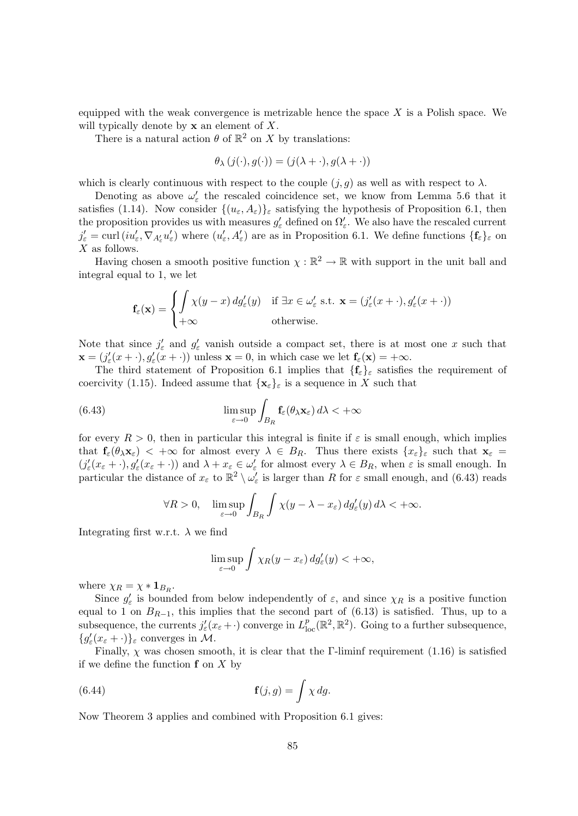equipped with the weak convergence is metrizable hence the space  $X$  is a Polish space. We will typically denote by  $x$  an element of  $X$ .

There is a natural action  $\theta$  of  $\mathbb{R}^2$  on X by translations:

$$
\theta_{\lambda}(j(\cdot),g(\cdot)) = (j(\lambda + \cdot),g(\lambda + \cdot))
$$

which is clearly continuous with respect to the couple  $(j, g)$  as well as with respect to  $\lambda$ .

Denoting as above  $\omega'_{\varepsilon}$  the rescaled coincidence set, we know from Lemma 5.6 that it satisfies (1.14). Now consider  $\{(u_{\varepsilon}, A_{\varepsilon})\}_{\varepsilon}$  satisfying the hypothesis of Proposition 6.1, then the proposition provides us with measures  $g'_{\varepsilon}$  defined on  $\Omega'_{\varepsilon}$ . We also have the rescaled current  $j'_{\varepsilon} = \text{curl} (iu'_{\varepsilon}, \nabla_{A'_{\varepsilon}} u'_{\varepsilon})$  where  $(u'_{\varepsilon}, A'_{\varepsilon})$  are as in Proposition 6.1. We define functions  $\{\mathbf{f}_{\varepsilon}\}_{\varepsilon}$  on  $X$  as follows.

Having chosen a smooth positive function  $\chi : \mathbb{R}^2 \to \mathbb{R}$  with support in the unit ball and integral equal to 1, we let

$$
\mathbf{f}_{\varepsilon}(\mathbf{x}) = \begin{cases} \int \chi(y-x) \, dg_{\varepsilon}'(y) & \text{if } \exists x \in \omega_{\varepsilon}' \text{ s.t. } \mathbf{x} = (j_{\varepsilon}'(x + \cdot), g_{\varepsilon}'(x + \cdot)) \\ +\infty & \text{otherwise.} \end{cases}
$$

Note that since  $j'_{\varepsilon}$  and  $g'_{\varepsilon}$  vanish outside a compact set, there is at most one x such that  $\mathbf{x} = (j'_{\varepsilon}(x + \cdot), g'_{\varepsilon}(x + \cdot))$  unless  $\mathbf{x} = 0$ , in which case we let  $\mathbf{f}_{\varepsilon}(\mathbf{x}) = +\infty$ .

The third statement of Proposition 6.1 implies that  $\{f_{\varepsilon}\}_{\varepsilon}$  satisfies the requirement of coercivity (1.15). Indeed assume that  $\{x_{\varepsilon}\}_{\varepsilon}$  is a sequence in X such that

(6.43) 
$$
\limsup_{\varepsilon \to 0} \int_{B_R} \mathbf{f}_{\varepsilon}(\theta_\lambda \mathbf{x}_{\varepsilon}) d\lambda < +\infty
$$

for every  $R > 0$ , then in particular this integral is finite if  $\varepsilon$  is small enough, which implies that  $f_{\varepsilon}(\theta_{\lambda} x_{\varepsilon}) < +\infty$  for almost every  $\lambda \in B_R$ . Thus there exists  $\{x_{\varepsilon}\}_\varepsilon$  such that  $x_{\varepsilon} =$  $(j'_{\varepsilon}(x_{\varepsilon}+\cdot), g'_{\varepsilon}(x_{\varepsilon}+\cdot))$  and  $\lambda+x_{\varepsilon}\in\omega'_{\varepsilon}$  for almost every  $\lambda\in B_R$ , when  $\varepsilon$  is small enough. In particular the distance of  $x_\varepsilon$  to  $\mathbb{R}^2 \setminus \omega'_\varepsilon$  is larger than R for  $\varepsilon$  small enough, and (6.43) reads

$$
\forall R > 0, \quad \limsup_{\varepsilon \to 0} \int_{B_R} \int \chi(y - \lambda - x_{\varepsilon}) \, dg_{\varepsilon}'(y) \, d\lambda < +\infty.
$$

Integrating first w.r.t.  $\lambda$  we find

$$
\limsup_{\varepsilon \to 0} \int \chi_R(y - x_\varepsilon) \, dg_\varepsilon'(y) < +\infty,
$$

where  $\chi_R = \chi * \mathbf{1}_{B_R}$ .

Since  $g'_{\varepsilon}$  is bounded from below independently of  $\varepsilon$ , and since  $\chi_R$  is a positive function equal to 1 on  $B_{R-1}$ , this implies that the second part of (6.13) is satisfied. Thus, up to a subsequence, the currents  $j'_{\varepsilon}(x_{\varepsilon}+\cdot)$  converge in  $L_{\text{loc}}^p(\mathbb{R}^2,\mathbb{R}^2)$ . Going to a further subsequence,  ${g'_{\varepsilon}(x_{\varepsilon} + \cdot)}_{\varepsilon}$  converges in M.

Finally,  $\chi$  was chosen smooth, it is clear that the Γ-liminf requirement (1.16) is satisfied if we define the function  $f$  on  $X$  by

(6.44) 
$$
\mathbf{f}(j,g) = \int \chi \, dg.
$$

Now Theorem 3 applies and combined with Proposition 6.1 gives: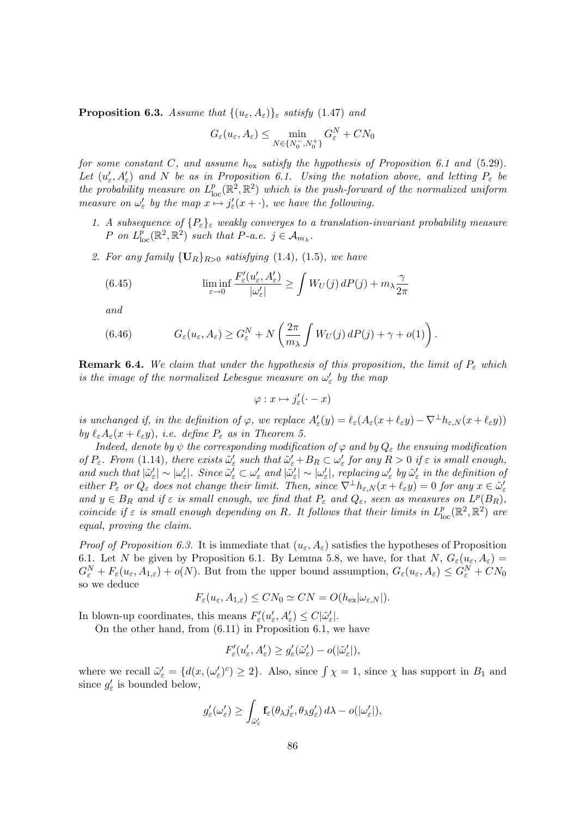**Proposition 6.3.** Assume that  $\{(u_{\varepsilon}, A_{\varepsilon})\}_{\varepsilon}$  satisfy (1.47) and

$$
G_{\varepsilon}(u_{\varepsilon}, A_{\varepsilon}) \leq \min_{N \in \{N_0^-, N_0^+\}} G_{\varepsilon}^N + CN_0
$$

for some constant C, and assume  $h_{\text{ex}}$  satisfy the hypothesis of Proposition 6.1 and (5.29). Let  $(u'_\varepsilon, A'_\varepsilon)$  and N be as in Proposition 6.1. Using the notation above, and letting  $P_\varepsilon$  be the probability measure on  $L_{\text{loc}}^p(\mathbb{R}^2, \mathbb{R}^2)$  which is the push-forward of the normalized uniform measure on  $\omega_{\varepsilon}'$  by the map  $x \mapsto j_{\varepsilon}'(x + \cdot)$ , we have the following.

- 1. A subsequence of  $\{P_{\varepsilon}\}_{\varepsilon}$  weakly converges to a translation-invariant probability measure P on  $L^p_{\text{loc}}(\mathbb{R}^2, \mathbb{R}^2)$  such that  $P$ -a.e.  $j \in A_{m_\lambda}$ .
- 2. For any family  $\{U_R\}_{R>0}$  satisfying (1.4), (1.5), we have

(6.45) 
$$
\liminf_{\varepsilon \to 0} \frac{F'_{\varepsilon}(u'_{\varepsilon}, A'_{\varepsilon})}{|\omega'_{\varepsilon}|} \ge \int W_U(j) dP(j) + m_{\lambda} \frac{\gamma}{2\pi}
$$

and

(6.46) 
$$
G_{\varepsilon}(u_{\varepsilon}, A_{\varepsilon}) \geq G_{\varepsilon}^{N} + N\left(\frac{2\pi}{m_{\lambda}}\int W_{U}(j) dP(j) + \gamma + o(1)\right).
$$

**Remark 6.4.** We claim that under the hypothesis of this proposition, the limit of  $P_{\varepsilon}$  which is the image of the normalized Lebesgue measure on  $\omega'_{\varepsilon}$  by the map

 $\varphi: x \mapsto j'_{\varepsilon}(\cdot - x)$ 

is unchanged if, in the definition of  $\varphi$ , we replace  $A'_\varepsilon(y) = \ell_\varepsilon(A_\varepsilon(x + \ell_\varepsilon y) - \nabla^\perp h_{\varepsilon,N}(x + \ell_\varepsilon y))$ by  $\ell_{\varepsilon}A_{\varepsilon}(x + \ell_{\varepsilon}y)$ , i.e. define  $P_{\varepsilon}$  as in Theorem 5.

Indeed, denote by  $\psi$  the corresponding modification of  $\varphi$  and by  $Q_{\varepsilon}$  the ensuing modification of  $P_{\varepsilon}$ . From (1.14), there exists  $\tilde{\omega}'_{\varepsilon}$  such that  $\tilde{\omega}'_{\varepsilon} + B_R \subset \omega'_{\varepsilon}$  for any  $R > 0$  if  $\varepsilon$  is small enough, and such that  $|\tilde{\omega}'_{\varepsilon}| \sim |\omega'_{\varepsilon}|$ . Since  $\tilde{\omega}'_{\varepsilon} \subset \omega'_{\varepsilon}$  and  $|\tilde{\omega}'_{\varepsilon}| \sim |\omega'_{\varepsilon}|$ , replacing  $\omega'_{\varepsilon}$  by  $\tilde{\omega}'_{\varepsilon}$  in the definition of either  $P_{\varepsilon}$  or  $Q_{\varepsilon}$  does not change their limit. Then, since  $\nabla^{\perp} h_{\varepsilon,N}(x + \ell_{\varepsilon} y) = 0$  for any  $x \in \tilde{\omega}'_{\varepsilon}$ and  $y \in B_R$  and if  $\varepsilon$  is small enough, we find that  $P_{\varepsilon}$  and  $Q_{\varepsilon}$ , seen as measures on  $L^p(B_R)$ , coincide if  $\varepsilon$  is small enough depending on R. It follows that their limits in  $L_{\text{loc}}^p(\mathbb{R}^2, \mathbb{R}^2)$  are equal, proving the claim.

*Proof of Proposition 6.3.* It is immediate that  $(u_{\varepsilon}, A_{\varepsilon})$  satisfies the hypotheses of Proposition 6.1. Let N be given by Proposition 6.1. By Lemma 5.8, we have, for that  $N, G_{\varepsilon}(u_{\varepsilon}, A_{\varepsilon}) =$  $G_{\varepsilon}^N + F_{\varepsilon}(u_{\varepsilon}, A_{1,\varepsilon}) + o(N)$ . But from the upper bound assumption,  $G_{\varepsilon}(u_{\varepsilon}, A_{\varepsilon}) \leq G_{\varepsilon}^N + CN_0$ so we deduce

$$
F_{\varepsilon}(u_{\varepsilon}, A_{1,\varepsilon}) \leq CN_0 \simeq CN = O(h_{\text{ex}}|\omega_{\varepsilon, N}|).
$$

In blown-up coordinates, this means  $F'_{\varepsilon}(u'_{\varepsilon}, A'_{\varepsilon}) \leq C |\tilde{\omega}'_{\varepsilon}|.$ 

On the other hand, from (6.11) in Proposition 6.1, we have

$$
F'_{\varepsilon}(u'_{\varepsilon}, A'_{\varepsilon}) \ge g'_{\varepsilon}(\tilde{\omega}'_{\varepsilon}) - o(|\tilde{\omega}'_{\varepsilon}|),
$$

where we recall  $\tilde{\omega}'_{\varepsilon} = \{d(x,(\omega'_{\varepsilon})^c) \geq 2\}$ . Also, since  $\int \chi = 1$ , since  $\chi$  has support in  $B_1$  and since  $g'_{\varepsilon}$  is bounded below,

$$
g_{\varepsilon}'(\omega_{\varepsilon}') \geq \int_{\bar{\omega}_{\varepsilon}'} \mathbf{f}_{\varepsilon}(\theta_{\lambda} j_{\varepsilon}', \theta_{\lambda} g_{\varepsilon}') d\lambda - o(|\omega_{\varepsilon}'|),
$$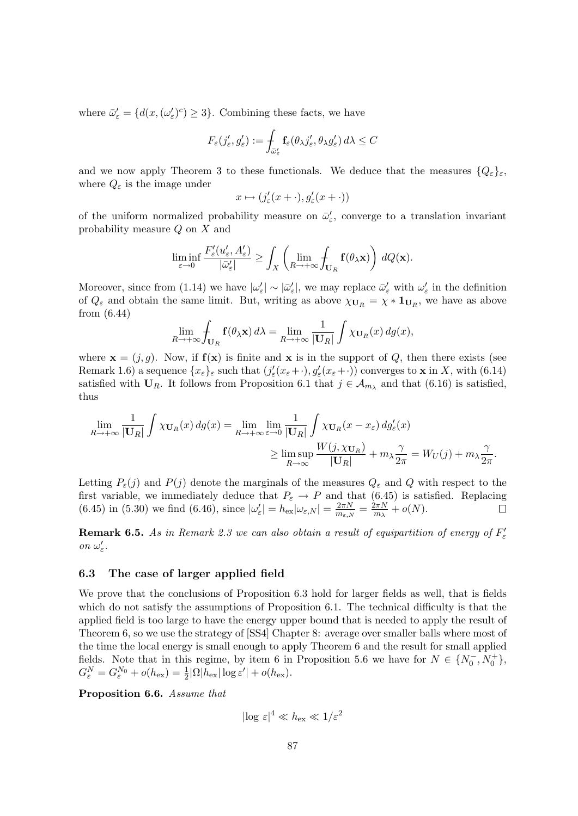where  $\bar{\omega}_{\varepsilon}' = \{d(x, (\omega_{\varepsilon}')^c) \geq 3\}$ . Combining these facts, we have

$$
F_{\varepsilon}(j'_{\varepsilon},g'_{\varepsilon}):=\int_{\bar{\omega}_{\varepsilon}'}\mathbf{f}_{\varepsilon}(\theta_{\lambda}j'_{\varepsilon},\theta_{\lambda}g'_{\varepsilon})\,d\lambda\leq C
$$

and we now apply Theorem 3 to these functionals. We deduce that the measures  $\{Q_{\varepsilon}\}_{{\varepsilon}},$ where  $Q_{\varepsilon}$  is the image under

$$
x\mapsto (j_{\varepsilon}'(x+\cdot),g_{\varepsilon}'(x+\cdot))
$$

of the uniform normalized probability measure on  $\bar{\omega}'_{\varepsilon}$ , converge to a translation invariant probability measure Q on X and

$$
\liminf_{\varepsilon \to 0} \frac{F'_{\varepsilon}(u'_{\varepsilon}, A'_{\varepsilon})}{|\bar{\omega}'_{\varepsilon}|} \ge \int_{X} \left( \lim_{R \to +\infty} \int_{\mathbf{U}_R} \mathbf{f}(\theta_{\lambda} \mathbf{x}) \right) dQ(\mathbf{x}).
$$

Moreover, since from (1.14) we have  $|\omega_{\varepsilon}'| \sim |\bar{\omega}_{\varepsilon}'|$ , we may replace  $\bar{\omega}_{\varepsilon}'$  with  $\omega_{\varepsilon}'$  in the definition of  $Q_{\varepsilon}$  and obtain the same limit. But, writing as above  $\chi_{\mathbf{U}_R} = \chi * \mathbf{1}_{\mathbf{U}_R}$ , we have as above from (6.44)

$$
\lim_{R \to +\infty} \int_{\mathbf{U}_R} \mathbf{f}(\theta_\lambda \mathbf{x}) d\lambda = \lim_{R \to +\infty} \frac{1}{|\mathbf{U}_R|} \int \chi_{\mathbf{U}_R}(x) dg(x),
$$

where  $\mathbf{x} = (j, g)$ . Now, if  $f(\mathbf{x})$  is finite and  $\mathbf{x}$  is in the support of Q, then there exists (see Remark 1.6) a sequence  $\{x_{\varepsilon}\}_{\varepsilon}$  such that  $(j'_{\varepsilon}(x_{\varepsilon}+\cdot), g'_{\varepsilon}(x_{\varepsilon}+\cdot))$  converges to **x** in X, with (6.14) satisfied with  $U_R$ . It follows from Proposition 6.1 that  $j \in \mathcal{A}_{m_\lambda}$  and that (6.16) is satisfied, thus

$$
\lim_{R \to +\infty} \frac{1}{|\mathbf{U}_R|} \int \chi_{\mathbf{U}_R}(x) \, dg(x) = \lim_{R \to +\infty} \lim_{\varepsilon \to 0} \frac{1}{|\mathbf{U}_R|} \int \chi_{\mathbf{U}_R}(x - x_{\varepsilon}) \, dg_{\varepsilon}'(x)
$$
\n
$$
\geq \limsup_{R \to \infty} \frac{W(j, \chi_{\mathbf{U}_R})}{|\mathbf{U}_R|} + m_\lambda \frac{\gamma}{2\pi} = W_U(j) + m_\lambda \frac{\gamma}{2\pi}.
$$

Letting  $P_{\varepsilon}(j)$  and  $P(j)$  denote the marginals of the measures  $Q_{\varepsilon}$  and Q with respect to the first variable, we immediately deduce that  $P_{\varepsilon} \to P$  and that (6.45) is satisfied. Replacing (6.45) in (5.30) we find (6.46), since  $|\omega_{\varepsilon}'| = h_{\text{ex}} |\omega_{\varepsilon,N}| = \frac{2\pi N}{m_{\varepsilon,N}}$  $\frac{2\pi N}{m_{\varepsilon,N}}=\frac{2\pi N}{m_{\lambda}}$  $\frac{2\pi N}{m_{\lambda}}+o(N).$ 

**Remark 6.5.** As in Remark 2.3 we can also obtain a result of equipartition of energy of  $F_{\varepsilon}$ on  $\omega_\varepsilon'.$ 

### 6.3 The case of larger applied field

We prove that the conclusions of Proposition 6.3 hold for larger fields as well, that is fields which do not satisfy the assumptions of Proposition 6.1. The technical difficulty is that the applied field is too large to have the energy upper bound that is needed to apply the result of Theorem 6, so we use the strategy of [SS4] Chapter 8: average over smaller balls where most of the time the local energy is small enough to apply Theorem 6 and the result for small applied fields. Note that in this regime, by item 6 in Proposition 5.6 we have for  $N \in \{N_0^-, N_0^+\}$ ,  $G_{\varepsilon}^N = G_{\varepsilon}^{N_0} + o(h_{\rm ex}) = \frac{1}{2} |\Omega| h_{\rm ex} |\log \varepsilon'| + o(h_{\rm ex}).$ 

Proposition 6.6. Assume that

$$
|\log \varepsilon|^4 \ll h_{\rm ex} \ll 1/\varepsilon^2
$$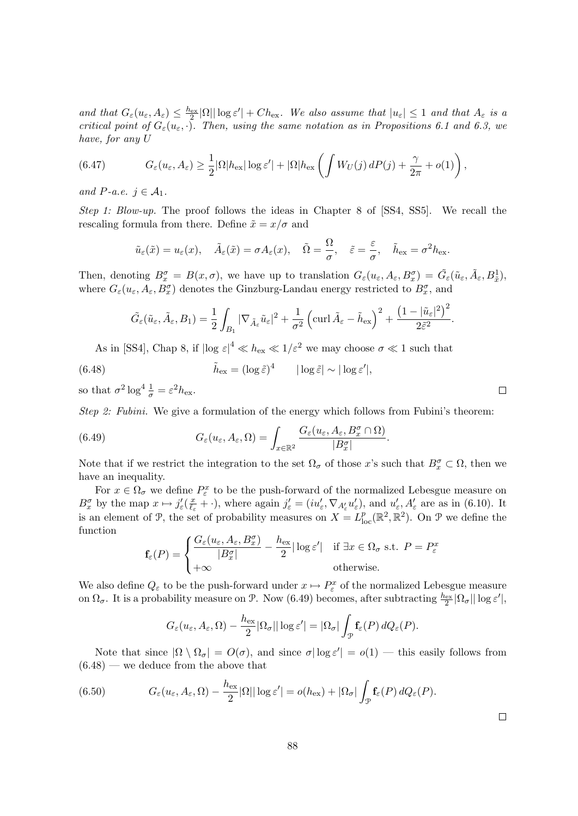and that  $G_{\varepsilon}(u_{\varepsilon}, A_{\varepsilon}) \leq \frac{h_{\varepsilon}x}{2} |\Omega| |\log \varepsilon'| + Ch_{\varepsilon}x$ . We also assume that  $|u_{\varepsilon}| \leq 1$  and that  $A_{\varepsilon}$  is a critical point of  $G_{\varepsilon}(u_{\varepsilon},\cdot)$ . Then, using the same notation as in Propositions 6.1 and 6.3, we have, for any U

(6.47) 
$$
G_{\varepsilon}(u_{\varepsilon}, A_{\varepsilon}) \geq \frac{1}{2} |\Omega| h_{\text{ex}} |\log \varepsilon'| + |\Omega| h_{\text{ex}} \left( \int W_U(j) dP(j) + \frac{\gamma}{2\pi} + o(1) \right),
$$

and P-a.e.  $j \in \mathcal{A}_1$ .

Step 1: Blow-up. The proof follows the ideas in Chapter 8 of [SS4, SS5]. We recall the rescaling formula from there. Define  $\tilde{x} = x/\sigma$  and

$$
\tilde{u}_{\varepsilon}(\tilde{x}) = u_{\varepsilon}(x), \quad \tilde{A}_{\varepsilon}(\tilde{x}) = \sigma A_{\varepsilon}(x), \quad \tilde{\Omega} = \frac{\Omega}{\sigma}, \quad \tilde{\varepsilon} = \frac{\varepsilon}{\sigma}, \quad \tilde{h}_{\text{ex}} = \sigma^2 h_{\text{ex}}.
$$

Then, denoting  $B_x^{\sigma} = B(x, \sigma)$ , we have up to translation  $G_{\varepsilon}(u_{\varepsilon}, A_{\varepsilon}, B_x^{\sigma}) = \tilde{G}_{\varepsilon}(\tilde{u}_{\varepsilon}, \tilde{A}_{\varepsilon}, B_x^1)$ where  $G_{\varepsilon}(u_{\varepsilon}, A_{\varepsilon}, B_x^{\sigma})$  denotes the Ginzburg-Landau energy restricted to  $B_x^{\sigma}$ , and

$$
\tilde{G}_{\varepsilon}(\tilde{u}_{\varepsilon}, \tilde{A}_{\varepsilon}, B_{1}) = \frac{1}{2} \int_{B_{1}} |\nabla_{\tilde{A}_{\varepsilon}} \tilde{u}_{\varepsilon}|^{2} + \frac{1}{\sigma^{2}} \left( \operatorname{curl} \tilde{A}_{\varepsilon} - \tilde{h}_{\text{ex}} \right)^{2} + \frac{\left( 1 - |\tilde{u}_{\varepsilon}|^{2} \right)^{2}}{2\tilde{\varepsilon}^{2}}
$$

As in [SS4], Chap 8, if  $|\log \varepsilon|^4 \ll h_{\rm ex} \ll 1/\varepsilon^2$  we may choose  $\sigma \ll 1$  such that

(6.48) 
$$
\tilde{h}_{\text{ex}} = (\log \tilde{\varepsilon})^4 \qquad |\log \tilde{\varepsilon}| \sim |\log \varepsilon'|,
$$

so that  $\sigma^2 \log^4 \frac{1}{\sigma} = \varepsilon^2 h_{\text{ex}}$ .

Step 2: Fubini. We give a formulation of the energy which follows from Fubini's theorem:

(6.49) 
$$
G_{\varepsilon}(u_{\varepsilon}, A_{\varepsilon}, \Omega) = \int_{x \in \mathbb{R}^2} \frac{G_{\varepsilon}(u_{\varepsilon}, A_{\varepsilon}, B_x^{\sigma} \cap \Omega)}{|B_x^{\sigma}|}.
$$

Note that if we restrict the integration to the set  $\Omega_{\sigma}$  of those x's such that  $B_x^{\sigma} \subset \Omega$ , then we have an inequality.

For  $x \in \Omega_{\sigma}$  we define  $P_{\varepsilon}^{x}$  to be the push-forward of the normalized Lebesgue measure on  $B_x^{\sigma}$  by the map  $x \mapsto j'_{\varepsilon}(\frac{x}{\ell_{\varepsilon}})$  $\frac{x}{\ell_{\varepsilon}} + \cdot$ ), where again  $j'_{\varepsilon} = (iu'_{\varepsilon}, \nabla_{A'_{\varepsilon}} u'_{\varepsilon})$ , and  $u'_{\varepsilon}, A'_{\varepsilon}$  are as in (6.10). It is an element of  $\mathcal{P}$ , the set of probability measures on  $X = L^p_{loc}(\mathbb{R}^2, \mathbb{R}^2)$ . On  $\mathcal{P}$  we define the function

$$
\mathbf{f}_{\varepsilon}(P) = \begin{cases} \frac{G_{\varepsilon}(u_{\varepsilon}, A_{\varepsilon}, B_{x}^{\sigma})}{|B_{x}^{\sigma}|} - \frac{h_{\text{ex}}}{2} |\log \varepsilon'| & \text{if } \exists x \in \Omega_{\sigma} \text{ s.t. } P = P_{\varepsilon}^{x} \\ +\infty & \text{otherwise.} \end{cases}
$$

We also define  $Q_{\varepsilon}$  to be the push-forward under  $x \mapsto P_{\varepsilon}^x$  of the normalized Lebesgue measure on  $\Omega_{\sigma}$ . It is a probability measure on P. Now (6.49) becomes, after subtracting  $\frac{h_{\text{ex}}}{2}|\Omega_{\sigma}||\log \varepsilon'|$ ,

$$
G_{\varepsilon}(u_{\varepsilon}, A_{\varepsilon}, \Omega) - \frac{h_{\varepsilon x}}{2} |\Omega_{\sigma}| |\log \varepsilon'| = |\Omega_{\sigma}| \int_{\mathcal{P}} \mathbf{f}_{\varepsilon}(P) dQ_{\varepsilon}(P).
$$

Note that since  $|\Omega \setminus \Omega_{\sigma}| = O(\sigma)$ , and since  $\sigma |\log \varepsilon'| = o(1)$  — this easily follows from  $(6.48)$  — we deduce from the above that

(6.50) 
$$
G_{\varepsilon}(u_{\varepsilon}, A_{\varepsilon}, \Omega) - \frac{h_{\text{ex}}}{2} |\Omega| |\log \varepsilon'| = o(h_{\text{ex}}) + |\Omega_{\sigma}| \int_{\mathcal{P}} \mathbf{f}_{\varepsilon}(P) dQ_{\varepsilon}(P).
$$

 $\Box$ 

 $\Box$ 

.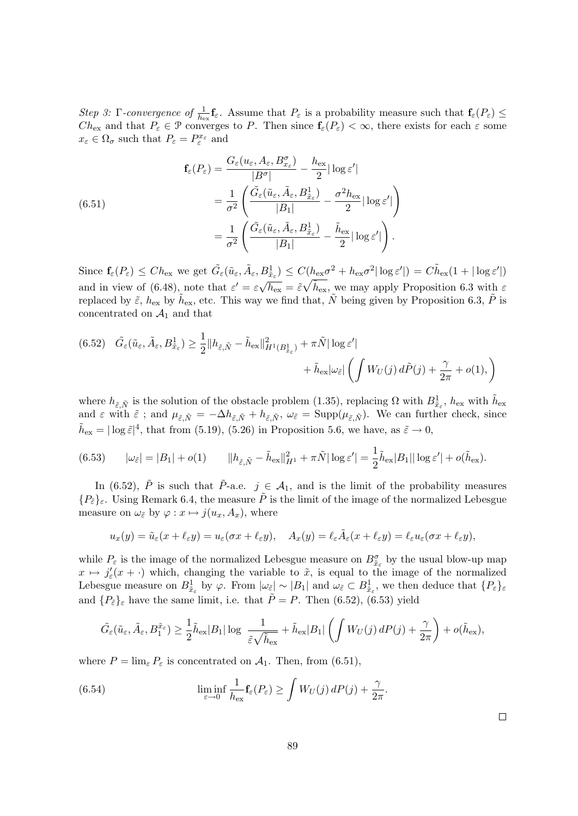Step 3: Γ-convergence of  $\frac{1}{h_{\text{ex}}}\mathbf{f}_{\varepsilon}$ . Assume that  $P_{\varepsilon}$  is a probability measure such that  $\mathbf{f}_{\varepsilon}(P_{\varepsilon}) \leq$  $Ch_{\text{ex}}$  and that  $P_{\varepsilon} \in \mathcal{P}$  converges to P. Then since  $\mathbf{f}_{\varepsilon}(P_{\varepsilon}) < \infty$ , there exists for each  $\varepsilon$  some  $x_{\varepsilon} \in \Omega_{\sigma}$  such that  $P_{\varepsilon} = P_{\varepsilon}^{x_{\varepsilon}}$  and

(6.51)  
\n
$$
\mathbf{f}_{\varepsilon}(P_{\varepsilon}) = \frac{G_{\varepsilon}(u_{\varepsilon}, A_{\varepsilon}, B_{x_{\varepsilon}}^{\sigma})}{|B^{\sigma}|} - \frac{h_{\text{ex}}}{2} |\log \varepsilon'|
$$
\n
$$
= \frac{1}{\sigma^2} \left( \frac{\tilde{G}_{\varepsilon}(\tilde{u}_{\varepsilon}, \tilde{A}_{\varepsilon}, B_{\tilde{x}_{\varepsilon}}^1)}{|B_1|} - \frac{\sigma^2 h_{\text{ex}}}{2} |\log \varepsilon'| \right)
$$
\n
$$
= \frac{1}{\sigma^2} \left( \frac{\tilde{G}_{\varepsilon}(\tilde{u}_{\varepsilon}, \tilde{A}_{\varepsilon}, B_{\tilde{x}_{\varepsilon}}^1)}{|B_1|} - \frac{\tilde{h}_{\text{ex}}}{2} |\log \varepsilon'| \right).
$$

Since  $\mathbf{f}_{\varepsilon}(P_{\varepsilon}) \leq Ch_{\text{ex}}$  we get  $\tilde{G}_{\varepsilon}(\tilde{u}_{\varepsilon}, \tilde{A}_{\varepsilon}, B_{\tilde{x}_{\varepsilon}}^1) \leq C(h_{\text{ex}}\sigma^2 + h_{\text{ex}}\sigma^2 |\log \varepsilon'|) = C\tilde{h}_{\text{ex}}(1 + |\log \varepsilon'|)$ and in view of (6.48), note that  $\varepsilon' = \varepsilon \sqrt{ }$  $\overline{h_{\text{ex}}} = \tilde{\varepsilon} \sqrt{\tilde{h}_{\text{ex}}}$ , we may apply Proposition 6.3 with  $\varepsilon$ replaced by  $\tilde{\varepsilon}$ ,  $h_{\text{ex}}$  by  $\tilde{h}_{\text{ex}}$ , etc. This way we find that,  $\tilde{N}$  being given by Proposition 6.3,  $\tilde{P}$  is concentrated on  $A_1$  and that

$$
(6.52) \quad \tilde{G}_{\varepsilon}(\tilde{u}_{\varepsilon}, \tilde{A}_{\varepsilon}, B^{1}_{\tilde{x}_{\varepsilon}}) \geq \frac{1}{2} ||h_{\tilde{\varepsilon}, \tilde{N}} - \tilde{h}_{\text{ex}}||^{2}_{H^{1}(B^{1}_{\tilde{x}_{\varepsilon}})} + \pi \tilde{N} ||\log \varepsilon'|| + \tilde{h}_{\text{ex}} |\omega_{\tilde{\varepsilon}}| \left( \int W_{U}(j) d\tilde{P}(j) + \frac{\gamma}{2\pi} + o(1), \right)
$$

where  $h_{\tilde{\varepsilon}, \tilde{N}}$  is the solution of the obstacle problem (1.35), replacing  $\Omega$  with  $B^1_{\tilde{x}_{\varepsilon}}$ ,  $h_{\text{ex}}$  with  $\tilde{h}_{\text{ex}}$ and  $\varepsilon$  with  $\tilde{\varepsilon}$ ; and  $\mu_{\tilde{\varepsilon},\tilde{N}} = -\Delta h_{\tilde{\varepsilon},\tilde{N}} + h_{\tilde{\varepsilon},\tilde{N}}$ ,  $\omega_{\tilde{\varepsilon}} = \text{Supp}(\mu_{\tilde{\varepsilon},\tilde{N}})$ . We can further check, since  $\tilde{h}_{\text{ex}} = |\log \tilde{\varepsilon}|^4$ , that from (5.19), (5.26) in Proposition 5.6, we have, as  $\tilde{\varepsilon} \to 0$ ,

$$
(6.53) \qquad |\omega_{\tilde{\varepsilon}}| = |B_1| + o(1) \qquad ||h_{\tilde{\varepsilon}, \tilde{N}} - \tilde{h}_{\text{ex}}||_{H^1}^2 + \pi \tilde{N}|\log \varepsilon'| = \frac{1}{2}\tilde{h}_{\text{ex}}|B_1||\log \varepsilon'| + o(\tilde{h}_{\text{ex}}).
$$

In (6.52),  $\tilde{P}$  is such that  $\tilde{P}$ -a.e.  $j \in \mathcal{A}_1$ , and is the limit of the probability measures  ${P_{\tilde{\varepsilon}}}_{\varepsilon}$ . Using Remark 6.4, the measure  $\tilde{P}$  is the limit of the image of the normalized Lebesgue measure on  $\omega_{\tilde{\varepsilon}}$  by  $\varphi: x \mapsto j(u_x, A_x)$ , where

$$
u_x(y) = \tilde{u}_{\varepsilon}(x + \ell_{\varepsilon}y) = u_{\varepsilon}(\sigma x + \ell_{\varepsilon}y), \quad A_x(y) = \ell_{\varepsilon}\tilde{A}_{\varepsilon}(x + \ell_{\varepsilon}y) = \ell_{\varepsilon}u_{\varepsilon}(\sigma x + \ell_{\varepsilon}y),
$$

while  $P_{\varepsilon}$  is the image of the normalized Lebesgue measure on  $B^{\sigma}_{\tilde{x}_{\varepsilon}}$  by the usual blow-up map  $x \mapsto j'_{\varepsilon}(x + \cdot)$  which, changing the variable to  $\tilde{x}$ , is equal to the image of the normalized Lebesgue measure on  $B_{\tilde{x}_{\varepsilon}}^1$  by  $\varphi$ . From  $|\omega_{\tilde{\varepsilon}}| \sim |B_1|$  and  $\omega_{\tilde{\varepsilon}} \subset B_{\tilde{x}_{\varepsilon}}^1$ , we then deduce that  $\{P_{\varepsilon}\}_{\varepsilon}$ and  $\{P_{\tilde{\varepsilon}}\}_{\varepsilon}$  have the same limit, i.e. that  $\tilde{P}=P$ . Then (6.52), (6.53) yield

$$
\tilde{G}_{\varepsilon}(\tilde{u}_{\varepsilon}, \tilde{A}_{\varepsilon}, B_1^{\tilde{x}_{\varepsilon}}) \geq \frac{1}{2} \tilde{h}_{\text{ex}} |B_1| \log \frac{1}{\tilde{\varepsilon}\sqrt{\tilde{h}_{\text{ex}}}} + \tilde{h}_{\text{ex}} |B_1| \left( \int W_U(j) \, dP(j) + \frac{\gamma}{2\pi} \right) + o(\tilde{h}_{\text{ex}}),
$$

where  $P = \lim_{\varepsilon} P_{\varepsilon}$  is concentrated on  $\mathcal{A}_1$ . Then, from (6.51),

(6.54) 
$$
\liminf_{\varepsilon \to 0} \frac{1}{h_{\text{ex}}} \mathbf{f}_{\varepsilon}(P_{\varepsilon}) \geq \int W_U(j) dP(j) + \frac{\gamma}{2\pi}.
$$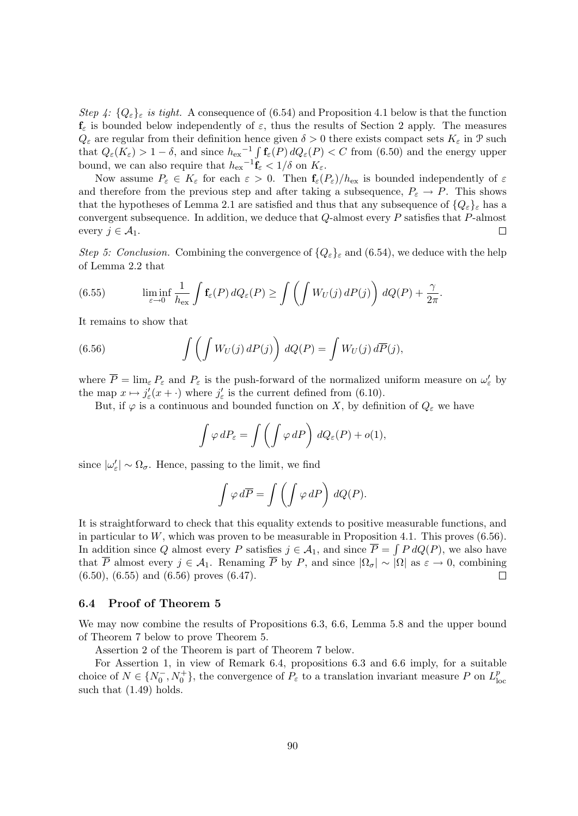Step 4:  $\{Q_{\varepsilon}\}_\varepsilon$  is tight. A consequence of (6.54) and Proposition 4.1 below is that the function  $f_{\varepsilon}$  is bounded below independently of  $\varepsilon$ , thus the results of Section 2 apply. The measures  $Q_{\varepsilon}$  are regular from their definition hence given  $\delta > 0$  there exists compact sets  $K_{\varepsilon}$  in  $\mathcal{P}$  such that  $Q_{\varepsilon}(K_{\varepsilon}) > 1 - \delta$ , and since  $h_{\text{ex}}^{-1} \int \mathbf{f}_{\varepsilon}(P) dQ_{\varepsilon}(P) < C$  from (6.50) and the energy upper bound, we can also require that  $h_{\text{ex}}^{-1} \mathbf{f}_{\varepsilon} < 1/\delta$  on  $K_{\varepsilon}$ .

Now assume  $P_{\varepsilon} \in K_{\varepsilon}$  for each  $\varepsilon > 0$ . Then  $\mathbf{f}_{\varepsilon}(P_{\varepsilon})/h_{\varepsilon}$  is bounded independently of  $\varepsilon$ and therefore from the previous step and after taking a subsequence,  $P_{\varepsilon} \to P$ . This shows that the hypotheses of Lemma 2.1 are satisfied and thus that any subsequence of  ${Q_{\varepsilon}}_{\varepsilon}$  has a convergent subsequence. In addition, we deduce that Q-almost every P satisfies that P-almost every  $j \in \mathcal{A}_1$ .

Step 5: Conclusion. Combining the convergence of  $\{Q_{\varepsilon}\}_{\varepsilon}$  and  $(6.54)$ , we deduce with the help of Lemma 2.2 that

(6.55) 
$$
\liminf_{\varepsilon \to 0} \frac{1}{h_{\text{ex}}} \int \mathbf{f}_{\varepsilon}(P) dQ_{\varepsilon}(P) \ge \int \left( \int W_U(j) dP(j) \right) dQ(P) + \frac{\gamma}{2\pi}.
$$

It remains to show that

(6.56) 
$$
\int \left( \int W_U(j) \, dP(j) \right) \, dQ(P) = \int W_U(j) \, d\overline{P}(j),
$$

where  $\overline{P} = \lim_{\varepsilon} P_{\varepsilon}$  and  $P_{\varepsilon}$  is the push-forward of the normalized uniform measure on  $\omega_{\varepsilon}'$  by the map  $x \mapsto j'_{\varepsilon}(x + \cdot)$  where  $j'_{\varepsilon}$  is the current defined from (6.10).

But, if  $\varphi$  is a continuous and bounded function on X, by definition of  $Q_{\varepsilon}$  we have

$$
\int \varphi \, dP_{\varepsilon} = \int \left( \int \varphi \, dP \right) \, dQ_{\varepsilon}(P) + o(1),
$$

since  $|\omega_{\varepsilon}'| \sim \Omega_{\sigma}$ . Hence, passing to the limit, we find

$$
\int \varphi \, d\overline{P} = \int \left( \int \varphi \, dP \right) \, dQ(P).
$$

It is straightforward to check that this equality extends to positive measurable functions, and in particular to  $W$ , which was proven to be measurable in Proposition 4.1. This proves  $(6.56)$ . In addition since Q almost every P satisfies  $j \in \mathcal{A}_1$ , and since  $\overline{P} = \int P dQ(P)$ , we also have that  $\overline{P}$  almost every  $j \in \mathcal{A}_1$ . Renaming  $\overline{P}$  by P, and since  $|\Omega_{\sigma}| \sim |\Omega|$  as  $\varepsilon \to 0$ , combining (6.50), (6.55) and (6.56) proves (6.47).  $\Box$ 

#### 6.4 Proof of Theorem 5

We may now combine the results of Propositions 6.3, 6.6, Lemma 5.8 and the upper bound of Theorem 7 below to prove Theorem 5.

Assertion 2 of the Theorem is part of Theorem 7 below.

For Assertion 1, in view of Remark 6.4, propositions 6.3 and 6.6 imply, for a suitable choice of  $N \in \{N_0^-, N_0^+\}$ , the convergence of  $P_\varepsilon$  to a translation invariant measure P on  $L^p_{\text{loc}}$ loc such that  $(1.49)$  holds.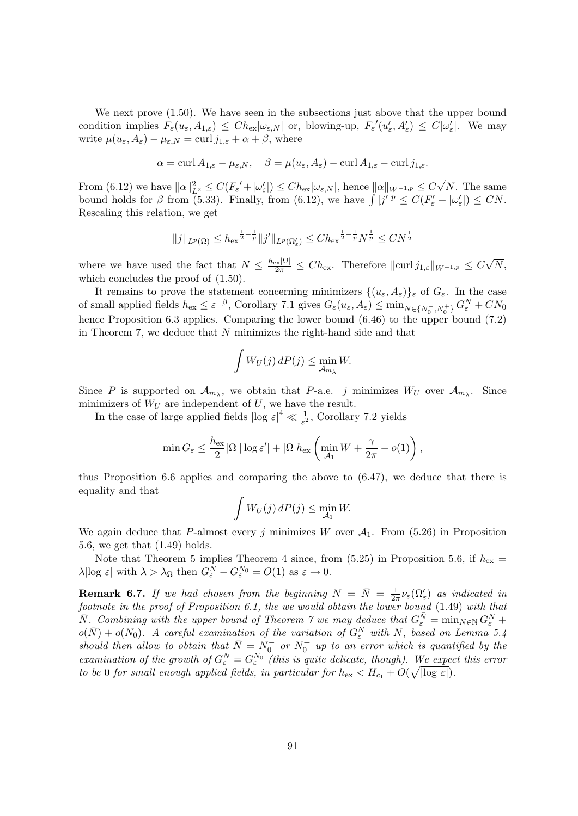We next prove  $(1.50)$ . We have seen in the subsections just above that the upper bound condition implies  $F_{\varepsilon}(u_{\varepsilon}, A_{1,\varepsilon}) \leq Ch_{\varepsilon}|\omega_{\varepsilon,N}|$  or, blowing-up,  $F_{\varepsilon}'(u_{\varepsilon}', A_{\varepsilon}') \leq C|\omega_{\varepsilon}'|$ . We may write  $\mu(u_{\varepsilon}, A_{\varepsilon}) - \mu_{\varepsilon, N} = \text{curl } j_{1, \varepsilon} + \alpha + \beta$ , where

$$
\alpha = \operatorname{curl} A_{1,\varepsilon} - \mu_{\varepsilon,N}, \quad \beta = \mu(u_{\varepsilon}, A_{\varepsilon}) - \operatorname{curl} A_{1,\varepsilon} - \operatorname{curl} j_{1,\varepsilon}.
$$

From (6.12) we have  $||\alpha||_{L^2}^2 \le C(F_{\varepsilon}'+|\omega_{\varepsilon}'|) \le Ch_{\text{ex}}|\omega_{\varepsilon,N}|$ , hence  $||\alpha||_{W^{-1,p}} \le C$ √ N. The same bound holds for  $\beta$  from (5.33). Finally, from (6.12), we have  $\int |j'|^p \leq C(F'_{\varepsilon} + |\omega'_{\varepsilon}|) \leq CN$ . Rescaling this relation, we get

$$
||j||_{L^{p}(\Omega)} \leq h_{\text{ex}}^{\frac{1}{2}-\frac{1}{p}}||j'||_{L^{p}(\Omega'_{\varepsilon})} \leq Ch_{\text{ex}}^{\frac{1}{2}-\frac{1}{p}}N^{\frac{1}{p}} \leq CN^{\frac{1}{2}}
$$

where we have used the fact that  $N \leq \frac{h_{\text{ex}}|\Omega|}{2\pi} \leq Ch_{\text{ex}}$ . Therefore  $\|\text{curl }j_{1,\varepsilon}\|_{W^{-1,p}} \leq C$ √  $N,$ which concludes the proof of  $(1.50)$ .

It remains to prove the statement concerning minimizers  $\{(u_{\varepsilon}, A_{\varepsilon})\}_{\varepsilon}$  of  $G_{\varepsilon}$ . In the case of small applied fields  $h_{\text{ex}} \leq \varepsilon^{-\beta}$ , Corollary 7.1 gives  $G_{\varepsilon}(u_{\varepsilon}, A_{\varepsilon}) \leq \min_{N \in \{N_0^-, N_0^+\}} G_{\varepsilon}^N + CN_0$ hence Proposition 6.3 applies. Comparing the lower bound  $(6.46)$  to the upper bound  $(7.2)$ in Theorem 7, we deduce that  $N$  minimizes the right-hand side and that

$$
\int W_U(j) \, dP(j) \le \min_{\mathcal{A}_{m_\lambda}} W.
$$

Since P is supported on  $\mathcal{A}_{m_\lambda}$ , we obtain that P-a.e. j minimizes  $W_U$  over  $\mathcal{A}_{m_\lambda}$ . Since minimizers of  $W_U$  are independent of  $U$ , we have the result.

In the case of large applied fields  $|\log \varepsilon|^4 \ll \frac{1}{\varepsilon^2}$ , Corollary 7.2 yields

$$
\min G_{\varepsilon} \leq \frac{h_{\text{ex}}}{2} |\Omega| |\log \varepsilon'| + |\Omega| h_{\text{ex}} \left( \min_{\mathcal{A}_1} W + \frac{\gamma}{2\pi} + o(1) \right),
$$

thus Proposition 6.6 applies and comparing the above to (6.47), we deduce that there is equality and that

$$
\int W_U(j) \, dP(j) \le \min_{\mathcal{A}_1} W.
$$

We again deduce that P-almost every j minimizes W over  $A_1$ . From (5.26) in Proposition 5.6, we get that (1.49) holds.

Note that Theorem 5 implies Theorem 4 since, from (5.25) in Proposition 5.6, if  $h_{\text{ex}} =$  $\lambda |\log \varepsilon|$  with  $\lambda > \lambda_{\Omega}$  then  $G_{\varepsilon}^{N} - G_{\varepsilon}^{N_0} = O(1)$  as  $\varepsilon \to 0$ .

**Remark 6.7.** If we had chosen from the beginning  $N = \overline{N} = \frac{1}{2d}$  $\frac{1}{2\pi}\nu_{\varepsilon}(\Omega_{\varepsilon}')$  as indicated in footnote in the proof of Proposition 6.1, the we would obtain the lower bound (1.49) with that  $\overline{N}$ . Combining with the upper bound of Theorem 7 we may deduce that  $G_{\varepsilon}^{\overline{N}} = \min_{N \in \mathbb{N}} G_{\varepsilon}^N +$  $o(\bar{N}) + o(N_0)$ . A careful examination of the variation of  $G_{\varepsilon}^N$  with N, based on Lemma 5.4 should then allow to obtain that  $\bar{N} = N_0^-$  or  $N_0^+$  up to an error which is quantified by the examination of the growth of  $G_{\varepsilon}^N = G_{\varepsilon}^{N_0}$  (this is quite delicate, though). We expect this error to be 0 for small enough applied fields, in particular for  $h_{\text{ex}} < H_{c_1} + O(\sqrt{|\log \varepsilon|}).$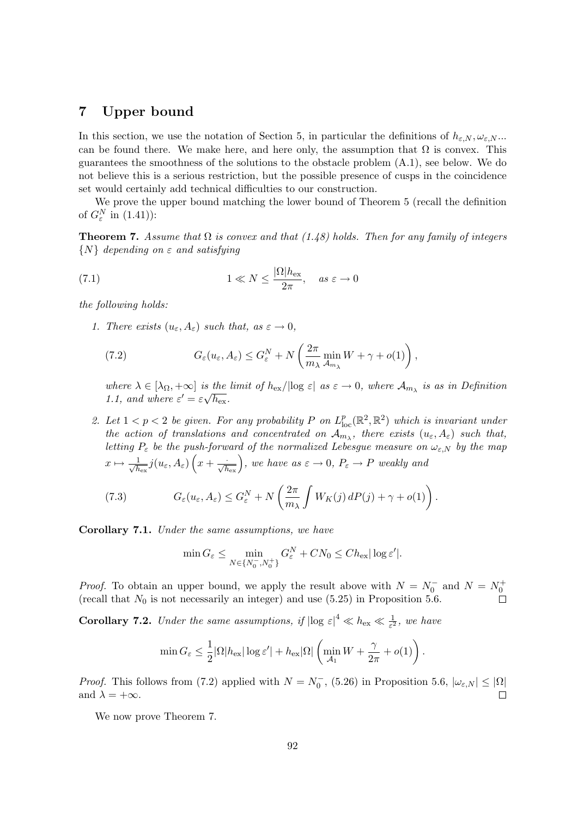# 7 Upper bound

In this section, we use the notation of Section 5, in particular the definitions of  $h_{\varepsilon,N}, \omega_{\varepsilon,N}$ ... can be found there. We make here, and here only, the assumption that  $\Omega$  is convex. This guarantees the smoothness of the solutions to the obstacle problem (A.1), see below. We do not believe this is a serious restriction, but the possible presence of cusps in the coincidence set would certainly add technical difficulties to our construction.

We prove the upper bound matching the lower bound of Theorem 5 (recall the definition of  $G_{\varepsilon}^N$  in  $(1.41)$ :

**Theorem 7.** Assume that  $\Omega$  is convex and that (1.48) holds. Then for any family of integers  $\{N\}$  depending on  $\varepsilon$  and satisfying

(7.1) 
$$
1 \ll N \leq \frac{|\Omega|h_{\text{ex}}}{2\pi}, \quad as \ \varepsilon \to 0
$$

the following holds:

1. There exists  $(u_{\varepsilon}, A_{\varepsilon})$  such that, as  $\varepsilon \to 0$ ,

(7.2) 
$$
G_{\varepsilon}(u_{\varepsilon}, A_{\varepsilon}) \leq G_{\varepsilon}^{N} + N\left(\frac{2\pi}{m_{\lambda}}\min_{A_{m_{\lambda}}} W + \gamma + o(1)\right),
$$

where  $\lambda \in [\lambda_{\Omega}, +\infty]$  is the limit of  $h_{\text{ex}}/|\log \varepsilon|$  as  $\varepsilon \to 0$ , where  $\mathcal{A}_{m_{\lambda}}$  is as in Definition 1.1, and where  $\varepsilon' = \varepsilon \sqrt{h_{\rm ex}}$ .

2. Let  $1 < p < 2$  be given. For any probability P on  $L_{loc}^p(\mathbb{R}^2, \mathbb{R}^2)$  which is invariant under the action of translations and concentrated on  $\mathcal{A}_{m_\lambda}$ , there exists  $(u_\varepsilon, A_\varepsilon)$  such that, letting  $P_{\varepsilon}$  be the push-forward of the normalized Lebesgue measure on  $\omega_{\varepsilon,N}$  by the map  $x \mapsto \frac{1}{\sqrt{k}}$  $\frac{1}{h_{\text{ex}}}j(u_\varepsilon,A_\varepsilon)\left(x+\frac{\cdot}{\sqrt{h_{\text{ex}}}}\right)$ , we have as  $\varepsilon\to 0$ ,  $P_\varepsilon\to P$  weakly and

(7.3) 
$$
G_{\varepsilon}(u_{\varepsilon}, A_{\varepsilon}) \leq G_{\varepsilon}^{N} + N\left(\frac{2\pi}{m_{\lambda}}\int W_{K}(j) dP(j) + \gamma + o(1)\right).
$$

Corollary 7.1. Under the same assumptions, we have

$$
\min G_{\varepsilon} \le \min_{N \in \{N_0^-, N_0^+\}} G_{\varepsilon}^N + C N_0 \le C h_{\text{ex}} |\log \varepsilon'|.
$$

*Proof.* To obtain an upper bound, we apply the result above with  $N = N_0^-$  and  $N = N_0^+$ (recall that  $N_0$  is not necessarily an integer) and use (5.25) in Proposition 5.6.

**Corollary 7.2.** Under the same assumptions, if  $|\log \varepsilon|^4 \ll h_{\text{ex}} \ll \frac{1}{\varepsilon^2}$ , we have

$$
\min G_{\varepsilon} \leq \frac{1}{2} |\Omega| h_{\text{ex}} |\log \varepsilon'| + h_{\text{ex}} |\Omega| \left( \min_{\mathcal{A}_1} W + \frac{\gamma}{2\pi} + o(1) \right).
$$

*Proof.* This follows from (7.2) applied with  $N = N_0^-$ , (5.26) in Proposition 5.6,  $|\omega_{\varepsilon,N}| \leq |\Omega|$ and  $\lambda = +\infty$ .  $\Box$ 

We now prove Theorem 7.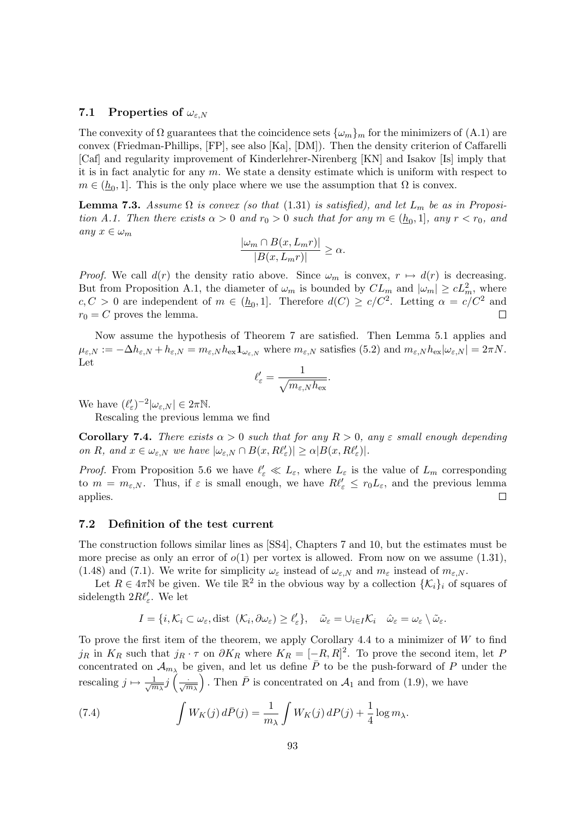### 7.1 Properties of  $\omega_{\varepsilon,N}$

The convexity of  $\Omega$  guarantees that the coincidence sets  $\{\omega_m\}_m$  for the minimizers of (A.1) are convex (Friedman-Phillips, [FP], see also [Ka], [DM]). Then the density criterion of Caffarelli [Caf] and regularity improvement of Kinderlehrer-Nirenberg [KN] and Isakov [Is] imply that it is in fact analytic for any  $m$ . We state a density estimate which is uniform with respect to  $m \in (\underline{h}_0, 1]$ . This is the only place where we use the assumption that  $\Omega$  is convex.

**Lemma 7.3.** Assume  $\Omega$  is convex (so that (1.31) is satisfied), and let  $L_m$  be as in Proposition A.1. Then there exists  $\alpha > 0$  and  $r_0 > 0$  such that for any  $m \in (\underline{h}_0, 1]$ , any  $r < r_0$ , and any  $x \in \omega_m$ 

$$
\frac{|\omega_m \cap B(x, L_m r)|}{|B(x, L_m r)|} \ge \alpha.
$$

*Proof.* We call  $d(r)$  the density ratio above. Since  $\omega_m$  is convex,  $r \mapsto d(r)$  is decreasing. But from Proposition A.1, the diameter of  $\omega_m$  is bounded by  $CL_m$  and  $|\omega_m| \geq cL_m^2$ , where  $c, C > 0$  are independent of  $m \in (\underline{h}_0, 1]$ . Therefore  $d(C) \ge c/C^2$ . Letting  $\alpha = c/C^2$  and  $r_0 = C$  proves the lemma.

Now assume the hypothesis of Theorem 7 are satisfied. Then Lemma 5.1 applies and  $\mu_{\varepsilon,N} := -\Delta h_{\varepsilon,N} + h_{\varepsilon,N} = m_{\varepsilon,N} h_{\text{ex}} \mathbf{1}_{\omega_{\varepsilon,N}}$  where  $m_{\varepsilon,N}$  satisfies (5.2) and  $m_{\varepsilon,N} h_{\text{ex}} |\omega_{\varepsilon,N}| = 2\pi N$ . Let

$$
\ell_\varepsilon' = \frac{1}{\sqrt{m_{\varepsilon,N} h_{\mathrm{ex}}}}.
$$

We have  $(\ell_{\varepsilon}')^{-2}|\omega_{\varepsilon,N}| \in 2\pi\mathbb{N}$ .

Rescaling the previous lemma we find

Corollary 7.4. There exists  $\alpha > 0$  such that for any  $R > 0$ , any  $\varepsilon$  small enough depending on R, and  $x \in \omega_{\varepsilon,N}$  we have  $|\omega_{\varepsilon,N} \cap B(x, R\ell'_{\varepsilon})| \ge \alpha |B(x, R\ell'_{\varepsilon})|$ .

*Proof.* From Proposition 5.6 we have  $\ell_{\varepsilon} \ll L_{\varepsilon}$ , where  $L_{\varepsilon}$  is the value of  $L_m$  corresponding to  $m = m_{\varepsilon,N}$ . Thus, if  $\varepsilon$  is small enough, we have  $R\ell'_{\varepsilon} \leq r_0L_{\varepsilon}$ , and the previous lemma applies.  $\Box$ 

#### 7.2 Definition of the test current

The construction follows similar lines as [SS4], Chapters 7 and 10, but the estimates must be more precise as only an error of  $o(1)$  per vortex is allowed. From now on we assume  $(1.31)$ , (1.48) and (7.1). We write for simplicity  $\omega_{\varepsilon}$  instead of  $\omega_{\varepsilon,N}$  and  $m_{\varepsilon}$  instead of  $m_{\varepsilon,N}$ .

Let  $R \in 4\pi\mathbb{N}$  be given. We tile  $\mathbb{R}^2$  in the obvious way by a collection  $\{\mathcal{K}_i\}_i$  of squares of sidelength  $2R\ell'_{\varepsilon}$ . We let

$$
I = \{i, \mathcal{K}_i \subset \omega_{\varepsilon}, \text{dist }(\mathcal{K}_i, \partial \omega_{\varepsilon}) \geq \ell_{\varepsilon}'\}, \quad \tilde{\omega}_{\varepsilon} = \cup_{i \in I} \mathcal{K}_i \quad \tilde{\omega}_{\varepsilon} = \omega_{\varepsilon} \setminus \tilde{\omega}_{\varepsilon}.
$$

To prove the first item of the theorem, we apply Corollary 4.4 to a minimizer of  $W$  to find j<sub>R</sub> in  $K_R$  such that j<sub>R</sub> ·  $\tau$  on  $\partial K_R$  where  $K_R = [-R, R]^2$ . To prove the second item, let F concentrated on  $\mathcal{A}_{m_\lambda}$  be given, and let us define  $\overline{P}$  to be the push-forward of P under the rescaling  $j \mapsto \frac{1}{\sqrt{n}}$  $\frac{1}{m_\lambda}j\left(\frac{\cdot}{\sqrt{m_\lambda}}\right)$ ). Then  $\overline{P}$  is concentrated on  $\mathcal{A}_1$  and from (1.9), we have

(7.4) 
$$
\int W_K(j) \, d\bar{P}(j) = \frac{1}{m_{\lambda}} \int W_K(j) \, dP(j) + \frac{1}{4} \log m_{\lambda}.
$$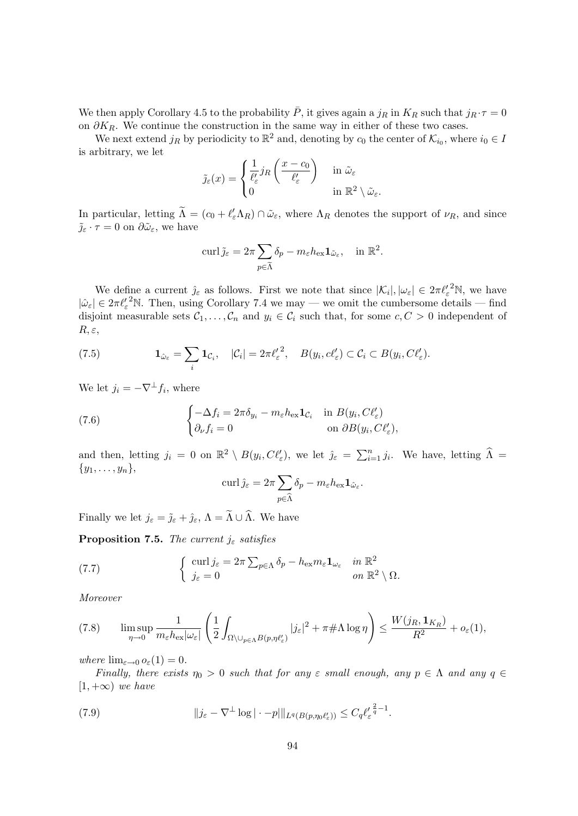We then apply Corollary 4.5 to the probability  $\bar{P}$ , it gives again a  $j_R$  in  $K_R$  such that  $j_R \cdot \tau = 0$ on  $\partial K_R$ . We continue the construction in the same way in either of these two cases.

We next extend  $j_R$  by periodicity to  $\mathbb{R}^2$  and, denoting by  $c_0$  the center of  $\mathcal{K}_{i_0}$ , where  $i_0 \in I$ is arbitrary, we let

$$
\tilde{j}_{\varepsilon}(x) = \begin{cases} \frac{1}{\ell'_{\varepsilon}} j_R\left(\frac{x-c_0}{\ell'_{\varepsilon}}\right) & \text{in } \tilde{\omega}_{\varepsilon} \\ 0 & \text{in } \mathbb{R}^2 \setminus \tilde{\omega}_{\varepsilon}.\end{cases}
$$

In particular, letting  $\tilde{\Lambda} = (c_0 + \ell'_{\varepsilon} \Lambda_R) \cap \tilde{\omega}_{\varepsilon}$ , where  $\Lambda_R$  denotes the support of  $\nu_R$ , and since  $\tilde{\jmath}_{\varepsilon} \cdot \tau = 0$  on  $\partial \tilde{\omega}_{\varepsilon}$ , we have

$$
\operatorname{curl} \tilde{\jmath}_{\varepsilon} = 2\pi \sum_{p \in \tilde{\Lambda}} \delta_p - m_{\varepsilon} h_{\text{ex}} \mathbf{1}_{\tilde{\omega}_{\varepsilon}}, \quad \text{in } \mathbb{R}^2.
$$

We define a current  $\hat{j}_{\varepsilon}$  as follows. First we note that since  $|\mathcal{K}_i|, |\omega_{\varepsilon}| \in 2\pi {\ell_{\varepsilon}'}^2 \mathbb{N}$ , we have  $|\hat{\omega}_{\varepsilon}| \in 2\pi{\ell_{\varepsilon}'}^2$ N. Then, using Corollary 7.4 we may — we omit the cumbersome details — find disjoint measurable sets  $C_1, \ldots, C_n$  and  $y_i \in C_i$  such that, for some  $c, C > 0$  independent of  $R, \varepsilon,$ 

(7.5) 
$$
\mathbf{1}_{\hat{\omega}_{\varepsilon}} = \sum_{i} \mathbf{1}_{\mathcal{C}_i}, \quad |\mathcal{C}_i| = 2\pi {\ell'_\varepsilon}^2, \quad B(y_i, c\ell'_\varepsilon) \subset \mathcal{C}_i \subset B(y_i, C\ell'_\varepsilon).
$$

We let  $j_i = -\nabla^{\perp} f_i$ , where

(7.6) 
$$
\begin{cases} -\Delta f_i = 2\pi \delta_{y_i} - m_{\varepsilon} h_{\varepsilon x} \mathbf{1}_{\mathcal{C}_i} & \text{in } B(y_i, C\ell'_{\varepsilon}) \\ \partial_{\nu} f_i = 0 & \text{on } \partial B(y_i, C\ell'_{\varepsilon}), \end{cases}
$$

and then, letting  $j_i = 0$  on  $\mathbb{R}^2 \setminus B(y_i, C\ell'_{\varepsilon})$ , we let  $\hat{j}_{\varepsilon} = \sum_{i=1}^n j_i$ . We have, letting  $\widehat{\Lambda} =$  $\{y_1,\ldots,y_n\},\$ 

$$
\operatorname{curl} \hat{\jmath}_{\varepsilon} = 2\pi \sum_{p \in \widehat{\Lambda}} \delta_p - m_{\varepsilon} h_{\text{ex}} \mathbf{1}_{\hat{\omega}_{\varepsilon}}.
$$

Finally we let  $j_{\varepsilon} = \tilde{j}_{\varepsilon} + \hat{j}_{\varepsilon}$ ,  $\Lambda = \tilde{\Lambda} \cup \hat{\Lambda}$ . We have

**Proposition 7.5.** The current  $j_{\varepsilon}$  satisfies

(7.7) 
$$
\begin{cases} \operatorname{curl} j_{\varepsilon} = 2\pi \sum_{p \in \Lambda} \delta_p - h_{\text{ex}} m_{\varepsilon} \mathbf{1}_{\omega_{\varepsilon}} & \text{in } \mathbb{R}^2 \\ j_{\varepsilon} = 0 & \text{on } \mathbb{R}^2 \setminus \Omega. \end{cases}
$$

Moreover

$$
(7.8) \qquad \limsup_{\eta \to 0} \frac{1}{m_{\varepsilon} h_{\text{ex}} |\omega_{\varepsilon}|} \left( \frac{1}{2} \int_{\Omega \setminus \cup_{p \in \Lambda} B(p,\eta \ell_{\varepsilon}')} |j_{\varepsilon}|^2 + \pi \# \Lambda \log \eta \right) \leq \frac{W(j_R, \mathbf{1}_{K_R})}{R^2} + o_{\varepsilon}(1),
$$

where  $\lim_{\varepsilon\to 0} o_{\varepsilon}(1) = 0$ .

Finally, there exists  $\eta_0 > 0$  such that for any  $\varepsilon$  small enough, any  $p \in \Lambda$  and any  $q \in$  $[1, +\infty)$  we have

(7.9) 
$$
\|j_{\varepsilon}-\nabla^{\perp}\log|\cdot-p|\|_{L^{q}(B(p,\eta_{0}\ell'_{\varepsilon}))}\leq C_{q}\ell'_{\varepsilon}^{\frac{2}{q}-1}.
$$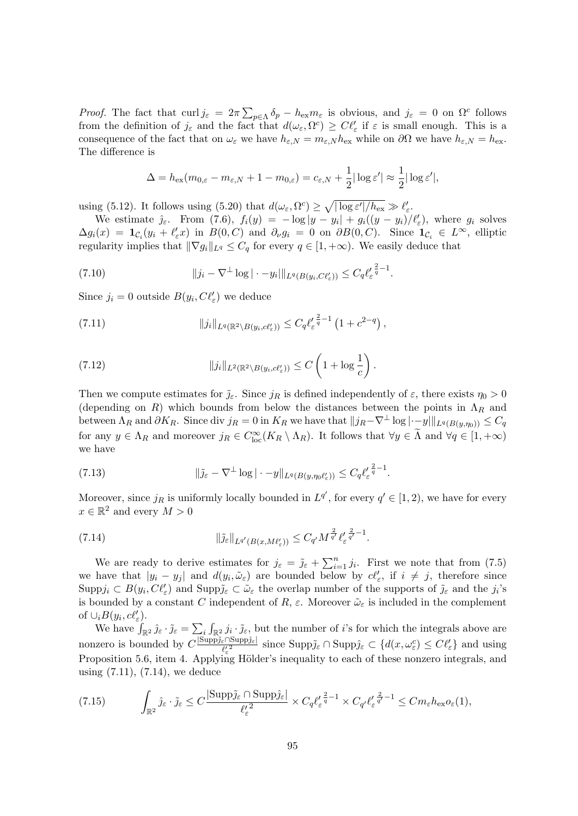*Proof.* The fact that  $\text{curl } j_{\varepsilon} = 2\pi \sum_{p \in \Lambda} \delta_p - h_{\text{ex}} m_{\varepsilon}$  is obvious, and  $j_{\varepsilon} = 0$  on  $\Omega^c$  follows from the definition of  $j_{\varepsilon}$  and the fact that  $d(\omega_{\varepsilon}, \Omega^c) \geq C\ell'_{\varepsilon}$  if  $\varepsilon$  is small enough. This is a consequence of the fact that on  $\omega_{\varepsilon}$  we have  $h_{\varepsilon,N} = m_{\varepsilon,N} h_{\text{ex}}$  while on  $\partial\Omega$  we have  $h_{\varepsilon,N} = h_{\text{ex}}$ . The difference is

$$
\Delta = h_{\text{ex}}(m_{0,\varepsilon} - m_{\varepsilon,N} + 1 - m_{0,\varepsilon}) = c_{\varepsilon,N} + \frac{1}{2} |\log \varepsilon'| \approx \frac{1}{2} |\log \varepsilon'|,
$$

using (5.12). It follows using (5.20) that  $d(\omega_{\varepsilon}, \Omega^c) \ge \sqrt{|\log \varepsilon'|/h_{\text{ex}}}\gg \ell'_{\varepsilon}$ .

We estimate  $\hat{j}_{\varepsilon}$ . From (7.6),  $f_i(y) = -\log|y - y_i| + g_i((y - y_i)/\ell'_{\varepsilon})$ , where  $g_i$  solves  $\Delta g_i(x) = \mathbf{1}_{\mathcal{C}_i}(y_i + \ell'_\varepsilon x)$  in  $B(0, C)$  and  $\partial_\nu g_i = 0$  on  $\partial B(0, C)$ . Since  $\mathbf{1}_{\mathcal{C}_i} \in L^\infty$ , elliptic regularity implies that  $\|\nabla g_i\|_{L^q} \leq C_q$  for every  $q \in [1, +\infty)$ . We easily deduce that

(7.10) 
$$
\|j_i - \nabla^{\perp} \log |\cdot - y_i| \|_{L^q(B(y_i, C\ell'_{\varepsilon}))} \leq C_q \ell'_{\varepsilon}^{\frac{2}{q}-1}.
$$

Since  $j_i = 0$  outside  $B(y_i, C\ell'_\varepsilon)$  we deduce

(7.11) 
$$
||j_i||_{L^q(\mathbb{R}^2 \setminus B(y_i, c\ell'_\varepsilon))} \leq C_q {\ell'_\varepsilon}^{\frac{2}{q}-1} (1 + c^{2-q}),
$$

(7.12) 
$$
||j_i||_{L^2(\mathbb{R}^2 \setminus B(y_i, c\ell'_{\varepsilon}))} \leq C \left(1 + \log \frac{1}{c}\right).
$$

Then we compute estimates for  $\tilde{j}_{\varepsilon}$ . Since  $j_R$  is defined independently of  $\varepsilon$ , there exists  $\eta_0 > 0$ (depending on R) which bounds from below the distances between the points in  $\Lambda_R$  and between  $\Lambda_R$  and  $\partial K_R$ . Since div  $j_R = 0$  in  $K_R$  we have that  $||j_R-\nabla^{\perp} \log |\cdot-y||_{L^q(B(y,\eta_0))} \leq C_q$ for any  $y \in \Lambda_R$  and moreover  $j_R \in C^{\infty}_{loc}(K_R \setminus \Lambda_R)$ . It follows that  $\forall y \in \tilde{\Lambda}$  and  $\forall q \in [1, +\infty)$ we have

(7.13) 
$$
\|\tilde{\jmath}_{\varepsilon} - \nabla^{\perp} \log | \cdot - y \|_{L^{q}(B(y,\eta_{0}\ell'_{\varepsilon}))} \leq C_{q} \ell'_{\varepsilon}^{\frac{2}{q}-1}.
$$

Moreover, since  $j_R$  is uniformly locally bounded in  $L^{q'}$ , for every  $q' \in [1, 2)$ , we have for every  $x \in \mathbb{R}^2$  and every  $M > 0$ 

(7.14) 
$$
\|\tilde{\jmath}_{\varepsilon}\|_{L^{q'}(B(x,M\ell'_{\varepsilon}))}\leq C_{q'}M^{\frac{2}{q'}}\ell'_{\varepsilon}^{\frac{2}{q'}-1}.
$$

We are ready to derive estimates for  $j_{\varepsilon} = \tilde{j}_{\varepsilon} + \sum_{i=1}^{n} j_i$ . First we note that from (7.5) we have that  $|y_i - y_j|$  and  $d(y_i, \tilde{\omega}_{\varepsilon})$  are bounded below by  $c\ell'_{\varepsilon}$ , if  $i \neq j$ , therefore since  $\text{Supp} j_i \subset B(y_i, C\ell'_\varepsilon)$  and  $\text{Supp} \tilde{j}_\varepsilon \subset \tilde{\omega}_\varepsilon$  the overlap number of the supports of  $\tilde{j}_\varepsilon$  and the  $j_i$ 's is bounded by a constant C independent of R,  $\varepsilon$ . Moreover  $\tilde{\omega}_{\varepsilon}$  is included in the complement of  $\cup_i B(y_i, c\ell'_{\varepsilon}).$ 

We have  $\int_{\mathbb{R}^2} \hat{j}_{\varepsilon} \cdot \tilde{j}_{\varepsilon} = \sum_i \int_{\mathbb{R}^2} j_i \cdot \tilde{j}_{\varepsilon}$ , but the number of *i*'s for which the integrals above are nonzero is bounded by  $C \frac{|\text{Supp}\tilde{j}_\varepsilon \cap \text{Supp}\hat{j}_\varepsilon|}{\sqrt{\frac{\rho_2^2}{n}}}$  $\frac{\varepsilon \cap \text{Supp}\hat{j}_{\varepsilon} \cap \text{Supp}\hat{j}_{\varepsilon}}{\ell_{\varepsilon}^{2}} \text{ since } \text{Supp}\hat{j}_{\varepsilon} \cap \text{Supp}\hat{j}_{\varepsilon} \subset \{d(x,\omega_{\varepsilon}^{c}) \leq C\ell_{\varepsilon}'\}\text{ and using }$ Proposition 5.6, item 4. Applying Hölder's inequality to each of these nonzero integrals, and using (7.11), (7.14), we deduce

$$
(7.15) \qquad \int_{\mathbb{R}^2} \hat{\jmath}_{\varepsilon} \cdot \tilde{\jmath}_{\varepsilon} \leq C \frac{|\text{Supp}\tilde{\jmath}_{\varepsilon} \cap \text{Supp}\hat{\jmath}_{\varepsilon}|}{\ell_{\varepsilon}^{\prime^2}} \times C_q \ell_{\varepsilon}^{\prime \frac{2}{q}-1} \times C_{q'} \ell_{\varepsilon}^{\prime \frac{2}{q'}-1} \leq C m_{\varepsilon} h_{\text{ex}} o_{\varepsilon}(1),
$$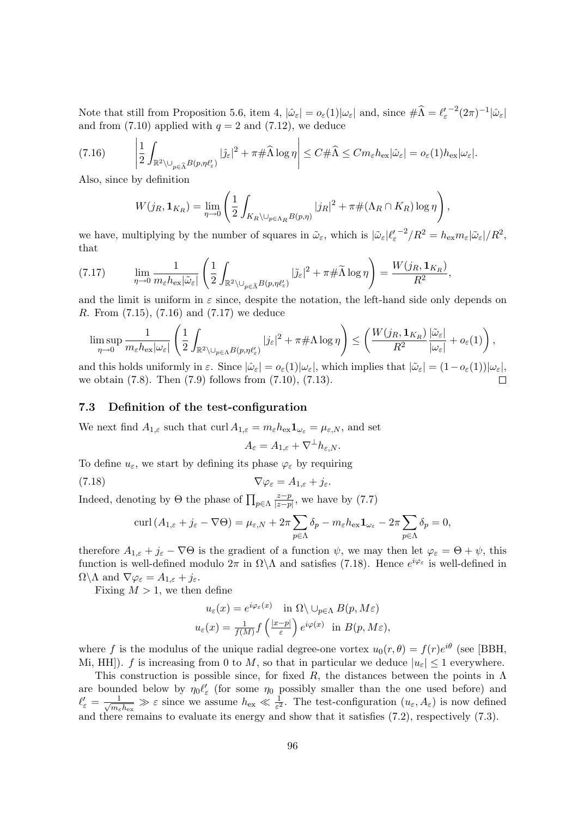Note that still from Proposition 5.6, item 4,  $|\hat{\omega}_{\varepsilon}| = o_{\varepsilon}(1)|\omega_{\varepsilon}|$  and, since  $\#\hat{\Lambda} = \ell_{\varepsilon}'^{-2}(2\pi)^{-1}|\hat{\omega}_{\varepsilon}|$ and from  $(7.10)$  applied with  $q = 2$  and  $(7.12)$ , we deduce

$$
(7.16) \qquad \left|\frac{1}{2}\int_{\mathbb{R}^2\setminus\cup_{p\in\widehat{\Lambda}}B(p,\eta\ell_{\varepsilon}')}|\hat{\jmath}_{\varepsilon}|^2 + \pi\#\widehat{\Lambda}\log\eta\right| \leq C\#\widehat{\Lambda} \leq Cm_{\varepsilon}h_{\text{ex}}|\hat{\omega}_{\varepsilon}| = o_{\varepsilon}(1)h_{\text{ex}}|\omega_{\varepsilon}|.
$$

Also, since by definition

$$
W(j_R, \mathbf{1}_{K_R}) = \lim_{\eta \to 0} \left( \frac{1}{2} \int_{K_R \setminus \cup_{p \in \Lambda_R} B(p,\eta)} |j_R|^2 + \pi \# (\Lambda_R \cap K_R) \log \eta \right),
$$

we have, multiplying by the number of squares in  $\tilde{\omega}_{\varepsilon}$ , which is  $|\tilde{\omega}_{\varepsilon}| \ell_{\varepsilon}'^{-2}/R^2 = h_{\text{ex}} m_{\varepsilon} |\tilde{\omega}_{\varepsilon}|/R^2$ , that

$$
(7.17) \qquad \lim_{\eta \to 0} \frac{1}{m_{\varepsilon} h_{\text{ex}} |\tilde{\omega}_{\varepsilon}|} \left( \frac{1}{2} \int_{\mathbb{R}^2 \setminus \cup_{p \in \tilde{\Lambda}} B(p,\eta \ell_{\varepsilon}')} |\tilde{\jmath}_{\varepsilon}|^2 + \pi \# \tilde{\Lambda} \log \eta \right) = \frac{W(j_R, \mathbf{1}_{K_R})}{R^2},
$$

and the limit is uniform in  $\varepsilon$  since, despite the notation, the left-hand side only depends on R. From (7.15), (7.16) and (7.17) we deduce

$$
\limsup_{\eta\to 0} \frac{1}{m_{\varepsilon}h_{\text{ex}}|\omega_{\varepsilon}|} \left( \frac{1}{2} \int_{\mathbb{R}^2 \setminus \cup_{p\in \Lambda} B(p,\eta \ell'_{\varepsilon})} |j_{\varepsilon}|^2 + \pi \# \Lambda \log \eta \right) \leq \left( \frac{W(j_R, \mathbf{1}_{K_R})}{R^2} \frac{|\tilde{\omega}_{\varepsilon}|}{|\omega_{\varepsilon}|} + o_{\varepsilon}(1) \right),
$$

and this holds uniformly in  $\varepsilon$ . Since  $|\hat{\omega}_{\varepsilon}| = o_{\varepsilon}(1)|\omega_{\varepsilon}|$ , which implies that  $|\tilde{\omega}_{\varepsilon}| = (1 - o_{\varepsilon}(1))|\omega_{\varepsilon}|$ , we obtain (7.8). Then (7.9) follows from (7.10), (7.13).

#### 7.3 Definition of the test-configuration

We next find  $A_{1,\varepsilon}$  such that curl  $A_{1,\varepsilon} = m_{\varepsilon} h_{\text{ex}} \mathbf{1}_{\omega_{\varepsilon}} = \mu_{\varepsilon,N}$ , and set

$$
A_{\varepsilon} = A_{1,\varepsilon} + \nabla^{\perp} h_{\varepsilon,N}.
$$

To define  $u_{\varepsilon}$ , we start by defining its phase  $\varphi_{\varepsilon}$  by requiring

$$
\nabla \varphi_{\varepsilon} = A_{1,\varepsilon} + j_{\varepsilon}.
$$

Indeed, denoting by  $\Theta$  the phase of  $\prod_{p \in \Lambda}$ z−p  $\frac{z-p}{|z-p|}$ , we have by (7.7)

$$
\operatorname{curl}\left(A_{1,\varepsilon}+j_\varepsilon-\nabla\Theta\right)=\mu_{\varepsilon,N}+2\pi\sum_{p\in\Lambda}\delta_p-m_\varepsilon h_{\text{ex}}\mathbf{1}_{\omega_\varepsilon}-2\pi\sum_{p\in\Lambda}\delta_p=0,
$$

therefore  $A_{1,\varepsilon} + j_{\varepsilon} - \nabla \Theta$  is the gradient of a function  $\psi$ , we may then let  $\varphi_{\varepsilon} = \Theta + \psi$ , this function is well-defined modulo  $2\pi$  in  $\Omega \backslash \Lambda$  and satisfies (7.18). Hence  $e^{i\varphi_{\varepsilon}}$  is well-defined in  $\Omega \backslash \Lambda$  and  $\nabla \varphi_{\varepsilon} = A_{1,\varepsilon} + j_{\varepsilon}$ .

Fixing  $M > 1$ , we then define

$$
u_{\varepsilon}(x) = e^{i\varphi_{\varepsilon}(x)} \quad \text{in } \Omega \setminus \cup_{p \in \Lambda} B(p, M\varepsilon)
$$

$$
u_{\varepsilon}(x) = \frac{1}{f(M)} f\left(\frac{|x-p|}{\varepsilon}\right) e^{i\varphi(x)} \quad \text{in } B(p, M\varepsilon),
$$

where f is the modulus of the unique radial degree-one vortex  $u_0(r, \theta) = f(r)e^{i\theta}$  (see [BBH, Mi, HH]). f is increasing from 0 to M, so that in particular we deduce  $|u_{\varepsilon}| \leq 1$  everywhere.

This construction is possible since, for fixed R, the distances between the points in  $\Lambda$ are bounded below by  $\eta_0 \ell'_{\varepsilon}$  (for some  $\eta_0$  possibly smaller than the one used before) and  $\ell'_{\varepsilon} = \frac{1}{\sqrt{m_{\varepsilon}}}$  $\frac{1}{m_{\varepsilon}h_{\text{ex}}}\gg \varepsilon$  since we assume  $h_{\text{ex}} \ll \frac{1}{\varepsilon^2}$ . The test-configuration  $(u_{\varepsilon}, A_{\varepsilon})$  is now defined and there remains to evaluate its energy and show that it satisfies (7.2), respectively (7.3).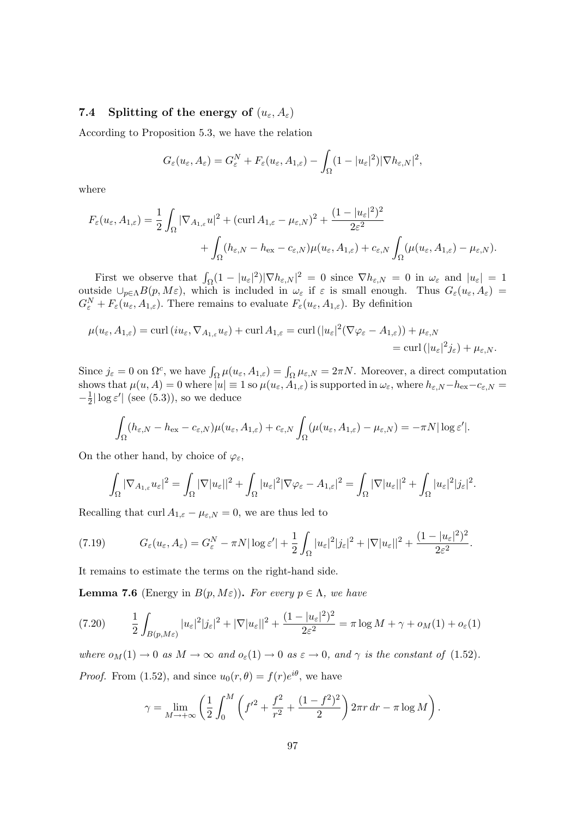# 7.4 Splitting of the energy of  $(u_{\varepsilon}, A_{\varepsilon})$

According to Proposition 5.3, we have the relation

$$
G_{\varepsilon}(u_{\varepsilon}, A_{\varepsilon}) = G_{\varepsilon}^{N} + F_{\varepsilon}(u_{\varepsilon}, A_{1, \varepsilon}) - \int_{\Omega} (1 - |u_{\varepsilon}|^{2}) |\nabla h_{\varepsilon, N}|^{2},
$$

where

$$
F_{\varepsilon}(u_{\varepsilon}, A_{1,\varepsilon}) = \frac{1}{2} \int_{\Omega} |\nabla_{A_{1,\varepsilon}} u|^2 + (\text{curl}\, A_{1,\varepsilon} - \mu_{\varepsilon,N})^2 + \frac{(1 - |u_{\varepsilon}|^2)^2}{2\varepsilon^2} + \int_{\Omega} (h_{\varepsilon,N} - h_{\text{ex}} - c_{\varepsilon,N}) \mu(u_{\varepsilon}, A_{1,\varepsilon}) + c_{\varepsilon,N} \int_{\Omega} (\mu(u_{\varepsilon}, A_{1,\varepsilon}) - \mu_{\varepsilon,N}).
$$

First we observe that  $\int_{\Omega} (1 - |u_{\varepsilon}|^2) |\nabla h_{\varepsilon,N}|^2 = 0$  since  $\nabla h_{\varepsilon,N} = 0$  in  $\omega_{\varepsilon}$  and  $|u_{\varepsilon}| = 1$ outside  $\cup_{p\in\Lambda}B(p,M\varepsilon)$ , which is included in  $\omega_{\varepsilon}$  if  $\varepsilon$  is small enough. Thus  $G_{\varepsilon}(u_{\varepsilon},A_{\varepsilon})=$  $G_{\varepsilon}^N + F_{\varepsilon}(u_{\varepsilon}, A_{1,\varepsilon})$ . There remains to evaluate  $F_{\varepsilon}(u_{\varepsilon}, A_{1,\varepsilon})$ . By definition

$$
\mu(u_{\varepsilon}, A_{1,\varepsilon}) = \operatorname{curl} (i u_{\varepsilon}, \nabla_{A_{1,\varepsilon}} u_{\varepsilon}) + \operatorname{curl} A_{1,\varepsilon} = \operatorname{curl} (|u_{\varepsilon}|^2 (\nabla \varphi_{\varepsilon} - A_{1,\varepsilon})) + \mu_{\varepsilon, N} \n= \operatorname{curl} (|u_{\varepsilon}|^2 j_{\varepsilon}) + \mu_{\varepsilon, N}.
$$

Since  $j_{\varepsilon} = 0$  on  $\Omega^c$ , we have  $\int_{\Omega} \mu(u_{\varepsilon}, A_{1, \varepsilon}) = \int_{\Omega} \mu_{\varepsilon, N} = 2\pi N$ . Moreover, a direct computation shows that  $\mu(u, A) = 0$  where  $|u| \equiv 1$  so  $\mu(u_{\varepsilon}, A_{1, \varepsilon})$  is supported in  $\omega_{\varepsilon}$ , where  $h_{\varepsilon, N} - h_{\text{ex}} - c_{\varepsilon, N} =$  $-\frac{1}{2}$  $\frac{1}{2}|\log \varepsilon'|$  (see (5.3)), so we deduce

$$
\int_{\Omega} (h_{\varepsilon,N} - h_{\rm ex} - c_{\varepsilon,N}) \mu(u_{\varepsilon}, A_{1,\varepsilon}) + c_{\varepsilon,N} \int_{\Omega} (\mu(u_{\varepsilon}, A_{1,\varepsilon}) - \mu_{\varepsilon,N}) = -\pi N |\log \varepsilon'|.
$$

On the other hand, by choice of  $\varphi_{\varepsilon}$ ,

$$
\int_{\Omega} |\nabla_{A_{1,\varepsilon}} u_{\varepsilon}|^2 = \int_{\Omega} |\nabla |u_{\varepsilon}||^2 + \int_{\Omega} |u_{\varepsilon}|^2 |\nabla \varphi_{\varepsilon} - A_{1,\varepsilon}|^2 = \int_{\Omega} |\nabla |u_{\varepsilon}||^2 + \int_{\Omega} |u_{\varepsilon}|^2 |j_{\varepsilon}|^2.
$$

Recalling that curl  $A_{1,\varepsilon} - \mu_{\varepsilon,N} = 0$ , we are thus led to

(7.19) 
$$
G_{\varepsilon}(u_{\varepsilon}, A_{\varepsilon}) = G_{\varepsilon}^{N} - \pi N |\log \varepsilon'| + \frac{1}{2} \int_{\Omega} |u_{\varepsilon}|^{2} |j_{\varepsilon}|^{2} + |\nabla |u_{\varepsilon}||^{2} + \frac{(1 - |u_{\varepsilon}|^{2})^{2}}{2\varepsilon^{2}}.
$$

It remains to estimate the terms on the right-hand side.

**Lemma 7.6** (Energy in  $B(p, M\varepsilon)$ ). For every  $p \in \Lambda$ , we have

$$
(7.20) \qquad \frac{1}{2} \int_{B(p,M\varepsilon)} |u_{\varepsilon}|^2 |j_{\varepsilon}|^2 + |\nabla |u_{\varepsilon}||^2 + \frac{(1-|u_{\varepsilon}|^2)^2}{2\varepsilon^2} = \pi \log M + \gamma + o_M(1) + o_{\varepsilon}(1)
$$

where  $o_M(1) \to 0$  as  $M \to \infty$  and  $o_{\varepsilon}(1) \to 0$  as  $\varepsilon \to 0$ , and  $\gamma$  is the constant of (1.52). *Proof.* From (1.52), and since  $u_0(r, \theta) = f(r)e^{i\theta}$ , we have

$$
\gamma = \lim_{M \to +\infty} \left( \frac{1}{2} \int_0^M \left( f'^2 + \frac{f^2}{r^2} + \frac{(1 - f^2)^2}{2} \right) 2\pi r \, dr - \pi \log M \right).
$$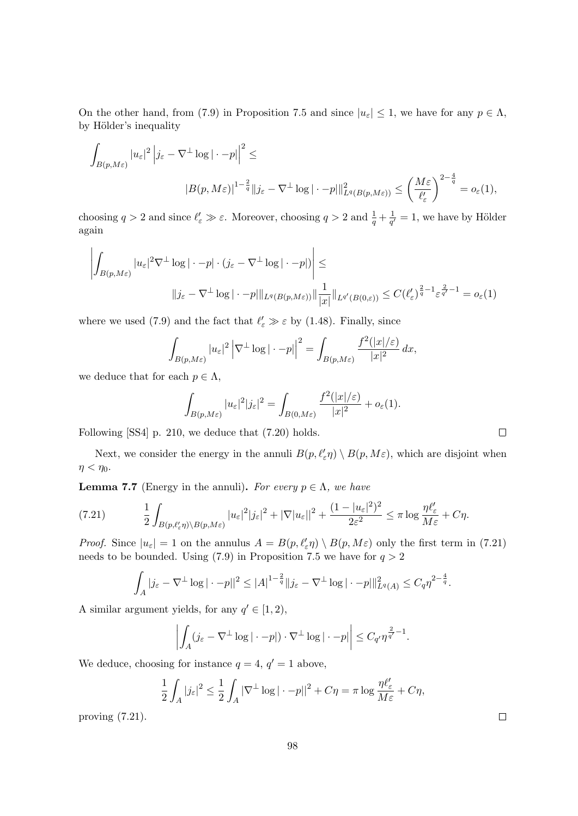On the other hand, from (7.9) in Proposition 7.5 and since  $|u_{\varepsilon}| \leq 1$ , we have for any  $p \in \Lambda$ , by Hölder's inequality

$$
\int_{B(p,M\varepsilon)} |u_{\varepsilon}|^2 |j_{\varepsilon} - \nabla^{\perp} \log |\cdot - p| \Big|^2 \le
$$
  

$$
|B(p,M\varepsilon)|^{1-\frac{2}{q}} \|j_{\varepsilon} - \nabla^{\perp} \log |\cdot - p| \|_{L^q(B(p,M\varepsilon))}^2 \le \left(\frac{M\varepsilon}{\ell_{\varepsilon}'}\right)^{2-\frac{4}{q}} = o_{\varepsilon}(1),
$$

choosing  $q > 2$  and since  $\ell'_{\varepsilon} \gg \varepsilon$ . Moreover, choosing  $q > 2$  and  $\frac{1}{q} + \frac{1}{q}$  $\frac{1}{q'}=1$ , we have by Hölder again

$$
\left| \int_{B(p,M\varepsilon)} |u_{\varepsilon}|^{2} \nabla^{\perp} \log |\cdot - p| \cdot (j_{\varepsilon} - \nabla^{\perp} \log |\cdot - p|) \right| \le
$$
  

$$
\|j_{\varepsilon} - \nabla^{\perp} \log |\cdot - p| \|_{L^{q}(B(p,M\varepsilon))} \|\frac{1}{|x|} \|_{L^{q'}(B(0,\varepsilon))} \le C(\ell_{\varepsilon}')^{\frac{2}{q}-1} \varepsilon^{\frac{2}{q'}-1} = o_{\varepsilon}(1)
$$

where we used (7.9) and the fact that  $\ell'_{\varepsilon} \gg \varepsilon$  by (1.48). Finally, since

$$
\int_{B(p,M\varepsilon)} |u_{\varepsilon}|^2 \left|\nabla^{\perp} \log |\cdot - p|\right|^2 = \int_{B(p,M\varepsilon)} \frac{f^2(|x|/\varepsilon)}{|x|^2} dx,
$$

we deduce that for each  $p \in \Lambda$ ,

$$
\int_{B(p,M\varepsilon)} |u_{\varepsilon}|^2 |j_{\varepsilon}|^2 = \int_{B(0,M\varepsilon)} \frac{f^2(|x|/\varepsilon)}{|x|^2} + o_{\varepsilon}(1).
$$

Following [SS4] p. 210, we deduce that (7.20) holds.

Next, we consider the energy in the annuli  $B(p, \ell'_{\varepsilon} \eta) \setminus B(p, M\varepsilon)$ , which are disjoint when  $\eta < \eta_0$ .

**Lemma 7.7** (Energy in the annuli). For every  $p \in \Lambda$ , we have

(7.21) 
$$
\frac{1}{2} \int_{B(p,\ell'_{\varepsilon}\eta) \backslash B(p,M_{\varepsilon})} |u_{\varepsilon}|^{2} |j_{\varepsilon}|^{2} + |\nabla |u_{\varepsilon}||^{2} + \frac{(1-|u_{\varepsilon}|^{2})^{2}}{2\varepsilon^{2}} \leq \pi \log \frac{\eta \ell'_{\varepsilon}}{M\varepsilon} + C\eta.
$$

*Proof.* Since  $|u_{\varepsilon}| = 1$  on the annulus  $A = B(p, \ell'_{\varepsilon} \eta) \setminus B(p, M\varepsilon)$  only the first term in (7.21) needs to be bounded. Using (7.9) in Proposition 7.5 we have for  $q > 2$ 

$$
\int_A |j_\varepsilon - \nabla^\perp \log |\cdot - p||^2 \le |A|^{1-\frac{2}{q}} \|j_\varepsilon - \nabla^\perp \log |\cdot - p|\|_{L^q(A)}^2 \le C_q \eta^{2-\frac{4}{q}}.
$$

A similar argument yields, for any  $q' \in [1, 2)$ ,

$$
\left| \int_A (j_{\varepsilon} - \nabla^{\perp} \log |\cdot - p|) \cdot \nabla^{\perp} \log |\cdot - p| \right| \leq C_{q'} \eta^{\frac{2}{q'} - 1}.
$$

We deduce, choosing for instance  $q = 4$ ,  $q' = 1$  above,

$$
\frac{1}{2} \int_A |j_{\varepsilon}|^2 \le \frac{1}{2} \int_A |\nabla^{\perp} \log |\cdot - p||^2 + C\eta = \pi \log \frac{\eta \ell_{\varepsilon}'}{M \varepsilon} + C\eta,
$$

proving (7.21).

| _ |  |  |
|---|--|--|
|   |  |  |
|   |  |  |
|   |  |  |
|   |  |  |

 $\Box$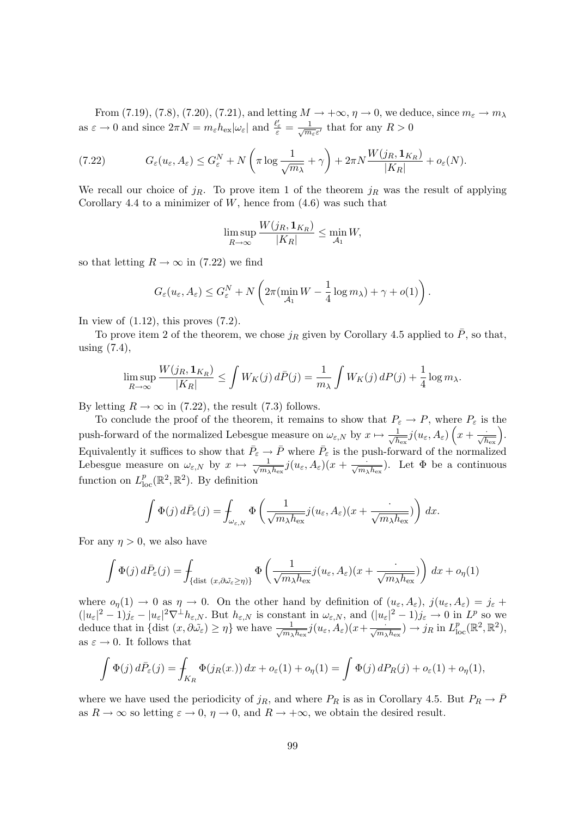From (7.19), (7.8), (7.20), (7.21), and letting  $M \to +\infty$ ,  $\eta \to 0$ , we deduce, since  $m_{\varepsilon} \to m_{\lambda}$ as  $\varepsilon \to 0$  and since  $2\pi N = m_{\varepsilon} h_{\text{ex}} |\omega_{\varepsilon}|$  and  $\frac{\ell'_{\varepsilon}}{\varepsilon} = \frac{1}{\sqrt{m}}$  $\frac{1}{m_{\varepsilon}\varepsilon'}$  that for any  $R>0$ 

(7.22) 
$$
G_{\varepsilon}(u_{\varepsilon}, A_{\varepsilon}) \leq G_{\varepsilon}^{N} + N\left(\pi \log \frac{1}{\sqrt{m_{\lambda}}} + \gamma\right) + 2\pi N \frac{W(j_{R}, \mathbf{1}_{K_{R}})}{|K_{R}|} + o_{\varepsilon}(N).
$$

We recall our choice of  $j_R$ . To prove item 1 of the theorem  $j_R$  was the result of applying Corollary 4.4 to a minimizer of  $W$ , hence from  $(4.6)$  was such that

$$
\limsup_{R \to \infty} \frac{W(j_R, \mathbf{1}_{K_R})}{|K_R|} \le \min_{\mathcal{A}_1} W,
$$

so that letting  $R \to \infty$  in (7.22) we find

$$
G_{\varepsilon}(u_{\varepsilon}, A_{\varepsilon}) \leq G_{\varepsilon}^{N} + N\left(2\pi(\min_{\mathcal{A}_{1}} W - \frac{1}{4}\log m_{\lambda}) + \gamma + o(1)\right).
$$

In view of  $(1.12)$ , this proves  $(7.2)$ .

To prove item 2 of the theorem, we chose  $j_R$  given by Corollary 4.5 applied to  $\bar{P}$ , so that, using (7.4),

$$
\limsup_{R \to \infty} \frac{W(j_R, \mathbf{1}_{K_R})}{|K_R|} \le \int W_K(j) \, d\bar{P}(j) = \frac{1}{m_\lambda} \int W_K(j) \, dP(j) + \frac{1}{4} \log m_\lambda.
$$

By letting  $R \to \infty$  in (7.22), the result (7.3) follows.

To conclude the proof of the theorem, it remains to show that  $P_{\varepsilon} \to P$ , where  $P_{\varepsilon}$  is the push-forward of the normalized Lebesgue measure on  $\omega_{\varepsilon,N}$  by  $x \mapsto \frac{1}{\sqrt{h}}$  $\frac{1}{\overline{h_{\mathrm{ex}}}} j(u_\varepsilon,A_\varepsilon) \left( x + \frac{\cdot}{\sqrt{h_{\mathrm{ex}}}} \right)$  . Equivalently it suffices to show that  $\bar{P}_{\varepsilon} \to \bar{P}$  where  $\bar{P}_{\varepsilon}$  is the push-forward of the normalized Lebesgue measure on  $\omega_{\varepsilon,N}$  by  $x \mapsto \frac{1}{\sqrt{m}}$  $\frac{1}{m_{\lambda}h_{\text{ex}}}j(u_{\varepsilon},A_{\varepsilon})(x+\frac{\cdot}{\sqrt{m_{\lambda}h_{\text{ex}}}})$ . Let  $\Phi$  be a continuous function on  $L_{\text{loc}}^p(\mathbb{R}^2, \mathbb{R}^2)$ . By definition

$$
\int \Phi(j) d\bar{P}_{\varepsilon}(j) = \int_{\omega_{\varepsilon,N}} \Phi\left(\frac{1}{\sqrt{m_{\lambda}h_{\rm ex}}}j(u_{\varepsilon}, A_{\varepsilon})(x + \frac{\cdot}{\sqrt{m_{\lambda}h_{\rm ex}}})\right) dx.
$$

For any  $\eta > 0$ , we also have

$$
\int \Phi(j) d\bar{P}_{\varepsilon}(j) = \int_{\{\text{dist } (x, \partial \tilde{\omega}_{\varepsilon} \ge \eta)\}} \Phi\left(\frac{1}{\sqrt{m_{\lambda}h_{\varepsilon}x}} j(u_{\varepsilon}, A_{\varepsilon})(x + \frac{\cdot}{\sqrt{m_{\lambda}h_{\varepsilon}x}})\right) dx + o_{\eta}(1)
$$

where  $o_n(1) \to 0$  as  $\eta \to 0$ . On the other hand by definition of  $(u_\varepsilon, A_\varepsilon)$ ,  $j(u_\varepsilon, A_\varepsilon) = j_\varepsilon +$  $(|u_{\varepsilon}|^2 - 1)j_{\varepsilon} - |u_{\varepsilon}|^2 \nabla^{\perp} h_{\varepsilon,N}$ . But  $h_{\varepsilon,N}$  is constant in  $\omega_{\varepsilon,N}$ , and  $(|u_{\varepsilon}|^2 - 1)j_{\varepsilon} \to 0$  in  $L^p$  so we deduce that in  $\{\text{dist}(x, \partial \tilde{\omega}_{\varepsilon}) \geq \eta\}$  we have  $\frac{1}{\sqrt{m}}$  $\frac{1}{m_{\lambda}h_{\text{ex}}}\hat{j}(u_{\varepsilon},A_{\varepsilon})(x+\frac{\cdots}{\sqrt{m_{\lambda}h_{\text{ex}}}}) \to j_R \text{ in } L_{\text{loc}}^p(\mathbb{R}^2,\mathbb{R}^2),$ as  $\varepsilon \to 0$ . It follows that

$$
\int \Phi(j) d\bar{P}_{\varepsilon}(j) = \int_{K_R} \Phi(j_R(x)) dx + o_{\varepsilon}(1) + o_{\eta}(1) = \int \Phi(j) dP_R(j) + o_{\varepsilon}(1) + o_{\eta}(1),
$$

where we have used the periodicity of  $j_R$ , and where  $P_R$  is as in Corollary 4.5. But  $P_R \to \bar{P}$ as  $R \to \infty$  so letting  $\varepsilon \to 0$ ,  $\eta \to 0$ , and  $R \to +\infty$ , we obtain the desired result.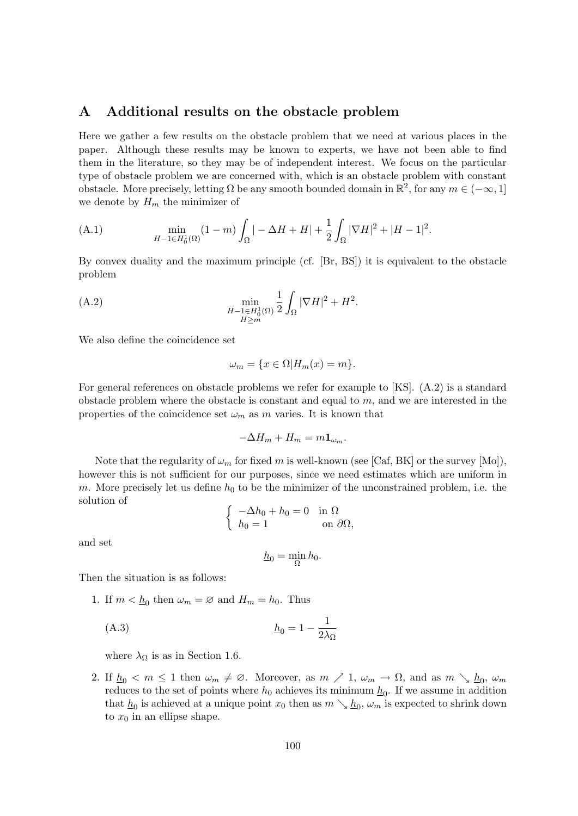## A Additional results on the obstacle problem

Here we gather a few results on the obstacle problem that we need at various places in the paper. Although these results may be known to experts, we have not been able to find them in the literature, so they may be of independent interest. We focus on the particular type of obstacle problem we are concerned with, which is an obstacle problem with constant obstacle. More precisely, letting  $\Omega$  be any smooth bounded domain in  $\mathbb{R}^2$ , for any  $m \in (-\infty, 1]$ we denote by  $H_m$  the minimizer of

(A.1) 
$$
\min_{H-1 \in H_0^1(\Omega)} (1-m) \int_{\Omega} |-\Delta H + H| + \frac{1}{2} \int_{\Omega} |\nabla H|^2 + |H-1|^2.
$$

By convex duality and the maximum principle (cf. [Br, BS]) it is equivalent to the obstacle problem

.

(A.2) 
$$
\min_{\substack{H-1 \in H_0^1(\Omega) \\ H \ge m}} \frac{1}{2} \int_{\Omega} |\nabla H|^2 + H^2
$$

We also define the coincidence set

$$
\omega_m = \{ x \in \Omega | H_m(x) = m \}.
$$

For general references on obstacle problems we refer for example to [KS]. (A.2) is a standard obstacle problem where the obstacle is constant and equal to  $m$ , and we are interested in the properties of the coincidence set  $\omega_m$  as m varies. It is known that

$$
-\Delta H_m + H_m = m \mathbf{1}_{\omega_m}.
$$

Note that the regularity of  $\omega_m$  for fixed m is well-known (see [Caf, BK] or the survey [Mo]), however this is not sufficient for our purposes, since we need estimates which are uniform in m. More precisely let us define  $h_0$  to be the minimizer of the unconstrained problem, i.e. the solution of

$$
\begin{cases}\n-\Delta h_0 + h_0 = 0 & \text{in } \Omega \\
h_0 = 1 & \text{on } \partial\Omega,\n\end{cases}
$$

and set

$$
\underline{h}_0 = \min_{\Omega} h_0.
$$

Then the situation is as follows:

1. If  $m < \underline{h}_0$  then  $\omega_m = \emptyset$  and  $H_m = h_0$ . Thus

(A.3) h<sup>0</sup> = 1 − 1 2λ<sup>Ω</sup>

where  $\lambda_{\Omega}$  is as in Section 1.6.

2. If  $\underline{h}_0 < m \leq 1$  then  $\omega_m \neq \emptyset$ . Moreover, as  $m \nearrow 1$ ,  $\omega_m \to \Omega$ , and as  $m \searrow \underline{h}_0$ ,  $\omega_m$ reduces to the set of points where  $h_0$  achieves its minimum  $\underline{h}_0$ . If we assume in addition that  $\underline{h}_0$  is achieved at a unique point  $x_0$  then as  $m \searrow \underline{h}_0$ ,  $\omega_m$  is expected to shrink down to  $x_0$  in an ellipse shape.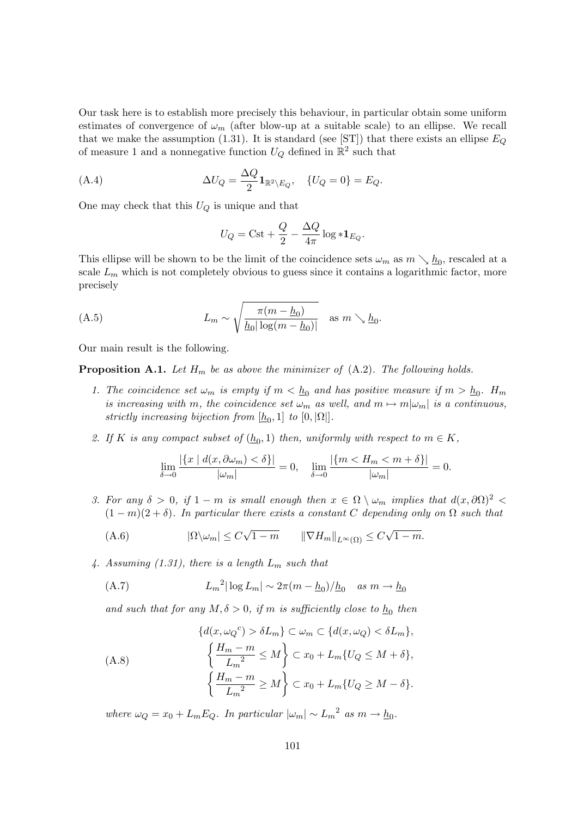Our task here is to establish more precisely this behaviour, in particular obtain some uniform estimates of convergence of  $\omega_m$  (after blow-up at a suitable scale) to an ellipse. We recall that we make the assumption (1.31). It is standard (see [ST]) that there exists an ellipse  $E_Q$ of measure 1 and a nonnegative function  $U_Q$  defined in  $\mathbb{R}^2$  such that

(A.4) 
$$
\Delta U_Q = \frac{\Delta Q}{2} \mathbf{1}_{\mathbb{R}^2 \setminus E_Q}, \quad \{U_Q = 0\} = E_Q.
$$

One may check that this  $U_Q$  is unique and that

$$
U_Q = \mathrm{Cst} + \frac{Q}{2} - \frac{\Delta Q}{4\pi} \log \ast \mathbf{1}_{E_Q}.
$$

This ellipse will be shown to be the limit of the coincidence sets  $\omega_m$  as  $m \searrow \underline{h}_0$ , rescaled at a scale  $L_m$  which is not completely obvious to guess since it contains a logarithmic factor, more precisely

(A.5) 
$$
L_m \sim \sqrt{\frac{\pi (m - \underline{h}_0)}{\underline{h}_0 |\log(m - \underline{h}_0)|}} \quad \text{as } m \searrow \underline{h}_0.
$$

Our main result is the following.

**Proposition A.1.** Let  $H_m$  be as above the minimizer of  $(A.2)$ . The following holds.

- 1. The coincidence set  $\omega_m$  is empty if  $m < \underline{h}_0$  and has positive measure if  $m > \underline{h}_0$ .  $H_m$ is increasing with m, the coincidence set  $\omega_m$  as well, and  $m \mapsto m|\omega_m|$  is a continuous, strictly increasing bijection from  $[\underline{h}_0,1]$  to  $[0,|\Omega|]$ .
- 2. If K is any compact subset of  $(\underline{h}_0, 1)$  then, uniformly with respect to  $m \in K$ ,

$$
\lim_{\delta \to 0} \frac{|\{x \mid d(x, \partial \omega_m) < \delta\}|}{|\omega_m|} = 0, \quad \lim_{\delta \to 0} \frac{|\{m < H_m < m + \delta\}|}{|\omega_m|} = 0.
$$

3. For any  $\delta > 0$ , if  $1 - m$  is small enough then  $x \in \Omega \setminus \omega_m$  implies that  $d(x, \partial \Omega)^2$  $(1 - m)(2 + \delta)$ . In particular there exists a constant C depending only on  $\Omega$  such that

(A.6) 
$$
|\Omega \setminus \omega_m| \leq C\sqrt{1-m} \qquad \|\nabla H_m\|_{L^{\infty}(\Omega)} \leq C\sqrt{1-m}.
$$

4. Assuming (1.31), there is a length  $L_m$  such that

(A.7) 
$$
L_m^2 |\log L_m| \sim 2\pi (m - \underline{h}_0) / \underline{h}_0 \quad \text{as } m \to \underline{h}_0
$$

and such that for any  $M, \delta > 0$ , if m is sufficiently close to  $\underline{h}_0$  then

$$
\{d(x, \omega_Q{}^c) > \delta L_m\} \subset \omega_m \subset \{d(x, \omega_Q) < \delta L_m\},
$$
\n
$$
\left\{\frac{H_m - m}{L_m{}^2} \le M\right\} \subset x_0 + L_m\{U_Q \le M + \delta\},
$$
\n
$$
\left\{\frac{H_m - m}{L_m{}^2} \ge M\right\} \subset x_0 + L_m\{U_Q \ge M - \delta\}.
$$

where  $\omega_Q = x_0 + L_m E_Q$ . In particular  $|\omega_m| \sim L_m^2$  as  $m \to \underline{h}_0$ .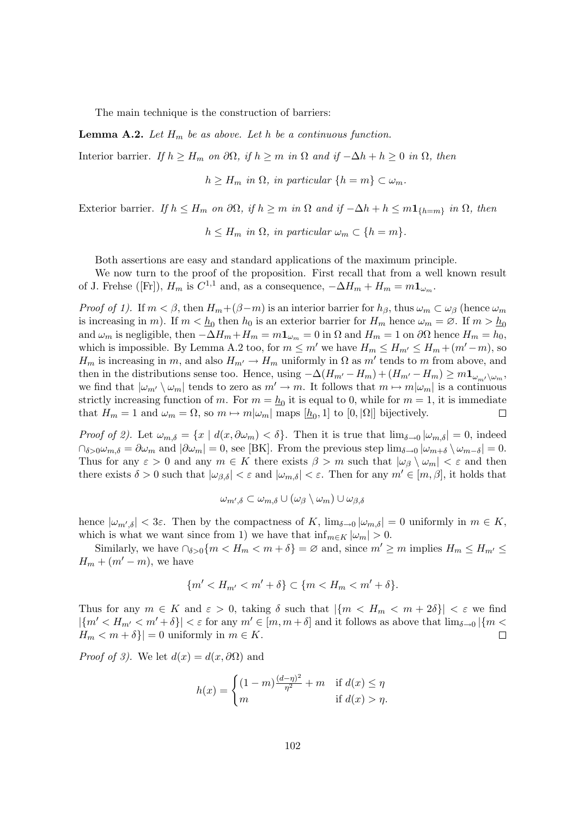The main technique is the construction of barriers:

**Lemma A.2.** Let  $H_m$  be as above. Let h be a continuous function.

Interior barrier. If  $h \geq H_m$  on  $\partial\Omega$ , if  $h \geq m$  in  $\Omega$  and if  $-\Delta h + h \geq 0$  in  $\Omega$ , then

 $h \geq H_m$  in  $\Omega$ , in particular  $\{h = m\} \subset \omega_m$ .

Exterior barrier. If  $h \leq H_m$  on  $\partial\Omega$ , if  $h \geq m$  in  $\Omega$  and if  $-\Delta h + h \leq m \mathbf{1}_{\{h=m\}}$  in  $\Omega$ , then

 $h \leq H_m$  in  $\Omega$ , in particular  $\omega_m \subset \{h = m\}.$ 

Both assertions are easy and standard applications of the maximum principle.

We now turn to the proof of the proposition. First recall that from a well known result of J. Frehse ([Fr]),  $H_m$  is  $C^{1,1}$  and, as a consequence,  $-\Delta H_m + H_m = m \mathbf{1}_{\omega_m}$ .

*Proof of 1).* If  $m < \beta$ , then  $H_m + (\beta - m)$  is an interior barrier for  $h_{\beta}$ , thus  $\omega_m \subset \omega_{\beta}$  (hence  $\omega_m$ is increasing in m). If  $m < \underline{h}_0$  then  $h_0$  is an exterior barrier for  $H_m$  hence  $\omega_m = \emptyset$ . If  $m > \underline{h}_0$ and  $\omega_m$  is negligible, then  $-\Delta H_m + H_m = m\mathbf{1}_{\omega_m} = 0$  in  $\Omega$  and  $H_m = 1$  on  $\partial\Omega$  hence  $H_m = h_0$ , which is impossible. By Lemma A.2 too, for  $m \leq m'$  we have  $H_m \leq H_{m'} \leq H_m + (m' - m)$ , so  $H_m$  is increasing in m, and also  $H_{m'} \to H_m$  uniformly in  $\Omega$  as m' tends to m from above, and then in the distributions sense too. Hence, using  $-\Delta(H_{m'}-H_m)+(H_{m'}-H_m)\geq m\mathbf{1}_{\omega_{m'}\setminus\omega_m}$ we find that  $|\omega_{m'} \setminus \omega_m|$  tends to zero as  $m' \to m$ . It follows that  $m \mapsto m|\omega_m|$  is a continuous strictly increasing function of m. For  $m = \underline{h}_0$  it is equal to 0, while for  $m = 1$ , it is immediate that  $H_m = 1$  and  $\omega_m = \Omega$ , so  $m \mapsto m[\omega_m]$  maps  $[\underline{h}_0, 1]$  to  $[0, |\Omega|]$  bijectively.  $\Box$ 

Proof of 2). Let  $\omega_{m,\delta} = \{x \mid d(x, \partial \omega_m) < \delta\}$ . Then it is true that  $\lim_{\delta \to 0} |\omega_{m,\delta}| = 0$ , indeed  $\cap_{\delta>0}\omega_{m,\delta}=\partial\omega_m$  and  $|\partial\omega_m|=0$ , see [BK]. From the previous step  $\lim_{\delta\to 0}|\omega_{m+\delta}\setminus\omega_{m-\delta}|=0$ . Thus for any  $\varepsilon > 0$  and any  $m \in K$  there exists  $\beta > m$  such that  $|\omega_{\beta} \setminus \omega_m| < \varepsilon$  and then there exists  $\delta > 0$  such that  $|\omega_{\beta,\delta}| < \varepsilon$  and  $|\omega_{m,\delta}| < \varepsilon$ . Then for any  $m' \in [m,\beta]$ , it holds that

$$
\omega_{m',\delta}\subset\omega_{m,\delta}\cup(\omega_{\beta}\setminus\omega_m)\cup\omega_{\beta,\delta}
$$

hence  $|\omega_{m',\delta}| < 3\varepsilon$ . Then by the compactness of K,  $\lim_{\delta \to 0} |\omega_{m,\delta}| = 0$  uniformly in  $m \in K$ , which is what we want since from 1) we have that  $\inf_{m \in K} |\omega_m| > 0$ .

Similarly, we have  $\bigcap_{\delta>0}\{m < H_m < m+\delta\} = \emptyset$  and, since  $m' \geq m$  implies  $H_m \leq H_{m'} \leq$  $H_m + (m'-m)$ , we have

$$
\{m' < H_{m'} < m' + \delta\} \subset \{m < H_m < m' + \delta\}.
$$

Thus for any  $m \in K$  and  $\varepsilon > 0$ , taking  $\delta$  such that  $|\{m < H_m < m + 2\delta\}| < \varepsilon$  we find  $|\{m' < H_{m'} < m' + \delta\}| < \varepsilon$  for any  $m' \in [m, m + \delta]$  and it follows as above that  $\lim_{\delta \to 0} |\{m < m'\}|\$  $H_m < m + \delta$ } = 0 uniformly in  $m \in K$ .  $\Box$ 

*Proof of 3*). We let  $d(x) = d(x, \partial\Omega)$  and

$$
h(x) = \begin{cases} (1-m)\frac{(d-\eta)^2}{\eta^2} + m & \text{if } d(x) \le \eta \\ m & \text{if } d(x) > \eta. \end{cases}
$$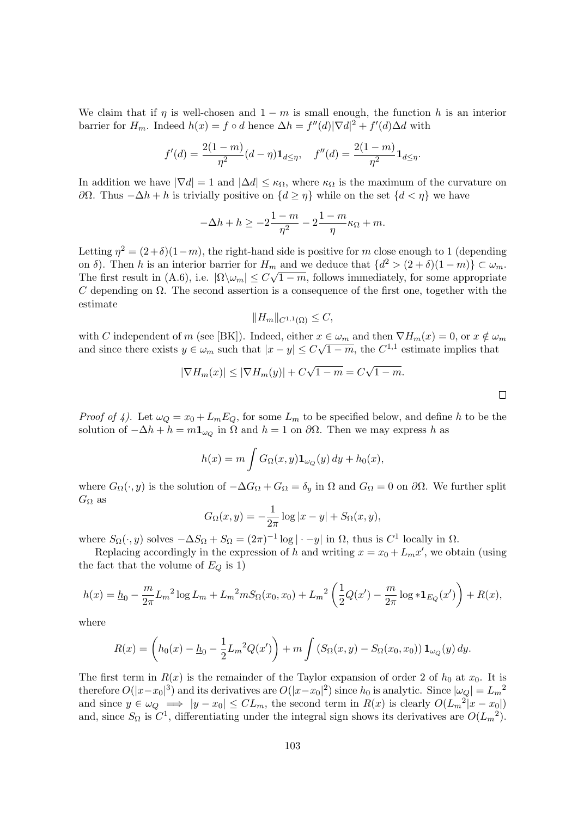We claim that if  $\eta$  is well-chosen and  $1 - m$  is small enough, the function h is an interior barrier for  $H_m$ . Indeed  $h(x) = f \circ d$  hence  $\Delta h = f''(d) |\nabla d|^2 + f'(d) \Delta d$  with

$$
f'(d) = \frac{2(1-m)}{\eta^2}(d-\eta)\mathbf{1}_{d \le \eta}, \quad f''(d) = \frac{2(1-m)}{\eta^2}\mathbf{1}_{d \le \eta}.
$$

In addition we have  $|\nabla d| = 1$  and  $|\Delta d| \leq \kappa_{\Omega}$ , where  $\kappa_{\Omega}$  is the maximum of the curvature on  $∂Ω$ . Thus  $-∆h + h$  is trivially positive on  ${d ≥ η}$  while on the set  ${d < η}$  we have

$$
-\Delta h + h \ge -2\frac{1-m}{\eta^2} - 2\frac{1-m}{\eta}\kappa_{\Omega} + m.
$$

Letting  $\eta^2 = (2+\delta)(1-m)$ , the right-hand side is positive for m close enough to 1 (depending on  $\delta$ ). Then h is an interior barrier for  $H_m$  and we deduce that  $\{d^2 > (2+\delta)(1-m)\} \subset \omega_m$ . The first result in (A.6), i.e.  $|\Omega \setminus \omega_m| \le C\sqrt{1-m}$ , follows immediately, for some appropriate C depending on  $\Omega$ . The second assertion is a consequence of the first one, together with the estimate

$$
||H_m||_{C^{1,1}(\Omega)} \leq C,
$$

with C independent of m (see [BK]). Indeed, either  $x \in \omega_m$  and then  $\nabla H_m(x) = 0$ , or  $x \notin \omega_m$ and since there exists  $y \in \omega_m$  such that  $|x - y| \leq C\sqrt{1 - m}$ , the  $C^{1,1}$  estimate implies that

$$
|\nabla H_m(x)| \le |\nabla H_m(y)| + C\sqrt{1-m} = C\sqrt{1-m}.
$$

*Proof of 4).* Let  $\omega_Q = x_0 + L_m E_Q$ , for some  $L_m$  to be specified below, and define h to be the solution of  $-\Delta h + h = m \mathbf{1}_{\omega_Q}$  in  $\Omega$  and  $h = 1$  on  $\partial \Omega$ . Then we may express h as

$$
h(x) = m \int G_{\Omega}(x, y) \mathbf{1}_{\omega_Q}(y) dy + h_0(x),
$$

where  $G_{\Omega}(\cdot, y)$  is the solution of  $-\Delta G_{\Omega} + G_{\Omega} = \delta_y$  in  $\Omega$  and  $G_{\Omega} = 0$  on  $\partial\Omega$ . We further split  $G_{\Omega}$  as

$$
G_{\Omega}(x,y) = -\frac{1}{2\pi} \log|x-y| + S_{\Omega}(x,y),
$$

where  $S_{\Omega}(\cdot, y)$  solves  $-\Delta S_{\Omega} + S_{\Omega} = (2\pi)^{-1} \log |\cdot - y|$  in  $\Omega$ , thus is  $C^1$  locally in  $\Omega$ .

Replacing accordingly in the expression of h and writing  $x = x_0 + L_m x'$ , we obtain (using the fact that the volume of  $E_Q$  is 1)

$$
h(x) = \underline{h}_0 - \frac{m}{2\pi} L_m^2 \log L_m + L_m^2 m S_{\Omega}(x_0, x_0) + L_m^2 \left(\frac{1}{2}Q(x') - \frac{m}{2\pi} \log * \mathbf{1}_{E_Q}(x')\right) + R(x),
$$

where

$$
R(x) = \left( h_0(x) - \underline{h}_0 - \frac{1}{2} L_m^2 Q(x') \right) + m \int \left( S_{\Omega}(x, y) - S_{\Omega}(x_0, x_0) \right) \mathbf{1}_{\omega_Q}(y) \, dy.
$$

The first term in  $R(x)$  is the remainder of the Taylor expansion of order 2 of  $h_0$  at  $x_0$ . It is therefore  $O(|x-x_0|^3)$  and its derivatives are  $O(|x-x_0|^2)$  since  $h_0$  is analytic. Since  $|\omega_Q|=L_m^{-2}$ and since  $y \in \omega_Q \implies |y - x_0| \leq CL_m$ , the second term in  $R(x)$  is clearly  $O(L_m^{-2}|x - x_0|)$ and, since  $S_{\Omega}$  is  $C^{1}$ , differentiating under the integral sign shows its derivatives are  $O(L_{m}^{2})$ .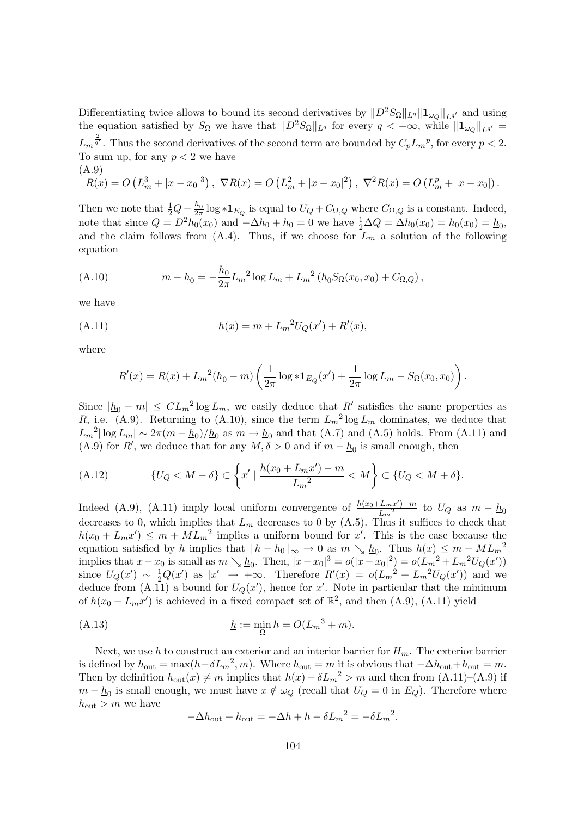Differentiating twice allows to bound its second derivatives by  $||D^2S_{\Omega}||_{L^q}||\mathbf{1}_{\omega_Q}||_{L^{q'}}$  and using the equation satisfied by  $S_{\Omega}$  we have that  $||D^2S_{\Omega}||_{L^q}$  for every  $q < +\infty$ , while  $||\mathbf{1}_{\omega_Q}||_{L^{q'}} =$  $L_m^{\frac{2}{q'}}$ . Thus the second derivatives of the second term are bounded by  $C_pL_m^{\ p}$ , for every  $p < 2$ . To sum up, for any  $p < 2$  we have (A.9)

$$
R(x) = O\left(L_m^3 + |x - x_0|^3\right), \ \nabla R(x) = O\left(L_m^2 + |x - x_0|^2\right), \ \nabla^2 R(x) = O\left(L_m^p + |x - x_0|\right).
$$

Then we note that  $\frac{1}{2}Q - \frac{h_0}{2\pi} \log * \mathbf{1}_{E_Q}$  is equal to  $U_Q + C_{\Omega,Q}$  where  $C_{\Omega,Q}$  is a constant. Indeed, note that since  $Q = D^2 h_0(x_0)$  and  $-\Delta h_0 + h_0 = 0$  we have  $\frac{1}{2}\Delta Q = \Delta h_0(x_0) = h_0(x_0) = \underline{h}_0$ , and the claim follows from  $(A.4)$ . Thus, if we choose for  $L_m$  a solution of the following equation

(A.10) 
$$
m - \underline{h}_0 = -\frac{\underline{h}_0}{2\pi} L_m^2 \log L_m + L_m^2 \left( \underline{h}_0 S_\Omega(x_0, x_0) + C_{\Omega, Q} \right),
$$

we have

(A.11) 
$$
h(x) = m + L_m^2 U_Q(x') + R'(x),
$$

where

$$
R'(x) = R(x) + L_m^2(\underline{h}_0 - m) \left( \frac{1}{2\pi} \log \ast \mathbf{1}_{E_Q}(x') + \frac{1}{2\pi} \log L_m - S_\Omega(x_0, x_0) \right).
$$

Since  $|h_0 - m| \leq CL_m^2 \log L_m$ , we easily deduce that R' satisfies the same properties as R, i.e. (A.9). Returning to (A.10), since the term  $L_m^2 \log L_m$  dominates, we deduce that  $L_m^2 |\log L_m| \sim 2\pi (m - \underline{h}_0) / \underline{h}_0$  as  $m \to \underline{h}_0$  and that (A.7) and (A.5) holds. From (A.11) and (A.9) for R', we deduce that for any  $M, \delta > 0$  and if  $m - \underline{h}_0$  is small enough, then

(A.12) 
$$
\{U_Q < M - \delta\} \subset \left\{ x' \mid \frac{h(x_0 + L_m x') - m}{L_m^2} < M \right\} \subset \{U_Q < M + \delta\}.
$$

Indeed (A.9), (A.11) imply local uniform convergence of  $\frac{h(x_0+L_m x')-m}{l^2}$  $\frac{L_m x^2 - m}{L_m^2}$  to  $U_Q$  as  $m - \underline{h}_0$ decreases to 0, which implies that  $L_m$  decreases to 0 by (A.5). Thus it suffices to check that  $h(x_0 + L_m x') \leq m + ML_m^2$  implies a uniform bound for x'. This is the case because the equation satisfied by h implies that  $||h - h_0||_{\infty} \to 0$  as  $m \searrow \underline{h}_0$ . Thus  $h(x) \le m + ML_m^2$ implies that  $x - x_0$  is small as  $m \searrow \underline{h}_0$ . Then,  $|x - x_0|^3 = o(|x - x_0|^2) = o(L_m^2 + L_m^2 U_Q(x'))$ since  $U_Q(x') \sim \frac{1}{2}Q(x')$  as  $|x'| \to +\infty$ . Therefore  $R'(x) = o(L_m^2 + L_m^2 U_Q(x'))$  and we deduce from  $(A.11)$  a bound for  $U_Q(x')$ , hence for x'. Note in particular that the minimum of  $h(x_0 + L_m x')$  is achieved in a fixed compact set of  $\mathbb{R}^2$ , and then  $(A.9)$ ,  $(A.11)$  yield

(A.13) 
$$
\underline{h} := \min_{\Omega} h = O(L_m^3 + m).
$$

Next, we use h to construct an exterior and an interior barrier for  $H_m$ . The exterior barrier is defined by  $h_{\text{out}} = \max(h - \delta L_m^2, m)$ . Where  $h_{\text{out}} = m$  it is obvious that  $-\Delta h_{\text{out}} + h_{\text{out}} = m$ . Then by definition  $h_{\text{out}}(x) \neq m$  implies that  $h(x) - \delta L_m^2 > m$  and then from  $(A.11)$ – $(A.9)$  if  $m - \underline{h}_0$  is small enough, we must have  $x \notin \omega_Q$  (recall that  $U_Q = 0$  in  $E_Q$ ). Therefore where  $h_{\text{out}} > m$  we have

$$
-\Delta h_{\text{out}} + h_{\text{out}} = -\Delta h + h - \delta L_m^2 = -\delta L_m^2.
$$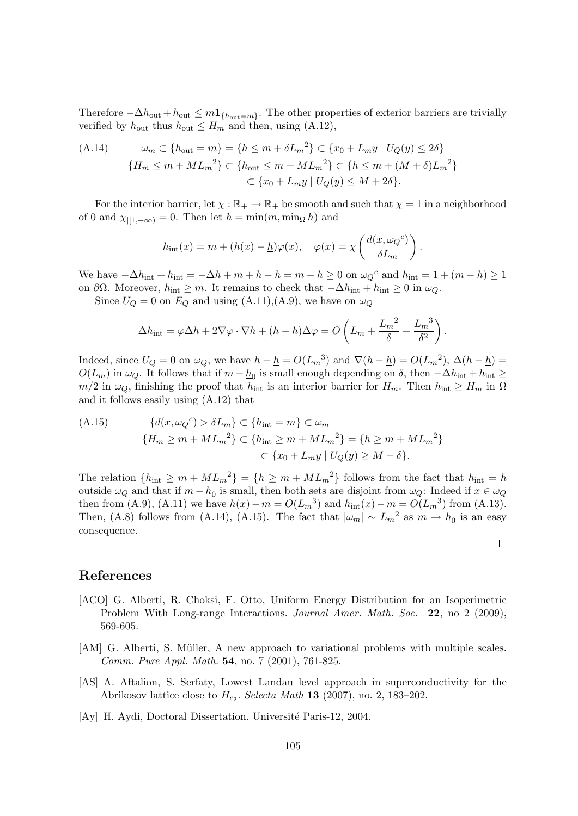Therefore  $-\Delta h_{\text{out}} + h_{\text{out}} \leq m_1$ <sub>{hout=m}</sub>. The other properties of exterior barriers are trivially verified by  $h_{\text{out}}$  thus  $h_{\text{out}} \leq H_m$  and then, using (A.12),

$$
(A.14) \qquad \omega_m \subset \{h_{\text{out}} = m\} = \{h \le m + \delta L_m^2\} \subset \{x_0 + L_m y \mid U_Q(y) \le 2\delta\}
$$

$$
\{H_m \le m + ML_m^2\} \subset \{h_{\text{out}} \le m + ML_m^2\} \subset \{h \le m + (M + \delta)L_m^2\}
$$

$$
\subset \{x_0 + L_m y \mid U_Q(y) \le M + 2\delta\}.
$$

For the interior barrier, let  $\chi : \mathbb{R}_+ \to \mathbb{R}_+$  be smooth and such that  $\chi = 1$  in a neighborhood of 0 and  $\chi_{\{1,+\infty\}}=0$ . Then let  $\underline{h}=\min(m,\min_{\Omega}h)$  and

$$
h_{\rm int}(x) = m + (h(x) - \underline{h})\varphi(x), \quad \varphi(x) = \chi\left(\frac{d(x, \omega_Q^c)}{\delta L_m}\right).
$$

We have  $-\Delta h_{\text{int}} + h_{\text{int}} = -\Delta h + m + h - \underline{h} = m - \underline{h} \ge 0$  on  $\omega_Q^c$  and  $h_{\text{int}} = 1 + (m - \underline{h}) \ge 1$ on  $\partial\Omega$ . Moreover,  $h_{\text{int}} \geq m$ . It remains to check that  $-\Delta h_{\text{int}} + h_{\text{int}} \geq 0$  in  $\omega_Q$ .

Since  $U_Q = 0$  on  $E_Q$  and using  $(A.11), (A.9)$ , we have on  $\omega_Q$ 

$$
\Delta h_{\rm int} = \varphi \Delta h + 2\nabla \varphi \cdot \nabla h + (h - \underline{h}) \Delta \varphi = O\left(L_m + \frac{L_m^2}{\delta} + \frac{L_m^3}{\delta^2}\right).
$$

Indeed, since  $U_Q = 0$  on  $\omega_Q$ , we have  $h - \underline{h} = O(L_m^3)$  and  $\nabla(h - \underline{h}) = O(L_m^2)$ ,  $\Delta(h - \underline{h}) =$  $O(L_m)$  in  $\omega_Q$ . It follows that if  $m - \underline{h}_0$  is small enough depending on  $\delta$ , then  $-\Delta h_{\rm int} + h_{\rm int} \ge$  $m/2$  in  $\omega_Q$ , finishing the proof that  $h_{\text{int}}$  is an interior barrier for  $H_m$ . Then  $h_{\text{int}} \geq H_m$  in  $\Omega$ and it follows easily using (A.12) that

(A.15) 
$$
\{d(x, \omega_Q{}^c) > \delta L_m\} \subset \{h_{\rm int} = m\} \subset \omega_m \{H_m \ge m + ML_m{}^2\} \subset \{h_{\rm int} \ge m + ML_m{}^2\} = \{h \ge m + ML_m{}^2\} \subset \{x_0 + L_m y \mid U_Q(y) \ge M - \delta\}.
$$

The relation  $\{h_{\rm int} \ge m + M L_m^2\}$  =  $\{h \ge m + M L_m^2\}$  follows from the fact that  $h_{\rm int} = h$ outside  $\omega_Q$  and that if  $m - \underline{h}_0$  is small, then both sets are disjoint from  $\omega_Q$ : Indeed if  $x \in \omega_Q$ then from (A.9), (A.11) we have  $h(x) - m = O(L_m^3)$  and  $h_{\text{int}}(x) - m = O(L_m^3)$  from (A.13). Then, (A.8) follows from (A.14), (A.15). The fact that  $|\omega_m| \sim L_m^2$  as  $m \to \underline{h}_0$  is an easy consequence.

 $\Box$ 

| ${\hbox{References}}$ |
|-----------------------|
|                       |

- [ACO] G. Alberti, R. Choksi, F. Otto, Uniform Energy Distribution for an Isoperimetric Problem With Long-range Interactions. Journal Amer. Math. Soc. 22, no 2 (2009), 569-605.
- [AM] G. Alberti, S. Müller, A new approach to variational problems with multiple scales. Comm. Pure Appl. Math. 54, no. 7 (2001), 761-825.
- [AS] A. Aftalion, S. Serfaty, Lowest Landau level approach in superconductivity for the Abrikosov lattice close to  $H_{c_2}$ . Selecta Math 13 (2007), no. 2, 183–202.
- [Ay] H. Aydi, Doctoral Dissertation. Université Paris-12, 2004.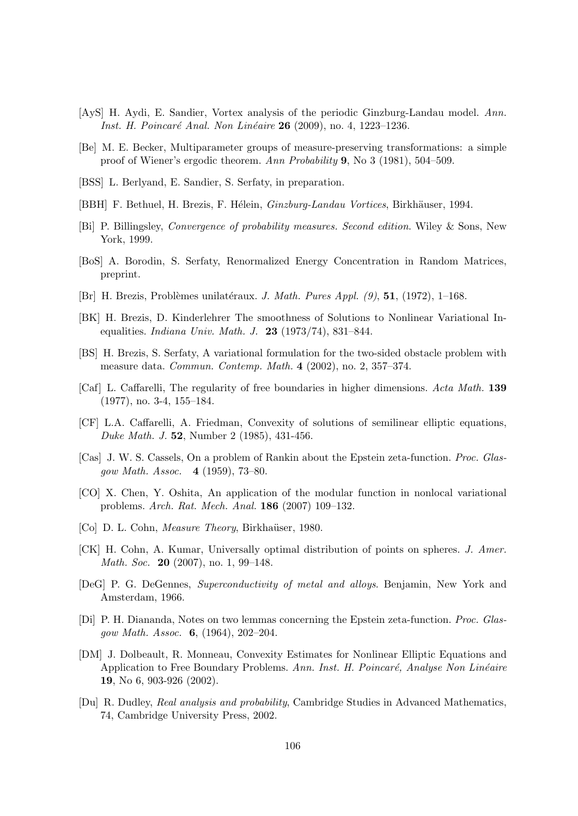- [AyS] H. Aydi, E. Sandier, Vortex analysis of the periodic Ginzburg-Landau model. Ann. Inst. H. Poincaré Anal. Non Linéaire 26 (2009), no. 4, 1223–1236.
- [Be] M. E. Becker, Multiparameter groups of measure-preserving transformations: a simple proof of Wiener's ergodic theorem. Ann Probability 9, No 3 (1981), 504–509.
- [BSS] L. Berlyand, E. Sandier, S. Serfaty, in preparation.
- [BBH] F. Bethuel, H. Brezis, F. Hélein, Ginzburg-Landau Vortices, Birkhäuser, 1994.
- [Bi] P. Billingsley, Convergence of probability measures. Second edition. Wiley & Sons, New York, 1999.
- [BoS] A. Borodin, S. Serfaty, Renormalized Energy Concentration in Random Matrices, preprint.
- [Br] H. Brezis, Problèmes unilatéraux. J. Math. Pures Appl.  $(9)$ , 51, (1972), 1–168.
- [BK] H. Brezis, D. Kinderlehrer The smoothness of Solutions to Nonlinear Variational Inequalities. Indiana Univ. Math. J. 23 (1973/74), 831–844.
- [BS] H. Brezis, S. Serfaty, A variational formulation for the two-sided obstacle problem with measure data. Commun. Contemp. Math. 4 (2002), no. 2, 357–374.
- [Caf] L. Caffarelli, The regularity of free boundaries in higher dimensions. Acta Math. 139 (1977), no. 3-4, 155–184.
- [CF] L.A. Caffarelli, A. Friedman, Convexity of solutions of semilinear elliptic equations, Duke Math. J. 52, Number 2 (1985), 431-456.
- [Cas] J. W. S. Cassels, On a problem of Rankin about the Epstein zeta-function. Proc. Glasgow Math. Assoc. 4 (1959), 73–80.
- [CO] X. Chen, Y. Oshita, An application of the modular function in nonlocal variational problems. Arch. Rat. Mech. Anal. 186 (2007) 109–132.
- [Co] D. L. Cohn, *Measure Theory*, Birkhaüser, 1980.
- [CK] H. Cohn, A. Kumar, Universally optimal distribution of points on spheres. J. Amer. Math. Soc. 20 (2007), no. 1, 99–148.
- [DeG] P. G. DeGennes, Superconductivity of metal and alloys. Benjamin, New York and Amsterdam, 1966.
- [Di] P. H. Diananda, Notes on two lemmas concerning the Epstein zeta-function. Proc. Glasgow Math. Assoc. 6, (1964), 202–204.
- [DM] J. Dolbeault, R. Monneau, Convexity Estimates for Nonlinear Elliptic Equations and Application to Free Boundary Problems. Ann. Inst. H. Poincaré, Analyse Non Linéaire 19, No 6, 903-926 (2002).
- [Du] R. Dudley, Real analysis and probability, Cambridge Studies in Advanced Mathematics, 74, Cambridge University Press, 2002.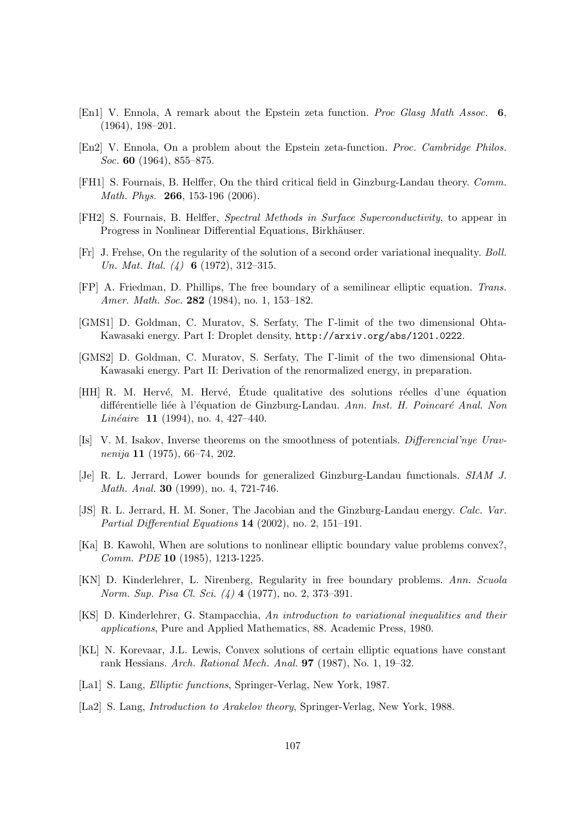- [En1] V. Ennola, A remark about the Epstein zeta function. Proc Glasg Math Assoc. 6, (1964), 198–201.
- [En2] V. Ennola, On a problem about the Epstein zeta-function. Proc. Cambridge Philos. Soc. 60 (1964), 855–875.
- [FH1] S. Fournais, B. Helffer, On the third critical field in Ginzburg-Landau theory. Comm. Math. Phys. **266**, 153-196 (2006).
- [FH2] S. Fournais, B. Helffer, Spectral Methods in Surface Superconductivity, to appear in Progress in Nonlinear Differential Equations, Birkhäuser.
- [Fr] J. Frehse, On the regularity of the solution of a second order variational inequality. Boll. Un. Mat. Ital. (4) 6 (1972), 312-315.
- [FP] A. Friedman, D. Phillips, The free boundary of a semilinear elliptic equation. Trans. Amer. Math. Soc. 282 (1984), no. 1, 153-182.
- [GMS1] D. Goldman, C. Muratov, S. Serfaty, The Γ-limit of the two dimensional Ohta-Kawasaki energy. Part I: Droplet density, http://arxiv.org/abs/1201.0222.
- [GMS2] D. Goldman, C. Muratov, S. Serfaty, The Γ-limit of the two dimensional Ohta-Kawasaki energy. Part II: Derivation of the renormalized energy, in preparation.
- [HH] R. M. Hervé, M. Hervé, Étude qualitative des solutions réelles d'une équation différentielle liée à l'équation de Ginzburg-Landau. Ann. Inst. H. Poincaré Anal. Non Linéaire 11 (1994), no. 4, 427–440.
- [Is] V. M. Isakov, Inverse theorems on the smoothness of potentials. Differencial'nye Uravnenija 11 (1975), 66–74, 202.
- [Je] R. L. Jerrard, Lower bounds for generalized Ginzburg-Landau functionals. SIAM J. Math. Anal. 30 (1999), no. 4, 721-746.
- [JS] R. L. Jerrard, H. M. Soner, The Jacobian and the Ginzburg-Landau energy. Calc. Var. Partial Differential Equations 14 (2002), no. 2, 151–191.
- [Ka] B. Kawohl, When are solutions to nonlinear elliptic boundary value problems convex?, Comm. PDE 10 (1985), 1213-1225.
- [KN] D. Kinderlehrer, L. Nirenberg, Regularity in free boundary problems. Ann. Scuola Norm. Sup. Pisa Cl. Sci. (4) 4 (1977), no. 2, 373–391.
- [KS] D. Kinderlehrer, G. Stampacchia, An introduction to variational inequalities and their applications, Pure and Applied Mathematics, 88. Academic Press, 1980.
- [KL] N. Korevaar, J.L. Lewis, Convex solutions of certain elliptic equations have constant rank Hessians. Arch. Rational Mech. Anal. 97 (1987), No. 1, 19–32.
- [La1] S. Lang, Elliptic functions, Springer-Verlag, New York, 1987.
- [La2] S. Lang, Introduction to Arakelov theory, Springer-Verlag, New York, 1988.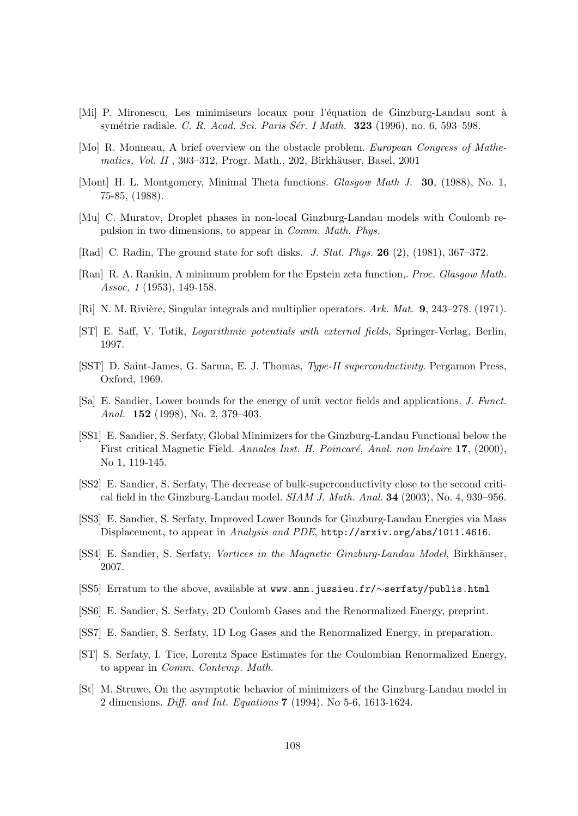- [Mi] P. Mironescu, Les minimiseurs locaux pour l'équation de Ginzburg-Landau sont à symétrie radiale. C. R. Acad. Sci. Paris Sér. I Math. 323 (1996), no. 6, 593–598.
- [Mo] R. Monneau, A brief overview on the obstacle problem. European Congress of Mathematics, Vol. II, 303-312, Progr. Math., 202, Birkhäuser, Basel, 2001
- [Mont] H. L. Montgomery, Minimal Theta functions. Glasgow Math J. 30, (1988), No. 1, 75-85, (1988).
- [Mu] C. Muratov, Droplet phases in non-local Ginzburg-Landau models with Coulomb repulsion in two dimensions, to appear in Comm. Math. Phys.
- [Rad] C. Radin, The ground state for soft disks. J. Stat. Phys. 26 (2), (1981), 367–372.
- [Ran] R. A. Rankin, A minimum problem for the Epstein zeta function,. Proc. Glasgow Math. Assoc, 1 (1953), 149-158.
- [Ri] N. M. Rivière, Singular integrals and multiplier operators. Ark. Mat. 9, 243–278. (1971).
- [ST] E. Saff, V. Totik, Logarithmic potentials with external fields, Springer-Verlag, Berlin, 1997.
- [SST] D. Saint-James, G. Sarma, E. J. Thomas, Type-II superconductivity. Pergamon Press, Oxford, 1969.
- [Sa] E. Sandier, Lower bounds for the energy of unit vector fields and applications. J. Funct. Anal. 152 (1998), No. 2, 379–403.
- [SS1] E. Sandier, S. Serfaty, Global Minimizers for the Ginzburg-Landau Functional below the First critical Magnetic Field. Annales Inst. H. Poincaré, Anal. non linéaire 17, (2000), No 1, 119-145.
- [SS2] E. Sandier, S. Serfaty, The decrease of bulk-superconductivity close to the second critical field in the Ginzburg-Landau model.  $SIAM J. Math. Anal. 34 (2003), No. 4, 939-956.$
- [SS3] E. Sandier, S. Serfaty, Improved Lower Bounds for Ginzburg-Landau Energies via Mass Displacement, to appear in Analysis and PDE, http://arxiv.org/abs/1011.4616.
- [SS4] E. Sandier, S. Serfaty, *Vortices in the Magnetic Ginzburg-Landau Model*, Birkhäuser, 2007.
- [SS5] Erratum to the above, available at www.ann.jussieu.fr/∼serfaty/publis.html
- [SS6] E. Sandier, S. Serfaty, 2D Coulomb Gases and the Renormalized Energy, preprint.
- [SS7] E. Sandier, S. Serfaty, 1D Log Gases and the Renormalized Energy, in preparation.
- [ST] S. Serfaty, I. Tice, Lorentz Space Estimates for the Coulombian Renormalized Energy, to appear in Comm. Contemp. Math.
- [St] M. Struwe, On the asymptotic behavior of minimizers of the Ginzburg-Landau model in 2 dimensions. Diff. and Int. Equations 7 (1994). No 5-6, 1613-1624.